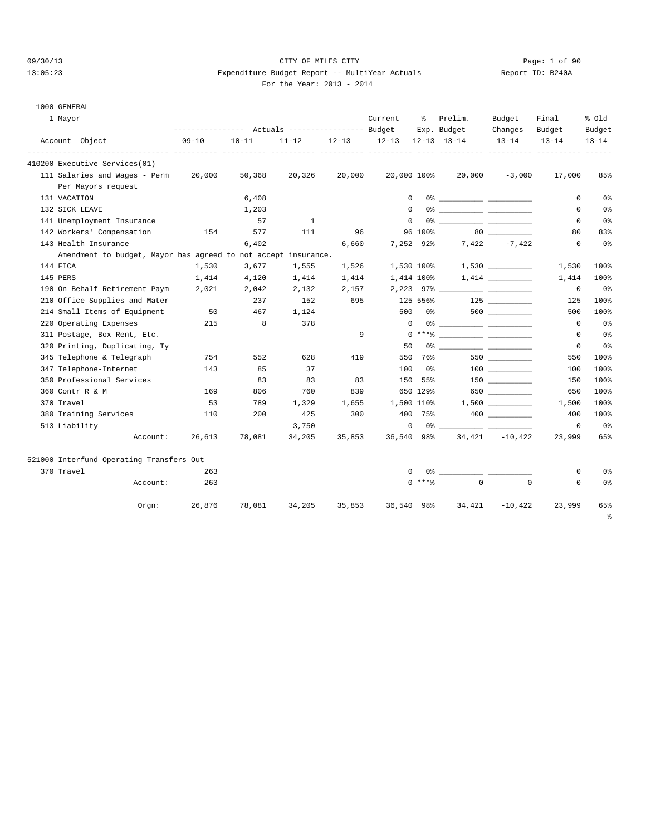1000 GENERAL

#### 09/30/13 Page: 1 of 90 13:05:23 Expenditure Budget Report -- MultiYear Actuals Report ID: B240A  $.013 - 2014$

1 Mayor Current % Prelim. Budget Final % Old

|  | For the Year: 201 |  |
|--|-------------------|--|
|  |                   |  |

|                                                                | ---------------    Actuals ----------------    Budget |               |                 |                     |                   |          | Exp. Budget                      | Changes          | Budget    | Budget         |
|----------------------------------------------------------------|-------------------------------------------------------|---------------|-----------------|---------------------|-------------------|----------|----------------------------------|------------------|-----------|----------------|
| Account Object                                                 | $09 - 10$                                             | $10 - 11$     |                 | $11 - 12$ $12 - 13$ | 12-13 12-13 13-14 |          |                                  | $13 - 14$        | $13 - 14$ | $13 - 14$      |
| 410200 Executive Services(01)                                  |                                                       |               |                 |                     |                   |          |                                  |                  |           |                |
| 111 Salaries and Wages - Perm 20,000                           |                                                       | 50,368        | 20,326          | 20,000              |                   |          | 20,000 100% 20,000 -3,000        |                  | 17,000    | 85%            |
| Per Mayors request                                             |                                                       |               |                 |                     |                   |          |                                  |                  |           |                |
| 131 VACATION                                                   |                                                       | 6,408         |                 |                     | $\Omega$          |          |                                  |                  | $\Omega$  | 0%             |
| 132 SICK LEAVE                                                 |                                                       | 1,203         |                 |                     | $\Omega$          |          |                                  |                  | $\Omega$  | 0%             |
| 141 Unemployment Insurance                                     |                                                       | 57            | $\sim$ $\sim$ 1 |                     | $\Omega$          |          |                                  |                  | $\Omega$  | 0 <sup>°</sup> |
| 142 Workers' Compensation                                      | 154                                                   | 577           | 111             |                     | 96                |          | 96 100% 80                       |                  | 80        | 83%            |
| 143 Health Insurance                                           |                                                       | 6,402         |                 |                     | 6,660 7,252 92%   |          |                                  | $7,422$ $-7,422$ | 0         | 0 <sub>8</sub> |
| Amendment to budget, Mayor has agreed to not accept insurance. |                                                       |               |                 |                     |                   |          |                                  |                  |           |                |
| 144 FICA                                                       | 1,530                                                 | 3,677         | 1,555           | 1,526               |                   |          | $1,530$ 100% $1,530$ ___________ |                  | 1,530     | 100%           |
| 145 PERS                                                       | 1,414                                                 | 4,120         | 1,414           | 1,414               | 1,414 100%        |          |                                  |                  | 1,414     | 100%           |
| 190 On Behalf Retirement Paym                                  | 2,021                                                 | 2,042         | 2,132           |                     |                   |          |                                  |                  | $\Omega$  | 0%             |
| 210 Office Supplies and Mater                                  |                                                       | 237           | 152             |                     |                   |          | 695 125 556% 125                 |                  | 125       | 100%           |
| 214 Small Items of Equipment                                   | 50                                                    | 467           | 1,124           |                     |                   |          |                                  |                  | 500       | 100%           |
| 220 Operating Expenses                                         | 215                                                   | 8             | 378             |                     | $\Omega$          |          | 0% ____________ __________       |                  | $\Omega$  | 0 <sup>°</sup> |
| 311 Postage, Box Rent, Etc.                                    |                                                       |               |                 | 9                   |                   |          |                                  |                  | $\Omega$  | 0 <sup>°</sup> |
| 320 Printing, Duplicating, Ty                                  |                                                       |               |                 |                     | 50                |          | 0% ____________ ____________     |                  | 0         | 0 <sup>°</sup> |
| 345 Telephone & Telegraph                                      | 754                                                   | 552           | 628             | 419                 | 550               |          | 76%                              | 550              | 550       | 100%           |
| 347 Telephone-Internet                                         | 143                                                   | 85            | 37              |                     | 100               |          | 0 %                              |                  | 100       | 100%           |
| 350 Professional Services                                      |                                                       | 83            | 83              | 83                  | 150               |          | 55%                              | 150 30           | 150       | 100%           |
| 360 Contr R & M                                                | 169                                                   | 806           | 760             | 839                 |                   | 650 129% |                                  | 650              | 650       | 100%           |
| 370 Travel                                                     | 53                                                    | 789           | 1,329           |                     |                   |          | 1,655 1,500 110% 1,500           |                  | 1,500     | 100%           |
| 380 Training Services                                          | 110                                                   | 200           | 425             | 300                 |                   |          | 400 75%                          |                  | 400       | 100%           |
| 513 Liability                                                  |                                                       |               | 3,750           |                     | $\circ$           |          |                                  |                  | $\Omega$  | 0 <sub>8</sub> |
| Account:                                                       |                                                       | 26,613 78,081 | 34,205          | 35,853              |                   |          | 36,540 98% 34,421 -10,422        |                  | 23,999    | 65%            |

| 521000 Interfund Operating Transfers Out |          |        |        |        |        |            |          |           |        |                |
|------------------------------------------|----------|--------|--------|--------|--------|------------|----------|-----------|--------|----------------|
| 370 Travel                               |          | 263    |        |        |        | 0 %        |          |           |        | 0 <sup>°</sup> |
|                                          | Account: | 263    |        |        |        | $0$ ****   | $\Omega$ | $\Omega$  |        | 0 <sup>°</sup> |
|                                          | Orgn:    | 26,876 | 78,081 | 34,205 | 35,853 | 36,540 98% | 34,421   | $-10.422$ | 23,999 | 65%            |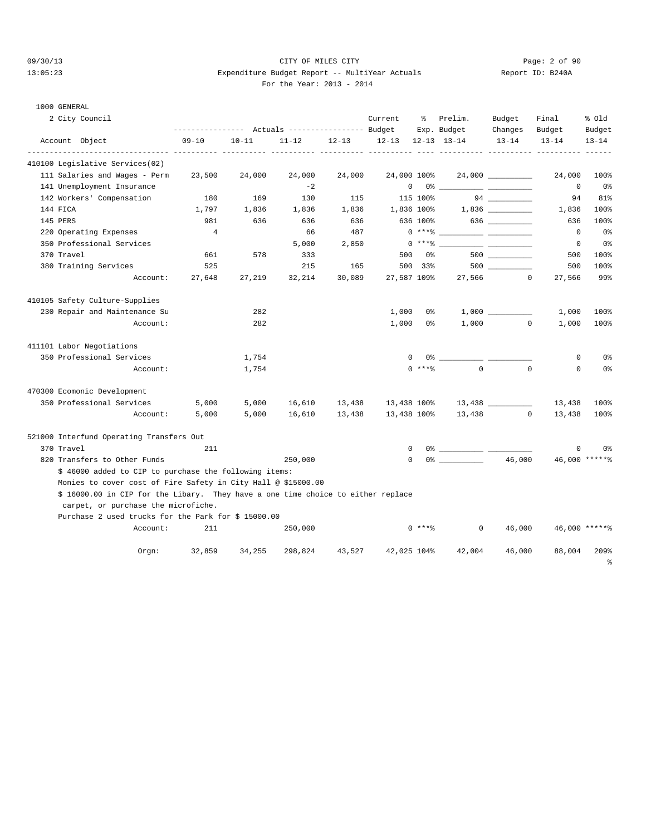#### 09/30/13 CITY OF MILES CITY Page: 2 of 90 13:05:23 Expenditure Budget Report -- MultiYear Actuals Report ID: B240A For the Year: 2013 - 2014

| For the Year: $2013 - 2$ |
|--------------------------|
|--------------------------|

| KEPULL ID. |  |
|------------|--|
|            |  |
|            |  |

| 1000 GENERAL                                                                                                            |                                                 |           |           |           |              |          |                                                                                                                                                                                                                                                                                                                        |                    |             |                |
|-------------------------------------------------------------------------------------------------------------------------|-------------------------------------------------|-----------|-----------|-----------|--------------|----------|------------------------------------------------------------------------------------------------------------------------------------------------------------------------------------------------------------------------------------------------------------------------------------------------------------------------|--------------------|-------------|----------------|
| 2 City Council                                                                                                          |                                                 |           |           |           | Current      | ႜၟ       | Prelim.                                                                                                                                                                                                                                                                                                                | Budget             | Final       | % old          |
|                                                                                                                         | --------------- Actuals ---------------- Budget |           |           |           |              |          | Exp. Budget                                                                                                                                                                                                                                                                                                            | Changes            | Budget      | Budget         |
| Account Object                                                                                                          | $09 - 10$                                       | $10 - 11$ | $11 - 12$ | $12 - 13$ | $12 - 13$    |          | $12 - 13$ $13 - 14$                                                                                                                                                                                                                                                                                                    | $13 - 14$          | $13 - 14$   | $13 - 14$      |
| 410100 Legislative Services(02)                                                                                         |                                                 |           |           |           |              |          |                                                                                                                                                                                                                                                                                                                        |                    |             |                |
| 111 Salaries and Wages - Perm                                                                                           | 23,500                                          | 24,000    | 24,000    | 24,000    | 24,000 100%  |          |                                                                                                                                                                                                                                                                                                                        |                    | 24,000      | 100%           |
| 141 Unemployment Insurance                                                                                              |                                                 |           | $-2$      |           | $\mathsf{O}$ |          | 0 왕                                                                                                                                                                                                                                                                                                                    |                    | $\mathbf 0$ | 0%             |
| 142 Workers' Compensation                                                                                               | 180                                             | 169       | 130       | 115       |              | 115 100% |                                                                                                                                                                                                                                                                                                                        | 94                 | 94          | 81%            |
| 144 FICA                                                                                                                | 1,797                                           | 1,836     | 1,836     | 1,836     | 1,836 100%   |          |                                                                                                                                                                                                                                                                                                                        | $1,836$ __________ | 1,836       | 100%           |
| 145 PERS                                                                                                                | 981                                             | 636       | 636       | 636       |              | 636 100% |                                                                                                                                                                                                                                                                                                                        |                    | 636         | 100%           |
| 220 Operating Expenses                                                                                                  | $\overline{4}$                                  |           | 66        | 487       |              | $0***8$  |                                                                                                                                                                                                                                                                                                                        |                    | $\mathbf 0$ | 0%             |
| 350 Professional Services                                                                                               |                                                 |           | 5,000     | 2,850     |              | $0***8$  |                                                                                                                                                                                                                                                                                                                        |                    | 0           | 0%             |
| 370 Travel                                                                                                              | 661                                             | 578       | 333       |           |              | 500 0%   |                                                                                                                                                                                                                                                                                                                        |                    | 500         | 100%           |
| 380 Training Services                                                                                                   | 525                                             |           | 215       | 165       |              | 500 33%  |                                                                                                                                                                                                                                                                                                                        |                    | 500         | 100%           |
| Account:                                                                                                                | 27,648                                          | 27,219    | 32,214    | 30,089    |              |          | 27,587 109% 27,566 0                                                                                                                                                                                                                                                                                                   |                    | 27,566      | 99%            |
| 410105 Safety Culture-Supplies                                                                                          |                                                 |           |           |           |              |          |                                                                                                                                                                                                                                                                                                                        |                    |             |                |
| 230 Repair and Maintenance Su                                                                                           |                                                 | 282       |           |           | 1,000        | 0 %      |                                                                                                                                                                                                                                                                                                                        | 1,000              | 1,000       | 100%           |
| Account:                                                                                                                |                                                 | 282       |           |           | 1,000        | 0 %      |                                                                                                                                                                                                                                                                                                                        | $1,000$ 0          | 1,000       | 100%           |
| 411101 Labor Negotiations                                                                                               |                                                 |           |           |           |              |          |                                                                                                                                                                                                                                                                                                                        |                    |             |                |
| 350 Professional Services                                                                                               |                                                 | 1,754     |           |           | $\mathbf{0}$ |          | 0 %                                                                                                                                                                                                                                                                                                                    |                    | 0           | 0%             |
| Account:                                                                                                                |                                                 | 1,754     |           |           |              | $0$ **** | $\Omega$                                                                                                                                                                                                                                                                                                               | $\mathbf 0$        | $\mathbf 0$ | 0%             |
| 470300 Ecomonic Development                                                                                             |                                                 |           |           |           |              |          |                                                                                                                                                                                                                                                                                                                        |                    |             |                |
| 350 Professional Services                                                                                               | 5,000                                           | 5,000     | 16,610    | 13,438    | 13,438 100%  |          |                                                                                                                                                                                                                                                                                                                        |                    | 13,438      | 100%           |
| Account:                                                                                                                | 5,000                                           | 5,000     | 16,610    | 13,438    | 13,438 100%  |          | 13,438                                                                                                                                                                                                                                                                                                                 | $\overline{0}$     | 13,438      | 100%           |
| 521000 Interfund Operating Transfers Out                                                                                |                                                 |           |           |           |              |          |                                                                                                                                                                                                                                                                                                                        |                    |             |                |
| 370 Travel                                                                                                              | 211                                             |           |           |           | $\mathbf{0}$ |          | $0$ $\frac{1}{2}$ $\frac{1}{2}$ $\frac{1}{2}$ $\frac{1}{2}$ $\frac{1}{2}$ $\frac{1}{2}$ $\frac{1}{2}$ $\frac{1}{2}$ $\frac{1}{2}$ $\frac{1}{2}$ $\frac{1}{2}$ $\frac{1}{2}$ $\frac{1}{2}$ $\frac{1}{2}$ $\frac{1}{2}$ $\frac{1}{2}$ $\frac{1}{2}$ $\frac{1}{2}$ $\frac{1}{2}$ $\frac{1}{2}$ $\frac{1}{2}$ $\frac{1}{2$ |                    | 0           | 0 <sup>8</sup> |
| 820 Transfers to Other Funds                                                                                            |                                                 |           | 250,000   |           | $\mathbf{0}$ |          |                                                                                                                                                                                                                                                                                                                        | 46,000             |             | 46,000 ******  |
| \$ 46000 added to CIP to purchase the following items:                                                                  |                                                 |           |           |           |              |          |                                                                                                                                                                                                                                                                                                                        |                    |             |                |
| Monies to cover cost of Fire Safety in City Hall @ \$15000.00                                                           |                                                 |           |           |           |              |          |                                                                                                                                                                                                                                                                                                                        |                    |             |                |
| \$ 16000.00 in CIP for the Libary. They have a one time choice to either replace<br>carpet, or purchase the microfiche. |                                                 |           |           |           |              |          |                                                                                                                                                                                                                                                                                                                        |                    |             |                |
| Purchase 2 used trucks for the Park for \$15000.00                                                                      |                                                 |           |           |           |              |          |                                                                                                                                                                                                                                                                                                                        |                    |             |                |
| Account:                                                                                                                | 211                                             |           | 250,000   |           |              | $0$ **** | $\mathbf 0$                                                                                                                                                                                                                                                                                                            | 46,000             |             | 46,000 ******  |
| $0$ rgn:                                                                                                                | 32,859                                          | 34,255    | 298,824   | 43,527    | 42,025 104%  |          | 42,004                                                                                                                                                                                                                                                                                                                 | 46,000             | 88,004      | 209%           |
|                                                                                                                         |                                                 |           |           |           |              |          |                                                                                                                                                                                                                                                                                                                        |                    |             | 昙              |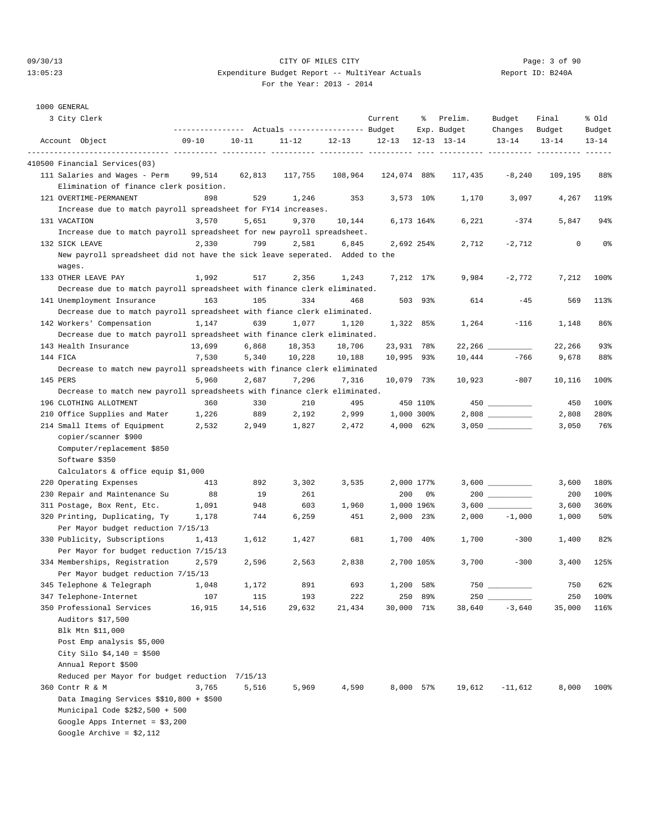### 09/30/13 Page: 3 of 90 13:05:23 Expenditure Budget Report -- MultiYear Actuals Report ID: B240A For the Year: 2013 - 2014

1000 GENERAL

| 3 City Clerk                                                                | --------------- Actuals ---------------- Budget    |           |                      |           | Current                            | ႜွ          | Prelim.<br>Exp. Budget | Budget<br>Changes                    | Final<br>Budget | % old<br>Budget |
|-----------------------------------------------------------------------------|----------------------------------------------------|-----------|----------------------|-----------|------------------------------------|-------------|------------------------|--------------------------------------|-----------------|-----------------|
| Account Object                                                              | $09 - 10$<br>------------ ---------- ---------- -- | $10 - 11$ | 11-12<br>----- ----- | $12 - 13$ | $12 - 13$<br>----- ---------- ---- |             | $12 - 13$ $13 - 14$    | $13 - 14$<br>------- ---------- ---- | $13 - 14$       | $13 - 14$       |
| 410500 Financial Services(03)                                               |                                                    |           |                      |           |                                    |             |                        |                                      |                 |                 |
| 111 Salaries and Wages - Perm                                               | 99,514                                             | 62,813    | 117,755              | 108,964   | 124,074 88%                        |             | 117,435                | $-8,240$                             | 109,195         | 88%             |
| Elimination of finance clerk position.                                      |                                                    |           |                      |           |                                    |             |                        |                                      |                 |                 |
| 121 OVERTIME-PERMANENT                                                      | 898                                                | 529       | 1,246                | 353       |                                    | $3,573$ 10% | 1,170                  | 3,097                                | 4,267           | 119%            |
| Increase due to match payroll spreadsheet for FY14 increases.               |                                                    |           |                      |           |                                    |             |                        |                                      |                 |                 |
| 131 VACATION                                                                | 3,570                                              | 5,651     | 9,370                | 10,144    |                                    | 6,173 164%  | 6,221                  | $-374$                               | 5,847           | 94%             |
| Increase due to match payroll spreadsheet for new payroll spreadsheet.      |                                                    |           |                      |           |                                    |             |                        |                                      |                 |                 |
| 132 SICK LEAVE                                                              | 2,330                                              | 799       | 2,581                | 6,845     |                                    | 2,692 254%  | 2,712                  | $-2,712$                             | 0               | 0 <sub>8</sub>  |
| New payroll spreadsheet did not have the sick leave seperated. Added to the |                                                    |           |                      |           |                                    |             |                        |                                      |                 |                 |
| wages.                                                                      |                                                    |           |                      |           |                                    |             |                        |                                      |                 |                 |
| 133 OTHER LEAVE PAY                                                         | 1,992                                              | 517       | 2,356                | 1,243     |                                    | 7,212 17%   | 9,984                  | $-2,772$                             | 7,212           | 100%            |
| Decrease due to match payroll spreadsheet with finance clerk eliminated.    |                                                    |           |                      |           |                                    |             |                        |                                      |                 |                 |
| 141 Unemployment Insurance                                                  | 163                                                | 105       | 334                  | 468       |                                    | 503 93%     | 614                    | $-45$                                | 569             | 113%            |
| Decrease due to match payroll spreadsheet with fiance clerk eliminated.     |                                                    |           |                      |           |                                    |             |                        |                                      |                 |                 |
| 142 Workers' Compensation                                                   | 1,147                                              | 639       | 1,077                | 1,120     | 1,322 85%                          |             | 1,264                  | $-116$                               | 1,148           | 86%             |
| Decrease due to match payroll spreadsheet with finance clerk eliminated.    |                                                    |           |                      |           |                                    |             |                        |                                      |                 |                 |
| 143 Health Insurance                                                        | 13,699                                             | 6,868     | 18,353               | 18,706    | 23,931 78%                         |             |                        |                                      | 22,266          | 93%             |
| 144 FICA                                                                    | 7,530                                              | 5,340     | 10,228               | 10,188    | 10,995 93%                         |             | 10,444                 | $-766$                               | 9,678           | 88%             |
| Decrease to match new payroll spreadsheets with finance clerk eliminated    |                                                    |           |                      |           |                                    |             |                        |                                      |                 |                 |
| 145 PERS                                                                    | 5,960                                              | 2,687     | 7,296                | 7,316     | 10,079 73%                         |             | 10,923                 | $-807$                               | 10,116          | 100%            |
| Decrease to match new payroll spreadsheets with finance clerk eliminated.   |                                                    |           |                      |           |                                    |             |                        |                                      |                 |                 |
| 196 CLOTHING ALLOTMENT                                                      | 360                                                | 330       | 210                  | 495       |                                    | 450 110%    |                        |                                      | 450             | 100%            |
| 210 Office Supplies and Mater                                               | 1,226                                              | 889       | 2,192                | 2,999     | 1,000 300%                         |             |                        |                                      | 2,808           | 280%            |
| 214 Small Items of Equipment                                                | 2,532                                              | 2,949     | 1,827                | 2,472     |                                    | 4,000 62%   |                        |                                      | 3,050           | 76%             |
| copier/scanner \$900                                                        |                                                    |           |                      |           |                                    |             |                        |                                      |                 |                 |
| Computer/replacement \$850                                                  |                                                    |           |                      |           |                                    |             |                        |                                      |                 |                 |
| Software \$350                                                              |                                                    |           |                      |           |                                    |             |                        |                                      |                 |                 |
| Calculators & office equip \$1,000                                          |                                                    |           |                      |           |                                    |             |                        |                                      |                 |                 |
| 220 Operating Expenses                                                      | 413                                                | 892       | 3,302                | 3,535     |                                    | 2,000 177%  |                        |                                      | 3,600           | 180%            |
| 230 Repair and Maintenance Su                                               | 88                                                 | 19        | 261                  |           | 200                                | 0%          |                        |                                      | 200             | 100%            |
| 311 Postage, Box Rent, Etc.                                                 | 1,091                                              | 948       | 603                  | 1,960     |                                    | 1,000 196%  |                        |                                      | 3,600           | 360%            |
| 320 Printing, Duplicating, Ty                                               | 1,178                                              | 744       | 6,259                | 451       |                                    | 2,000 23%   |                        | $2,000 -1,000$                       | 1,000           | 50%             |
| Per Mayor budget reduction 7/15/13                                          |                                                    |           |                      |           |                                    |             |                        |                                      |                 |                 |
| 330 Publicity, Subscriptions                                                | 1,413                                              | 1,612     | 1,427                | 681       |                                    | 1,700 40%   | 1,700                  | $-300$                               | 1,400           | 82%             |
| Per Mayor for budget reduction 7/15/13                                      |                                                    |           |                      |           |                                    |             |                        |                                      |                 |                 |
| 334 Memberships, Registration                                               | 2,579                                              | 2,596     | 2,563                | 2,838     |                                    | 2,700 105%  | 3,700                  | $-300$                               | 3,400           | 125%            |
| Per Mayor budget reduction 7/15/13                                          |                                                    |           |                      |           |                                    |             |                        |                                      |                 |                 |
| 345 Telephone & Telegraph                                                   | 1,048                                              | 1,172     | 891                  | 693       | 1,200                              | 58%         | 750                    |                                      | 750             | 62%             |
| 347 Telephone-Internet                                                      | 107                                                | 115       | 193                  | 222       | 250                                | 89%         | 250                    |                                      | 250             | 100%            |
| 350 Professional Services                                                   | 16,915                                             | 14,516    | 29,632               | 21,434    | 30,000 71%                         |             | 38,640                 | $-3,640$                             | 35,000          | 116%            |
| Auditors \$17,500                                                           |                                                    |           |                      |           |                                    |             |                        |                                      |                 |                 |
| Blk Mtn \$11,000                                                            |                                                    |           |                      |           |                                    |             |                        |                                      |                 |                 |
| Post Emp analysis \$5,000                                                   |                                                    |           |                      |           |                                    |             |                        |                                      |                 |                 |
| City Silo $$4,140 = $500$                                                   |                                                    |           |                      |           |                                    |             |                        |                                      |                 |                 |
| Annual Report \$500                                                         |                                                    |           |                      |           |                                    |             |                        |                                      |                 |                 |
| Reduced per Mayor for budget reduction 7/15/13                              |                                                    |           |                      |           |                                    |             |                        |                                      |                 |                 |
| 360 Contr R & M                                                             | 3,765                                              | 5,516     | 5,969                | 4,590     |                                    | 8,000 57%   | 19,612                 | $-11,612$                            | 8,000           | 100%            |
| Data Imaging Services \$\$10,800 + \$500                                    |                                                    |           |                      |           |                                    |             |                        |                                      |                 |                 |
| Municipal Code \$2\$2,500 + 500                                             |                                                    |           |                      |           |                                    |             |                        |                                      |                 |                 |
| Google Apps Internet = $$3,200$                                             |                                                    |           |                      |           |                                    |             |                        |                                      |                 |                 |
| Google Archive = $$2,112$                                                   |                                                    |           |                      |           |                                    |             |                        |                                      |                 |                 |
|                                                                             |                                                    |           |                      |           |                                    |             |                        |                                      |                 |                 |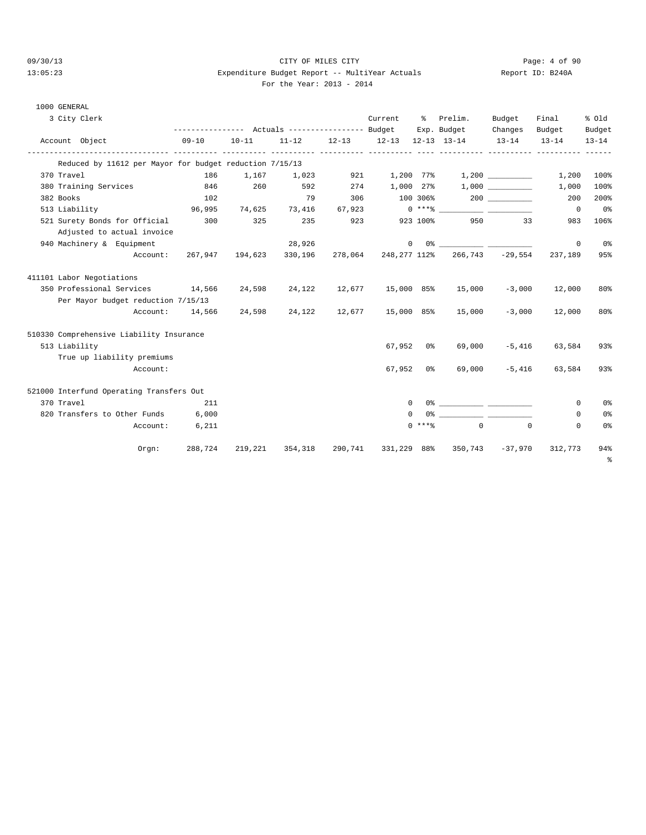1000 GENERAL

#### 09/30/13 CITY OF MILES CITY Page: 4 of 90 13:05:23 Expenditure Budget Report -- MultiYear Actuals Report ID: B240A For the Year: 2013 - 2014

| For the Year: 2013 - 20 |  |  |  |  |  |  |
|-------------------------|--|--|--|--|--|--|
|-------------------------|--|--|--|--|--|--|

3 City Clerk Current % Prelim. Budget Final % Old

|            |                           |                                                         |           |           | ------------- Actuals ---------------- Budget |           |                   |                | Exp. Budget  | Changes          | Budget         | Budget    |
|------------|---------------------------|---------------------------------------------------------|-----------|-----------|-----------------------------------------------|-----------|-------------------|----------------|--------------|------------------|----------------|-----------|
|            | Account Object            |                                                         | $09 - 10$ | $10 - 11$ | $11 - 12$                                     | $12 - 13$ | 12-13 12-13 13-14 |                |              | $13 - 14$        | $13 - 14$      | $13 - 14$ |
|            |                           | Reduced by 11612 per Mayor for budget reduction 7/15/13 |           |           |                                               |           |                   |                |              |                  |                |           |
| 370 Travel |                           |                                                         | 186       | 1,167     | 1,023                                         | 921       |                   |                |              |                  | 1,200          | 100%      |
|            | 380 Training Services     |                                                         | 846       | 260       | 592                                           | 274       | 1,000 27%         |                |              | 1,000            | 1,000          | 100%      |
| 382 Books  |                           |                                                         | 102       |           | 79                                            | 306       |                   |                | 100 306% 200 |                  | 200            | 200%      |
|            | 513 Liability             |                                                         | 96,995    | 74,625    | 73,416                                        | 67,923    |                   |                |              |                  | $\overline{0}$ | 0%        |
|            |                           | 521 Surety Bonds for Official                           | 300       | 325       | 235                                           | 923       |                   | 923 100%       | 950          | 33               | 983            | 106%      |
|            |                           | Adjusted to actual invoice                              |           |           |                                               |           |                   |                |              |                  |                |           |
|            |                           | 940 Machinery & Equipment                               |           |           | 28,926                                        |           | $\mathbf{0}$      |                |              |                  | 0              | 0%        |
|            |                           | Account:                                                | 267,947   | 194,623   | 330,196                                       | 278,064   | 248,277 112%      |                |              | 266,743 - 29,554 | 237,189        | 95%       |
|            | 411101 Labor Negotiations |                                                         |           |           |                                               |           |                   |                |              |                  |                |           |
|            |                           | 350 Professional Services                               | 14,566    | 24,598    | 24,122                                        | 12,677    | 15,000 85%        |                | 15,000       | $-3,000$         | 12,000         | 80%       |
|            |                           | Per Mayor budget reduction 7/15/13                      |           |           |                                               |           |                   |                |              |                  |                |           |
|            |                           | Account:                                                | 14,566    | 24,598    | 24,122                                        |           | 12,677 15,000 85% |                | 15,000       | $-3,000$         | 12,000         | 80%       |
|            |                           | 510330 Comprehensive Liability Insurance                |           |           |                                               |           |                   |                |              |                  |                |           |
|            | 513 Liability             |                                                         |           |           |                                               |           | 67,952            | 0%             | 69,000       | $-5.416$         | 63,584         | 93%       |
|            |                           | True up liability premiums                              |           |           |                                               |           |                   |                |              |                  |                |           |
|            |                           | Account:                                                |           |           |                                               |           | 67,952            | 0 <sup>8</sup> | 69,000       | $-5.416$         | 63,584         | 93%       |
|            |                           | 521000 Interfund Operating Transfers Out                |           |           |                                               |           |                   |                |              |                  |                |           |

| 370 Travel                   | 211     |         |         |         | $(1 -$ | 0.‱      |                     |          |         | 0%  |
|------------------------------|---------|---------|---------|---------|--------|----------|---------------------|----------|---------|-----|
| 820 Transfers to Other Funds | 6,000   |         |         |         | $(1 -$ | 0%       |                     |          |         | 0%  |
| Account:                     | 6,211   |         |         |         |        | $0$ **** | $\cap$              | $\Omega$ |         | 0%  |
| Orem:                        | 288,724 | 219,221 | 354,318 | 290,741 |        |          | 331,229 88% 350,743 | -37,970  | 312,773 | 94% |

%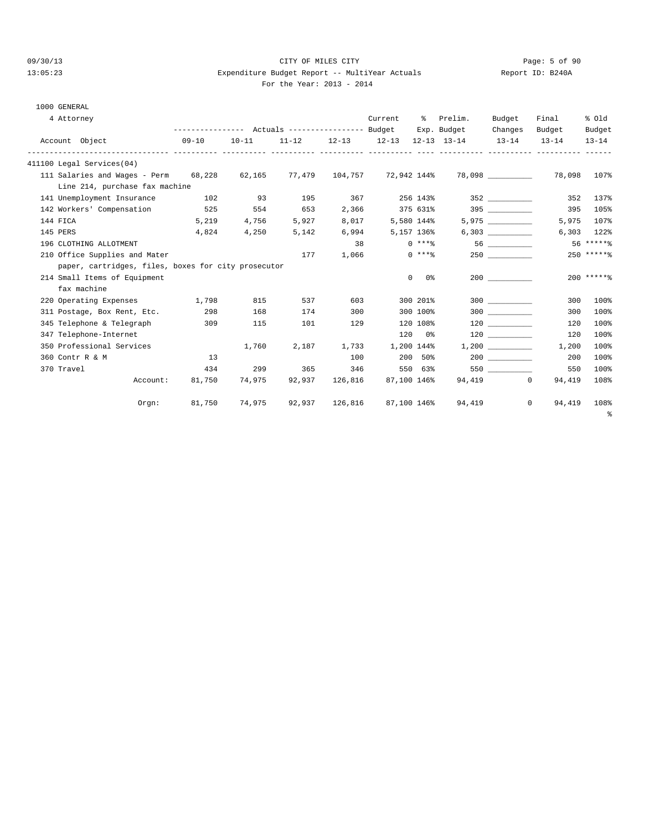### 09/30/13 Page: 5 of 90 13:05:23 Expenditure Budget Report -- MultiYear Actuals Report ID: B240A For the Year: 2013 - 2014

# 1000 GENERAL

| 4 Attorney                                                             |           |           |        |                | Current     | ႜၟ             | Prelim.                                                 | Budget   | Final                    | % Old        |
|------------------------------------------------------------------------|-----------|-----------|--------|----------------|-------------|----------------|---------------------------------------------------------|----------|--------------------------|--------------|
|                                                                        |           |           |        |                |             |                | Exp. Budget                                             | Changes  | Budget                   | Budget       |
| Account Object                                                         | $09 - 10$ | $10 - 11$ |        |                |             |                | $11-12$ $12-13$ $12-13$ $12-13$ $13-14$ $13-14$ $13-14$ |          |                          | $13 - 14$    |
| 411100 Legal Services(04)                                              |           |           |        |                |             |                |                                                         |          |                          |              |
| 111 Salaries and Wages - Perm 68,228 62,165 77,479 104,757 72,942 144% |           |           |        |                |             |                |                                                         |          | 78,098                   | 107%         |
| Line 214, purchase fax machine                                         |           |           |        |                |             |                |                                                         |          |                          |              |
| 141 Unemployment Insurance                                             | 102       | 93        | 195    | 367            |             | 256 143%       |                                                         | 352      | 352                      | 137%         |
| 142 Workers' Compensation                                              | 525       | 554       | 653    | 2,366          |             | 375 631%       |                                                         | 395      | 395                      | 105%         |
| 144 FICA                                                               | 5,219     | 4,756     | 5,927  | 8,017          |             | 5,580 144%     |                                                         | 5,975    | 5,975                    | 107%         |
| 145 PERS                                                               | 4,824     | 4,250     | 5,142  | 6,994          |             | 5,157 136%     |                                                         | 6,303    |                          | $6,303$ 122% |
| 196 CLOTHING ALLOTMENT                                                 |           |           |        | 38             |             | $0$ ****       |                                                         |          |                          | $56****8$    |
| 210 Office Supplies and Mater                                          |           |           | 177    | 1,066          |             | $0$ ****       |                                                         | 250      |                          | 250 ******   |
| paper, cartridges, files, boxes for city prosecutor                    |           |           |        |                |             |                |                                                         |          |                          |              |
| 214 Small Items of Equipment                                           |           |           |        |                |             | $\circ$<br>0 % |                                                         |          |                          | $200$ ****** |
| fax machine                                                            |           |           |        |                |             |                |                                                         |          |                          |              |
| 220 Operating Expenses 1,798                                           |           | 815       | 537    | 603            |             | 300 201%       |                                                         | $300$    | 300                      | 100%         |
| 311 Postage, Box Rent, Etc.                                            | 298       | 168       | 174    | 300            |             | 300 100%       |                                                         | $300$    | 300                      | 100%         |
| 345 Telephone & Telegraph                                              | 309       | 115       | 101    | 129            |             | 120 108%       |                                                         | 120      | 120                      | 100%         |
| 347 Telephone-Internet                                                 |           |           |        |                |             | 120 0%         |                                                         | 120      | 120                      | 100%         |
| 350 Professional Services                                              |           | 1,760     | 2,187  | 1,733          |             | 1,200 144%     |                                                         | 1,200    | 1,200                    | 100%         |
| 360 Contr R & M                                                        | 13        |           |        | 100            |             | 200 50%        |                                                         |          | 200                      | 100%         |
| 370 Travel                                                             | 434       | 299       | 365    | 346            |             | 550 63%        |                                                         |          | 550                      | 100%         |
| Account:                                                               | 81,750    | 74,975    | 92,937 | 126,816        |             | 87,100 146%    |                                                         | 94,419 0 | 94,419                   | 108%         |
| $0$ rgn:                                                               | 81,750    | 74,975    |        | 92,937 126,816 | 87,100 146% |                |                                                         | 94,419   | $\overline{0}$<br>94,419 | 108%         |
|                                                                        |           |           |        |                |             |                |                                                         |          |                          | ႜႜ           |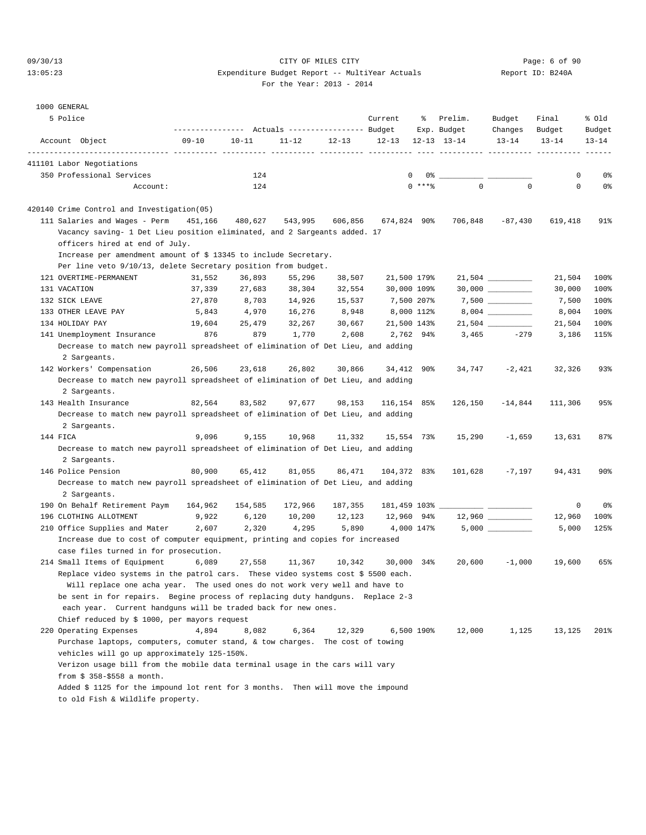## 09/30/13 CITY OF MILES CITY Page: 6 of 90 13:05:23 Expenditure Budget Report -- MultiYear Actuals Report ID: B240A For the Year: 2013 - 2014

|  | $\sim$ | ror une rear.<br>۰.<br>× |
|--|--------|--------------------------|
|  |        |                          |

| 1000 GENERAL |
|--------------|

| TANTINE ARTICLE                                                                                                                                                  |                                                 |           |           |           |                   |             |                        |                   |                 |                 |
|------------------------------------------------------------------------------------------------------------------------------------------------------------------|-------------------------------------------------|-----------|-----------|-----------|-------------------|-------------|------------------------|-------------------|-----------------|-----------------|
| 5 Police                                                                                                                                                         | --------------- Actuals ---------------- Budget |           |           |           | Current           | ႜ           | Prelim.<br>Exp. Budget | Budget<br>Changes | Final<br>Budget | % old<br>Budget |
| Account Object                                                                                                                                                   | $09 - 10$                                       | $10 - 11$ | $11 - 12$ | $12 - 13$ | 12-13 12-13 13-14 | $- - - - -$ |                        | $13 - 14$         | $13 - 14$       | $13 - 14$       |
| ----------- ----------<br>411101 Labor Negotiations                                                                                                              |                                                 |           |           |           |                   |             |                        |                   |                 |                 |
| 350 Professional Services                                                                                                                                        |                                                 | 124       |           |           |                   | $\mathbf 0$ |                        |                   | 0               | 0%              |
| Account:                                                                                                                                                         |                                                 | 124       |           |           |                   | $0$ ****    | $\Omega$               | $\Omega$          | $\mathbf 0$     | 0 %             |
|                                                                                                                                                                  |                                                 |           |           |           |                   |             |                        |                   |                 |                 |
| 420140 Crime Control and Investigation(05)                                                                                                                       |                                                 |           |           |           |                   |             |                        |                   |                 |                 |
| 111 Salaries and Wages - Perm                                                                                                                                    | 451,166                                         | 480,627   | 543,995   | 606,856   | 674,824 90%       |             | 706,848                | $-87,430$         | 619,418         | 91%             |
| Vacancy saving- 1 Det Lieu position eliminated, and 2 Sargeants added. 17<br>officers hired at end of July.                                                      |                                                 |           |           |           |                   |             |                        |                   |                 |                 |
| Increase per amendment amount of \$ 13345 to include Secretary.                                                                                                  |                                                 |           |           |           |                   |             |                        |                   |                 |                 |
| Per line veto 9/10/13, delete Secretary position from budget.                                                                                                    |                                                 |           |           |           |                   |             |                        |                   |                 |                 |
| 121 OVERTIME-PERMANENT                                                                                                                                           | 31,552                                          | 36,893    | 55,296    | 38,507    |                   | 21,500 179% |                        |                   | 21,504          | 100%            |
| 131 VACATION                                                                                                                                                     | 37,339                                          | 27,683    | 38,304    | 32,554    |                   | 30,000 109% |                        |                   | 30,000          | 100%            |
| 132 SICK LEAVE                                                                                                                                                   | 27,870                                          | 8,703     | 14,926    | 15,537    | 7,500 207%        |             |                        |                   | 7,500           | 100%            |
| 133 OTHER LEAVE PAY                                                                                                                                              | 5,843                                           | 4,970     | 16,276    | 8,948     |                   | 8,000 112%  |                        |                   | 8,004           | 100%            |
| 134 HOLIDAY PAY                                                                                                                                                  | 19,604                                          | 25,479    | 32,267    | 30,667    |                   | 21,500 143% |                        |                   | 21,504          | 100%            |
| 141 Unemployment Insurance                                                                                                                                       | 876                                             | 879       | 1,770     | 2,608     |                   | 2,762 94%   | 3,465                  | $-279$            | 3,186           | 115%            |
| Decrease to match new payroll spreadsheet of elimination of Det Lieu, and adding                                                                                 |                                                 |           |           |           |                   |             |                        |                   |                 |                 |
| 2 Sargeants.                                                                                                                                                     |                                                 |           |           |           |                   |             |                        |                   |                 |                 |
| 142 Workers' Compensation                                                                                                                                        | 26,506                                          | 23,618    | 26,802    | 30,866    |                   | 34,412 90%  | 34,747                 | $-2,421$          | 32,326          | 93%             |
| Decrease to match new payroll spreadsheet of elimination of Det Lieu, and adding                                                                                 |                                                 |           |           |           |                   |             |                        |                   |                 |                 |
| 2 Sargeants.                                                                                                                                                     |                                                 |           |           |           |                   |             |                        |                   |                 |                 |
| 143 Health Insurance                                                                                                                                             | 82,564                                          | 83,582    | 97,677    | 98,153    | 116,154 85%       |             | 126,150                | $-14,844$         | 111,306         | 95%             |
| Decrease to match new payroll spreadsheet of elimination of Det Lieu, and adding                                                                                 |                                                 |           |           |           |                   |             |                        |                   |                 |                 |
| 2 Sargeants.                                                                                                                                                     |                                                 |           |           |           |                   |             |                        |                   |                 |                 |
| 144 FICA                                                                                                                                                         | 9,096                                           | 9,155     | 10,968    | 11,332    |                   | 15,554 73%  | 15,290                 | $-1,659$          | 13,631          | 87%             |
| Decrease to match new payroll spreadsheet of elimination of Det Lieu, and adding                                                                                 |                                                 |           |           |           |                   |             |                        |                   |                 |                 |
| 2 Sargeants.                                                                                                                                                     |                                                 |           |           |           |                   |             |                        |                   |                 |                 |
| 146 Police Pension                                                                                                                                               | 80,900                                          | 65,412    | 81,055    | 86,471    | 104,372 83%       |             | 101,628                | -7,197            | 94,431          | 90 <sup>8</sup> |
| Decrease to match new payroll spreadsheet of elimination of Det Lieu, and adding                                                                                 |                                                 |           |           |           |                   |             |                        |                   |                 |                 |
| 2 Sargeants.                                                                                                                                                     |                                                 |           |           |           |                   |             |                        |                   |                 |                 |
| 190 On Behalf Retirement Paym                                                                                                                                    | 164,962                                         | 154,585   | 172,966   | 187,355   |                   |             |                        |                   | 0               | 0%              |
| 196 CLOTHING ALLOTMENT                                                                                                                                           | 9,922                                           | 6,120     | 10,200    | 12,123    | 12,960 94%        |             |                        |                   | 12,960          | 100%            |
| 210 Office Supplies and Mater                                                                                                                                    | 2,607                                           | 2,320     | 4,295     | 5,890     |                   | 4,000 147%  |                        | 5,000             | 5,000           | 125%            |
| Increase due to cost of computer equipment, printing and copies for increased                                                                                    |                                                 |           |           |           |                   |             |                        |                   |                 |                 |
| case files turned in for prosecution.                                                                                                                            |                                                 |           |           |           |                   |             |                        |                   |                 |                 |
| 214 Small Items of Equipment                                                                                                                                     | 6,089                                           | 27,558    | 11,367    | 10,342    | 30,000            | 34%         | 20,600                 | $-1,000$          | 19,600          | 65%             |
| Replace video systems in the patrol cars. These video systems cost \$ 5500 each.<br>Will replace one acha year.  The used ones do not work very well and have to |                                                 |           |           |           |                   |             |                        |                   |                 |                 |
| be sent in for repairs.  Begine process of replacing duty handguns.  Replace 2-3                                                                                 |                                                 |           |           |           |                   |             |                        |                   |                 |                 |
| each year. Current handguns will be traded back for new ones.                                                                                                    |                                                 |           |           |           |                   |             |                        |                   |                 |                 |
| Chief reduced by \$ 1000, per mayors request                                                                                                                     |                                                 |           |           |           |                   |             |                        |                   |                 |                 |
| 220 Operating Expenses                                                                                                                                           | 4,894                                           | 8,082     | 6,364     | 12,329    |                   | 6,500 190%  | 12,000                 | 1,125             | 13,125          | 201%            |
| Purchase laptops, computers, comuter stand, & tow charges. The cost of towing                                                                                    |                                                 |           |           |           |                   |             |                        |                   |                 |                 |
| vehicles will go up approximately 125-150%.                                                                                                                      |                                                 |           |           |           |                   |             |                        |                   |                 |                 |
| Verizon usage bill from the mobile data terminal usage in the cars will vary                                                                                     |                                                 |           |           |           |                   |             |                        |                   |                 |                 |
| from $$358-\$558$ a month.                                                                                                                                       |                                                 |           |           |           |                   |             |                        |                   |                 |                 |
| Added \$ 1125 for the impound lot rent for 3 months. Then will move the impound                                                                                  |                                                 |           |           |           |                   |             |                        |                   |                 |                 |
| to old Fish & Wildlife property.                                                                                                                                 |                                                 |           |           |           |                   |             |                        |                   |                 |                 |
|                                                                                                                                                                  |                                                 |           |           |           |                   |             |                        |                   |                 |                 |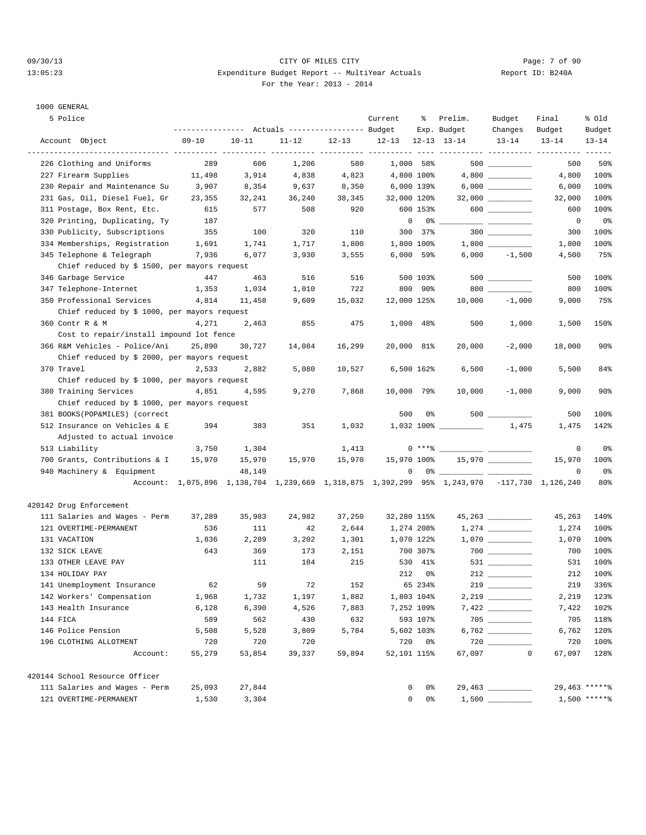#### 09/30/13 CITY OF MILES CITY Page: 7 of 90 13:05:23 Expenditure Budget Report -- MultiYear Actuals Report ID: B240A For the Year: 2013 - 2014

# 1000 GENERAL

| 5 Police                                     |           |           | Actuals ----------------- Budget |           | Current                 | ႜ                         | Prelim.<br>Exp. Budget                                                                                                                                                                                                                                                                                                                                                                                                                                                                                                                                | Budget<br>Changes                                                                                                                                                                                                                                                                                                                                                                                                     | Final<br>Budget | % old<br>Budget |
|----------------------------------------------|-----------|-----------|----------------------------------|-----------|-------------------------|---------------------------|-------------------------------------------------------------------------------------------------------------------------------------------------------------------------------------------------------------------------------------------------------------------------------------------------------------------------------------------------------------------------------------------------------------------------------------------------------------------------------------------------------------------------------------------------------|-----------------------------------------------------------------------------------------------------------------------------------------------------------------------------------------------------------------------------------------------------------------------------------------------------------------------------------------------------------------------------------------------------------------------|-----------------|-----------------|
| Account Object                               | $09 - 10$ | $10 - 11$ | $11 - 12$                        | $12 - 13$ | $12-13$ $12-13$ $13-14$ |                           |                                                                                                                                                                                                                                                                                                                                                                                                                                                                                                                                                       | $13 - 14$                                                                                                                                                                                                                                                                                                                                                                                                             | $13 - 14$       | $13 - 14$       |
|                                              |           |           |                                  |           |                         |                           | ---------- ---------- ---------                                                                                                                                                                                                                                                                                                                                                                                                                                                                                                                       |                                                                                                                                                                                                                                                                                                                                                                                                                       |                 |                 |
| 226 Clothing and Uniforms                    | 289       | 606       | 1,206                            | 580       |                         | 1,000 58%                 |                                                                                                                                                                                                                                                                                                                                                                                                                                                                                                                                                       |                                                                                                                                                                                                                                                                                                                                                                                                                       | 500             | 50%             |
| 227 Firearm Supplies                         | 11,498    | 3,914     | 4,838                            | 4,823     |                         | 4,800 100%                |                                                                                                                                                                                                                                                                                                                                                                                                                                                                                                                                                       | 4,800                                                                                                                                                                                                                                                                                                                                                                                                                 | 4,800           | 100%            |
| 230 Repair and Maintenance Su                | 3,907     | 8,354     | 9,637                            | 8,350     |                         | 6,000 139%                |                                                                                                                                                                                                                                                                                                                                                                                                                                                                                                                                                       |                                                                                                                                                                                                                                                                                                                                                                                                                       | 6,000           | 100%            |
| 231 Gas, Oil, Diesel Fuel, Gr                | 23,355    | 32,241    | 36,240                           | 38,345    | 32,000 120%             |                           |                                                                                                                                                                                                                                                                                                                                                                                                                                                                                                                                                       | $32,000$ __________                                                                                                                                                                                                                                                                                                                                                                                                   | 32,000          | 100%            |
| 311 Postage, Box Rent, Etc.                  | 615       | 577       | 508                              | 920       |                         | 600 153%                  |                                                                                                                                                                                                                                                                                                                                                                                                                                                                                                                                                       | $\begin{picture}(10,10) \put(0,0){\line(1,0){10}} \put(15,0){\line(1,0){10}} \put(15,0){\line(1,0){10}} \put(15,0){\line(1,0){10}} \put(15,0){\line(1,0){10}} \put(15,0){\line(1,0){10}} \put(15,0){\line(1,0){10}} \put(15,0){\line(1,0){10}} \put(15,0){\line(1,0){10}} \put(15,0){\line(1,0){10}} \put(15,0){\line(1,0){10}} \put(15,0){\line(1$                                                                   | 600             | 100%            |
| 320 Printing, Duplicating, Ty                | 187       |           |                                  |           |                         | $\circ$<br>$0\,$ % $\_\_$ |                                                                                                                                                                                                                                                                                                                                                                                                                                                                                                                                                       | $\frac{1}{1-\frac{1}{1-\frac{1}{1-\frac{1}{1-\frac{1}{1-\frac{1}{1-\frac{1}{1-\frac{1}{1-\frac{1}{1-\frac{1}{1-\frac{1}{1-\frac{1}{1-\frac{1}{1-\frac{1}{1-\frac{1}{1-\frac{1}{1-\frac{1}{1-\frac{1}{1-\frac{1}{1-\frac{1}{1-\frac{1}{1-\frac{1}{1-\frac{1}{1-\frac{1}{1-\frac{1}{1-\frac{1}{1-\frac{1}{1-\frac{1}{1-\frac{1}{1-\frac{1}{1-\frac{1}{1-\frac{1}{1-\frac{1}{1-\frac{1}{1-\frac{1}{1-\frac{1}{1-\frac{1$ | $\mathbf 0$     | 0%              |
| 330 Publicity, Subscriptions                 | 355       | 100       | 320                              | 110       |                         | 300 37%                   |                                                                                                                                                                                                                                                                                                                                                                                                                                                                                                                                                       |                                                                                                                                                                                                                                                                                                                                                                                                                       | 300             | 100%            |
| 334 Memberships, Registration                | 1,691     | 1,741     | 1,717                            | 1,800     |                         | 1,800 100%                |                                                                                                                                                                                                                                                                                                                                                                                                                                                                                                                                                       |                                                                                                                                                                                                                                                                                                                                                                                                                       | 1,800           | 100%            |
| 345 Telephone & Telegraph                    | 7,936     | 6,077     | 3,930                            | 3,555     |                         | $6,000$ 59%               |                                                                                                                                                                                                                                                                                                                                                                                                                                                                                                                                                       | $6,000 -1,500$                                                                                                                                                                                                                                                                                                                                                                                                        | 4,500           | 75%             |
| Chief reduced by \$ 1500, per mayors request |           |           |                                  |           |                         |                           |                                                                                                                                                                                                                                                                                                                                                                                                                                                                                                                                                       |                                                                                                                                                                                                                                                                                                                                                                                                                       |                 |                 |
| 346 Garbage Service                          | 447       | 463       | 516                              | 516       |                         | 500 103%                  |                                                                                                                                                                                                                                                                                                                                                                                                                                                                                                                                                       |                                                                                                                                                                                                                                                                                                                                                                                                                       | 500             | 100%            |
| 347 Telephone-Internet                       | 1,353     | 1,034     | 1,010                            | 722       |                         | 800 90%                   |                                                                                                                                                                                                                                                                                                                                                                                                                                                                                                                                                       | 800                                                                                                                                                                                                                                                                                                                                                                                                                   | 800             | 100%            |
| 350 Professional Services                    | 4,814     | 11,458    | 9,609                            | 15,032    | 12,000 125%             |                           | 10,000                                                                                                                                                                                                                                                                                                                                                                                                                                                                                                                                                | $-1,000$                                                                                                                                                                                                                                                                                                                                                                                                              | 9,000           | 75%             |
| Chief reduced by \$ 1000, per mayors request |           |           |                                  |           |                         |                           |                                                                                                                                                                                                                                                                                                                                                                                                                                                                                                                                                       |                                                                                                                                                                                                                                                                                                                                                                                                                       |                 |                 |
| 360 Contr R & M                              | 4,271     | 2,463     | 855                              | 475       |                         | 1,000 48%                 | 500                                                                                                                                                                                                                                                                                                                                                                                                                                                                                                                                                   | 1,000                                                                                                                                                                                                                                                                                                                                                                                                                 | 1,500           | 150%            |
| Cost to repair/install impound lot fence     |           |           |                                  |           |                         |                           |                                                                                                                                                                                                                                                                                                                                                                                                                                                                                                                                                       |                                                                                                                                                                                                                                                                                                                                                                                                                       |                 |                 |
| 366 R&M Vehicles - Police/Ani                | 25,890    | 30,727    | 14,084                           | 16,299    |                         | 20,000 81%                | 20,000                                                                                                                                                                                                                                                                                                                                                                                                                                                                                                                                                | $-2,000$                                                                                                                                                                                                                                                                                                                                                                                                              | 18,000          | 90 <sub>8</sub> |
| Chief reduced by \$ 2000, per mayors request |           |           |                                  |           |                         |                           |                                                                                                                                                                                                                                                                                                                                                                                                                                                                                                                                                       |                                                                                                                                                                                                                                                                                                                                                                                                                       |                 |                 |
| 370 Travel                                   | 2,533     | 2,882     | 5,080                            | 10,527    |                         | 6,500 162%                | 6,500                                                                                                                                                                                                                                                                                                                                                                                                                                                                                                                                                 | $-1,000$                                                                                                                                                                                                                                                                                                                                                                                                              | 5,500           | 84%             |
| Chief reduced by \$ 1000, per mayors request |           |           |                                  |           |                         |                           |                                                                                                                                                                                                                                                                                                                                                                                                                                                                                                                                                       |                                                                                                                                                                                                                                                                                                                                                                                                                       |                 |                 |
| 380 Training Services                        | 4,851     | 4,595     | 9,270                            | 7,868     | 10,000 79%              |                           | 10,000                                                                                                                                                                                                                                                                                                                                                                                                                                                                                                                                                | $-1,000$                                                                                                                                                                                                                                                                                                                                                                                                              | 9,000           | $90\%$          |
| Chief reduced by \$ 1000, per mayors request |           |           |                                  |           |                         |                           |                                                                                                                                                                                                                                                                                                                                                                                                                                                                                                                                                       |                                                                                                                                                                                                                                                                                                                                                                                                                       |                 |                 |
| 381 BOOKS(POP&MILES) (correct                |           |           |                                  |           | 500                     | 0%                        |                                                                                                                                                                                                                                                                                                                                                                                                                                                                                                                                                       | 500                                                                                                                                                                                                                                                                                                                                                                                                                   | 500             | 100%            |
| 512 Insurance on Vehicles & E                | 394       | 383       | 351                              | 1,032     |                         |                           |                                                                                                                                                                                                                                                                                                                                                                                                                                                                                                                                                       |                                                                                                                                                                                                                                                                                                                                                                                                                       | 1,475           | 142%            |
| Adjusted to actual invoice                   |           |           |                                  |           |                         |                           |                                                                                                                                                                                                                                                                                                                                                                                                                                                                                                                                                       |                                                                                                                                                                                                                                                                                                                                                                                                                       |                 |                 |
| 513 Liability                                | 3,750     | 1,304     |                                  | 1,413     |                         |                           | $0***$ $\longleftarrow$ $\longleftarrow$ $\longleftarrow$ $\longleftarrow$ $\longleftarrow$ $\longleftarrow$ $\longleftarrow$ $\longleftarrow$ $\longleftarrow$ $\longleftarrow$ $\longleftarrow$ $\longleftarrow$ $\longleftarrow$ $\longleftarrow$ $\longleftarrow$ $\longleftarrow$ $\longleftarrow$ $\longleftarrow$ $\longleftarrow$ $\longleftarrow$ $\longleftarrow$ $\longleftarrow$ $\longleftarrow$ $\longleftarrow$ $\longleftarrow$ $\longleftarrow$ $\longleftarrow$ $\longleftarrow$ $\longleftarrow$ $\longleftarrow$ $\longleftarrow$ |                                                                                                                                                                                                                                                                                                                                                                                                                       | $\mathbf 0$     | 0%              |
| 700 Grants, Contributions & I                | 15,970    | 15,970    | 15,970                           | 15,970    | 15,970 100%             |                           |                                                                                                                                                                                                                                                                                                                                                                                                                                                                                                                                                       | $15,970$ ___________                                                                                                                                                                                                                                                                                                                                                                                                  | 15,970          | 100%            |
| 940 Machinery & Equipment                    |           | 48,149    |                                  |           |                         | 0                         |                                                                                                                                                                                                                                                                                                                                                                                                                                                                                                                                                       |                                                                                                                                                                                                                                                                                                                                                                                                                       | 0               | 0%              |
|                                              |           |           |                                  |           |                         |                           | Account: 1,075,896 1,138,704 1,239,669 1,318,875 1,392,299 95% 1,243,970 -117,730 1,126,240                                                                                                                                                                                                                                                                                                                                                                                                                                                           |                                                                                                                                                                                                                                                                                                                                                                                                                       |                 | 80%             |
| 420142 Drug Enforcement                      |           |           |                                  |           |                         |                           |                                                                                                                                                                                                                                                                                                                                                                                                                                                                                                                                                       |                                                                                                                                                                                                                                                                                                                                                                                                                       |                 |                 |
| 111 Salaries and Wages - Perm                | 37,289    | 35,983    | 24,982                           | 37,250    | 32,280 115%             |                           |                                                                                                                                                                                                                                                                                                                                                                                                                                                                                                                                                       |                                                                                                                                                                                                                                                                                                                                                                                                                       | 45,263          | 140%            |
| 121 OVERTIME-PERMANENT                       | 536       | 111       | 42                               | 2,644     |                         | 1,274 208%                |                                                                                                                                                                                                                                                                                                                                                                                                                                                                                                                                                       |                                                                                                                                                                                                                                                                                                                                                                                                                       | 1,274           | 100%            |
| 131 VACATION                                 | 1,836     | 2,289     | 3,202                            | 1,301     |                         | 1,070 122%                |                                                                                                                                                                                                                                                                                                                                                                                                                                                                                                                                                       |                                                                                                                                                                                                                                                                                                                                                                                                                       | 1,070           | 100%            |
| 132 SICK LEAVE                               | 643       | 369       | 173                              | 2,151     |                         | 700 307%                  |                                                                                                                                                                                                                                                                                                                                                                                                                                                                                                                                                       |                                                                                                                                                                                                                                                                                                                                                                                                                       | 700             | 100%            |
| 133 OTHER LEAVE PAY                          |           | 111       | 184                              | 215       |                         | 530 41%                   |                                                                                                                                                                                                                                                                                                                                                                                                                                                                                                                                                       |                                                                                                                                                                                                                                                                                                                                                                                                                       | 531             | 100%            |
| 134 HOLIDAY PAY                              |           |           |                                  |           | 212                     | 0%                        |                                                                                                                                                                                                                                                                                                                                                                                                                                                                                                                                                       |                                                                                                                                                                                                                                                                                                                                                                                                                       | 212             | 100%            |
| 141 Unemployment Insurance                   | 62        | 59        | 72                               | 152       |                         | 65 234%                   | 219                                                                                                                                                                                                                                                                                                                                                                                                                                                                                                                                                   |                                                                                                                                                                                                                                                                                                                                                                                                                       | 219             | 336%            |
| 142 Workers' Compensation                    | 1,968     | 1,732     | 1,197                            | 1,882     |                         | 1,803 104%                |                                                                                                                                                                                                                                                                                                                                                                                                                                                                                                                                                       |                                                                                                                                                                                                                                                                                                                                                                                                                       | 2,219           | 123%            |
| 143 Health Insurance                         | 6,128     | 6,390     | 4,526                            | 7,883     |                         | 7,252 109%                |                                                                                                                                                                                                                                                                                                                                                                                                                                                                                                                                                       |                                                                                                                                                                                                                                                                                                                                                                                                                       | 7,422           | 102%            |
| 144 FICA                                     | 589       | 562       | 430                              | 632       |                         | 593 107%                  |                                                                                                                                                                                                                                                                                                                                                                                                                                                                                                                                                       | 705                                                                                                                                                                                                                                                                                                                                                                                                                   | 705             | 118%            |
| 146 Police Pension                           | 5,508     | 5,528     | 3,809                            | 5,784     |                         | 5,602 103%                |                                                                                                                                                                                                                                                                                                                                                                                                                                                                                                                                                       |                                                                                                                                                                                                                                                                                                                                                                                                                       | 6,762           | 120%            |
| 196 CLOTHING ALLOTMENT                       | 720       | 720       | 720                              |           |                         | 720 0%                    |                                                                                                                                                                                                                                                                                                                                                                                                                                                                                                                                                       |                                                                                                                                                                                                                                                                                                                                                                                                                       | 720             | 100%            |
| Account:                                     | 55,279    | 53,854    | 39,337                           | 59,894    |                         | 52,101 115%               | 67,097                                                                                                                                                                                                                                                                                                                                                                                                                                                                                                                                                | $\mathbf 0$                                                                                                                                                                                                                                                                                                                                                                                                           | 67,097          | 128%            |
| 420144 School Resource Officer               |           |           |                                  |           |                         |                           |                                                                                                                                                                                                                                                                                                                                                                                                                                                                                                                                                       |                                                                                                                                                                                                                                                                                                                                                                                                                       |                 |                 |
| 111 Salaries and Wages - Perm                | 25,093    | 27,844    |                                  |           |                         | 0 %<br>$\overline{0}$     |                                                                                                                                                                                                                                                                                                                                                                                                                                                                                                                                                       | 29,463 _________                                                                                                                                                                                                                                                                                                                                                                                                      |                 | 29,463 ******   |
| 121 OVERTIME-PERMANENT                       | 1,530     | 3,304     |                                  |           |                         | $0\qquad 0$ %             |                                                                                                                                                                                                                                                                                                                                                                                                                                                                                                                                                       |                                                                                                                                                                                                                                                                                                                                                                                                                       |                 | $1,500$ *****%  |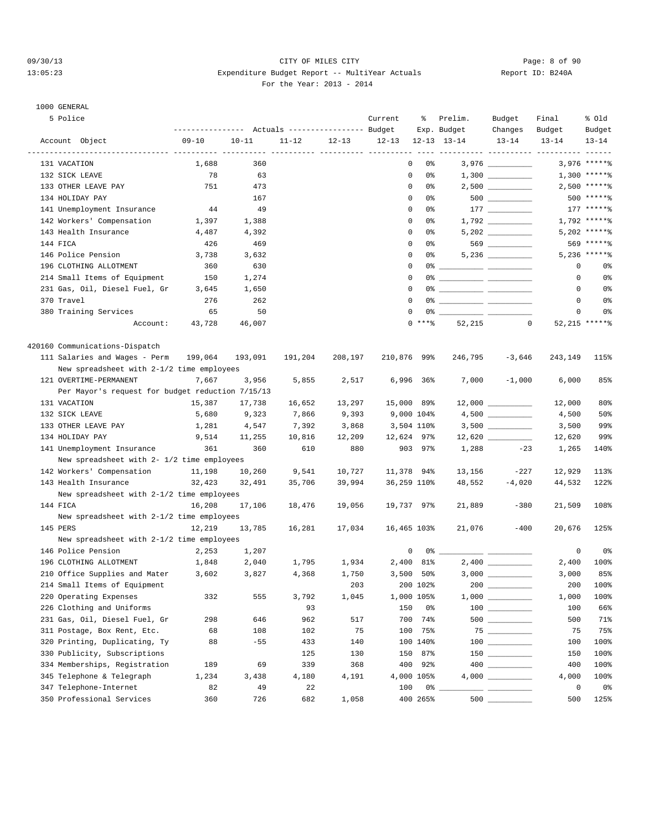### 09/30/13 CITY OF MILES CITY Page: 8 of 90 13:05:23 Expenditure Budget Report -- MultiYear Actuals Report ID: B240A For the Year: 2013 - 2014

# 1000 GENERAL

| 5 Police                                         |           |           | Actuals ----------------- Budget |           | Current      | ႜွ          | Prelim.<br>Exp. Budget                                                                                                                                                                                                               | Budget<br>Changes                                                                                                         | Final<br>Budget | % Old<br>Budget |
|--------------------------------------------------|-----------|-----------|----------------------------------|-----------|--------------|-------------|--------------------------------------------------------------------------------------------------------------------------------------------------------------------------------------------------------------------------------------|---------------------------------------------------------------------------------------------------------------------------|-----------------|-----------------|
| Account Object                                   | $09 - 10$ | $10 - 11$ | $11 - 12$                        | $12 - 13$ | $12 - 13$    |             | $12 - 13$ $13 - 14$                                                                                                                                                                                                                  | $13 - 14$                                                                                                                 | $13 - 14$       | $13 - 14$       |
|                                                  |           |           |                                  |           |              |             |                                                                                                                                                                                                                                      |                                                                                                                           |                 |                 |
| 131 VACATION                                     | 1,688     | 360       |                                  |           | 0            | 0%          |                                                                                                                                                                                                                                      | $3,976$ __________                                                                                                        |                 | $3,976$ ***** % |
| 132 SICK LEAVE                                   | 78        | 63        |                                  |           | 0            | 0%          |                                                                                                                                                                                                                                      | 1,300                                                                                                                     |                 | $1,300$ *****%  |
| 133 OTHER LEAVE PAY                              | 751       | 473       |                                  |           | 0            | 0%          |                                                                                                                                                                                                                                      |                                                                                                                           |                 | $2,500$ *****%  |
| 134 HOLIDAY PAY                                  |           | 167       |                                  |           | 0            | 0%          |                                                                                                                                                                                                                                      |                                                                                                                           |                 | 500 ******      |
| 141 Unemployment Insurance                       | 44        | 49        |                                  |           | $\mathbf{0}$ | 0%          |                                                                                                                                                                                                                                      |                                                                                                                           |                 | $177$ ***** %   |
| 142 Workers' Compensation                        | 1,397     | 1,388     |                                  |           | $\mathbf 0$  | 0%          |                                                                                                                                                                                                                                      |                                                                                                                           |                 | $1,792$ *****%  |
| 143 Health Insurance                             | 4,487     | 4,392     |                                  |           | $\mathbf 0$  | 0%          |                                                                                                                                                                                                                                      | 5,202                                                                                                                     |                 | $5,202$ *****%  |
| 144 FICA                                         | 426       | 469       |                                  |           | $\mathbf 0$  | 0%          |                                                                                                                                                                                                                                      | 569 300                                                                                                                   |                 | 569 ******      |
| 146 Police Pension                               | 3,738     | 3,632     |                                  |           | 0            | 0%          |                                                                                                                                                                                                                                      |                                                                                                                           |                 | $5,236$ *****%  |
| 196 CLOTHING ALLOTMENT                           | 360       | 630       |                                  |           | 0            |             | 0% _____________ ____________                                                                                                                                                                                                        |                                                                                                                           | 0               | 0%              |
| 214 Small Items of Equipment                     | 150       | 1,274     |                                  |           | $\mathbf 0$  |             |                                                                                                                                                                                                                                      |                                                                                                                           | 0               | 0%              |
| 231 Gas, Oil, Diesel Fuel, Gr                    | 3,645     | 1,650     |                                  |           | 0            |             |                                                                                                                                                                                                                                      |                                                                                                                           | $\mathbf 0$     | 0%              |
| 370 Travel                                       | 276       | 262       |                                  |           | $\mathbf{0}$ |             | 0% ____________ ______________                                                                                                                                                                                                       |                                                                                                                           | 0               | 0%              |
| 380 Training Services                            | 65        | 50        |                                  |           | $\mathbf 0$  | 0%          | <u> Alexandro Alexandro de Alexandro de Alexandro de Alexandro de Alexandro de Alexandro de Alexandro de Alexandro de Alexandro de Alexandro de Alexandro de Alexandro de Alexandro de Alexandro de Alexandro de Alexandro de Al</u> |                                                                                                                           | 0               | 0%              |
| Account:                                         | 43,728    | 46,007    |                                  |           |              | $0$ ****    | 52,215                                                                                                                                                                                                                               | $\circ$                                                                                                                   |                 | 52,215 ******   |
|                                                  |           |           |                                  |           |              |             |                                                                                                                                                                                                                                      |                                                                                                                           |                 |                 |
| 420160 Communications-Dispatch                   |           |           |                                  |           |              |             |                                                                                                                                                                                                                                      |                                                                                                                           |                 |                 |
| 111 Salaries and Wages - Perm                    | 199,064   | 193,091   | 191,204                          | 208,197   | 210,876 99%  |             | 246,795                                                                                                                                                                                                                              | $-3,646$                                                                                                                  | 243,149         | 115%            |
| New spreadsheet with 2-1/2 time employees        |           |           |                                  |           |              |             |                                                                                                                                                                                                                                      |                                                                                                                           |                 |                 |
| 121 OVERTIME-PERMANENT                           | 7,667     | 3,956     | 5,855                            | 2,517     |              | $6,996$ 36% | 7,000                                                                                                                                                                                                                                | $-1,000$                                                                                                                  | 6,000           | 85%             |
| Per Mayor's request for budget reduction 7/15/13 |           |           |                                  |           |              |             |                                                                                                                                                                                                                                      |                                                                                                                           |                 |                 |
| 131 VACATION                                     | 15,387    | 17,738    | 16,652                           | 13,297    | 15,000 89%   |             |                                                                                                                                                                                                                                      |                                                                                                                           | 12,000          | 80%             |
| 132 SICK LEAVE                                   | 5,680     | 9,323     | 7,866                            | 9,393     | 9,000 104%   |             |                                                                                                                                                                                                                                      | 4,500                                                                                                                     | 4,500           | 50%             |
| 133 OTHER LEAVE PAY                              | 1,281     | 4,547     | 7,392                            | 3,868     | 3,504 110%   |             |                                                                                                                                                                                                                                      |                                                                                                                           | 3,500           | 99%             |
| 134 HOLIDAY PAY                                  | 9,514     | 11,255    | 10,816                           | 12,209    | 12,624 97%   |             |                                                                                                                                                                                                                                      |                                                                                                                           | 12,620          | 99%             |
| 141 Unemployment Insurance                       | 361       | 360       | 610                              | 880       |              | 903 97%     | 1,288                                                                                                                                                                                                                                | $-23$                                                                                                                     | 1,265           | 140%            |
| New spreadsheet with 2- 1/2 time employees       |           |           |                                  |           |              |             |                                                                                                                                                                                                                                      |                                                                                                                           |                 |                 |
| 142 Workers' Compensation                        | 11,198    | 10,260    | 9,541                            | 10,727    | 11,378 94%   |             | 13,156                                                                                                                                                                                                                               | $-227$                                                                                                                    | 12,929          | 113%            |
| 143 Health Insurance                             | 32,423    | 32,491    | 35,706                           | 39,994    | 36,259 110%  |             | 48,552                                                                                                                                                                                                                               | $-4,020$                                                                                                                  | 44,532          | 122%            |
|                                                  |           |           |                                  |           |              |             |                                                                                                                                                                                                                                      |                                                                                                                           |                 |                 |
| New spreadsheet with 2-1/2 time employees        |           |           |                                  |           |              |             |                                                                                                                                                                                                                                      |                                                                                                                           |                 |                 |
| 144 FICA                                         | 16,208    | 17,106    | 18,476                           | 19,056    | 19,737 97%   |             | 21,889                                                                                                                                                                                                                               | $-380$                                                                                                                    | 21,509          | 108%            |
| New spreadsheet with 2-1/2 time employees        |           |           |                                  |           |              |             |                                                                                                                                                                                                                                      |                                                                                                                           |                 |                 |
| 145 PERS                                         | 12,219    | 13,785    | 16,281                           | 17,034    | 16,465 103%  |             | 21,076                                                                                                                                                                                                                               | $-400$                                                                                                                    | 20,676          | 125%            |
| New spreadsheet with 2-1/2 time employees        |           |           |                                  |           |              |             |                                                                                                                                                                                                                                      |                                                                                                                           |                 |                 |
| 146 Police Pension                               | 2,253     | 1,207     |                                  |           | 0            |             |                                                                                                                                                                                                                                      |                                                                                                                           | 0               | 0 <sub>8</sub>  |
| 196 CLOTHING ALLOTMENT                           | 1,848     | 2,040     | 1,795                            | 1,934     |              | 2,400 81%   |                                                                                                                                                                                                                                      |                                                                                                                           | 2,400           | 100%            |
| 210 Office Supplies and Mater                    | 3,602     | 3,827     | 4,368                            | 1,750     |              | $3,500$ 50% |                                                                                                                                                                                                                                      |                                                                                                                           | 3,000           | 85%             |
| 214 Small Items of Equipment                     |           |           |                                  | 203       |              | 200 102%    | 200                                                                                                                                                                                                                                  |                                                                                                                           | 200             | 100%            |
| 220 Operating Expenses                           | 332       | 555       | 3,792                            | 1,045     |              | 1,000 105%  |                                                                                                                                                                                                                                      |                                                                                                                           | 1,000           | 100%            |
| 226 Clothing and Uniforms                        |           |           | 93                               |           | 150          | 0%          |                                                                                                                                                                                                                                      | $\begin{tabular}{c} 100 \end{tabular} \begin{tabular}{c} \includegraphics[width=0.35\textwidth]{figs/100}} \end{tabular}$ | 100             | 66%             |
| 231 Gas, Oil, Diesel Fuel, Gr                    | 298       | 646       | 962                              | 517       | 700          | 74%         |                                                                                                                                                                                                                                      |                                                                                                                           | 500             | 71%             |
| 311 Postage, Box Rent, Etc.                      | 68        | 108       | 102                              | 75        | 100          | 75%         |                                                                                                                                                                                                                                      |                                                                                                                           | 75              | 75%             |
| 320 Printing, Duplicating, Ty                    | 88        | $-55$     | 433                              | 140       |              | 100 140%    |                                                                                                                                                                                                                                      |                                                                                                                           | 100             | 100%            |
| 330 Publicity, Subscriptions                     |           |           | 125                              | 130       | 150          | 87%         |                                                                                                                                                                                                                                      |                                                                                                                           | 150             | 100%            |
| 334 Memberships, Registration                    | 189       | 69        | 339                              | 368       | 400          | 92%         |                                                                                                                                                                                                                                      |                                                                                                                           | 400             | 100%            |
| 345 Telephone & Telegraph                        | 1,234     | 3,438     | 4,180                            | 4,191     |              | 4,000 105%  |                                                                                                                                                                                                                                      |                                                                                                                           | 4,000           | 100%            |
| 347 Telephone-Internet                           | 82        | 49        | 22                               |           | 100          | $0\%$ $-$   |                                                                                                                                                                                                                                      |                                                                                                                           | $\mathbf 0$     | 0 <sub>8</sub>  |
| 350 Professional Services                        | 360       | 726       | 682                              | 1,058     |              | 400 265%    | 500                                                                                                                                                                                                                                  |                                                                                                                           | 500             | 125%            |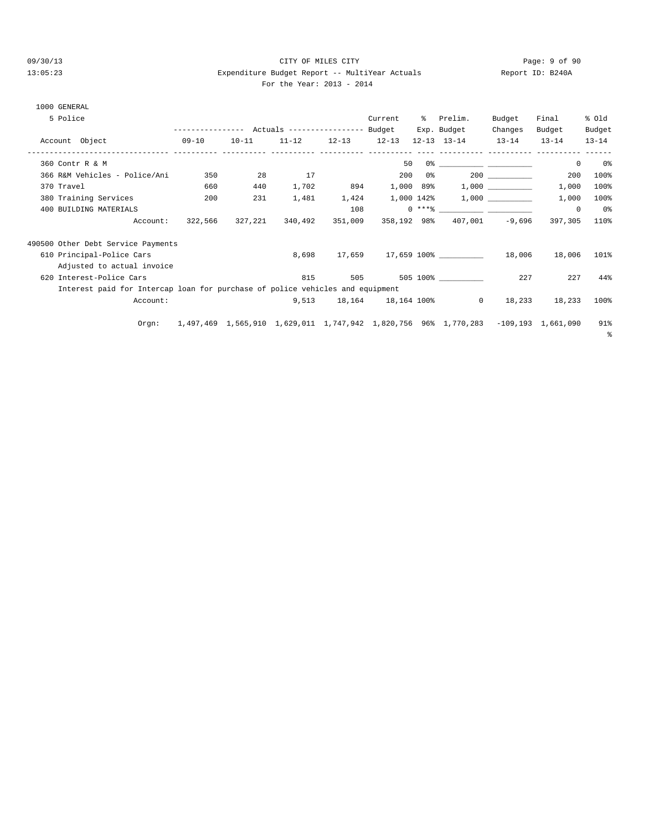### 09/30/13 CITY OF MILES CITY Page: 9 of 90 13:05:23 Expenditure Budget Report -- MultiYear Actuals Report ID: B240A For the Year: 2013 - 2014

| 1000 GENERAL                                                                  |         |           |                 |                         |             |     |                                                                                    |                               |            |           |
|-------------------------------------------------------------------------------|---------|-----------|-----------------|-------------------------|-------------|-----|------------------------------------------------------------------------------------|-------------------------------|------------|-----------|
| 5 Police                                                                      |         |           |                 |                         | Current     |     | % Prelim.                                                                          | Budget                        | Final      | % old     |
|                                                                               |         |           |                 |                         |             |     | Exp. Budget                                                                        | Changes                       | Budget     | Budget    |
| Account Object<br>$09-10$                                                     |         | $10 - 11$ |                 | $11-12$ $12-13$ $12-13$ |             |     | $12-13$ $13-14$ $13-14$                                                            | ----------- ---------- ------ | $13 - 14$  | $13 - 14$ |
| 360 Contr R & M                                                               |         |           |                 |                         | 50          |     |                                                                                    |                               | $^{\circ}$ | - 0 %     |
| 366 R&M Vehicles - Police/Ani                                                 | 350     | 28        | 17              |                         | 200         | 0 % |                                                                                    | 200                           | 200        | 100%      |
| 370 Travel                                                                    | 660     | 440       | 1,702           | 894                     |             |     |                                                                                    |                               | 1,000      | 100%      |
| 380 Training Services                                                         | 200     | 231       |                 | 1,481 1,424             |             |     | $1,000$ $142\$ $1,000$ $\qquad \qquad$                                             |                               | 1,000      | 100%      |
| 400 BUILDING MATERIALS                                                        |         |           |                 | 108                     |             |     | $0***$ $****$                                                                      |                               | $^{\circ}$ | 0%        |
| Account:                                                                      | 322,566 |           | 327,221 340,492 | 351,009                 | 358,192 98% |     |                                                                                    | $407,001 -9,696$              | 397,305    | 110%      |
| 490500 Other Debt Service Payments                                            |         |           |                 |                         |             |     |                                                                                    |                               |            |           |
| 610 Principal-Police Cars                                                     |         |           | 8,698           |                         |             |     | 17,659 17,659 100% 18,006                                                          |                               | 18,006     | 101%      |
| Adjusted to actual invoice                                                    |         |           |                 |                         |             |     |                                                                                    |                               |            |           |
| 620 Interest-Police Cars                                                      |         |           | 815             |                         |             |     | 505 505 100%                                                                       | 227                           | 227        | 44%       |
| Interest paid for Intercap loan for purchase of police vehicles and equipment |         |           |                 |                         |             |     |                                                                                    |                               |            |           |
| Account:                                                                      |         |           | 9,513           |                         |             |     | 18,164 18,164 100% 0                                                               | 18,233                        | 18,233     | 100%      |
| Orgn:                                                                         |         |           |                 |                         |             |     | 1,497,469 1,565,910 1,629,011 1,747,942 1,820,756 96% 1,770,283 -109,193 1,661,090 |                               |            | 91%<br>⊱  |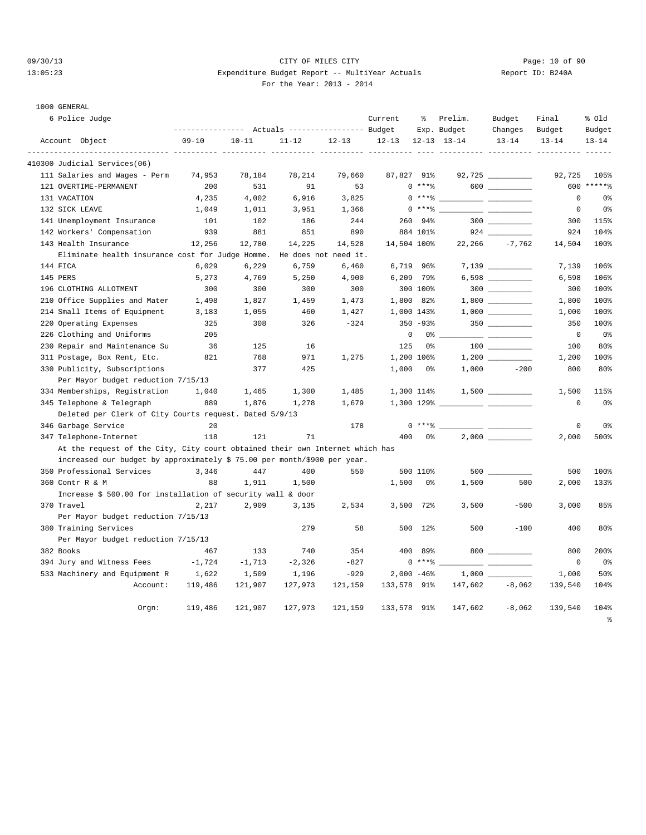### 09/30/13 Page: 10 of 90 13:05:23 Expenditure Budget Report -- MultiYear Actuals Report ID: B240A For the Year: 2013 - 2014

1000 GENERAL

| 6 Police Judge                                                               | ----------------- |           |                                  |                      | Current     | ႜ                  | Prelim.             | Budget    | Final       | % old              |
|------------------------------------------------------------------------------|-------------------|-----------|----------------------------------|----------------------|-------------|--------------------|---------------------|-----------|-------------|--------------------|
|                                                                              |                   |           | Actuals ----------------- Budget |                      |             |                    | Exp. Budget         | Changes   | Budget      | Budget             |
| Account Object                                                               | $09 - 10$         | $10 - 11$ | $11 - 12$                        | $12 - 13$            | $12 - 13$   |                    | $12 - 13$ $13 - 14$ | $13 - 14$ | $13 - 14$   | $13 - 14$<br>----- |
| 410300 Judicial Services(06)                                                 |                   |           |                                  |                      |             |                    |                     |           |             |                    |
| 111 Salaries and Wages - Perm                                                | 74,953            | 78,184    | 78,214                           | 79,660               | 87,827 91%  |                    |                     |           | 92,725      | 105%               |
| 121 OVERTIME-PERMANENT                                                       | 200               | 531       | 91                               | 53                   |             | $0***8$            |                     | 600       | 600         | $*****$            |
| 131 VACATION                                                                 | 4,235             | 4,002     | 6,916                            | 3,825                |             | $0***8$            |                     |           | $\mathbf 0$ | 0 <sup>°</sup>     |
| 132 SICK LEAVE                                                               | 1,049             | 1,011     | 3,951                            | 1,366                |             | $0***8$            |                     |           | $\Omega$    | 0 <sup>°</sup>     |
| 141 Unemployment Insurance                                                   | 101               | 102       | 186                              | 244                  |             | 260 94%            |                     | $300$     | 300         | 115%               |
| 142 Workers' Compensation                                                    | 939               | 881       | 851                              | 890                  |             | 884 101%           |                     |           | 924         | 104%               |
| 143 Health Insurance                                                         | 12,256            | 12,780    | 14,225                           | 14,528               | 14,504 100% |                    | 22,266              | $-7.762$  | 14,504      | 100%               |
| Eliminate health insurance cost for Judge Homme.                             |                   |           |                                  | He does not need it. |             |                    |                     |           |             |                    |
| 144 FICA                                                                     | 6,029             | 6,229     | 6,759                            | 6,460                |             | 6,719 96%          |                     |           | 7,139       | 106%               |
| 145 PERS                                                                     | 5,273             | 4,769     | 5,250                            | 4,900                |             | 6,209 79%          |                     |           | 6,598       | 106%               |
| 196 CLOTHING ALLOTMENT                                                       | 300               | 300       | 300                              | 300                  |             | 300 100%           |                     |           | 300         | 100%               |
| 210 Office Supplies and Mater                                                | 1,498             | 1,827     | 1,459                            | 1,473                |             | 1,800 82%          |                     |           | 1,800       | 100%               |
| 214 Small Items of Equipment                                                 | 3,183             | 1,055     | 460                              | 1,427                |             | 1,000 143%         |                     |           | 1,000       | 100%               |
| 220 Operating Expenses                                                       | 325               | 308       | 326                              | $-324$               |             | $350 - 93%$        |                     |           | 350         | 100%               |
| 226 Clothing and Uniforms                                                    | 205               |           |                                  |                      | $\mathbf 0$ | 0 <sup>°</sup>     |                     |           | $\mathbf 0$ | 0 <sub>8</sub>     |
| 230 Repair and Maintenance Su                                                | 36                | 125       | 16                               |                      | 125         | 0 <sup>°</sup>     |                     |           | 100         | 80%                |
| 311 Postage, Box Rent, Etc.                                                  | 821               | 768       | 971                              | 1,275                |             | 1,200 106%         |                     |           | 1,200       | 100%               |
| 330 Publicity, Subscriptions                                                 |                   | 377       | 425                              |                      | 1,000       | 0%                 | 1,000               | $-200$    | 800         | 80%                |
| Per Mayor budget reduction 7/15/13                                           |                   |           |                                  |                      |             |                    |                     |           |             |                    |
| 334 Memberships, Registration                                                | 1,040             | 1,465     | 1,300                            | 1,485                |             | 1,300 114%         |                     |           | 1,500       | 115%               |
| 345 Telephone & Telegraph                                                    | 889               | 1,876     | 1,278                            | 1,679                |             | $1,300$ 129% _____ |                     |           | $\mathbf 0$ | 0 <sub>8</sub>     |
| Deleted per Clerk of City Courts request. Dated 5/9/13                       |                   |           |                                  |                      |             |                    |                     |           |             |                    |
| 346 Garbage Service                                                          | 20                |           |                                  | 178                  |             | $0***8$            |                     |           | $\mathsf 0$ | 0 <sup>°</sup>     |
| 347 Telephone-Internet                                                       | 118               | 121       | 71                               |                      | 400         | 0%                 |                     |           | 2,000       | 500%               |
| At the request of the City, City court obtained their own Internet which has |                   |           |                                  |                      |             |                    |                     |           |             |                    |
| increased our budget by approximately \$ 75.00 per month/\$900 per year.     |                   |           |                                  |                      |             |                    |                     |           |             |                    |
| 350 Professional Services                                                    | 3,346             | 447       | 400                              | 550                  |             | 500 110%           |                     |           | 500         | 100%               |
| 360 Contr R & M                                                              | 88                | 1,911     | 1,500                            |                      | 1,500       | 0%                 | 1,500               | 500       | 2,000       | 133%               |
| Increase \$ 500.00 for installation of security wall & door                  |                   |           |                                  |                      |             |                    |                     |           |             |                    |
| 370 Travel                                                                   | 2,217             | 2,909     | 3,135                            | 2,534                |             | 3,500 72%          | 3,500               | $-500$    | 3,000       | 85%                |
| Per Mayor budget reduction 7/15/13                                           |                   |           |                                  |                      |             |                    |                     |           |             |                    |
| 380 Training Services                                                        |                   |           | 279                              | 58                   |             | 500 12%            | 500                 | $-100$    | 400         | 80%                |
| Per Mayor budget reduction 7/15/13                                           |                   |           |                                  |                      |             |                    |                     |           |             |                    |
| 382 Books                                                                    | 467               | 133       | 740                              | 354                  | 400         | 89%                |                     | $800$     | 800         | 200%               |
| 394 Jury and Witness Fees                                                    | $-1,724$          | $-1,713$  | $-2,326$                         | $-827$               |             | $0$ ****           |                     | — —       | $\mathbf 0$ | 0 <sup>°</sup>     |
| 533 Machinery and Equipment R                                                | 1,622             | 1,509     | 1,196                            | $-929$               |             | $2,000 - 46%$      | $1,000$ $-$         |           | 1,000       | 50%                |
| Account:                                                                     | 119,486           | 121,907   | 127,973                          | 121,159              | 133,578 91% |                    | 147,602             | $-8,062$  | 139,540     | 104%               |
|                                                                              |                   |           |                                  |                      |             |                    |                     |           |             |                    |
| Orgn:                                                                        | 119,486           | 121,907   | 127,973                          | 121,159              | 133,578 91% |                    | 147,602             | $-8,062$  | 139,540     | 104%               |
|                                                                              |                   |           |                                  |                      |             |                    |                     |           |             | နွ                 |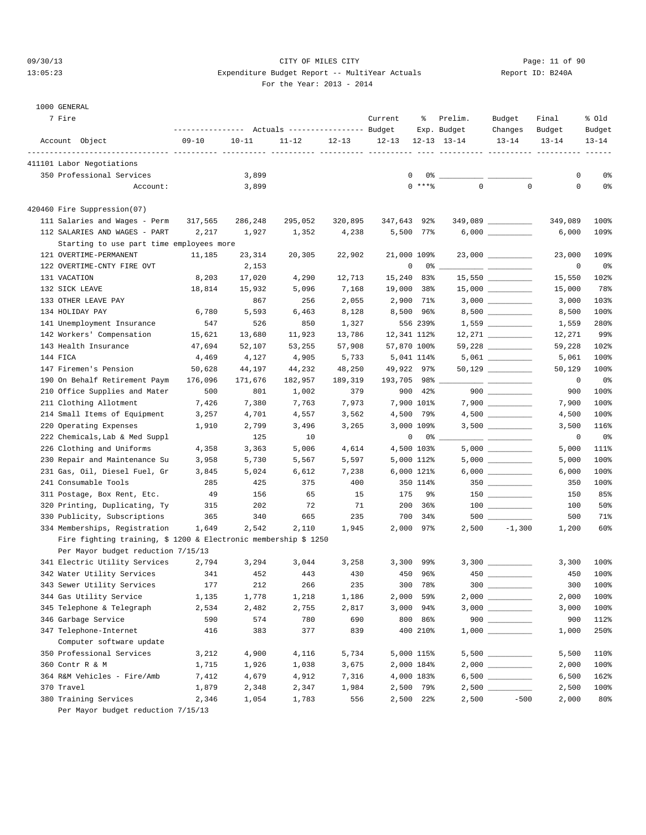### 09/30/13 Page: 11 of 90 13:05:23 Expenditure Budget Report -- MultiYear Actuals Report ID: B240A For the Year: 2013 - 2014

#### 1000 GENERAL

| 7 Fire                                                           | ---------------- |                | Actuals ----------------- Budget |              | Current     | ႜ                      | Prelim.<br>Exp. Budget | Budget<br>Changes                                                                                                                                                                                                                                                                                                                                                                                                                                                          | Final<br>Budget | % old<br>Budget |
|------------------------------------------------------------------|------------------|----------------|----------------------------------|--------------|-------------|------------------------|------------------------|----------------------------------------------------------------------------------------------------------------------------------------------------------------------------------------------------------------------------------------------------------------------------------------------------------------------------------------------------------------------------------------------------------------------------------------------------------------------------|-----------------|-----------------|
| Account Object                                                   | $09 - 10$        | $10 - 11$      | $11 - 12$                        | $12 - 13$    | $12 - 13$   |                        | $12 - 13$ $13 - 14$    | $13 - 14$                                                                                                                                                                                                                                                                                                                                                                                                                                                                  | $13 - 14$       | $13 - 14$       |
| 411101 Labor Negotiations                                        |                  |                |                                  |              |             |                        |                        |                                                                                                                                                                                                                                                                                                                                                                                                                                                                            |                 |                 |
| 350 Professional Services                                        |                  | 3,899          |                                  |              | 0           |                        |                        |                                                                                                                                                                                                                                                                                                                                                                                                                                                                            | 0               | 0%              |
| Account:                                                         |                  | 3,899          |                                  |              |             | $0$ ****               | $\mathbf 0$            | $\mathbf 0$                                                                                                                                                                                                                                                                                                                                                                                                                                                                | 0               | 0 <sub>8</sub>  |
| 420460 Fire Suppression(07)                                      |                  |                |                                  |              |             |                        |                        |                                                                                                                                                                                                                                                                                                                                                                                                                                                                            |                 |                 |
| 111 Salaries and Wages - Perm                                    | 317,565          | 286,248        | 295,052                          | 320,895      | 347,643 92% |                        |                        |                                                                                                                                                                                                                                                                                                                                                                                                                                                                            | 349,089         | 100%            |
| 112 SALARIES AND WAGES - PART                                    | 2,217            | 1,927          | 1,352                            | 4,238        |             | 5,500 77%              |                        |                                                                                                                                                                                                                                                                                                                                                                                                                                                                            | 6,000           | 109%            |
| Starting to use part time employees more                         |                  |                |                                  |              |             |                        |                        |                                                                                                                                                                                                                                                                                                                                                                                                                                                                            |                 |                 |
| 121 OVERTIME-PERMANENT                                           | 11,185           | 23,314         | 20,305                           | 22,902       | 21,000 109% |                        |                        | 23,000 _________                                                                                                                                                                                                                                                                                                                                                                                                                                                           | 23,000          | 109%            |
| 122 OVERTIME-CNTY FIRE OVT                                       |                  | 2,153          |                                  |              | 0           |                        |                        | $\frac{1}{2} \left( \frac{1}{2} \right) \left( \frac{1}{2} \right) \left( \frac{1}{2} \right) \left( \frac{1}{2} \right) \left( \frac{1}{2} \right) \left( \frac{1}{2} \right) \left( \frac{1}{2} \right) \left( \frac{1}{2} \right) \left( \frac{1}{2} \right) \left( \frac{1}{2} \right) \left( \frac{1}{2} \right) \left( \frac{1}{2} \right) \left( \frac{1}{2} \right) \left( \frac{1}{2} \right) \left( \frac{1}{2} \right) \left( \frac{1}{2} \right) \left( \frac$ | 0               | 0%              |
| 131 VACATION                                                     | 8,203            | 17,020         | 4,290                            | 12,713       | 15,240 83%  |                        |                        |                                                                                                                                                                                                                                                                                                                                                                                                                                                                            | 15,550          | 102%            |
| 132 SICK LEAVE                                                   | 18,814           | 15,932         | 5,096                            | 7,168        | 19,000 38%  |                        |                        |                                                                                                                                                                                                                                                                                                                                                                                                                                                                            | 15,000          | 78%             |
| 133 OTHER LEAVE PAY                                              |                  | 867            | 256                              | 2,055        |             | 2,900 71%              |                        |                                                                                                                                                                                                                                                                                                                                                                                                                                                                            | 3,000           | 103%            |
| 134 HOLIDAY PAY                                                  | 6,780            | 5,593          | 6,463                            | 8,128        |             | 8,500 96%              |                        |                                                                                                                                                                                                                                                                                                                                                                                                                                                                            | 8,500           | 100%            |
| 141 Unemployment Insurance                                       | 547              | 526            | 850                              | 1,327        |             | 556 239%               |                        | $1,559$ ____________                                                                                                                                                                                                                                                                                                                                                                                                                                                       | 1,559           | 280%            |
| 142 Workers' Compensation                                        | 15,621           | 13,680         | 11,923                           | 13,786       | 12,341 112% |                        |                        | 12,271                                                                                                                                                                                                                                                                                                                                                                                                                                                                     | 12,271          | 99%             |
| 143 Health Insurance                                             | 47,694           | 52,107         | 53,255                           | 57,908       | 57,870 100% |                        |                        |                                                                                                                                                                                                                                                                                                                                                                                                                                                                            | 59,228          | 102%            |
| 144 FICA                                                         | 4,469            | 4,127          | 4,905                            | 5,733        |             | 5,041 114%             |                        |                                                                                                                                                                                                                                                                                                                                                                                                                                                                            | 5,061           | 100%            |
| 147 Firemen's Pension                                            | 50,628           | 44,197         | 44,232                           | 48,250       | 49,922 97%  |                        |                        | 50,129 _________                                                                                                                                                                                                                                                                                                                                                                                                                                                           | 50,129          | 100%            |
| 190 On Behalf Retirement Paym                                    | 176,096          | 171,676        | 182,957                          | 189,319      | 193,705 98% |                        |                        |                                                                                                                                                                                                                                                                                                                                                                                                                                                                            | 0               | 0%              |
| 210 Office Supplies and Mater                                    | 500              | 801            | 1,002                            | 379          |             | 900 42%                |                        |                                                                                                                                                                                                                                                                                                                                                                                                                                                                            | 900             | 100%            |
| 211 Clothing Allotment                                           | 7,426            | 7,380          | 7,763                            | 7,973        |             | 7,900 101%             |                        |                                                                                                                                                                                                                                                                                                                                                                                                                                                                            | 7,900           | 100%            |
| 214 Small Items of Equipment                                     | 3,257            | 4,701          | 4,557                            | 3,562        |             | 4,500 79%              |                        |                                                                                                                                                                                                                                                                                                                                                                                                                                                                            | 4,500           | 100%            |
| 220 Operating Expenses                                           | 1,910            | 2,799          | 3,496                            | 3,265        |             | 3,000 109%             |                        |                                                                                                                                                                                                                                                                                                                                                                                                                                                                            | 3,500           | 116%            |
| 222 Chemicals, Lab & Med Suppl                                   |                  | 125            | 10                               |              | 0           | $0\degree$ $-$         |                        |                                                                                                                                                                                                                                                                                                                                                                                                                                                                            | 0               | 0%              |
| 226 Clothing and Uniforms                                        | 4,358            | 3,363          | 5,006                            | 4,614        |             | 4,500 103%             |                        |                                                                                                                                                                                                                                                                                                                                                                                                                                                                            | 5,000           | 111%            |
| 230 Repair and Maintenance Su                                    | 3,958            | 5,730          | 5,567                            | 5,597        |             | 5,000 112%             |                        |                                                                                                                                                                                                                                                                                                                                                                                                                                                                            | 5,000           | 100%            |
| 231 Gas, Oil, Diesel Fuel, Gr                                    | 3,845            | 5,024          | 6,612                            | 7,238        |             | 6,000 121%             |                        |                                                                                                                                                                                                                                                                                                                                                                                                                                                                            | 6,000           | 100%            |
| 241 Consumable Tools                                             | 285              | 425            | 375                              | 400          |             | 350 114%               |                        | $350$ __________                                                                                                                                                                                                                                                                                                                                                                                                                                                           | 350             | 100%            |
| 311 Postage, Box Rent, Etc.                                      | 49               | 156            | 65                               | 15           | 175         | <b>9%</b>              |                        | $150$                                                                                                                                                                                                                                                                                                                                                                                                                                                                      | 150             | 85%             |
| 320 Printing, Duplicating, Ty                                    | 315              | 202            | 72                               | 71           |             | 200 36%                |                        |                                                                                                                                                                                                                                                                                                                                                                                                                                                                            | 100             | 50%             |
| 330 Publicity, Subscriptions                                     | 365              | 340            | 665                              | 235          |             | 700 34%                |                        |                                                                                                                                                                                                                                                                                                                                                                                                                                                                            | 500             | 71%             |
| 334 Memberships, Registration                                    | 1,649            | 2,542          | 2,110                            | 1,945        |             | 2,000 97%              |                        | $2,500 -1,300$                                                                                                                                                                                                                                                                                                                                                                                                                                                             | 1,200           | 60%             |
| Fire fighting training, $$1200 \&$ Electronic membership $$1250$ |                  |                |                                  |              |             |                        |                        |                                                                                                                                                                                                                                                                                                                                                                                                                                                                            |                 |                 |
| Per Mayor budget reduction 7/15/13                               |                  |                |                                  |              |             |                        |                        |                                                                                                                                                                                                                                                                                                                                                                                                                                                                            |                 |                 |
| 341 Electric Utility Services                                    | 2,794            | 3,294          | 3,044                            | 3,258        |             | $3,300$ 99%            |                        |                                                                                                                                                                                                                                                                                                                                                                                                                                                                            | 3,300           | 100%            |
| 342 Water Utility Services                                       | 341              | 452            | 443                              | 430          |             | 450 96%                |                        |                                                                                                                                                                                                                                                                                                                                                                                                                                                                            | 450             | 100%            |
| 343 Sewer Utility Services                                       | 177              | 212            | 266                              | 235          |             | 300 78%                |                        | $300$                                                                                                                                                                                                                                                                                                                                                                                                                                                                      | 300             | 100%            |
| 344 Gas Utility Service                                          | 1,135            | 1,778          | 1,218                            | 1,186        |             | 2,000 59%              |                        |                                                                                                                                                                                                                                                                                                                                                                                                                                                                            | 2,000           | 100%            |
| 345 Telephone & Telegraph                                        | 2,534            | 2,482          | 2,755                            | 2,817        |             | 3,000 94%              |                        |                                                                                                                                                                                                                                                                                                                                                                                                                                                                            | 3,000           | 100%            |
| 346 Garbage Service                                              | 590              | 574            | 780                              | 690          |             | 800 86%                |                        | $900$                                                                                                                                                                                                                                                                                                                                                                                                                                                                      | 900             | 112%            |
| 347 Telephone-Internet                                           | 416              | 383            | 377                              | 839          |             | 400 210%               |                        |                                                                                                                                                                                                                                                                                                                                                                                                                                                                            | 1,000           | 250%            |
| Computer software update                                         |                  |                |                                  |              |             |                        |                        |                                                                                                                                                                                                                                                                                                                                                                                                                                                                            |                 |                 |
| 350 Professional Services                                        | 3,212            | 4,900          | 4,116                            | 5,734        |             | 5,000 115%             |                        |                                                                                                                                                                                                                                                                                                                                                                                                                                                                            | 5,500           | 110%            |
| 360 Contr R & M                                                  | 1,715            | 1,926          | 1,038                            | 3,675        |             | 2,000 184%             |                        | $6,500$                                                                                                                                                                                                                                                                                                                                                                                                                                                                    | 2,000           | 100%            |
| 364 R&M Vehicles - Fire/Amb<br>370 Travel                        | 7,412            | 4,679          | 4,912                            | 7,316        |             | 4,000 183%             |                        |                                                                                                                                                                                                                                                                                                                                                                                                                                                                            | 6,500           | 162%            |
| 380 Training Services                                            | 1,879<br>2,346   | 2,348<br>1,054 | 2,347<br>1,783                   | 1,984<br>556 |             | 2,500 79%<br>2,500 22% | 2,500                  | $-500$                                                                                                                                                                                                                                                                                                                                                                                                                                                                     | 2,500<br>2,000  | 100%<br>80%     |
|                                                                  |                  |                |                                  |              |             |                        |                        |                                                                                                                                                                                                                                                                                                                                                                                                                                                                            |                 |                 |

Per Mayor budget reduction 7/15/13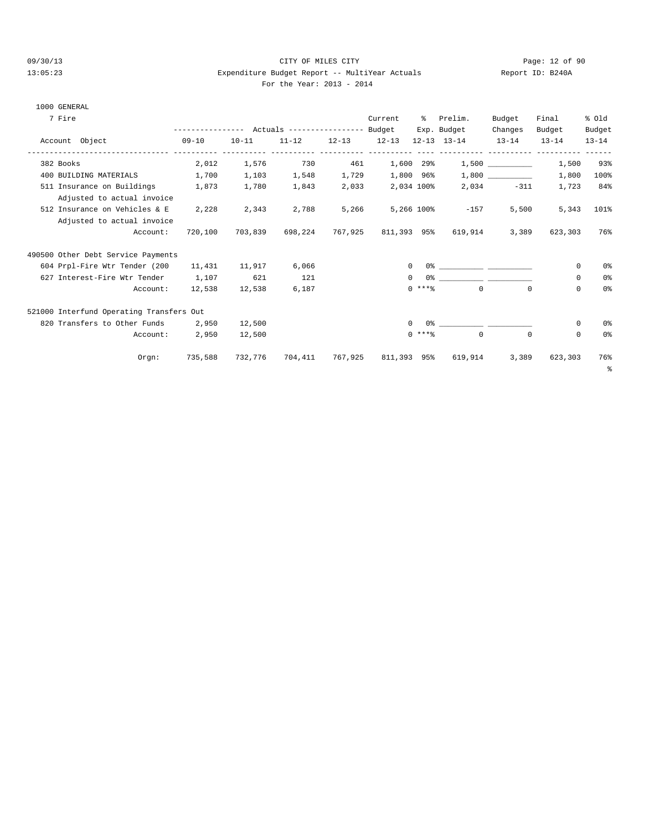#### 09/30/13 Page: 12 of 90 13:05:23 Expenditure Budget Report -- MultiYear Actuals Report ID: B240A For the Year: 2013 - 2014

| For the Year: 2013 |  |  |  |  |  |  |
|--------------------|--|--|--|--|--|--|
|--------------------|--|--|--|--|--|--|

|  | 1000 GENERAL |  |  |
|--|--------------|--|--|
|--|--------------|--|--|

| 7 Fire                                   |           |                                                 |         |       | Current             | ిక       | Prelim.                                         | Budget       | Final      | % old          |
|------------------------------------------|-----------|-------------------------------------------------|---------|-------|---------------------|----------|-------------------------------------------------|--------------|------------|----------------|
|                                          |           | --------------- Actuals ---------------- Budget |         |       |                     |          | Exp. Budget                                     | Changes      | Budget     | Budget         |
| Account Object                           | $09 - 10$ | $10 - 11$                                       |         |       |                     |          | $11-12$ $12-13$ $12-13$ $12-13$ $13-14$ $13-14$ |              | $13 - 14$  | $13 - 14$      |
| 382 Books                                | 2,012     | 1,576                                           | 730     | 461   | 1,600 29%           |          |                                                 | 1,500        | 1,500      | 93%            |
| 400 BUILDING MATERIALS                   | 1,700     | 1,103                                           | 1,548   |       | 1,729 1,800 96%     |          |                                                 |              | 1,800      | 100%           |
| 511 Insurance on Buildings               | 1,873     | 1,780                                           | 1,843   | 2,033 | 2,034 100%          |          |                                                 | $2,034 -311$ | 1,723      | 84%            |
| Adjusted to actual invoice               |           |                                                 |         |       |                     |          |                                                 |              |            |                |
| 512 Insurance on Vehicles & E            | 2,228     | 2,343                                           | 2,788   | 5,266 |                     |          | 5,266 100% -157                                 | 5,500        | 5,343      | 101%           |
| Adjusted to actual invoice               |           |                                                 |         |       |                     |          |                                                 |              |            |                |
| Account:                                 | 720,100   | 703,839                                         |         |       |                     |          | 698,224 767,925 811,393 95% 619,914             | 3,389        | 623,303    | 76%            |
| 490500 Other Debt Service Payments       |           |                                                 |         |       |                     |          |                                                 |              |            |                |
| 604 Prpl-Fire Wtr Tender (200            | 11,431    | 11,917                                          | 6,066   |       |                     |          | $0$ 왕 아이는 아이들은 아이들은 아이들이 아이들이 아이들이 아이들이 있었다.    |              | $^{\circ}$ | 0 <sup>°</sup> |
| 627 Interest-Fire Wtr Tender 1,107       |           | 621                                             | 121     |       |                     | $\Omega$ |                                                 |              | $\Omega$   | 0%             |
| Account:                                 | 12,538    | 12,538                                          | 6,187   |       |                     | $0$ **** | $\Omega$                                        | $\Omega$     | $\Omega$   | 0 <sup>°</sup> |
| 521000 Interfund Operating Transfers Out |           |                                                 |         |       |                     |          |                                                 |              |            |                |
| 820 Transfers to Other Funds 2,950       |           | 12,500                                          |         |       |                     | $\Omega$ | $0$ % 이 아이 아이에 이 아이에 있어요.                       |              | $^{\circ}$ | 0 <sup>°</sup> |
| Account:                                 | 2,950     | 12,500                                          |         |       |                     | $0***$   | $\mathbf 0$                                     | $^{\circ}$   | $^{\circ}$ | 0 <sup>°</sup> |
| Orgn:                                    | 735,588   | 732,776                                         | 704,411 |       | 767,925 811,393 95% |          | 619,914                                         | 3,389        | 623,303    | 76%<br>- 응     |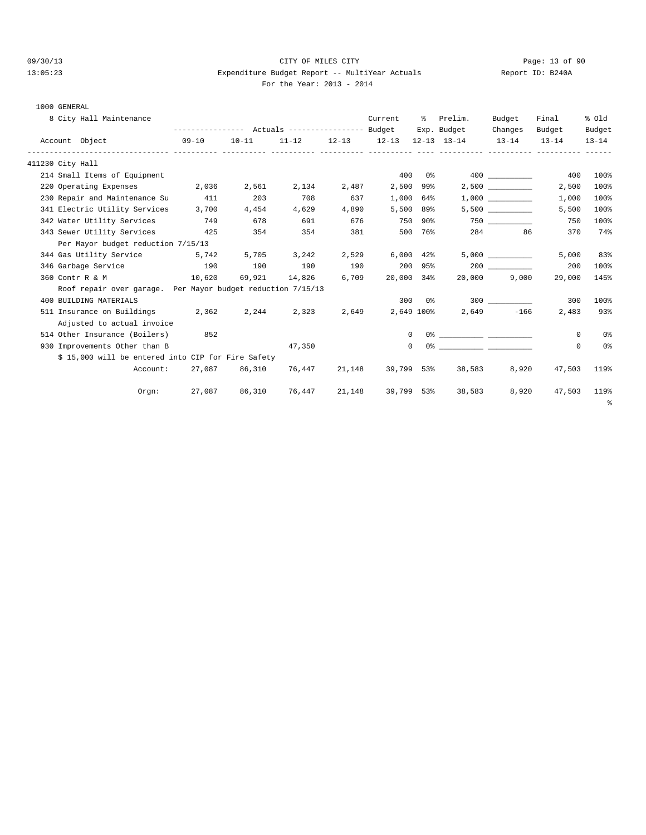### 09/30/13 Page: 13 of 90 13:05:23 Expenditure Budget Report -- MultiYear Actuals Report ID: B240A For the Year: 2013 - 2014

|  | 1000 GENERAL |
|--|--------------|
|--|--------------|

| 8 City Hall Maintenance                                     |                                                             |           |                             |       | Current        | ိ         | Prelim.                                                 | Budget     | Final    | % old     |
|-------------------------------------------------------------|-------------------------------------------------------------|-----------|-----------------------------|-------|----------------|-----------|---------------------------------------------------------|------------|----------|-----------|
|                                                             | --------------- Actuals ---------------- Budget Exp. Budget |           |                             |       |                |           |                                                         | Changes    | Budget   | Budget    |
| Account Object<br>$09 - 10$                                 |                                                             | $10 - 11$ |                             |       |                |           | $11-12$ $12-13$ $12-13$ $12-13$ $13-14$ $13-14$ $13-14$ |            |          | $13 - 14$ |
| 411230 City Hall                                            |                                                             |           |                             |       |                |           |                                                         |            |          |           |
| 214 Small Items of Equipment                                |                                                             |           |                             |       | 400            |           | $0\%$ 400                                               |            | 400      | 100%      |
| 220 Operating Expenses 2,036                                |                                                             | 2,561     | 2,134                       | 2,487 |                | 2,500 99% |                                                         | 2,500      | 2,500    | 100%      |
| 230 Repair and Maintenance Su                               | 411                                                         | 203       | 708                         | 637   |                | 1,000 64% |                                                         | 1,000      | 1,000    | 100%      |
| 341 Electric Utility Services 3,700                         |                                                             | 4,454     | 4,629                       | 4,890 |                | 5,500 89% |                                                         |            | 5,500    | 100%      |
| 342 Water Utility Services                                  | 749                                                         | 678       | 691                         | 676   | 750 90%        |           |                                                         |            | 750      | 100%      |
| 343 Sewer Utility Services                                  | 425                                                         | 354       | 354                         | 381   |                | 500 76%   |                                                         | 86         | 370      | 74%       |
| Per Mayor budget reduction 7/15/13                          |                                                             |           |                             |       |                |           |                                                         |            |          |           |
| 344 Gas Utility Service 5,742                               |                                                             | 5,705     | 3,242                       | 2,529 | $6,000$ $42\%$ |           |                                                         | 5,000      | 5,000    | 83%       |
| 346 Garbage Service                                         | 190                                                         | 190       | 190                         | 190   |                | 200 95%   |                                                         | 200        | 200      | 100%      |
| 360 Contr R & M 10,620                                      |                                                             |           | 69,921 14,826               | 6,709 | 20,000 34%     |           | 20,000                                                  | 9,000      | 29,000   | 145%      |
| Roof repair over garage. Per Mayor budget reduction 7/15/13 |                                                             |           |                             |       |                |           |                                                         |            |          |           |
| 400 BUILDING MATERIALS                                      |                                                             |           |                             |       |                |           |                                                         |            | 300      | 100%      |
| 511 Insurance on Buildings 2,362                            |                                                             | 2,244     | 2,323                       | 2,649 | 2,649 100%     |           |                                                         | 2,649 -166 | 2,483    | 93%       |
| Adjusted to actual invoice                                  |                                                             |           |                             |       |                |           |                                                         |            |          |           |
| 514 Other Insurance (Boilers)                               | 852                                                         |           |                             |       |                |           |                                                         |            | $\Omega$ | 0%        |
| 930 Improvements Other than B                               |                                                             |           | 47,350                      |       | $\Omega$       |           |                                                         |            | 0        | 0%        |
| \$ 15,000 will be entered into CIP for Fire Safety          |                                                             |           |                             |       |                |           |                                                         |            |          |           |
| Account:                                                    |                                                             |           | 27,087 86,310 76,447 21,148 |       |                |           | 39,799 53% 38,583                                       | 8,920      | 47,503   | 119%      |
| Orem:                                                       | 27,087 86,310 76,447 21,148 39,799 53% 38,583               |           |                             |       |                |           |                                                         | 8,920      | 47,503   | 119%      |

%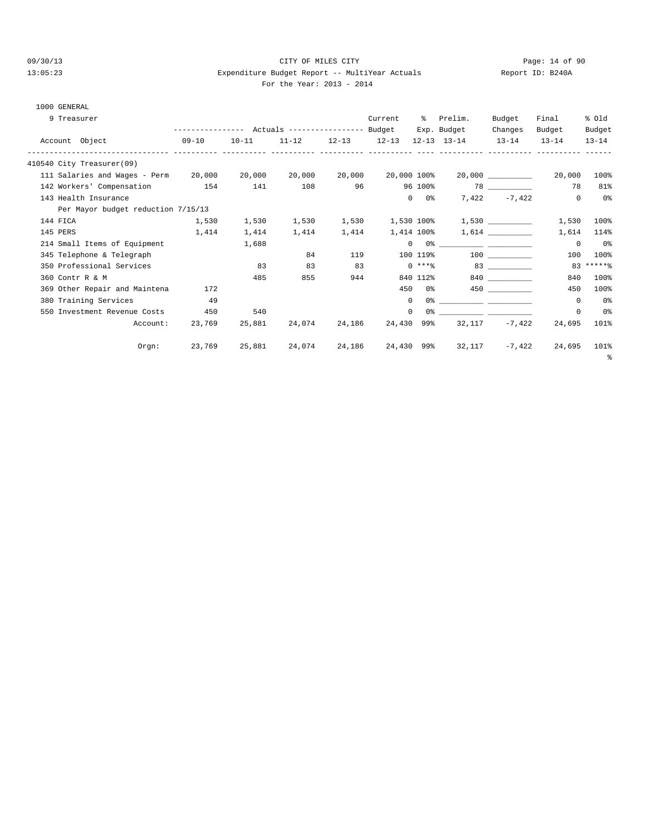### 09/30/13 Page: 14 of 90 13:05:23 Expenditure Budget Report -- MultiYear Actuals Report ID: B240A For the Year: 2013 - 2014

#### 1000 GENERAL

|          | 9 Treasurer                          |                                                 |           |           |                 | Current     | ွေ                 | Prelim.                                                                                                                                                                                                                                                                                                                                                            | Budget         | Final      | % old          |
|----------|--------------------------------------|-------------------------------------------------|-----------|-----------|-----------------|-------------|--------------------|--------------------------------------------------------------------------------------------------------------------------------------------------------------------------------------------------------------------------------------------------------------------------------------------------------------------------------------------------------------------|----------------|------------|----------------|
|          |                                      | --------------- Actuals ---------------- Budget |           |           |                 |             |                    | Exp. Budget                                                                                                                                                                                                                                                                                                                                                        | Changes        | Budget     | Budget         |
|          | Account Object                       | $09-10$                                         | $10 - 11$ | $11 - 12$ | $12-13$ $12-13$ |             |                    | $12 - 13$ $13 - 14$                                                                                                                                                                                                                                                                                                                                                | $13 - 14$      | $13 - 14$  | $13 - 14$      |
|          | 410540 City Treasurer(09)            |                                                 |           |           |                 |             |                    |                                                                                                                                                                                                                                                                                                                                                                    |                |            |                |
|          | 111 Salaries and Wages - Perm 20,000 |                                                 | 20,000    | 20,000    | 20,000          | 20,000 100% |                    |                                                                                                                                                                                                                                                                                                                                                                    |                | 20,000     | 100%           |
|          | 142 Workers' Compensation 154        |                                                 | 141       | 108       | 96              |             | 96 100%            |                                                                                                                                                                                                                                                                                                                                                                    |                | 78         | 81%            |
|          | 143 Health Insurance                 |                                                 |           |           |                 |             | $0\qquad 0$ %      |                                                                                                                                                                                                                                                                                                                                                                    | $7,422 -7,422$ | $^{\circ}$ | 0%             |
|          | Per Mayor budget reduction 7/15/13   |                                                 |           |           |                 |             |                    |                                                                                                                                                                                                                                                                                                                                                                    |                |            |                |
| 144 FICA |                                      | 1,530                                           | 1,530     | 1,530     | 1,530           |             |                    | $1,530$ 100% $1,530$ _________                                                                                                                                                                                                                                                                                                                                     |                | 1,530      | 100%           |
| 145 PERS |                                      | 1,414                                           | 1,414     | 1,414     | 1,414           |             | 1,414 100%         |                                                                                                                                                                                                                                                                                                                                                                    | 1,614          | 1,614      | 114%           |
|          | 214 Small Items of Equipment         |                                                 | 1,688     |           |                 |             |                    | $\begin{picture}(150,10) \put(0,0){\vector(1,0){100}} \put(15,0){\vector(1,0){100}} \put(15,0){\vector(1,0){100}} \put(15,0){\vector(1,0){100}} \put(15,0){\vector(1,0){100}} \put(15,0){\vector(1,0){100}} \put(15,0){\vector(1,0){100}} \put(15,0){\vector(1,0){100}} \put(15,0){\vector(1,0){100}} \put(15,0){\vector(1,0){100}} \put(15,0){\vector(1,0){100}}$ |                | $^{\circ}$ | 0%             |
|          | 345 Telephone & Telegraph            |                                                 |           | 84        | 119             |             | 100 119%           |                                                                                                                                                                                                                                                                                                                                                                    | 100 000        | 100        | 100%           |
|          | 350 Professional Services            |                                                 | 83        | 83        | 83              |             | $0$ ****           |                                                                                                                                                                                                                                                                                                                                                                    | 83 83          |            | $83****$       |
|          | 360 Contr R & M                      |                                                 | 485       | 855       | 944             |             | 840 112%           |                                                                                                                                                                                                                                                                                                                                                                    | 840 and $\sim$ | 840        | 100%           |
|          | 369 Other Repair and Maintena        | 172                                             |           |           |                 |             | 450 0%             |                                                                                                                                                                                                                                                                                                                                                                    |                | 450        | 100%           |
|          | 380 Training Services                | 49                                              |           |           |                 |             | $\mathbf{0}$       |                                                                                                                                                                                                                                                                                                                                                                    |                | $\Omega$   | 0%             |
|          | 550 Investment Revenue Costs         | 450                                             | 540       |           |                 |             | $\mathbf{0}$<br>0% |                                                                                                                                                                                                                                                                                                                                                                    |                | 0          | 0 <sup>°</sup> |
|          | Account:                             | 23,769                                          | 25,881    | 24,074    | 24,186          | 24,430 99%  |                    | 32,117                                                                                                                                                                                                                                                                                                                                                             | $-7,422$       | 24,695     | 101%           |
|          | Orgn:                                | 23,769                                          | 25,881    | 24,074    | 24,186          |             |                    | 24,430 99% 32,117                                                                                                                                                                                                                                                                                                                                                  | $-7,422$       | 24,695     | 101%           |
|          |                                      |                                                 |           |           |                 |             |                    |                                                                                                                                                                                                                                                                                                                                                                    |                |            | ి              |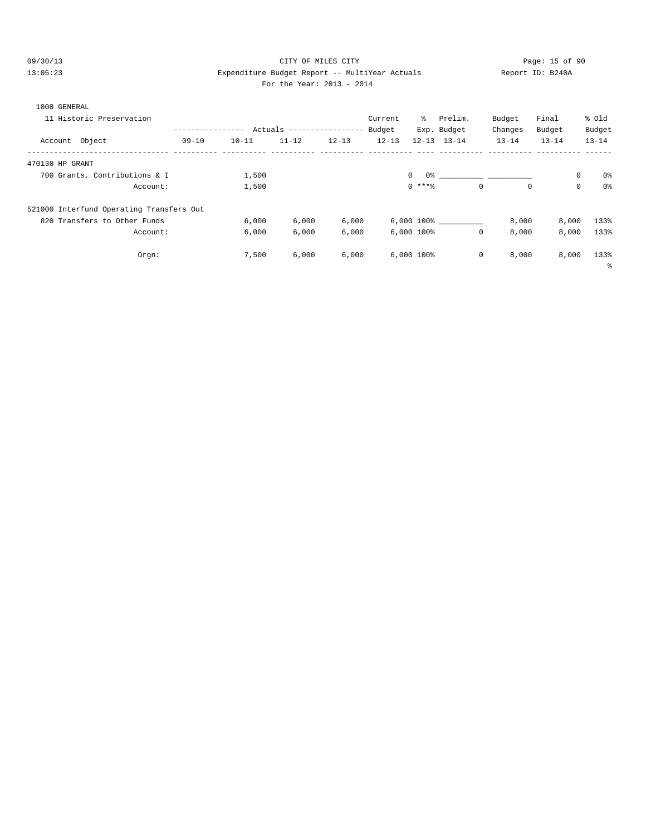#### 09/30/13 Page: 15 of 90 13:05:23 Expenditure Budget Report -- MultiYear Actuals Report ID: B240A For the Year: 2013 - 2014

Account: 6,000 6,000 6,000 6,000 100% 0 8,000 8,000 133%

%

Orgn: 7,500 6,000 6,000 6,000 100% 0 8,000 8,000 133%

| For the Year: $2013 - 20$ |  |  |
|---------------------------|--|--|
|---------------------------|--|--|

| 1000 GENERAL                             |           |           |           |                                  |           |                 |             |           |           |           |
|------------------------------------------|-----------|-----------|-----------|----------------------------------|-----------|-----------------|-------------|-----------|-----------|-----------|
| 11 Historic Preservation                 |           |           |           |                                  | Current   | ိ               | Prelim.     | Budget    | Final     | % old     |
|                                          |           |           |           | Actuals ----------------- Budget |           |                 | Exp. Budget | Changes   | Budget    | Budget    |
| Account Object                           | $09 - 10$ | $10 - 11$ | $11 - 12$ | $12 - 13$                        | $12 - 13$ | $12 - 13$       | $13 - 14$   | $13 - 14$ | $13 - 14$ | $13 - 14$ |
| 470130 HP GRANT                          |           |           |           |                                  |           |                 |             |           |           |           |
| 700 Grants, Contributions & I            |           | 1,500     |           |                                  |           | 0 %<br>$\Omega$ |             |           | 0         | 0%        |
| Account:                                 |           | 1,500     |           |                                  |           | $0$ ****        | $\circ$     | 0         | 0         | 0%        |
| 521000 Interfund Operating Transfers Out |           |           |           |                                  |           |                 |             |           |           |           |
| 820 Transfers to Other Funds             |           | 6.000     | 6.000     | 6.000                            |           | 6,000 100%      |             | 8,000     | 8,000     | 133%      |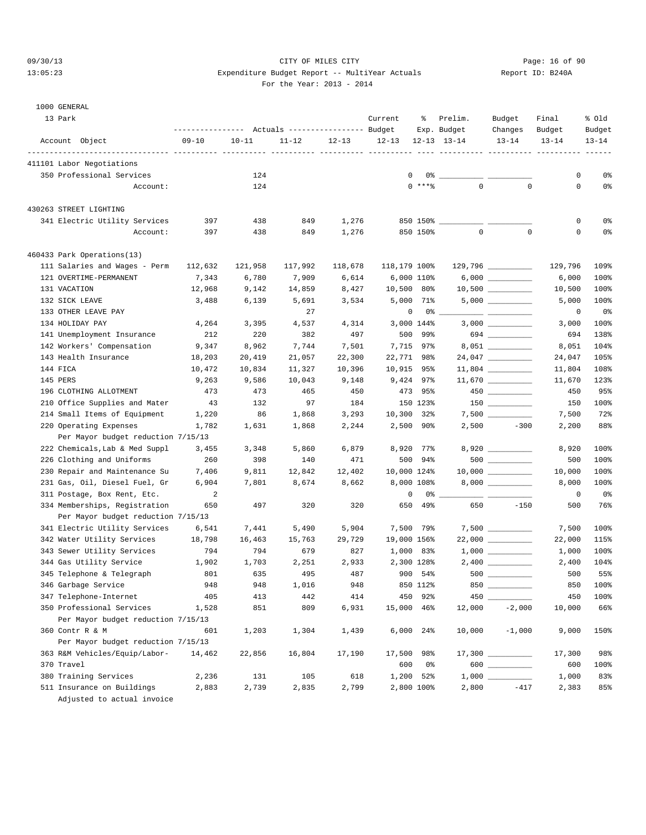## 09/30/13 Page: 16 of 90 13:05:23 Expenditure Budget Report -- MultiYear Actuals Report ID: B240A For the Year: 2013 - 2014

# 1000 GENERAL

| 13 Park                                          | ---------------- |            | Actuals ----------------- Budget |            | Current      | ႜ                   | Prelim.<br>Exp. Budget | Budget<br>Changes     | Final<br>Budget | % old<br>Budget |
|--------------------------------------------------|------------------|------------|----------------------------------|------------|--------------|---------------------|------------------------|-----------------------|-----------------|-----------------|
| Account Object                                   | $09 - 10$        | $10 - 11$  | $11 - 12$                        | $12 - 13$  | $12 - 13$    |                     | $12 - 13$ $13 - 14$    | $13 - 14$             | $13 - 14$       | $13 - 14$       |
| 411101 Labor Negotiations                        |                  |            |                                  |            |              |                     |                        |                       |                 |                 |
| 350 Professional Services                        |                  | 124        |                                  |            | $\mathbf{0}$ | 0%                  |                        |                       | 0               | 0%              |
| Account:                                         |                  | 124        |                                  |            |              | $0$ ****            | $\mathbf 0$            | $\mathbf 0$           | $\mathbf 0$     | 0%              |
| 430263 STREET LIGHTING                           |                  |            |                                  |            |              |                     |                        |                       |                 |                 |
| 341 Electric Utility Services                    | 397              | 438        | 849                              | 1,276      |              |                     | 850 150% _______       |                       | 0               | 0%              |
| Account:                                         | 397              | 438        | 849                              | 1,276      |              | 850 150%            | $\mathsf 0$            | $\mathbf 0$           | 0               | 0%              |
| 460433 Park Operations(13)                       |                  |            |                                  |            |              |                     |                        |                       |                 |                 |
| 111 Salaries and Wages - Perm                    | 112,632          | 121,958    | 117,992                          | 118,678    | 118,179 100% |                     |                        |                       | 129,796         | 109%            |
| 121 OVERTIME-PERMANENT                           | 7,343            | 6,780      | 7,909                            | 6,614      |              | 6,000 110%          |                        |                       | 6,000           | 100%            |
| 131 VACATION                                     | 12,968           | 9,142      | 14,859                           | 8,427      | 10,500 80%   |                     |                        |                       | 10,500          | 100%            |
| 132 SICK LEAVE                                   | 3,488            | 6,139      | 5,691                            | 3,534      |              | 5,000 71%           |                        |                       | 5,000           | 100%            |
| 133 OTHER LEAVE PAY                              |                  |            | 27                               |            | 0            | 0%                  |                        |                       | 0               | 0%              |
| 134 HOLIDAY PAY                                  | 4,264            | 3,395      | 4,537                            | 4,314      |              | 3,000 144%          |                        |                       | 3,000           | 100%            |
| 141 Unemployment Insurance                       | 212              | 220        | 382                              | 497        | 500          | 99%                 |                        | 694                   | 694             | 138%            |
| 142 Workers' Compensation                        | 9,347            | 8,962      | 7,744                            | 7,501      |              | 7,715 97%           |                        |                       | 8,051           | 104%            |
| 143 Health Insurance                             | 18,203           | 20,419     | 21,057                           | 22,300     | 22,771 98%   |                     |                        |                       | 24,047          | 105%            |
| 144 FICA                                         | 10,472           | 10,834     | 11,327                           | 10,396     | 10,915 95%   |                     |                        | $11,804$ ____________ | 11,804          | 108%            |
| 145 PERS                                         | 9,263            | 9,586      | 10,043                           | 9,148      |              | 9,424 97%           |                        |                       | 11,670          | 123%            |
| 196 CLOTHING ALLOTMENT                           | 473              | 473        | 465                              | 450        |              | 473 95%             |                        |                       | 450             | 95%             |
| 210 Office Supplies and Mater                    | 43               | 132        | 97                               | 184        |              | 150 123%            |                        |                       | 150             | 100%            |
| 214 Small Items of Equipment                     | 1,220            | 86         | 1,868                            | 3,293      | 10,300 32%   |                     |                        |                       | 7,500           | 72%             |
| 220 Operating Expenses                           | 1,782            | 1,631      | 1,868                            | 2,244      |              | 2,500 90%           |                        | $2,500 -300$          | 2,200           | 88%             |
| Per Mayor budget reduction 7/15/13               |                  |            |                                  |            |              |                     |                        |                       |                 |                 |
| 222 Chemicals, Lab & Med Suppl                   | 3,455            | 3,348      | 5,860                            | 6,879      |              | 8,920 77%           |                        |                       | 8,920           | 100%            |
| 226 Clothing and Uniforms                        | 260              | 398        | 140                              | 471        |              | 500 94%             |                        |                       | 500             | 100%            |
| 230 Repair and Maintenance Su                    | 7,406            | 9,811      | 12,842                           | 12,402     | 10,000 124%  |                     |                        |                       | 10,000          | 100%            |
| 231 Gas, Oil, Diesel Fuel, Gr                    | 6,904            | 7,801      | 8,674                            | 8,662      |              | 8,000 108%          |                        | $8,000$ __________    | 8,000           | 100%            |
| 311 Postage, Box Rent, Etc.                      | 2                |            |                                  |            | $\mathbf 0$  | 0%                  |                        |                       | 0               | 0%              |
| 334 Memberships, Registration                    | 650              | 497        | 320                              | 320        | 650          | 49%                 | 650                    | $-150$                | 500             | 76%             |
| Per Mayor budget reduction 7/15/13               |                  |            |                                  |            |              |                     |                        |                       |                 |                 |
| 341 Electric Utility Services                    | 6,541            | 7,441      | 5,490                            | 5,904      |              | 7,500 79%           |                        |                       | 7,500           | 100%            |
| 342 Water Utility Services                       | 18,798           | 16,463     | 15,763                           | 29,729     | 19,000 156%  |                     |                        | $22,000$ ____________ | 22,000          | 115%            |
| 343 Sewer Utility Services                       | 794              | 794        | 679                              | 827        |              | 1,000 83%           |                        |                       | 1,000           | 100%            |
| 344 Gas Utility Service                          | 1,902            | 1,703      | 2,251                            | 2,933      |              | 2,300 128%          |                        |                       | 2,400           | 104%            |
| 345 Telephone & Telegraph<br>346 Garbage Service | 801<br>948       | 635<br>948 | 495<br>1,016                     | 487<br>948 |              | 900 54%<br>850 112% |                        | 850                   | 500<br>850      | 55%<br>100%     |
| 347 Telephone-Internet                           | 405              | 413        | 442                              | 414        | 450          | 92%                 | $450 -$                |                       | 450             | 100%            |
| 350 Professional Services                        | 1,528            | 851        | 809                              | 6,931      | 15,000       | 46%                 | 12,000                 | $-2,000$              | 10,000          | 66%             |
| Per Mayor budget reduction 7/15/13               |                  |            |                                  |            |              |                     |                        |                       |                 |                 |
| 360 Contr R & M                                  | 601              | 1,203      | 1,304                            | 1,439      |              | 6,000 24%           | 10,000                 | $-1,000$              | 9,000           | 150%            |
| Per Mayor budget reduction 7/15/13               |                  |            |                                  |            |              |                     |                        |                       |                 |                 |
| 363 R&M Vehicles/Equip/Labor-                    | 14,462           | 22,856     | 16,804                           | 17,190     | 17,500       | 98%                 |                        |                       | 17,300          | 98%             |
| 370 Travel                                       |                  |            |                                  |            | 600          | 0%                  |                        | 600 _________         | 600             | 100%            |
| 380 Training Services                            | 2,236            | 131        | 105                              | 618        |              | 1,200 52%           |                        |                       | 1,000           | 83%             |
| 511 Insurance on Buildings                       | 2,883            | 2,739      | 2,835                            | 2,799      |              | 2,800 100%          | 2,800                  | $-417$                | 2,383           | 85%             |
| Adjusted to actual invoice                       |                  |            |                                  |            |              |                     |                        |                       |                 |                 |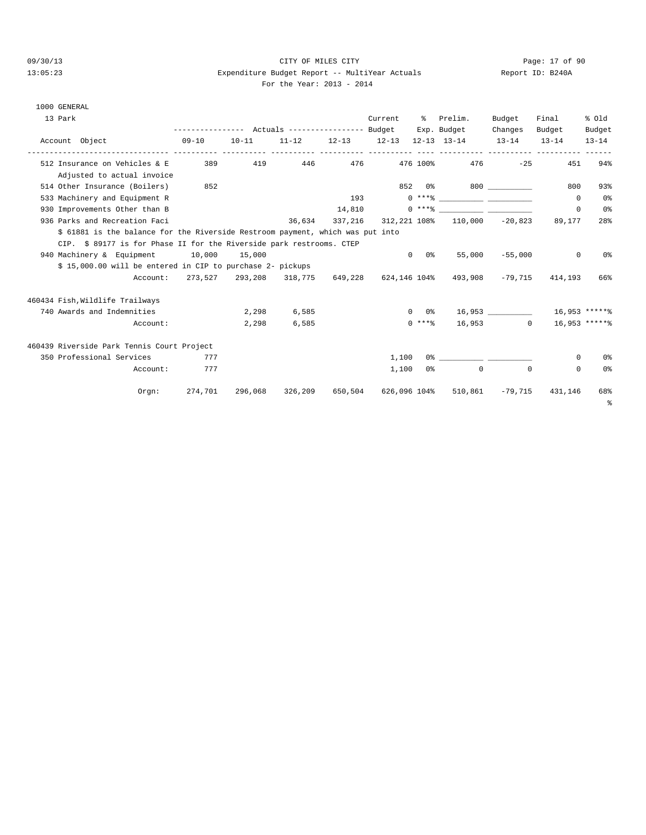#### 09/30/13 CITY OF MILES CITY Page: 17 of 90 13:05:23 Expenditure Budget Report -- MultiYear Actuals Report ID: B240A For the Year: 2013 - 2014

| 13 Park                                                                        | ---------------    Actuals ----------------    Budget |           |                 |         | Current      | °≈         | Prelim.<br>Exp. Budget                                                                                                                                                                                                                                                                                                   | Budget    | Final                  | % old<br>Budget |
|--------------------------------------------------------------------------------|-------------------------------------------------------|-----------|-----------------|---------|--------------|------------|--------------------------------------------------------------------------------------------------------------------------------------------------------------------------------------------------------------------------------------------------------------------------------------------------------------------------|-----------|------------------------|-----------------|
| Account Object                                                                 | 09-10                                                 | $10 - 11$ |                 |         |              |            | $11-12$ $12-13$ $12-13$ $12-13$ $13-14$ $13-14$ $13-14$                                                                                                                                                                                                                                                                  | Changes   | Budget                 | $13 - 14$       |
| ------------- ---------<br>512 Insurance on Vehicles & E                       | 389                                                   | 419       | 446             | 476     |              |            | 476 100%<br>476                                                                                                                                                                                                                                                                                                          | $-25$     | 451                    | 94%             |
| Adjusted to actual invoice                                                     |                                                       |           |                 |         |              |            |                                                                                                                                                                                                                                                                                                                          |           |                        |                 |
| 514 Other Insurance (Boilers)                                                  | 852                                                   |           |                 |         |              |            |                                                                                                                                                                                                                                                                                                                          |           | 800                    | 93%             |
| 533 Machinery and Equipment R                                                  |                                                       |           |                 | 193     |              |            | $0***$ $\frac{1}{2}$ $\frac{1}{2}$ $\frac{1}{2}$ $\frac{1}{2}$ $\frac{1}{2}$ $\frac{1}{2}$ $\frac{1}{2}$ $\frac{1}{2}$ $\frac{1}{2}$ $\frac{1}{2}$ $\frac{1}{2}$ $\frac{1}{2}$ $\frac{1}{2}$ $\frac{1}{2}$ $\frac{1}{2}$ $\frac{1}{2}$ $\frac{1}{2}$ $\frac{1}{2}$ $\frac{1}{2}$ $\frac{1}{2}$ $\frac{1}{2}$ $\frac{1}{$ |           | $\Omega$               | 0%              |
| 930 Improvements Other than B                                                  |                                                       |           |                 |         |              |            | $14,810$ 0 *** \equal 0 \equal 0 \equal 0 \equal 0 \equal 0 \equal 0 \equal 0 \equal 0 \equal 0 \equal 0 \equal 0 \equal 0 \equal 0 \equal 0 \equal 0 \equal 0 \equal 0 \equal 0 \equal 0 \equal 0 \equal 0 \equal 0 \equal 0                                                                                            |           | $\Omega$               | 0%              |
| 936 Parks and Recreation Faci                                                  |                                                       |           | 36,634          |         |              |            | 337,216 312,221 108% 110,000 -20,823                                                                                                                                                                                                                                                                                     |           | 89,177                 | 28%             |
| \$ 61881 is the balance for the Riverside Restroom payment, which was put into |                                                       |           |                 |         |              |            |                                                                                                                                                                                                                                                                                                                          |           |                        |                 |
| CIP. \$ 89177 is for Phase II for the Riverside park restrooms. CTEP           |                                                       |           |                 |         |              |            |                                                                                                                                                                                                                                                                                                                          |           |                        |                 |
| 940 Machinery & Equipment 10,000                                               |                                                       | 15,000    |                 |         | $\Omega$     | 0 응        | 55,000                                                                                                                                                                                                                                                                                                                   | $-55,000$ | $^{\circ}$             | 0%              |
| \$ 15,000.00 will be entered in CIP to purchase 2- pickups                     |                                                       |           |                 |         |              |            |                                                                                                                                                                                                                                                                                                                          |           |                        |                 |
| Account:                                                                       |                                                       |           |                 |         |              |            | 273,527 293,208 318,775 649,228 624,146 104% 493,908 -79,715 414,193                                                                                                                                                                                                                                                     |           |                        | 66%             |
| 460434 Fish, Wildlife Trailways                                                |                                                       |           |                 |         |              |            |                                                                                                                                                                                                                                                                                                                          |           |                        |                 |
| 740 Awards and Indemnities                                                     |                                                       | 2,298     | 6,585           |         |              |            | 0 0% 16,953 16,953 16,953 ******                                                                                                                                                                                                                                                                                         |           |                        |                 |
| Account:                                                                       |                                                       | 2,298     | 6,585           |         |              | $0***$ $*$ |                                                                                                                                                                                                                                                                                                                          |           | 16,953 0 16,953 ****** |                 |
| 460439 Riverside Park Tennis Court Project                                     |                                                       |           |                 |         |              |            |                                                                                                                                                                                                                                                                                                                          |           |                        |                 |
| 350 Professional Services                                                      | 777                                                   |           |                 |         | 1,100        |            |                                                                                                                                                                                                                                                                                                                          |           | 0                      | 0 <sup>2</sup>  |
| Account:                                                                       | 777                                                   |           |                 |         | 1,100        | 0%         | $\circ$                                                                                                                                                                                                                                                                                                                  | $\Omega$  | $\Omega$               | 0%              |
| Orem:                                                                          | 274,701                                               |           | 296,068 326,209 | 650,504 | 626,096 104% |            | 510,861                                                                                                                                                                                                                                                                                                                  |           | $-79,715$ $431,146$    | 68%<br>್ಠಿ      |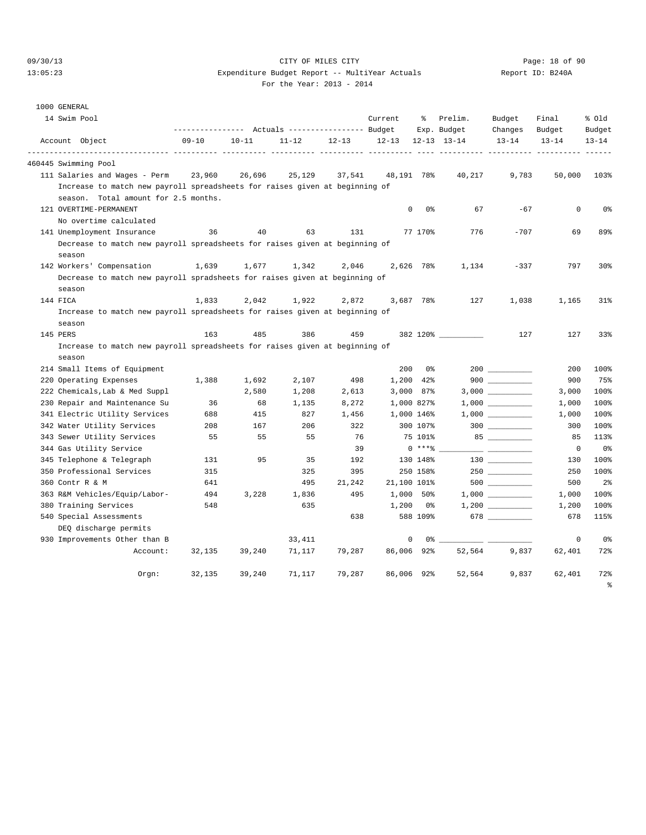1000 GENERAL

#### 09/30/13 CITY OF MILES CITY Page: 18 of 90 13:05:23 Expenditure Budget Report -- MultiYear Actuals Report ID: B240A For the Year: 2013 - 2014

| $\sim$ | $\sim$ |         |
|--------|--------|---------|
|        |        |         |
|        |        |         |
|        |        | ror une |

|          | 14 Swim Pool                                                                |                                                 |                          |           |           | Current      | နွ          | Prelim.             | Budget                                                                                      | Final     | % old           |
|----------|-----------------------------------------------------------------------------|-------------------------------------------------|--------------------------|-----------|-----------|--------------|-------------|---------------------|---------------------------------------------------------------------------------------------|-----------|-----------------|
|          |                                                                             | --------------- Actuals ---------------- Budget |                          |           |           |              |             | Exp. Budget         | Changes                                                                                     | Budget    | Budget          |
|          | Account Object<br>----------------- ---------                               | 09-10                                           | $10 - 11$<br>----------- | $11 - 12$ | $12 - 13$ | $12 - 13$    |             | $12 - 13$ $13 - 14$ | $13 - 14$                                                                                   | $13 - 14$ | $13 - 14$       |
|          | 460445 Swimming Pool                                                        |                                                 |                          |           |           |              |             |                     |                                                                                             |           |                 |
|          | 111 Salaries and Wages - Perm                                               | 23,960                                          | 26,696                   | 25,129    | 37,541    | 48,191 78%   |             | 40,217              | 9,783                                                                                       | 50,000    | 103%            |
|          | Increase to match new payroll spreadsheets for raises given at beginning of |                                                 |                          |           |           |              |             |                     |                                                                                             |           |                 |
|          | season. Total amount for 2.5 months.                                        |                                                 |                          |           |           |              |             |                     |                                                                                             |           |                 |
|          | 121 OVERTIME-PERMANENT                                                      |                                                 |                          |           |           | $\mathbf{0}$ | 0%          | 67                  | $-67$                                                                                       | 0         | 0%              |
|          | No overtime calculated                                                      |                                                 |                          |           |           |              |             |                     |                                                                                             |           |                 |
|          | 141 Unemployment Insurance                                                  | 36                                              | 40                       | 63        | 131       |              | 77 170%     | 776                 | $-707$                                                                                      | 69        | 89%             |
|          | Decrease to match new payroll spreadsheets for raises given at beginning of |                                                 |                          |           |           |              |             |                     |                                                                                             |           |                 |
|          | season                                                                      |                                                 |                          |           |           |              |             |                     |                                                                                             |           |                 |
|          | 142 Workers' Compensation                                                   | 1,639                                           | 1,677                    | 1,342     | 2,046     |              | 2,626 78%   | 1,134               | $-337$                                                                                      | 797       | 30 <sub>8</sub> |
|          | Decrease to match new payroll spradsheets for raises given at beginning of  |                                                 |                          |           |           |              |             |                     |                                                                                             |           |                 |
|          | season                                                                      |                                                 |                          |           |           |              |             |                     |                                                                                             |           |                 |
| 144 FICA |                                                                             | 1,833                                           | 2,042                    | 1,922     | 2,872     |              | 3,687 78%   | 127                 | 1,038                                                                                       | 1,165     | $31\%$          |
|          | Increase to match new payroll spreadsheets for raises given at beginning of |                                                 |                          |           |           |              |             |                     |                                                                                             |           |                 |
|          | season                                                                      |                                                 |                          |           |           |              |             |                     |                                                                                             |           |                 |
| 145 PERS |                                                                             | 163                                             | 485                      | 386       | 459       |              |             | 382 120% __________ | 127                                                                                         | 127       | 33%             |
|          | Increase to match new payroll spreadsheets for raises given at beginning of |                                                 |                          |           |           |              |             |                     |                                                                                             |           |                 |
|          | season                                                                      |                                                 |                          |           |           |              |             |                     |                                                                                             |           |                 |
|          | 214 Small Items of Equipment                                                |                                                 |                          |           |           | 200          | 0 %         |                     | 200                                                                                         | 200       | 100%            |
|          | 220 Operating Expenses                                                      | 1,388                                           | 1,692                    | 2,107     | 498       |              | 1,200 42%   |                     | $900$                                                                                       | 900       | 75%             |
|          | 222 Chemicals, Lab & Med Suppl                                              |                                                 | 2,580                    | 1,208     | 2,613     |              | $3,000$ 87% |                     |                                                                                             | 3,000     | 100%            |
|          | 230 Repair and Maintenance Su                                               | 36                                              | 68                       | 1,135     | 8,272     |              | 1,000 827%  |                     |                                                                                             | 1,000     | 100%            |
|          | 341 Electric Utility Services                                               | 688                                             | 415                      | 827       | 1,456     | 1,000 146%   |             |                     | $1\, , \, 0\, 0\, 0 \quad \underline{\hspace{1cm}} \rule{2.5cm}{0.4cm} \rule{2.5cm}{0.4cm}$ | 1,000     | 100%            |
|          | 342 Water Utility Services                                                  | 208                                             | 167                      | 206       | 322       |              | 300 107%    |                     |                                                                                             | 300       | 100%            |
|          | 343 Sewer Utility Services                                                  | 55                                              | 55                       | 55        | 76        |              | 75 101%     |                     |                                                                                             | 85        | 113%            |
|          | 344 Gas Utility Service                                                     |                                                 |                          |           | 39        |              | $0***8$     |                     |                                                                                             | 0         | 0%              |
|          | 345 Telephone & Telegraph                                                   | 131                                             | 95                       | 35        | 192       |              | 130 148%    |                     |                                                                                             | 130       | 100%            |
|          | 350 Professional Services                                                   | 315                                             |                          | 325       | 395       |              | 250 158%    |                     |                                                                                             | 250       | 100%            |
|          | 360 Contr R & M                                                             | 641                                             |                          | 495       | 21,242    | 21,100 101%  |             |                     | 500                                                                                         | 500       | 2 <sup>°</sup>  |
|          | 363 R&M Vehicles/Equip/Labor-                                               | 494                                             | 3,228                    | 1,836     | 495       |              | 1,000 50%   |                     |                                                                                             | 1,000     | 100%            |
|          | 380 Training Services                                                       | 548                                             |                          | 635       |           | 1,200        | 0 %         |                     |                                                                                             | 1,200     | 100%            |
|          | 540 Special Assessments<br>DEQ discharge permits                            |                                                 |                          |           | 638       |              | 588 109%    |                     | 678 $\overline{\qquad \qquad }$                                                             | 678       | 115%            |
|          | 930 Improvements Other than B                                               |                                                 |                          | 33,411    |           | 0            | 0%.         |                     |                                                                                             | 0         | 0%              |
|          | Account:                                                                    | 32,135                                          | 39,240                   | 71,117    | 79,287    | 86,006 92%   |             | 52,564              | 9,837                                                                                       | 62,401    | 72%             |
|          |                                                                             |                                                 |                          |           |           |              |             |                     |                                                                                             |           |                 |
|          | $Orgn$ :                                                                    | 32,135                                          | 39,240                   | 71,117    | 79,287    | 86,006       | 92%         | 52,564              | 9,837                                                                                       | 62,401    | 72%             |
|          |                                                                             |                                                 |                          |           |           |              |             |                     |                                                                                             |           | နွ              |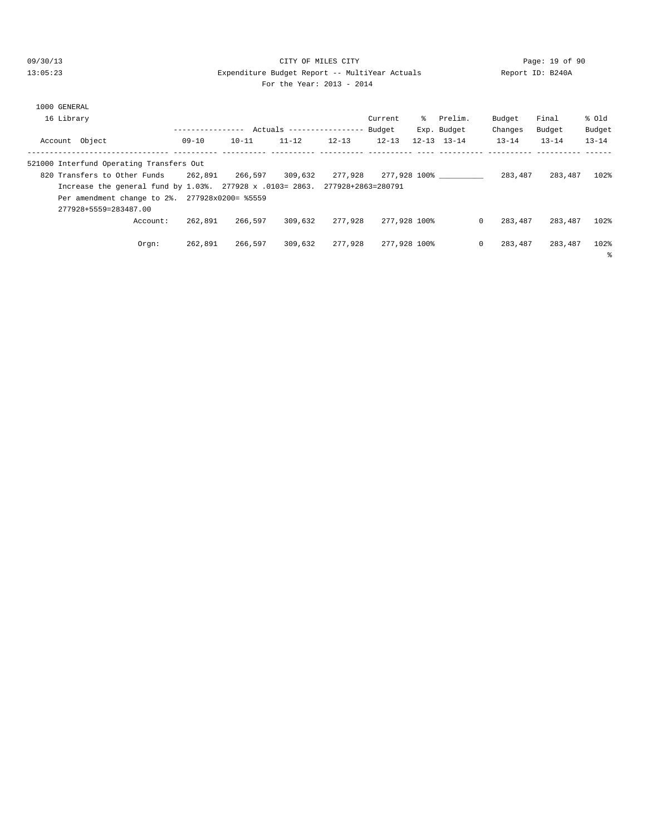#### 09/30/13 CITY OF MILES CITY Page: 19 of 90 13:05:23 Expenditure Budget Report -- MultiYear Actuals Report ID: B240A For the Year: 2013 - 2014

| 1000 GENERAL                                                                 |          |               |           |                           |           |              |     |                     |                     |           |           |
|------------------------------------------------------------------------------|----------|---------------|-----------|---------------------------|-----------|--------------|-----|---------------------|---------------------|-----------|-----------|
| 16 Library                                                                   |          |               |           |                           |           | Current      | ႜႜၟ | Prelim.             | Budget              | Final     | % old     |
|                                                                              |          | ------------- |           | Actuals ----------------- |           | Budget       |     | Exp. Budget         | Changes             | Budget    | Budget    |
| Account Object                                                               |          | $09 - 10$     | $10 - 11$ | $11 - 12$                 | $12 - 13$ | $12 - 13$    |     | $12 - 13$ $13 - 14$ | $13 - 14$           | $13 - 14$ | $13 - 14$ |
| 521000 Interfund Operating Transfers Out                                     |          |               |           |                           |           |              |     |                     |                     |           |           |
| 820 Transfers to Other Funds                                                 |          | 262,891       | 266,597   | 309,632                   | 277.928   |              |     | 277,928 100%        | 283,487             | 283,487   | 102%      |
| Increase the general fund by 1.03%. 277928 x .0103= 2863. 277928+2863=280791 |          |               |           |                           |           |              |     |                     |                     |           |           |
| Per amendment change to 2%. 277928x0200= %5559                               |          |               |           |                           |           |              |     |                     |                     |           |           |
| 277928+5559=283487.00                                                        |          |               |           |                           |           |              |     |                     |                     |           |           |
|                                                                              | Account: | 262,891       | 266,597   | 309,632                   | 277,928   | 277,928 100% |     |                     | $\Omega$<br>283,487 | 283,487   | 102%      |
|                                                                              | Orem:    | 262,891       | 266,597   | 309,632                   | 277,928   | 277,928 100% |     |                     | $\circ$<br>283,487  | 283,487   | 102%<br>ႜ |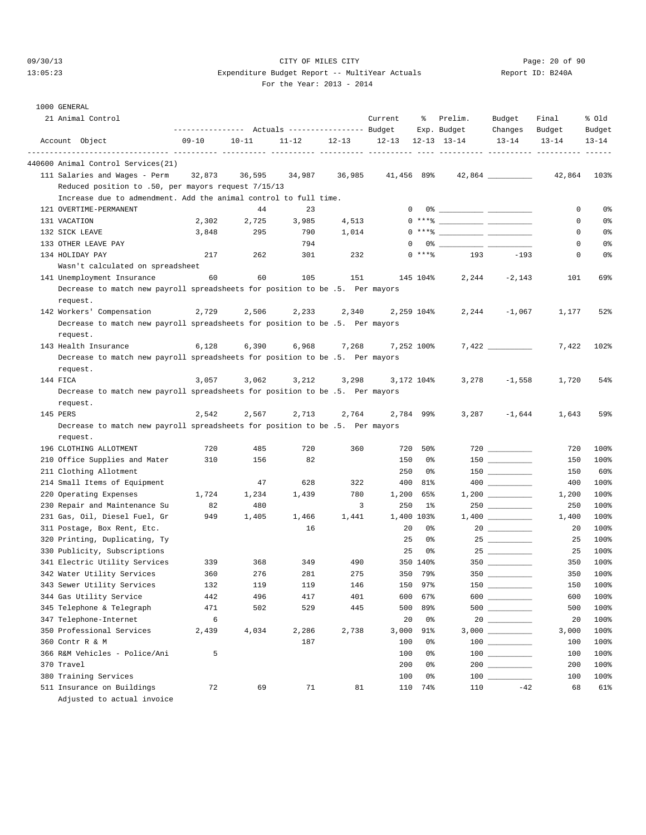### 09/30/13 Page: 20 of 90 13:05:23 Expenditure Budget Report -- MultiYear Actuals Report ID: B240A For the Year: 2013 - 2014

| 1000 GENERAL                                                                 |                                                              |           |           |           |                  |            |                                    |                                         |                     |                     |
|------------------------------------------------------------------------------|--------------------------------------------------------------|-----------|-----------|-----------|------------------|------------|------------------------------------|-----------------------------------------|---------------------|---------------------|
| 21 Animal Control                                                            |                                                              |           |           |           | Current          | ႜွ         | Prelim.                            | Budget                                  | Final               | % old               |
| Account Object                                                               | --------------- Actuals ---------------- Budget<br>$09 - 10$ | $10 - 11$ | $11 - 12$ | $12 - 13$ | $12 - 13$        |            | Exp. Budget<br>$12 - 13$ $13 - 14$ | Changes<br>$13 - 14$                    | Budget<br>$13 - 14$ | Budget<br>$13 - 14$ |
|                                                                              |                                                              |           |           |           | ----- ---------- |            |                                    |                                         |                     |                     |
| 440600 Animal Control Services(21)                                           |                                                              |           |           |           |                  |            |                                    |                                         |                     |                     |
| 111 Salaries and Wages - Perm                                                | 32,873                                                       | 36,595    | 34,987    | 36,985    | 41,456 89%       |            |                                    |                                         | 42,864              | 103%                |
| Reduced position to .50, per mayors request 7/15/13                          |                                                              |           |           |           |                  |            |                                    |                                         |                     |                     |
| Increase due to admendment. Add the animal control to full time.             |                                                              |           |           |           |                  |            |                                    |                                         |                     |                     |
| 121 OVERTIME-PERMANENT                                                       |                                                              | 44        | 23        |           | $\mathbf{0}$     |            |                                    |                                         | 0                   | 0%                  |
| 131 VACATION                                                                 | 2,302                                                        | 2,725     | 3,985     | 4,513     |                  |            | $0***$ $\frac{20}{100}$            |                                         | 0                   | 0%                  |
| 132 SICK LEAVE                                                               | 3,848                                                        | 295       | 790       | 1,014     |                  |            | $0***$ $\frac{20}{100}$            |                                         | 0                   | 0%                  |
| 133 OTHER LEAVE PAY                                                          |                                                              |           | 794       |           | 0                |            |                                    |                                         | 0                   | 0%                  |
| 134 HOLIDAY PAY                                                              | 217                                                          | 262       | 301       | 232       |                  | $0***8$    | 193                                | $-193$                                  | 0                   | 0%                  |
| Wasn't calculated on spreadsheet                                             |                                                              |           |           |           |                  |            |                                    |                                         |                     |                     |
| 141 Unemployment Insurance                                                   | 60                                                           | 60        | 105       | 151       |                  | 145 104%   | 2,244                              | $-2,143$                                | 101                 | 69%                 |
| Decrease to match new payroll spreadsheets for position to be .5. Per mayors |                                                              |           |           |           |                  |            |                                    |                                         |                     |                     |
| request.                                                                     |                                                              |           |           |           |                  |            |                                    |                                         |                     |                     |
| 142 Workers' Compensation                                                    | 2,729                                                        | 2,506     | 2,233     | 2,340     |                  | 2,259 104% | 2,244                              | $-1,067$                                | 1,177               | 52%                 |
| Decrease to match new payroll spreadsheets for position to be .5. Per mayors |                                                              |           |           |           |                  |            |                                    |                                         |                     |                     |
| request.                                                                     |                                                              |           |           |           |                  |            |                                    |                                         |                     |                     |
| 143 Health Insurance                                                         | 6,128                                                        | 6,390     | 6,968     | 7,268     |                  | 7,252 100% |                                    | 7,422                                   | 7,422               | 102%                |
| Decrease to match new payroll spreadsheets for position to be .5. Per mayors |                                                              |           |           |           |                  |            |                                    |                                         |                     |                     |
| request.                                                                     |                                                              |           |           |           |                  |            |                                    |                                         |                     |                     |
| 144 FICA                                                                     | 3,057                                                        | 3,062     | 3,212     | 3,298     |                  | 3,172 104% | 3,278                              | $-1,558$                                | 1,720               | 54%                 |
| Decrease to match new payroll spreadsheets for position to be .5. Per mayors |                                                              |           |           |           |                  |            |                                    |                                         |                     |                     |
| request.                                                                     |                                                              |           |           |           |                  |            |                                    |                                         |                     |                     |
| 145 PERS                                                                     | 2,542                                                        | 2,567     | 2,713     | 2,764     |                  | 2,784 99%  | 3,287                              | $-1,644$                                | 1,643               | 59%                 |
| Decrease to match new payroll spreadsheets for position to be .5. Per mayors |                                                              |           |           |           |                  |            |                                    |                                         |                     |                     |
| request.                                                                     |                                                              |           |           |           |                  |            |                                    |                                         |                     |                     |
| 196 CLOTHING ALLOTMENT                                                       | 720                                                          | 485       | 720       | 360       |                  | 720 50%    |                                    |                                         | 720                 | 100%                |
| 210 Office Supplies and Mater                                                | 310                                                          | 156       | 82        |           | 150              | 0%         |                                    |                                         | 150                 | 100%                |
| 211 Clothing Allotment                                                       |                                                              |           |           |           | 250              | 0%         |                                    |                                         | 150                 | 60%                 |
| 214 Small Items of Equipment                                                 |                                                              | 47        | 628       | 322       | 400              | 81%        |                                    |                                         | 400                 | 100%                |
| 220 Operating Expenses                                                       | 1,724                                                        | 1,234     | 1,439     | 780       | 1,200            | 65%        |                                    |                                         | 1,200               | 100%                |
| 230 Repair and Maintenance Su                                                | 82                                                           | 480       |           | 3         | 250              | 1%         |                                    | 250                                     | 250                 | 100%                |
| 231 Gas, Oil, Diesel Fuel, Gr                                                | 949                                                          | 1,405     | 1,466     | 1,441     |                  | 1,400 103% |                                    |                                         | 1,400               | 100%                |
| 311 Postage, Box Rent, Etc.                                                  |                                                              |           | 16        |           | 20               | 0%         |                                    |                                         | 20                  | 100%                |
| 320 Printing, Duplicating, Ty                                                |                                                              |           |           |           | 25               | 0%         |                                    |                                         | 25                  | 100%                |
| 330 Publicity, Subscriptions                                                 |                                                              |           |           |           | 25               | 0%         |                                    |                                         | 25                  | 100%                |
| 341 Electric Utility Services                                                | 339                                                          | 368       | 349       | 490       |                  | 350 140%   |                                    |                                         | 350                 | 100%                |
| 342 Water Utility Services                                                   | 360                                                          | 276       | 281       | 275       |                  | 350 79%    | $350$ $\_\_$                       |                                         | 350                 | 100%                |
| 343 Sewer Utility Services                                                   | 132                                                          | 119       | 119       | 146       | 150              | 97%        |                                    | $150$                                   | 150                 | 100%                |
| 344 Gas Utility Service                                                      | 442                                                          | 496       | 417       | 401       | 600              | 67%        |                                    | 600                                     | 600                 | 100%                |
| 345 Telephone & Telegraph                                                    | 471                                                          | 502       | 529       | 445       | 500              | 89%        |                                    | 500 __________                          | 500                 | 100%                |
| 347 Telephone-Internet                                                       | 6                                                            |           |           |           | 20               | 0%         |                                    |                                         | 20                  | 100%                |
| 350 Professional Services                                                    | 2,439                                                        | 4,034     | 2,286     | 2,738     | 3,000            | 91%        |                                    |                                         | 3,000               | 100%                |
| 360 Contr R & M                                                              |                                                              |           | 187       |           | 100              | 0%         |                                    | $100$ _________                         | 100                 | 100%                |
| 366 R&M Vehicles - Police/Ani                                                | 5                                                            |           |           |           | 100              | 0%         |                                    | $\begin{array}{c} 100 \\ - \end{array}$ | 100                 | 100%                |
| 370 Travel                                                                   |                                                              |           |           |           | 200              | 0%         |                                    | 200                                     | 200                 | 100%                |
| 380 Training Services                                                        |                                                              |           |           |           | 100              | 0%         |                                    |                                         | 100                 | 100%                |
| 511 Insurance on Buildings                                                   | 72                                                           | 69        | 71        | 81        | 110              | 74%        | 110                                | $-42$                                   | 68                  | 61%                 |
| Adjusted to actual invoice                                                   |                                                              |           |           |           |                  |            |                                    |                                         |                     |                     |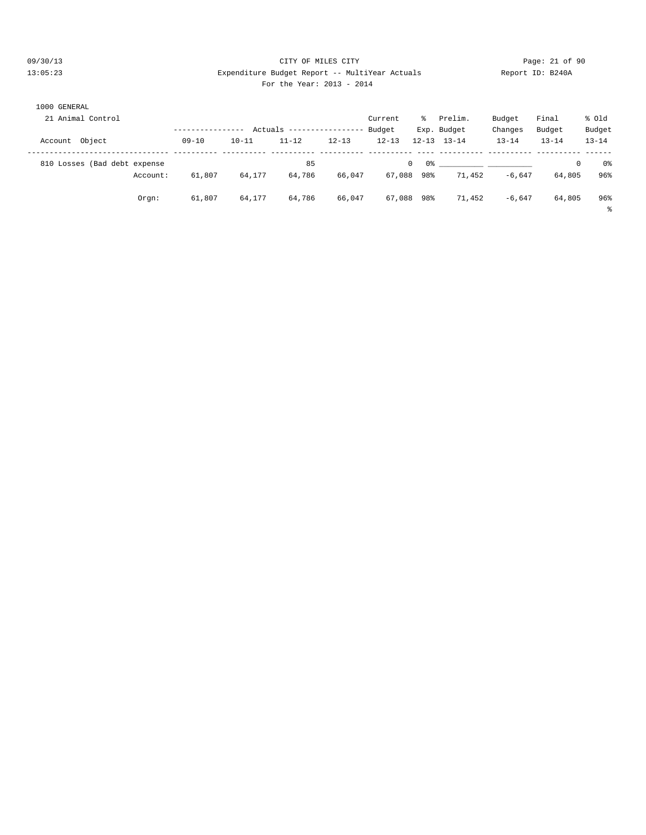#### 09/30/13 CITY OF MILES CITY Page: 21 of 90 13:05:23 Expenditure Budget Report -- MultiYear Actuals Report ID: B240A For the Year: 2013 - 2014

| 1000 GENERAL      |                  |           |       |                           |               |  |             |           |           |           |
|-------------------|------------------|-----------|-------|---------------------------|---------------|--|-------------|-----------|-----------|-----------|
| 21 Animal Control |                  |           |       |                           | Current<br>°≈ |  | Prelim.     | Budget    | Final     | % old     |
|                   | ---------------- |           |       | Actuals ----------------- | Budget        |  | Exp. Budget | Changes   | Budget    | Budget    |
| Account Object    | $09 - 10$        | $10 - 11$ | 11-12 | 12-13                     | 12-13         |  | 12-13 13-14 | $13 - 14$ | $13 - 14$ | $13 - 14$ |
|                   |                  |           |       |                           |               |  |             |           |           |           |

|                              |          |           |           | $ACUails$ ----------------- |           | Buaget       | EXP. BUQGEL         | cnanges   | Buaget    | <b>Budder</b> |
|------------------------------|----------|-----------|-----------|-----------------------------|-----------|--------------|---------------------|-----------|-----------|---------------|
| Account Object               |          | $09 - 10$ | $10 - 11$ | $11 - 12$                   | $12 - 13$ | $12 - 13$    | $12 - 13$ $13 - 14$ | $13 - 14$ | $13 - 14$ | $13 - 14$     |
| 810 Losses (Bad debt expense |          |           |           | 85                          |           | $\mathbf{0}$ |                     |           | 0         | 0%            |
|                              | Account: | 61,807    | 64,177    | 64,786                      | 66,047    | 67,088 98%   | 71,452              | $-6.647$  | 64,805    | 96%           |
|                              | Orgn:    | 61,807    | 64,177    | 64,786                      | 66,047    | 67,088 98%   | 71,452              | $-6.647$  | 64,805    | 96%           |
|                              |          |           |           |                             |           |              |                     |           |           |               |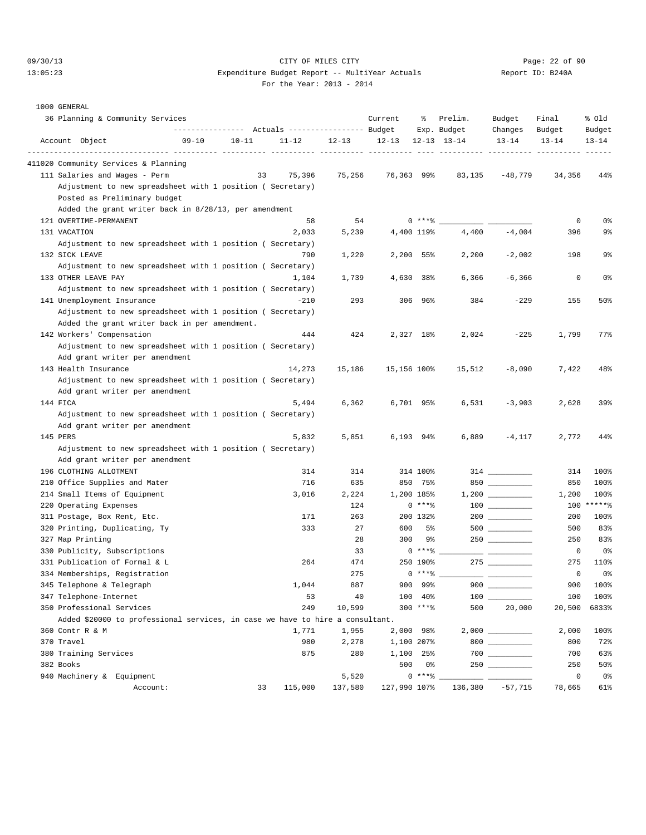#### 09/30/13 CITY OF MILES CITY Page: 22 of 90 13:05:23 Expenditure Budget Report -- MultiYear Actuals Report ID: B240A For the Year: 2013 - 2014

| Report ID: |  |
|------------|--|
|            |  |

|                  | 36 Planning & Community Services                                              |           |           |                                                 |           | Current                            | ိင          | Prelim.                                            | Budget                                                                                                                                                                                                                                                                                                                                                                                                                 | Final       | % old      |
|------------------|-------------------------------------------------------------------------------|-----------|-----------|-------------------------------------------------|-----------|------------------------------------|-------------|----------------------------------------------------|------------------------------------------------------------------------------------------------------------------------------------------------------------------------------------------------------------------------------------------------------------------------------------------------------------------------------------------------------------------------------------------------------------------------|-------------|------------|
|                  |                                                                               |           |           | --------------- Actuals ---------------- Budget |           |                                    |             | Exp. Budget                                        | Changes                                                                                                                                                                                                                                                                                                                                                                                                                | Budget      | Budget     |
| Account Object   |                                                                               | $09 - 10$ | $10 - 11$ | $11 - 12$                                       | $12 - 13$ | $12 - 13$<br>----- ---------- ---- |             | $12 - 13$ $13 - 14$<br>----------- ---------- ---- | $13 - 14$                                                                                                                                                                                                                                                                                                                                                                                                              | $13 - 14$   | $13 - 14$  |
|                  | 411020 Community Services & Planning                                          |           |           |                                                 |           |                                    |             |                                                    |                                                                                                                                                                                                                                                                                                                                                                                                                        |             |            |
|                  | 111 Salaries and Wages - Perm                                                 |           | 33        | 75,396                                          | 75,256    | 76,363 99%                         |             | 83,135                                             | $-48,779$                                                                                                                                                                                                                                                                                                                                                                                                              | 34,356      | 44%        |
|                  | Adjustment to new spreadsheet with 1 position ( Secretary)                    |           |           |                                                 |           |                                    |             |                                                    |                                                                                                                                                                                                                                                                                                                                                                                                                        |             |            |
|                  | Posted as Preliminary budget                                                  |           |           |                                                 |           |                                    |             |                                                    |                                                                                                                                                                                                                                                                                                                                                                                                                        |             |            |
|                  | Added the grant writer back in 8/28/13, per amendment                         |           |           |                                                 |           |                                    |             |                                                    |                                                                                                                                                                                                                                                                                                                                                                                                                        |             |            |
|                  | 121 OVERTIME-PERMANENT                                                        |           |           | 58                                              | 54        |                                    | $0***$ $*$  |                                                    |                                                                                                                                                                                                                                                                                                                                                                                                                        | 0           | 0%         |
| 131 VACATION     |                                                                               |           |           | 2,033                                           | 5,239     |                                    | 4,400 119%  | 4,400                                              | $-4,004$                                                                                                                                                                                                                                                                                                                                                                                                               | 396         | 9%         |
|                  | Adjustment to new spreadsheet with 1 position ( Secretary)                    |           |           |                                                 |           |                                    |             |                                                    |                                                                                                                                                                                                                                                                                                                                                                                                                        |             |            |
| 132 SICK LEAVE   |                                                                               |           |           | 790                                             | 1,220     |                                    | $2,200$ 55% | 2,200                                              | $-2,002$                                                                                                                                                                                                                                                                                                                                                                                                               | 198         | 9%         |
|                  | Adjustment to new spreadsheet with 1 position ( Secretary)                    |           |           |                                                 |           |                                    |             |                                                    |                                                                                                                                                                                                                                                                                                                                                                                                                        |             |            |
|                  | 133 OTHER LEAVE PAY                                                           |           |           | 1,104                                           | 1,739     |                                    | 38%         | 6,366                                              | $-6,366$                                                                                                                                                                                                                                                                                                                                                                                                               | 0           | 0%         |
|                  |                                                                               |           |           |                                                 |           | 4,630                              |             |                                                    |                                                                                                                                                                                                                                                                                                                                                                                                                        |             |            |
|                  | Adjustment to new spreadsheet with 1 position ( Secretary)                    |           |           | $-210$                                          |           |                                    |             |                                                    |                                                                                                                                                                                                                                                                                                                                                                                                                        |             |            |
|                  | 141 Unemployment Insurance                                                    |           |           |                                                 | 293       |                                    | 306 96%     | 384                                                | $-229$                                                                                                                                                                                                                                                                                                                                                                                                                 | 155         | 50%        |
|                  | Adjustment to new spreadsheet with 1 position ( Secretary)                    |           |           |                                                 |           |                                    |             |                                                    |                                                                                                                                                                                                                                                                                                                                                                                                                        |             |            |
|                  | Added the grant writer back in per amendment.                                 |           |           |                                                 |           |                                    |             |                                                    |                                                                                                                                                                                                                                                                                                                                                                                                                        |             |            |
|                  | 142 Workers' Compensation                                                     |           |           | 444                                             | 424       |                                    | 2,327 18%   | 2,024                                              | $-225$                                                                                                                                                                                                                                                                                                                                                                                                                 | 1,799       | 77%        |
|                  | Adjustment to new spreadsheet with 1 position ( Secretary)                    |           |           |                                                 |           |                                    |             |                                                    |                                                                                                                                                                                                                                                                                                                                                                                                                        |             |            |
|                  | Add grant writer per amendment                                                |           |           |                                                 |           |                                    |             |                                                    |                                                                                                                                                                                                                                                                                                                                                                                                                        |             |            |
|                  | 143 Health Insurance                                                          |           |           | 14,273                                          | 15,186    | 15,156 100%                        |             | 15,512                                             | $-8,090$                                                                                                                                                                                                                                                                                                                                                                                                               | 7,422       | 48%        |
|                  | Adjustment to new spreadsheet with 1 position ( Secretary)                    |           |           |                                                 |           |                                    |             |                                                    |                                                                                                                                                                                                                                                                                                                                                                                                                        |             |            |
|                  | Add grant writer per amendment                                                |           |           |                                                 |           |                                    |             |                                                    |                                                                                                                                                                                                                                                                                                                                                                                                                        |             |            |
| 144 FICA         |                                                                               |           |           | 5,494                                           | 6,362     |                                    | 6,701 95%   | 6,531                                              | $-3,903$                                                                                                                                                                                                                                                                                                                                                                                                               | 2,628       | 39%        |
|                  | Adjustment to new spreadsheet with 1 position ( Secretary)                    |           |           |                                                 |           |                                    |             |                                                    |                                                                                                                                                                                                                                                                                                                                                                                                                        |             |            |
|                  | Add grant writer per amendment                                                |           |           |                                                 |           |                                    |             |                                                    |                                                                                                                                                                                                                                                                                                                                                                                                                        |             |            |
| 145 PERS         |                                                                               |           |           | 5,832                                           | 5,851     |                                    | 6,193 94%   | 6,889                                              | $-4,117$                                                                                                                                                                                                                                                                                                                                                                                                               | 2,772       | 44%        |
|                  | Adjustment to new spreadsheet with 1 position ( Secretary)                    |           |           |                                                 |           |                                    |             |                                                    |                                                                                                                                                                                                                                                                                                                                                                                                                        |             |            |
|                  | Add grant writer per amendment                                                |           |           |                                                 |           |                                    |             |                                                    |                                                                                                                                                                                                                                                                                                                                                                                                                        |             |            |
|                  | 196 CLOTHING ALLOTMENT                                                        |           |           | 314                                             | 314       |                                    | 314 100%    |                                                    |                                                                                                                                                                                                                                                                                                                                                                                                                        | 314         | 100%       |
|                  | 210 Office Supplies and Mater                                                 |           |           | 716                                             | 635       |                                    | 850 75%     |                                                    |                                                                                                                                                                                                                                                                                                                                                                                                                        | 850         | 100%       |
|                  | 214 Small Items of Equipment                                                  |           |           | 3,016                                           | 2,224     |                                    | 1,200 185%  |                                                    | $1,200$                                                                                                                                                                                                                                                                                                                                                                                                                | 1,200       | 100%       |
|                  | 220 Operating Expenses                                                        |           |           |                                                 | 124       |                                    | $0***8$     |                                                    | $\begin{array}{c} 100 \\ - \end{array}$                                                                                                                                                                                                                                                                                                                                                                                |             | 100 ****** |
|                  | 311 Postage, Box Rent, Etc.                                                   |           |           | 171                                             | 263       |                                    | 200 132%    |                                                    |                                                                                                                                                                                                                                                                                                                                                                                                                        | 200         | 100%       |
|                  | 320 Printing, Duplicating, Ty                                                 |           |           | 333                                             | 27        | 600                                | 5%          |                                                    | $500$ ___________                                                                                                                                                                                                                                                                                                                                                                                                      | 500         | 83%        |
| 327 Map Printing |                                                                               |           |           |                                                 | 28        | 300                                | 9%          |                                                    |                                                                                                                                                                                                                                                                                                                                                                                                                        | 250         | 83%        |
|                  | 330 Publicity, Subscriptions                                                  |           |           |                                                 | 33        |                                    | $0***$ $*$  |                                                    |                                                                                                                                                                                                                                                                                                                                                                                                                        | 0           | 0%         |
|                  | 331 Publication of Formal & L                                                 |           |           | 264                                             | 474       |                                    | 250 190%    |                                                    |                                                                                                                                                                                                                                                                                                                                                                                                                        | 275         | 110%       |
|                  | 334 Memberships, Registration                                                 |           |           |                                                 | 275       |                                    | $0***$ $*$  |                                                    |                                                                                                                                                                                                                                                                                                                                                                                                                        | 0           | 0%         |
|                  | 345 Telephone & Telegraph                                                     |           |           | 1,044                                           | 887       | 900                                | 99%         | 900                                                | $\begin{tabular}{ccccc} \multicolumn{2}{c }{\textbf{1} & \textbf{2} & \textbf{3} & \textbf{4} & \textbf{5} & \textbf{5} & \textbf{6} & \textbf{6} & \textbf{7} & \textbf{8} & \textbf{8} & \textbf{9} & \textbf{10} & \textbf{10} & \textbf{10} & \textbf{10} & \textbf{10} & \textbf{10} & \textbf{10} & \textbf{10} & \textbf{10} & \textbf{10} & \textbf{10} & \textbf{10} & \textbf{10} & \textbf{10} & \textbf{1$ | 900         | 100%       |
|                  | 347 Telephone-Internet                                                        |           |           | 53                                              | 40        |                                    | 100 40%     |                                                    |                                                                                                                                                                                                                                                                                                                                                                                                                        | 100         | 100%       |
|                  | 350 Professional Services                                                     |           |           | 249                                             | 10,599    |                                    | 300 ****    | 500                                                | 20,000                                                                                                                                                                                                                                                                                                                                                                                                                 | 20,500      | 6833%      |
|                  | Added \$20000 to professional services, in case we have to hire a consultant. |           |           |                                                 |           |                                    |             |                                                    |                                                                                                                                                                                                                                                                                                                                                                                                                        |             |            |
| 360 Contr R & M  |                                                                               |           |           | 1,771                                           | 1,955     |                                    | 2,000 98%   |                                                    |                                                                                                                                                                                                                                                                                                                                                                                                                        | 2,000       | 100%       |
| 370 Travel       |                                                                               |           |           | 980                                             | 2,278     |                                    | 1,100 207%  |                                                    | $800$                                                                                                                                                                                                                                                                                                                                                                                                                  | 800         | 72%        |
|                  | 380 Training Services                                                         |           |           | 875                                             | 280       |                                    | 1,100 25%   |                                                    |                                                                                                                                                                                                                                                                                                                                                                                                                        | 700         | 63%        |
| 382 Books        |                                                                               |           |           |                                                 |           | 500                                | 0%          |                                                    |                                                                                                                                                                                                                                                                                                                                                                                                                        | 250         | 50%        |
|                  | 940 Machinery & Equipment                                                     |           |           |                                                 | 5,520     |                                    | $0***8$     |                                                    |                                                                                                                                                                                                                                                                                                                                                                                                                        | $\mathbb O$ | 0%         |
|                  | Account:                                                                      |           | 33        | 115,000                                         | 137,580   | 127,990 107%                       |             | 136,380                                            | $-57,715$                                                                                                                                                                                                                                                                                                                                                                                                              | 78,665      | 61%        |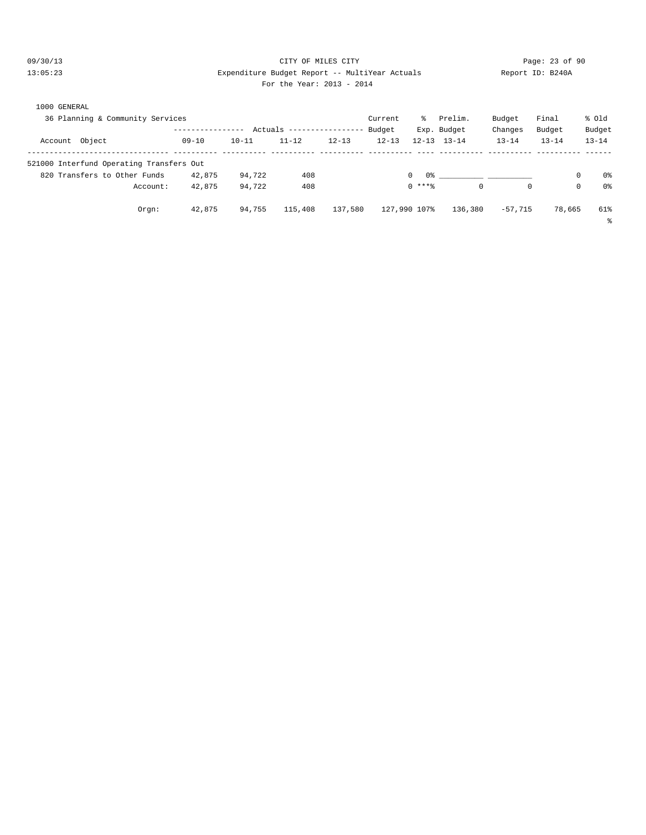### 09/30/13 Page: 23 of 90 13:05:23 Expenditure Budget Report -- MultiYear Actuals Report ID: B240A For the Year: 2013 - 2014

| 1000 GENERAL<br>36 Planning & Community Services |           |           |                          |           | Current   | ႜႜၟ          | Prelim.             | Budget     | Final     | % Old               |
|--------------------------------------------------|-----------|-----------|--------------------------|-----------|-----------|--------------|---------------------|------------|-----------|---------------------|
|                                                  |           |           | Actuals ---------------- |           | Budget    |              | Exp. Budget         | Changes    | Budget    | Budget              |
| Account Object                                   | $09 - 10$ | $10 - 11$ | $11 - 12$                | $12 - 13$ | $12 - 13$ |              | $12 - 13$ $13 - 14$ | $13 - 14$  | $13 - 14$ | $13 - 14$           |
| 521000 Interfund Operating Transfers Out         |           |           |                          |           |           |              |                     |            |           |                     |
| 820 Transfers to Other Funds                     | 42,875    | 94,722    | 408                      |           |           | $\Omega$     |                     |            |           | 0 <sup>°</sup><br>0 |
| Account:                                         | 42,875    | 94,722    | 408                      |           |           | $0$ ****     | $\mathbf 0$         | $^{\circ}$ |           | 0 <sup>°</sup><br>0 |
| Orem:                                            | 42,875    | 94,755    | 115,408                  | 137,580   |           | 127,990 107% | 136,380             | $-57.715$  | 78,665    | 61%                 |

%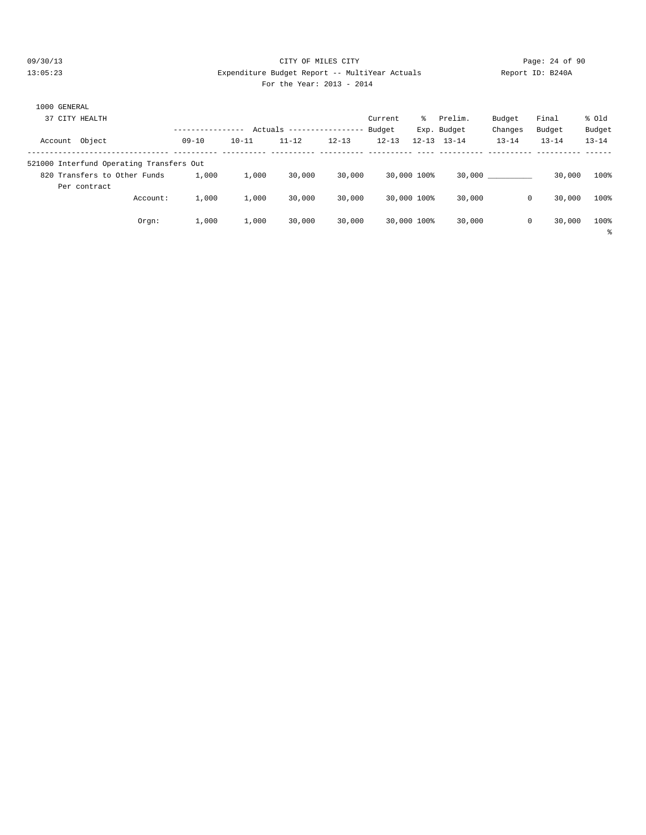#### 09/30/13 Page: 24 of 90 13:05:23 Expenditure Budget Report -- MultiYear Actuals Report ID: B240A For the Year: 2013 - 2014

| For the Year: 2013 - 201 |  |
|--------------------------|--|
|--------------------------|--|

| 1000 GENERAL<br>37 CITY HEALTH                                           |           |           | Actuals --------------- |           | Current<br>Budget | ిం          | Prelim.<br>Exp. Budget | Budget<br>Changes | Final<br>Budget | % old<br>Budget |
|--------------------------------------------------------------------------|-----------|-----------|-------------------------|-----------|-------------------|-------------|------------------------|-------------------|-----------------|-----------------|
| Account Object                                                           | $09 - 10$ | $10 - 11$ | $11 - 12$               | $12 - 13$ | $12 - 13$         |             | $12 - 13$ $13 - 14$    | $13 - 14$         | $13 - 14$       | $13 - 14$       |
| 521000 Interfund Operating Transfers Out<br>820 Transfers to Other Funds | 1,000     | 1,000     | 30,000                  | 30,000    |                   | 30,000 100% |                        | 30,000            | 30,000          | 100%            |
| Per contract<br>Account:                                                 | 1,000     | 1,000     | 30,000                  | 30,000    |                   | 30,000 100% | 30,000                 | 0                 | 30,000          | 100%            |
| Orgn:                                                                    | 1,000     | 1,000     | 30,000                  | 30,000    |                   | 30,000 100% | 30,000                 | 0                 | 30,000          | 100%<br>နွ      |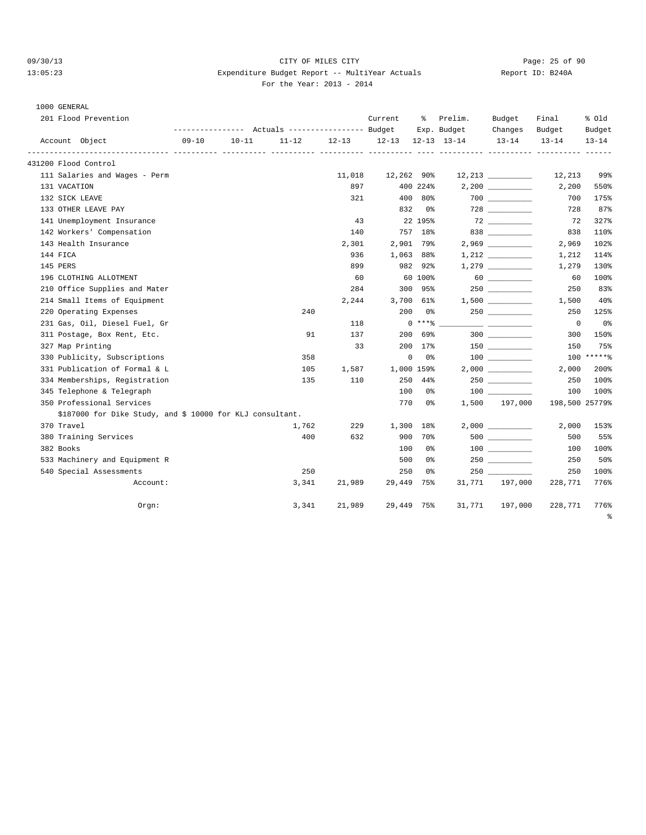### 09/30/13 Page: 25 of 90 13:05:23 Expenditure Budget Report -- MultiYear Actuals Report ID: B240A For the Year: 2013 - 2014

# 1000 GENERAL

| 201 Flood Prevention                                      | Actuals ----------------- Budget<br>---------------- |                        |             |           | Current    | ៖          | Prelim.<br>Exp. Budget | Budget<br>Changes                         | Final<br>Budget | % old<br>Budget |
|-----------------------------------------------------------|------------------------------------------------------|------------------------|-------------|-----------|------------|------------|------------------------|-------------------------------------------|-----------------|-----------------|
| Account Object                                            | $09 - 10$                                            | $10 - 11$              | $11 - 12$   | $12 - 13$ | $12 - 13$  |            | $12 - 13$ $13 - 14$    | $13 - 14$                                 | $13 - 14$       | $13 - 14$       |
| 431200 Flood Control                                      |                                                      | ----------- ---------- | ----------- |           |            |            |                        |                                           |                 |                 |
| 111 Salaries and Wages - Perm                             |                                                      |                        |             | 11,018    | 12,262 90% |            |                        |                                           | 12,213          | 99%             |
| 131 VACATION                                              |                                                      |                        |             | 897       |            | 400 224%   |                        |                                           | 2,200           | 550%            |
| 132 SICK LEAVE                                            |                                                      |                        |             | 321       | 400        | 80%        |                        |                                           | 700             | 175%            |
| 133 OTHER LEAVE PAY                                       |                                                      |                        |             |           | 832        | 0%         |                        |                                           | 728             | 87%             |
| 141 Unemployment Insurance                                |                                                      |                        |             | 43        |            | 22 195%    |                        |                                           | 72              | 327%            |
| 142 Workers' Compensation                                 |                                                      |                        |             | 140       |            | 757 18%    |                        | 838                                       | 838             | 110%            |
| 143 Health Insurance                                      |                                                      |                        |             | 2,301     | 2,901      | 79%        |                        |                                           | 2,969           | 102%            |
| 144 FICA                                                  |                                                      |                        |             | 936       | 1,063      | 88%        |                        | 1,212                                     | 1,212           | 114%            |
| 145 PERS                                                  |                                                      |                        |             | 899       | 982        | 92%        |                        |                                           | 1,279           | 130%            |
| 196 CLOTHING ALLOTMENT                                    |                                                      |                        |             | 60        |            | 60 100%    |                        |                                           | 60              | 100%            |
| 210 Office Supplies and Mater                             |                                                      |                        |             | 284       | 300        | 95%        |                        | 250 and $\sim$                            | 250             | 83%             |
| 214 Small Items of Equipment                              |                                                      |                        |             | 2,244     | 3,700      | 61%        |                        |                                           | 1,500           | 40%             |
| 220 Operating Expenses                                    |                                                      |                        | 240         |           | 200        | 0 %        |                        |                                           | 250             | 125%            |
| 231 Gas, Oil, Diesel Fuel, Gr                             |                                                      |                        |             | 118       |            | $0***8$    |                        | <u> 2000 - Andrea Andrew Maria (h. 18</u> | $\mathbf 0$     | 0%              |
| 311 Postage, Box Rent, Etc.                               |                                                      |                        | 91          | 137       | 200        | 69%        |                        | 300                                       | 300             | 150%            |
| 327 Map Printing                                          |                                                      |                        |             | 33        | 200        | $17\%$     |                        | 150 000                                   | 150             | 75%             |
| 330 Publicity, Subscriptions                              |                                                      |                        | 358         |           | 0          | 0%         |                        |                                           |                 | $100$ ***** %   |
| 331 Publication of Formal & L                             |                                                      |                        | 105         | 1,587     |            | 1,000 159% |                        |                                           | 2,000           | 200%            |
| 334 Memberships, Registration                             |                                                      |                        | 135         | 110       | 250        | 44%        |                        |                                           | 250             | 100%            |
| 345 Telephone & Telegraph                                 |                                                      |                        |             |           | 100        | 0 %        |                        |                                           | 100             | 100%            |
| 350 Professional Services                                 |                                                      |                        |             |           | 770        | 0 %        | 1,500                  | 197,000                                   | 198,500 25779%  |                 |
| \$187000 for Dike Study, and \$ 10000 for KLJ consultant. |                                                      |                        |             |           |            |            |                        |                                           |                 |                 |
| 370 Travel                                                |                                                      |                        | 1,762       | 229       | 1,300      | 18%        |                        | 2,000                                     | 2,000           | 153%            |
| 380 Training Services                                     |                                                      |                        | 400         | 632       | 900        | 70%        |                        |                                           | 500             | 55%             |
| 382 Books                                                 |                                                      |                        |             |           | 100        | 0%         |                        |                                           | 100             | 100%            |
| 533 Machinery and Equipment R                             |                                                      |                        |             |           | 500        | 0%         |                        | 250                                       | 250             | 50%             |
| 540 Special Assessments                                   |                                                      |                        | 250         |           | 250        | 0%         |                        | 250                                       | 250             | 100%            |
| Account:                                                  |                                                      |                        | 3,341       | 21,989    | 29,449     | 75%        | 31,771                 | 197,000                                   | 228,771         | 776%            |
| Orgn:                                                     |                                                      |                        | 3,341       | 21,989    | 29,449 75% |            | 31,771                 | 197,000                                   | 228,771         | 776%            |
|                                                           |                                                      |                        |             |           |            |            |                        |                                           |                 |                 |

%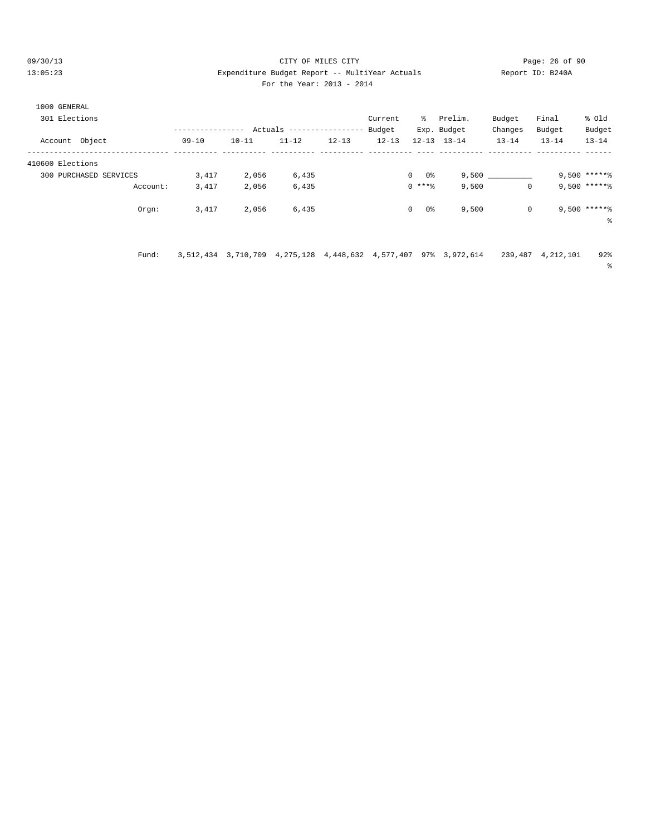09/30/13 Page: 26 of 90 13:05:23 Expenditure Budget Report -- MultiYear Actuals Report ID: B240A For the Year: 2013 - 2014

# 1000 GENERAL 301 Elections Current % Prelim. Budget Final % Old ----------------- Actuals ----------------- Budget Exp. Budget Changes Budget Budget<br>10-11 11-12 12-13 12-13 12-13 13-14 13-14 13-14 13-14 Account Object 09-10 10-11 11-12 12-13 12-13 12-13 13-14 13-14 13-14 13-14 -------------------------------- ---------- ---------- ---------- ---------- ---------- ---- ---------- ---------- ---------- ------ 410600 Elections 300 PURCHASED SERVICES 3,417 2,056 6,435 0 0% 9,500 \_\_\_\_\_\_\_\_\_\_ 9,500 \*\*\*\*\*% Account: 3,417 2,056 6,435 0 \*\*\*% 9,500 0 9,500 \*\*\*\*\*%  $\text{Orgn}:$  3,417 2,056 6,435 0 0% 9,500 0 9,500 \*\*\*\*\*\* %

Fund: 3,512,434 3,710,709 4,275,128 4,448,632 4,577,407 97% 3,972,614 239,487 4,212,101 92%

%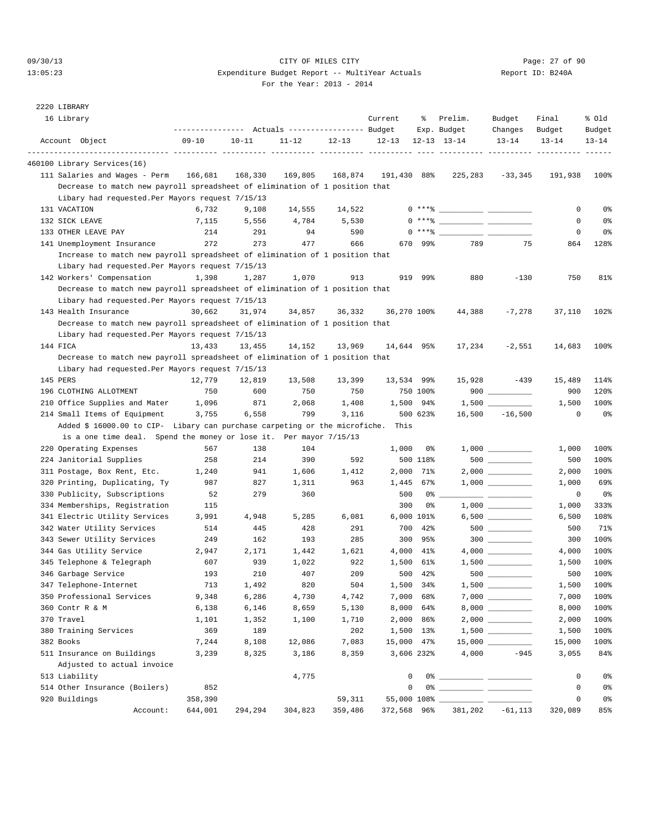# 09/30/13 Page: 27 of 90 13:05:23 Expenditure Budget Report -- MultiYear Actuals Report ID: B240A

| 2220 LIBRARY                                                                |                                                 |           |           |           |             |            |                                                                                                                                                                                                                                                                                                                          |                                                  |           |           |
|-----------------------------------------------------------------------------|-------------------------------------------------|-----------|-----------|-----------|-------------|------------|--------------------------------------------------------------------------------------------------------------------------------------------------------------------------------------------------------------------------------------------------------------------------------------------------------------------------|--------------------------------------------------|-----------|-----------|
| 16 Library                                                                  |                                                 |           |           |           | Current     | ႜ          | Prelim.                                                                                                                                                                                                                                                                                                                  | Budget                                           | Final     | % old     |
|                                                                             | --------------- Actuals ---------------- Budget |           |           |           |             |            | Exp. Budget                                                                                                                                                                                                                                                                                                              | Changes                                          | Budget    | Budget    |
| Account Object                                                              | $09 - 10$                                       | $10 - 11$ | $11 - 12$ | $12 - 13$ | $12 - 13$   |            | $12 - 13$ $13 - 14$                                                                                                                                                                                                                                                                                                      | $13 - 14$                                        | $13 - 14$ | $13 - 14$ |
| 460100 Library Services(16)                                                 |                                                 |           |           |           |             |            |                                                                                                                                                                                                                                                                                                                          |                                                  |           |           |
| 111 Salaries and Wages - Perm                                               | 166,681                                         | 168,330   | 169,805   | 168,874   | 191,430 88% |            | 225,283                                                                                                                                                                                                                                                                                                                  | $-33,345$                                        | 191,938   | 100%      |
| Decrease to match new payroll spreadsheet of elimination of 1 position that |                                                 |           |           |           |             |            |                                                                                                                                                                                                                                                                                                                          |                                                  |           |           |
| Libary had requested. Per Mayors request 7/15/13                            |                                                 |           |           |           |             |            |                                                                                                                                                                                                                                                                                                                          |                                                  |           |           |
| 131 VACATION                                                                | 6,732                                           | 9,108     | 14,555    | 14,522    |             |            | $0***$ $\frac{1}{2}$ $\frac{1}{2}$ $\frac{1}{2}$ $\frac{1}{2}$ $\frac{1}{2}$ $\frac{1}{2}$ $\frac{1}{2}$ $\frac{1}{2}$ $\frac{1}{2}$ $\frac{1}{2}$ $\frac{1}{2}$ $\frac{1}{2}$ $\frac{1}{2}$ $\frac{1}{2}$ $\frac{1}{2}$ $\frac{1}{2}$ $\frac{1}{2}$ $\frac{1}{2}$ $\frac{1}{2}$ $\frac{1}{2}$ $\frac{1}{2}$ $\frac{1}{$ |                                                  | 0         | 0%        |
| 132 SICK LEAVE                                                              | 7,115                                           | 5,556     | 4,784     | 5,530     |             |            | $0***$ $\frac{20}{100}$                                                                                                                                                                                                                                                                                                  |                                                  | 0         | 0%        |
| 133 OTHER LEAVE PAY                                                         | 214                                             | 291       | 94        | 590       |             | $0***8$    | __ __                                                                                                                                                                                                                                                                                                                    |                                                  | 0         | 0%        |
| 141 Unemployment Insurance                                                  | 272                                             | 273       | 477       | 666       | 670         | 99%        | 789                                                                                                                                                                                                                                                                                                                      | 75                                               | 864       | 128%      |
| Increase to match new payroll spreadsheet of elimination of 1 position that |                                                 |           |           |           |             |            |                                                                                                                                                                                                                                                                                                                          |                                                  |           |           |
| Libary had requested. Per Mayors request 7/15/13                            |                                                 |           |           |           |             |            |                                                                                                                                                                                                                                                                                                                          |                                                  |           |           |
| 142 Workers' Compensation                                                   | 1,398                                           | 1,287     | 1,070     | 913       | 919         | 99%        | 880                                                                                                                                                                                                                                                                                                                      | $-130$                                           | 750       | 81%       |
| Decrease to match new payroll spreadsheet of elimination of 1 position that |                                                 |           |           |           |             |            |                                                                                                                                                                                                                                                                                                                          |                                                  |           |           |
| Libary had requested. Per Mayors request 7/15/13                            |                                                 |           |           |           |             |            |                                                                                                                                                                                                                                                                                                                          |                                                  |           |           |
| 143 Health Insurance                                                        | 30,662                                          | 31,974    | 34,857    | 36,332    | 36,270 100% |            | 44,388                                                                                                                                                                                                                                                                                                                   | $-7,278$                                         | 37,110    | 102%      |
|                                                                             |                                                 |           |           |           |             |            |                                                                                                                                                                                                                                                                                                                          |                                                  |           |           |
| Decrease to match new payroll spreadsheet of elimination of 1 position that |                                                 |           |           |           |             |            |                                                                                                                                                                                                                                                                                                                          |                                                  |           |           |
| Libary had requested. Per Mayors request 7/15/13<br>144 FICA                |                                                 |           |           | 13,969    |             |            |                                                                                                                                                                                                                                                                                                                          |                                                  |           |           |
|                                                                             | 13,433                                          | 13,455    | 14,152    |           | 14,644 95%  |            | 17,234                                                                                                                                                                                                                                                                                                                   | $-2,551$                                         | 14,683    | 100%      |
| Decrease to match new payroll spreadsheet of elimination of 1 position that |                                                 |           |           |           |             |            |                                                                                                                                                                                                                                                                                                                          |                                                  |           |           |
| Libary had requested. Per Mayors request 7/15/13                            |                                                 |           |           |           |             |            |                                                                                                                                                                                                                                                                                                                          |                                                  |           |           |
| 145 PERS                                                                    | 12,779                                          | 12,819    | 13,508    | 13,399    | 13,534 99%  |            | 15,928                                                                                                                                                                                                                                                                                                                   | $-439$                                           | 15,489    | 114%      |
| 196 CLOTHING ALLOTMENT                                                      | 750                                             | 600       | 750       | 750       |             | 750 100%   |                                                                                                                                                                                                                                                                                                                          | $900$                                            | 900       | 120%      |
| 210 Office Supplies and Mater                                               | 1,096                                           | 871       | 2,068     | 1,408     |             | 1,500 94%  |                                                                                                                                                                                                                                                                                                                          |                                                  | 1,500     | 100%      |
| 214 Small Items of Equipment                                                | 3,755                                           | 6,558     | 799       | 3,116     |             | 500 623%   | 16,500                                                                                                                                                                                                                                                                                                                   | $-16,500$                                        | 0         | 0%        |
| Added \$ 16000.00 to CIP- Libary can purchase carpeting or the microfiche.  |                                                 |           |           |           | This        |            |                                                                                                                                                                                                                                                                                                                          |                                                  |           |           |
| is a one time deal. Spend the money or lose it. Per mayor 7/15/13           |                                                 |           |           |           |             |            |                                                                                                                                                                                                                                                                                                                          |                                                  |           |           |
| 220 Operating Expenses                                                      | 567                                             | 138       | 104       |           | 1,000       | 0%         |                                                                                                                                                                                                                                                                                                                          |                                                  | 1,000     | 100%      |
| 224 Janitorial Supplies                                                     | 258                                             | 214       | 390       | 592       |             | 500 118%   |                                                                                                                                                                                                                                                                                                                          |                                                  | 500       | 100%      |
| 311 Postage, Box Rent, Etc.                                                 | 1,240                                           | 941       | 1,606     | 1,412     | 2,000       | 71%        |                                                                                                                                                                                                                                                                                                                          |                                                  | 2,000     | 100%      |
| 320 Printing, Duplicating, Ty                                               | 987                                             | 827       | 1,311     | 963       | 1,445       | 67%        |                                                                                                                                                                                                                                                                                                                          |                                                  | 1,000     | 69%       |
| 330 Publicity, Subscriptions                                                | 52                                              | 279       | 360       |           | 500         | 0%         |                                                                                                                                                                                                                                                                                                                          |                                                  | 0         | 0%        |
| 334 Memberships, Registration                                               | 115                                             |           |           |           | 300         | 0%         |                                                                                                                                                                                                                                                                                                                          |                                                  | 1,000     | 333%      |
| 341 Electric Utility Services                                               | 3,991                                           | 4,948     | 5,285     | 6,081     |             | 6,000 101% |                                                                                                                                                                                                                                                                                                                          |                                                  | 6,500     | 108%      |
| 342 Water Utility Services                                                  | 514                                             | 445       | 428       | 291       | 700         | 42%        |                                                                                                                                                                                                                                                                                                                          |                                                  | 500       | 71%       |
| 343 Sewer Utility Services                                                  | 249                                             | 162       | 193       | 285       |             | 300 95%    |                                                                                                                                                                                                                                                                                                                          | $300$                                            | 300       | 100%      |
| 344 Gas Utility Service                                                     | 2,947                                           | 2,171     | 1,442     | 1,621     |             | 4,000 41%  |                                                                                                                                                                                                                                                                                                                          |                                                  | 4,000     | 100%      |
| 345 Telephone & Telegraph                                                   | 607                                             | 939       | 1,022     | 922       |             | 1,500 61%  |                                                                                                                                                                                                                                                                                                                          |                                                  | 1,500     | 100%      |
| 346 Garbage Service                                                         | 193                                             | 210       | 407       | 209       |             | 500 42%    | $500$ $\qquad$                                                                                                                                                                                                                                                                                                           |                                                  | 500       | 100%      |
| 347 Telephone-Internet                                                      | 713                                             | 1,492     | 820       | 504       |             | 1,500 34%  |                                                                                                                                                                                                                                                                                                                          |                                                  | 1,500     | 100%      |
| 350 Professional Services                                                   | 9,348                                           | 6,286     | 4,730     | 4,742     |             | 7,000 68%  |                                                                                                                                                                                                                                                                                                                          |                                                  | 7,000     | 100%      |
| 360 Contr R & M                                                             | 6,138                                           | 6,146     | 8,659     | 5,130     |             | 8,000 64%  |                                                                                                                                                                                                                                                                                                                          |                                                  | 8,000     | 100%      |
| 370 Travel                                                                  | 1,101                                           | 1,352     | 1,100     | 1,710     | 2,000       | 86%        |                                                                                                                                                                                                                                                                                                                          | $2\, , \, 0\,0\,0\quad \underline{\hspace{2cm}}$ | 2,000     | 100%      |
| 380 Training Services                                                       | 369                                             | 189       |           | 202       |             | 1,500 13%  |                                                                                                                                                                                                                                                                                                                          |                                                  | 1,500     | 100%      |
| 382 Books                                                                   | 7,244                                           | 8,108     | 12,086    | 7,083     | 15,000 47%  |            |                                                                                                                                                                                                                                                                                                                          |                                                  | 15,000    | 100%      |
| 511 Insurance on Buildings                                                  | 3,239                                           | 8,325     | 3,186     | 8,359     |             | 3,606 232% | 4,000                                                                                                                                                                                                                                                                                                                    | $-945$                                           | 3,055     | 84%       |
| Adjusted to actual invoice                                                  |                                                 |           |           |           |             |            |                                                                                                                                                                                                                                                                                                                          |                                                  |           |           |
| 513 Liability                                                               |                                                 |           | 4,775     |           | 0           |            |                                                                                                                                                                                                                                                                                                                          |                                                  | 0         | 0%        |
| 514 Other Insurance (Boilers)                                               | 852                                             |           |           |           | 0           |            |                                                                                                                                                                                                                                                                                                                          |                                                  | 0         | 0%        |
| 920 Buildings                                                               | 358,390                                         |           |           | 59,311    |             |            |                                                                                                                                                                                                                                                                                                                          |                                                  | 0         | 0%        |
| Account:                                                                    | 644,001                                         | 294,294   | 304,823   | 359,486   |             |            | 372,568 96% 381,202 -61,113                                                                                                                                                                                                                                                                                              |                                                  | 320,089   | 85%       |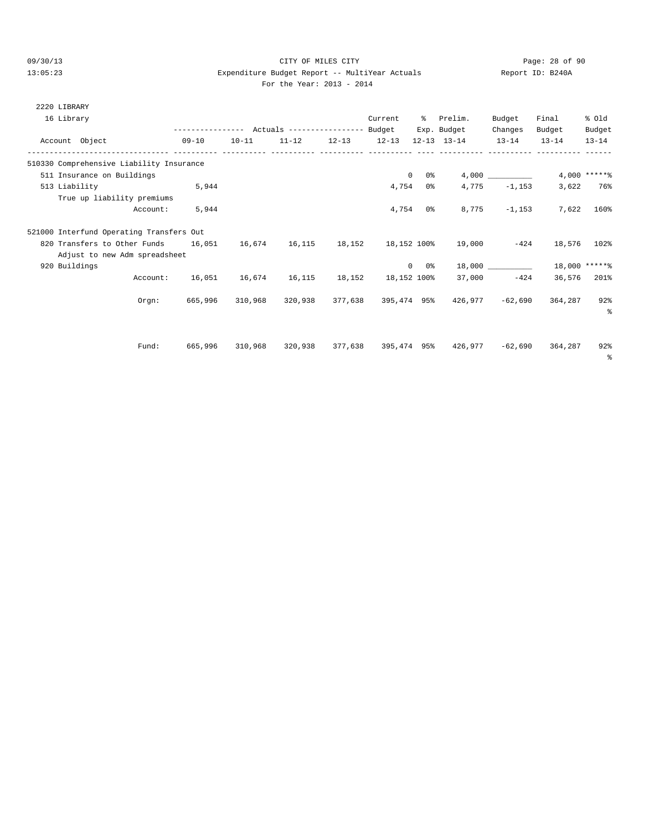# 09/30/13 Page: 28 of 90 13:05:23 Expenditure Budget Report -- MultiYear Actuals Report ID: B240A

| For the Year: 2013 - 2014 |  |  |
|---------------------------|--|--|
|                           |  |  |

| 2220 LIBRARY  |                                                                                  |          |           |           |                                                 |                |            |                                                            |                  |               |                 |
|---------------|----------------------------------------------------------------------------------|----------|-----------|-----------|-------------------------------------------------|----------------|------------|------------------------------------------------------------|------------------|---------------|-----------------|
| 16 Library    |                                                                                  |          |           |           |                                                 | Current        |            | % Prelim.                                                  | Budget           | Final         | % old           |
|               |                                                                                  |          |           |           | --------------- Actuals ---------------- Budget |                |            | Exp. Budget                                                | Changes          | Budget        | Budget          |
|               | Account Object                                                                   |          | $09 - 10$ | $10 - 11$ | $11-12$ $12-13$ $12-13$ $12-13$ $13-14$         |                |            |                                                            | $13 - 14$        | $13 - 14$     | $13 - 14$       |
|               | 510330 Comprehensive Liability Insurance                                         |          |           |           |                                                 |                |            |                                                            |                  |               |                 |
|               | 511 Insurance on Buildings                                                       |          |           |           |                                                 | $\overline{0}$ |            | 0 %                                                        | 4,000            |               | $4,000$ ***** % |
| 513 Liability |                                                                                  |          | 5,944     |           |                                                 | 4,754          |            | 0 응                                                        | $4,775 -1,153$   |               | 3,622 76%       |
|               | True up liability premiums                                                       |          |           |           |                                                 |                |            |                                                            |                  |               |                 |
|               |                                                                                  | Account: | 5,944     |           |                                                 |                | $4,754$ 0% |                                                            | $8,775 -1,153$   |               | 7,622 160%      |
|               | 521000 Interfund Operating Transfers Out                                         |          |           |           |                                                 |                |            |                                                            |                  |               |                 |
|               | 820 Transfers to Other Funds 16,051 16,674 16,115 18,152 18,152 100% 19,000 -424 |          |           |           |                                                 |                |            |                                                            |                  | 18,576 102%   |                 |
|               | Adjust to new Adm spreadsheet                                                    |          |           |           |                                                 |                |            |                                                            |                  |               |                 |
| 920 Buildings |                                                                                  |          |           |           |                                                 |                |            | $0 \t 0$ % 18,000 _________                                |                  | 18,000 ****** |                 |
|               |                                                                                  | Account: |           |           |                                                 |                |            | 16,051  16,674  16,115  18,152  18,152  100%  37,000  -424 |                  |               | 36,576 201%     |
|               |                                                                                  | Orem:    | 665,996   | 310,968   | 320,938 377,638 395,474 95%                     |                |            |                                                            | 426,977 - 62,690 | 364,287 92%   |                 |
|               |                                                                                  |          |           |           |                                                 |                |            |                                                            |                  |               | $\approx$       |
|               |                                                                                  |          |           |           |                                                 |                |            |                                                            |                  |               |                 |
|               |                                                                                  | Fund:    | 665,996   | 310,968   |                                                 |                |            | 320.938 377.638 395.474 95% 426.977                        | -62,690          | 364,287       | 92%             |
|               |                                                                                  |          |           |           |                                                 |                |            |                                                            |                  |               | - 옹             |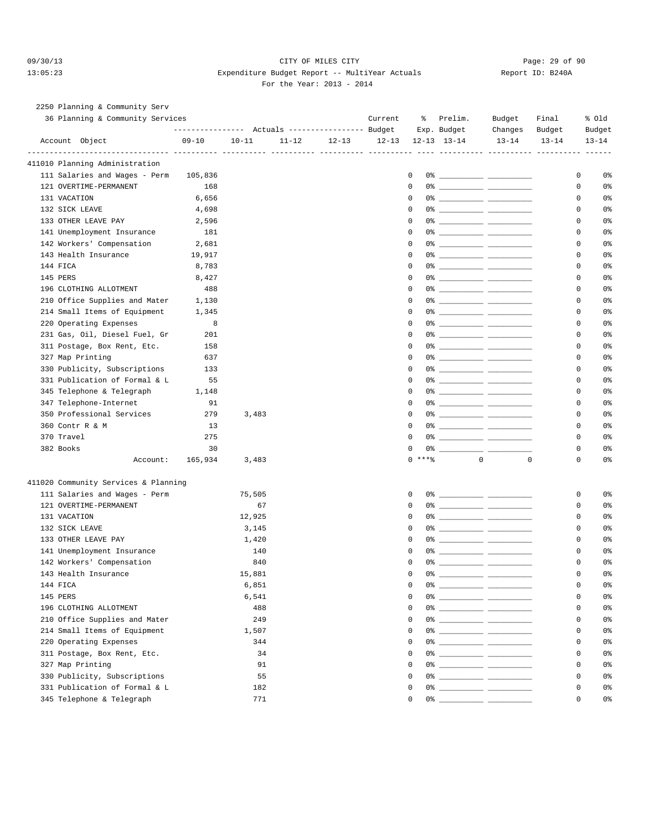### 09/30/13 Page: 29 of 90 13:05:23 Expenditure Budget Report -- MultiYear Actuals Report ID: B240A For the Year: 2013 - 2014

# 2250 Planning & Community Serv

| 36 Planning & Community Services                              |           |                                                 |           |           | Current | ွေ           | Prelim.                                                                                                                                                                                                                                                                                                                                                               | Budget                                                                                                                                                                                                                                                                                                                                                             | Final       | % Old               |
|---------------------------------------------------------------|-----------|-------------------------------------------------|-----------|-----------|---------|--------------|-----------------------------------------------------------------------------------------------------------------------------------------------------------------------------------------------------------------------------------------------------------------------------------------------------------------------------------------------------------------------|--------------------------------------------------------------------------------------------------------------------------------------------------------------------------------------------------------------------------------------------------------------------------------------------------------------------------------------------------------------------|-------------|---------------------|
|                                                               |           | --------------- Actuals ---------------- Budget |           |           |         |              | Exp. Budget                                                                                                                                                                                                                                                                                                                                                           | Changes                                                                                                                                                                                                                                                                                                                                                            | Budget      | Budget              |
| Account Object                                                | $09 - 10$ | $10 - 11$                                       | $11 - 12$ | $12 - 13$ |         |              | $12-13$ $12-13$ $13-14$                                                                                                                                                                                                                                                                                                                                               | $13 - 14$                                                                                                                                                                                                                                                                                                                                                          | $13 - 14$   | $13 - 14$           |
| 411010 Planning Administration                                |           |                                                 |           |           |         |              |                                                                                                                                                                                                                                                                                                                                                                       |                                                                                                                                                                                                                                                                                                                                                                    |             |                     |
| 111 Salaries and Wages - Perm                                 | 105,836   |                                                 |           |           |         | $\mathbf 0$  |                                                                                                                                                                                                                                                                                                                                                                       |                                                                                                                                                                                                                                                                                                                                                                    |             | 0<br>0%             |
| 121 OVERTIME-PERMANENT                                        | 168       |                                                 |           |           |         | $\Omega$     |                                                                                                                                                                                                                                                                                                                                                                       |                                                                                                                                                                                                                                                                                                                                                                    |             | 0<br>0%             |
| 131 VACATION                                                  | 6,656     |                                                 |           |           |         | $\Omega$     |                                                                                                                                                                                                                                                                                                                                                                       |                                                                                                                                                                                                                                                                                                                                                                    |             | 0 <sup>8</sup><br>0 |
| 132 SICK LEAVE                                                | 4,698     |                                                 |           |           |         | $\mathbf 0$  |                                                                                                                                                                                                                                                                                                                                                                       |                                                                                                                                                                                                                                                                                                                                                                    |             | 0%<br>0             |
| 133 OTHER LEAVE PAY                                           | 2,596     |                                                 |           |           |         | 0            |                                                                                                                                                                                                                                                                                                                                                                       | $\begin{picture}(150,10) \put(0,0){\vector(1,0){100}} \put(15,0){\vector(1,0){100}} \put(15,0){\vector(1,0){100}} \put(15,0){\vector(1,0){100}} \put(15,0){\vector(1,0){100}} \put(15,0){\vector(1,0){100}} \put(15,0){\vector(1,0){100}} \put(15,0){\vector(1,0){100}} \put(15,0){\vector(1,0){100}} \put(15,0){\vector(1,0){100}} \put(15,0){\vector(1,0){100}}$ |             | 0<br>0%             |
| 141 Unemployment Insurance                                    | 181       |                                                 |           |           |         | 0            |                                                                                                                                                                                                                                                                                                                                                                       |                                                                                                                                                                                                                                                                                                                                                                    |             | 0<br>0%             |
| 142 Workers' Compensation                                     | 2,681     |                                                 |           |           |         | $\Omega$     |                                                                                                                                                                                                                                                                                                                                                                       |                                                                                                                                                                                                                                                                                                                                                                    |             | 0<br>0%             |
| 143 Health Insurance                                          | 19,917    |                                                 |           |           |         | 0            |                                                                                                                                                                                                                                                                                                                                                                       |                                                                                                                                                                                                                                                                                                                                                                    |             | 0 <sup>°</sup><br>0 |
| 144 FICA                                                      | 8,783     |                                                 |           |           |         | $\mathbf 0$  |                                                                                                                                                                                                                                                                                                                                                                       |                                                                                                                                                                                                                                                                                                                                                                    |             | 0%<br>0             |
| 145 PERS                                                      | 8,427     |                                                 |           |           |         | 0            |                                                                                                                                                                                                                                                                                                                                                                       | $\begin{tabular}{c} 0* & \hspace*{2.5mm} \rule{0.2mm}{0.12mm} \rule{0.2mm}{0.12mm} \rule{0.2mm}{0.12mm} \rule{0.2mm}{0.12mm} \rule{0.2mm}{0.12mm} \rule{0.2mm}{0.12mm} \rule{0.2mm}{0.12mm} \rule{0.2mm}{0.12mm} \rule{0.2mm}{0.12mm} \rule{0.2mm}{0.12mm} \rule{0.2mm}{0.12mm} \rule{0.2mm}{0.12mm} \rule{0.2mm}{0.12mm} \rule{0.2mm}{0.12mm} \rule$              |             | 0<br>0%             |
| 196 CLOTHING ALLOTMENT                                        | 488       |                                                 |           |           |         | 0            |                                                                                                                                                                                                                                                                                                                                                                       |                                                                                                                                                                                                                                                                                                                                                                    |             | 0<br>0%             |
| 210 Office Supplies and Mater                                 | 1,130     |                                                 |           |           |         | $\Omega$     |                                                                                                                                                                                                                                                                                                                                                                       |                                                                                                                                                                                                                                                                                                                                                                    |             | 0<br>0%             |
| 214 Small Items of Equipment                                  | 1,345     |                                                 |           |           |         | 0            |                                                                                                                                                                                                                                                                                                                                                                       |                                                                                                                                                                                                                                                                                                                                                                    |             | 0 <sup>°</sup><br>0 |
| 220 Operating Expenses                                        | 8         |                                                 |           |           |         | $\mathbf 0$  |                                                                                                                                                                                                                                                                                                                                                                       |                                                                                                                                                                                                                                                                                                                                                                    |             | 0%<br>0             |
| 231 Gas, Oil, Diesel Fuel, Gr                                 | 201       |                                                 |           |           |         | $\mathbf 0$  |                                                                                                                                                                                                                                                                                                                                                                       | $\begin{picture}(150,10) \put(0,0){\vector(1,0){100}} \put(15,0){\vector(1,0){100}} \put(15,0){\vector(1,0){100}} \put(15,0){\vector(1,0){100}} \put(15,0){\vector(1,0){100}} \put(15,0){\vector(1,0){100}} \put(15,0){\vector(1,0){100}} \put(15,0){\vector(1,0){100}} \put(15,0){\vector(1,0){100}} \put(15,0){\vector(1,0){100}} \put(15,0){\vector(1,0){100}}$ |             | 0<br>0%             |
| 311 Postage, Box Rent, Etc.                                   | 158       |                                                 |           |           |         | 0            |                                                                                                                                                                                                                                                                                                                                                                       |                                                                                                                                                                                                                                                                                                                                                                    |             | 0<br>0%             |
| 327 Map Printing                                              | 637       |                                                 |           |           |         | 0            |                                                                                                                                                                                                                                                                                                                                                                       |                                                                                                                                                                                                                                                                                                                                                                    |             | 0<br>0%             |
| 330 Publicity, Subscriptions                                  | 133       |                                                 |           |           |         | 0            |                                                                                                                                                                                                                                                                                                                                                                       |                                                                                                                                                                                                                                                                                                                                                                    |             | 0 <sup>°</sup><br>0 |
| 331 Publication of Formal & L                                 | 55        |                                                 |           |           |         | $\mathbf 0$  |                                                                                                                                                                                                                                                                                                                                                                       |                                                                                                                                                                                                                                                                                                                                                                    |             | 0<br>0%             |
| 345 Telephone & Telegraph                                     | 1,148     |                                                 |           |           |         | 0            |                                                                                                                                                                                                                                                                                                                                                                       |                                                                                                                                                                                                                                                                                                                                                                    |             | 0<br>0%             |
| 347 Telephone-Internet                                        | 91        |                                                 |           |           |         | 0            |                                                                                                                                                                                                                                                                                                                                                                       |                                                                                                                                                                                                                                                                                                                                                                    |             | 0<br>0%             |
| 350 Professional Services                                     | 279       | 3,483                                           |           |           |         | 0            |                                                                                                                                                                                                                                                                                                                                                                       |                                                                                                                                                                                                                                                                                                                                                                    |             | 0<br>0%             |
| 360 Contr R & M                                               | 13        |                                                 |           |           |         | 0            |                                                                                                                                                                                                                                                                                                                                                                       |                                                                                                                                                                                                                                                                                                                                                                    |             | 0 <sup>°</sup><br>0 |
| 370 Travel                                                    | 275       |                                                 |           |           |         | $\mathbf 0$  |                                                                                                                                                                                                                                                                                                                                                                       |                                                                                                                                                                                                                                                                                                                                                                    |             | 0%<br>0             |
| 382 Books                                                     | 30        |                                                 |           |           |         | $\mathbf 0$  | $0$ $\frac{2}{\sqrt{2}}$ $\frac{2}{\sqrt{2}}$ $\frac{2}{\sqrt{2}}$ $\frac{2}{\sqrt{2}}$ $\frac{2}{\sqrt{2}}$ $\frac{2}{\sqrt{2}}$ $\frac{2}{\sqrt{2}}$ $\frac{2}{\sqrt{2}}$ $\frac{2}{\sqrt{2}}$ $\frac{2}{\sqrt{2}}$ $\frac{2}{\sqrt{2}}$ $\frac{2}{\sqrt{2}}$ $\frac{2}{\sqrt{2}}$ $\frac{2}{\sqrt{2}}$ $\frac{2}{\sqrt{2}}$ $\frac{2}{\sqrt{2}}$ $\frac{2}{\sqrt{$ |                                                                                                                                                                                                                                                                                                                                                                    |             | 0<br>0%             |
| Account:                                                      | 165,934   | 3,483                                           |           |           |         | $0$ ****     |                                                                                                                                                                                                                                                                                                                                                                       | $\mathbf 0$                                                                                                                                                                                                                                                                                                                                                        | $\mathbf 0$ | 0<br>0%             |
|                                                               |           |                                                 |           |           |         |              |                                                                                                                                                                                                                                                                                                                                                                       |                                                                                                                                                                                                                                                                                                                                                                    |             |                     |
| 411020 Community Services & Planning                          |           |                                                 |           |           |         | $\mathbf 0$  |                                                                                                                                                                                                                                                                                                                                                                       |                                                                                                                                                                                                                                                                                                                                                                    |             | 0%<br>0             |
| 111 Salaries and Wages - Perm                                 |           | 75,505                                          |           |           |         | $\mathbf 0$  |                                                                                                                                                                                                                                                                                                                                                                       |                                                                                                                                                                                                                                                                                                                                                                    |             | 0%<br>0             |
| 121 OVERTIME-PERMANENT                                        |           | 67                                              |           |           |         | 0            |                                                                                                                                                                                                                                                                                                                                                                       |                                                                                                                                                                                                                                                                                                                                                                    |             | 0                   |
| 131 VACATION<br>132 SICK LEAVE                                |           | 12,925<br>3,145                                 |           |           |         | 0            |                                                                                                                                                                                                                                                                                                                                                                       |                                                                                                                                                                                                                                                                                                                                                                    |             | 0%<br>0<br>0%       |
| 133 OTHER LEAVE PAY                                           |           | 1,420                                           |           |           |         | 0            |                                                                                                                                                                                                                                                                                                                                                                       |                                                                                                                                                                                                                                                                                                                                                                    |             | 0%<br>0             |
| 141 Unemployment Insurance                                    |           | 140                                             |           |           |         | $\mathbf 0$  |                                                                                                                                                                                                                                                                                                                                                                       |                                                                                                                                                                                                                                                                                                                                                                    |             | 0%<br>0             |
| 142 Workers' Compensation                                     |           | 840                                             |           |           |         | 0            |                                                                                                                                                                                                                                                                                                                                                                       |                                                                                                                                                                                                                                                                                                                                                                    |             | 0%<br>0             |
| 143 Health Insurance                                          |           | 15,881                                          |           |           |         | 0            |                                                                                                                                                                                                                                                                                                                                                                       |                                                                                                                                                                                                                                                                                                                                                                    |             | 0<br>0%             |
| 144 FICA                                                      |           | 6,851                                           |           |           |         | $\Omega$     |                                                                                                                                                                                                                                                                                                                                                                       |                                                                                                                                                                                                                                                                                                                                                                    |             | $\Omega$<br>0%      |
| 145 PERS                                                      |           | 6,541                                           |           |           |         | $\mathbf 0$  |                                                                                                                                                                                                                                                                                                                                                                       |                                                                                                                                                                                                                                                                                                                                                                    |             | 0<br>0%             |
| 196 CLOTHING ALLOTMENT                                        |           | 488                                             |           |           |         | $\mathbf 0$  |                                                                                                                                                                                                                                                                                                                                                                       |                                                                                                                                                                                                                                                                                                                                                                    |             | 0<br>0%             |
| 210 Office Supplies and Mater                                 |           | 249                                             |           |           |         | $\mathbf 0$  |                                                                                                                                                                                                                                                                                                                                                                       |                                                                                                                                                                                                                                                                                                                                                                    |             | 0<br>0%             |
|                                                               |           |                                                 |           |           |         | $\mathbf{0}$ |                                                                                                                                                                                                                                                                                                                                                                       |                                                                                                                                                                                                                                                                                                                                                                    |             | 0                   |
| 214 Small Items of Equipment<br>220 Operating Expenses        |           | 1,507<br>344                                    |           |           |         | $\mathbf{0}$ |                                                                                                                                                                                                                                                                                                                                                                       |                                                                                                                                                                                                                                                                                                                                                                    |             | 0%<br>0<br>0%       |
|                                                               |           |                                                 |           |           |         | $\mathbf{0}$ |                                                                                                                                                                                                                                                                                                                                                                       |                                                                                                                                                                                                                                                                                                                                                                    |             | 0%                  |
| 311 Postage, Box Rent, Etc.                                   |           | 34<br>91                                        |           |           |         | $\mathbf{0}$ |                                                                                                                                                                                                                                                                                                                                                                       |                                                                                                                                                                                                                                                                                                                                                                    |             | 0<br>0%<br>0        |
| 327 Map Printing                                              |           |                                                 |           |           |         | 0            |                                                                                                                                                                                                                                                                                                                                                                       |                                                                                                                                                                                                                                                                                                                                                                    |             | 0                   |
| 330 Publicity, Subscriptions<br>331 Publication of Formal & L |           | 55                                              |           |           |         | 0            |                                                                                                                                                                                                                                                                                                                                                                       | $\begin{tabular}{c} 0* & \hspace*{2.5mm} \rule{0.2mm}{0.12mm} \rule{0.2mm}{0.12mm} \rule{0.2mm}{0.12mm} \rule{0.2mm}{0.12mm} \rule{0.2mm}{0.12mm} \rule{0.2mm}{0.12mm} \rule{0.2mm}{0.12mm} \rule{0.2mm}{0.12mm} \rule{0.2mm}{0.12mm} \rule{0.2mm}{0.12mm} \rule{0.2mm}{0.12mm} \rule{0.2mm}{0.12mm} \rule{0.2mm}{0.12mm} \rule{0.2mm}{0.12mm} \rule$              |             | 0%<br>0             |
| 345 Telephone & Telegraph                                     |           | 182<br>771                                      |           |           |         | 0            |                                                                                                                                                                                                                                                                                                                                                                       |                                                                                                                                                                                                                                                                                                                                                                    |             | 0%<br>0<br>0%       |
|                                                               |           |                                                 |           |           |         |              |                                                                                                                                                                                                                                                                                                                                                                       |                                                                                                                                                                                                                                                                                                                                                                    |             |                     |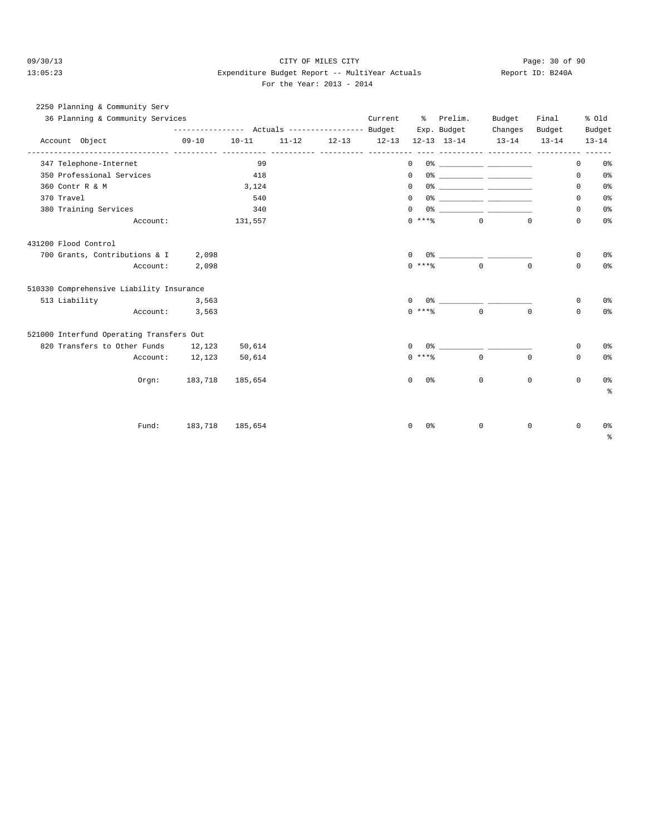### 09/30/13 Page: 30 of 90 13:05:23 Expenditure Budget Report -- MultiYear Actuals Report ID: B240A For the Year: 2013 - 2014

| 2250 Planning & Community Serv           |                                                                           |           |           |                       |                    |                                                                                                                                                                                                                                                                                                                        |          |           |              |                |
|------------------------------------------|---------------------------------------------------------------------------|-----------|-----------|-----------------------|--------------------|------------------------------------------------------------------------------------------------------------------------------------------------------------------------------------------------------------------------------------------------------------------------------------------------------------------------|----------|-----------|--------------|----------------|
| 36 Planning & Community Services         |                                                                           |           |           |                       |                    | Current % Prelim. Budget                                                                                                                                                                                                                                                                                               |          | Final     |              | % old          |
|                                          | --------------- Actuals --------------- Budget Exp. Budget Changes Budget |           |           |                       |                    |                                                                                                                                                                                                                                                                                                                        |          |           |              | Budget         |
| Account Object                           | $09 - 10$                                                                 | $10 - 11$ | $11 - 12$ |                       |                    | 12-13 12-13 12-13 13-14 13-14<br>----------- ---------- -------                                                                                                                                                                                                                                                        |          | $13 - 14$ |              | $13 - 14$      |
| 347 Telephone-Internet                   |                                                                           | 99        |           | ----- ---------- ---- | $\Omega$           |                                                                                                                                                                                                                                                                                                                        |          |           | $\mathbf{0}$ | 0%             |
| 350 Professional Services                |                                                                           | 418       |           |                       | $\Omega$           |                                                                                                                                                                                                                                                                                                                        |          |           | 0            | 0 <sub>8</sub> |
| 360 Contr R & M                          |                                                                           | 3,124     |           |                       | $\mathbf{0}$       |                                                                                                                                                                                                                                                                                                                        |          |           | 0            | 0 <sup>°</sup> |
| 370 Travel                               |                                                                           | 540       |           |                       | $\Omega$           |                                                                                                                                                                                                                                                                                                                        |          |           | $\Omega$     | 0 <sup>°</sup> |
| 380 Training Services                    |                                                                           | 340       |           |                       | $\mathbf{0}$       |                                                                                                                                                                                                                                                                                                                        |          |           | $\mathbf{0}$ | 0%             |
| Account:                                 |                                                                           | 131,557   |           |                       |                    | $0 \leftrightarrow x \leftrightarrow z$                                                                                                                                                                                                                                                                                |          | $\Omega$  | $\mathbf{0}$ | 0 <sup>°</sup> |
| 431200 Flood Control                     |                                                                           |           |           |                       |                    |                                                                                                                                                                                                                                                                                                                        |          |           |              |                |
| 700 Grants, Contributions & I 2,098      |                                                                           |           |           |                       | $\Omega$           |                                                                                                                                                                                                                                                                                                                        |          |           | 0            | 0 <sup>8</sup> |
| Account:                                 | 2,098                                                                     |           |           |                       | $0$ ****           | $\overline{a}$                                                                                                                                                                                                                                                                                                         | $\Omega$ |           | $\Omega$     | 0 <sup>8</sup> |
| 510330 Comprehensive Liability Insurance |                                                                           |           |           |                       |                    |                                                                                                                                                                                                                                                                                                                        |          |           |              |                |
| 513 Liability                            | 3,563                                                                     |           |           |                       | $\Omega$           | $0$ $\frac{1}{2}$ $\frac{1}{2}$ $\frac{1}{2}$ $\frac{1}{2}$ $\frac{1}{2}$ $\frac{1}{2}$ $\frac{1}{2}$ $\frac{1}{2}$ $\frac{1}{2}$ $\frac{1}{2}$ $\frac{1}{2}$ $\frac{1}{2}$ $\frac{1}{2}$ $\frac{1}{2}$ $\frac{1}{2}$ $\frac{1}{2}$ $\frac{1}{2}$ $\frac{1}{2}$ $\frac{1}{2}$ $\frac{1}{2}$ $\frac{1}{2}$ $\frac{1}{2$ |          |           | 0            | 0 <sup>°</sup> |
| Account:                                 | 3,563                                                                     |           |           |                       | $0$ ****           | $\Omega$                                                                                                                                                                                                                                                                                                               | $\Omega$ |           | $\Omega$     | 0 <sup>8</sup> |
| 521000 Interfund Operating Transfers Out |                                                                           |           |           |                       |                    |                                                                                                                                                                                                                                                                                                                        |          |           |              |                |
| 820 Transfers to Other Funds 12,123      |                                                                           | 50,614    |           |                       | $\Omega$           | $0$ $\frac{1}{2}$ $\frac{1}{2}$ $\frac{1}{2}$ $\frac{1}{2}$ $\frac{1}{2}$ $\frac{1}{2}$ $\frac{1}{2}$ $\frac{1}{2}$ $\frac{1}{2}$ $\frac{1}{2}$ $\frac{1}{2}$ $\frac{1}{2}$ $\frac{1}{2}$ $\frac{1}{2}$ $\frac{1}{2}$ $\frac{1}{2}$ $\frac{1}{2}$ $\frac{1}{2}$ $\frac{1}{2}$ $\frac{1}{2}$ $\frac{1}{2}$ $\frac{1}{2$ |          |           | 0            | 0 <sup>8</sup> |
|                                          | Account: 12,123                                                           | 50,614    |           |                       | $0$ ****           | $\Omega$                                                                                                                                                                                                                                                                                                               |          | $\Omega$  | $\Omega$     | 0%             |
|                                          | Orgn: 183,718 185,654                                                     |           |           |                       | $\Omega$<br>0 응    | $\Omega$                                                                                                                                                                                                                                                                                                               |          | $\Omega$  | $\mathbf 0$  | 0 <sup>°</sup> |
|                                          |                                                                           |           |           |                       |                    |                                                                                                                                                                                                                                                                                                                        |          |           |              | る              |
|                                          |                                                                           |           |           |                       |                    |                                                                                                                                                                                                                                                                                                                        |          |           |              |                |
| Fund:                                    | 183,718 185,654                                                           |           |           |                       | $\mathbf{0}$<br>0% | $\mathbf 0$                                                                                                                                                                                                                                                                                                            |          | 0         | $\mathbf{0}$ | 0 <sup>°</sup> |
|                                          |                                                                           |           |           |                       |                    |                                                                                                                                                                                                                                                                                                                        |          |           |              | ៖              |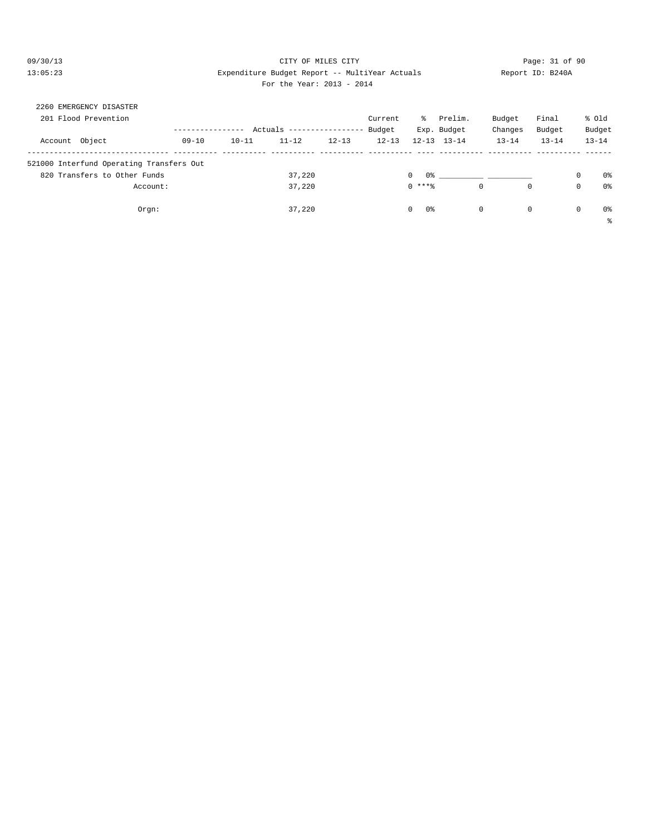### 09/30/13 Page: 31 of 90 13:05:23 Expenditure Budget Report -- MultiYear Actuals Report ID: B240A For the Year: 2013 - 2014

| EMERGENCY DISASTER<br>2260               |           |           |           |                 |           |                    |                     |           |           |             |           |
|------------------------------------------|-----------|-----------|-----------|-----------------|-----------|--------------------|---------------------|-----------|-----------|-------------|-----------|
| 201 Flood Prevention                     |           |           |           |                 | Current   | ႜႜၟ                | Prelim.             | Budget    | Final     |             | % old     |
|                                          |           |           | Actuals   | --------------- | Budget    |                    | Exp. Budget         | Changes   | Budget    |             | Budget    |
| Account Object                           | $09 - 10$ | $10 - 11$ | $11 - 12$ | $12 - 13$       | $12 - 13$ |                    | $12 - 13$ $13 - 14$ | $13 - 14$ | $13 - 14$ |             | $13 - 14$ |
| 521000 Interfund Operating Transfers Out |           |           |           |                 |           |                    |                     |           |           |             |           |
| 820 Transfers to Other Funds             |           |           | 37,220    |                 |           | 0%<br>$\mathbf{0}$ |                     |           |           | $\Omega$    | 0%        |
| Account:                                 |           |           | 37,220    |                 |           | $0$ ****           | $\circ$             | 0         |           | $\mathbf 0$ | 0%        |
| Orgn:                                    |           |           | 37,220    |                 |           | 0%<br>$\circ$      | $\circ$             | 0         |           | 0           | 0 %       |
|                                          |           |           |           |                 |           |                    |                     |           |           |             | 昙         |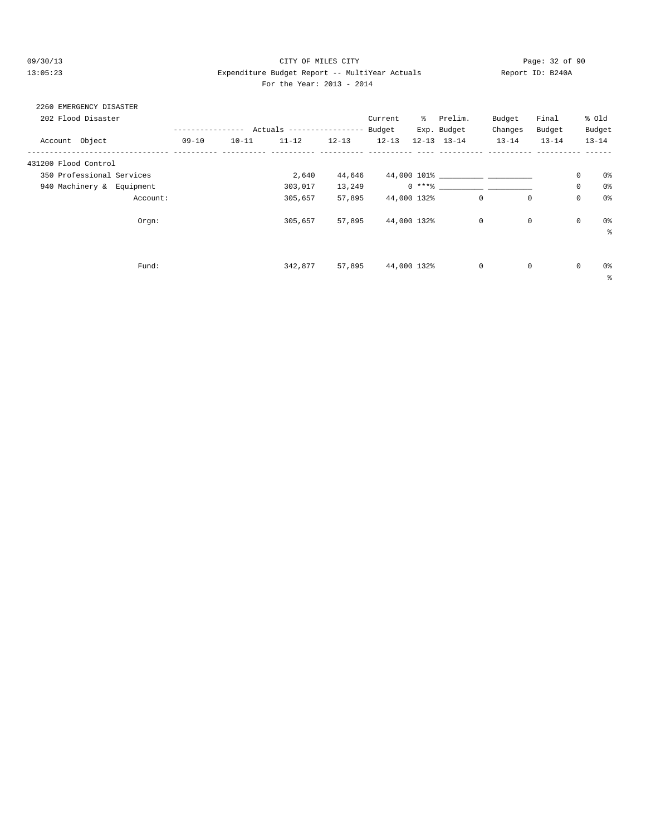### 09/30/13 Page: 32 of 90 13:05:23 Expenditure Budget Report -- MultiYear Actuals Report ID: B240A For the Year: 2013 - 2014

# 2260 EMERGENCY DISASTER

| 202 Flood Disaster        |           |           |                           |           | Current   | ွေ          | Prelim.             | Budget    | Final     |             | % old     |
|---------------------------|-----------|-----------|---------------------------|-----------|-----------|-------------|---------------------|-----------|-----------|-------------|-----------|
|                           |           |           | Actuals ----------------- |           | Budget    |             | Exp. Budget         | Changes   | Budget    |             | Budget    |
| Account Object            | $09 - 10$ | $10 - 11$ | $11 - 12$                 | $12 - 13$ | $12 - 13$ |             | $12 - 13$ $13 - 14$ | $13 - 14$ | $13 - 14$ |             | $13 - 14$ |
| 431200 Flood Control      |           |           |                           |           |           |             |                     |           |           |             |           |
| 350 Professional Services |           |           | 2,640                     | 44,646    |           |             | 44,000 101%         |           |           | 0           | 0%        |
| 940 Machinery & Equipment |           |           | 303,017                   | 13,249    |           |             | $0***$ 8            |           |           | $\mathbf 0$ | 0%        |
| Account:                  |           |           | 305,657                   | 57,895    |           | 44,000 132% | 0                   |           | 0         | 0           | 0%        |
| Orgn:                     |           |           | 305,657                   | 57,895    |           | 44,000 132% | $\mathbf 0$         |           | 0         | $\mathbb O$ | 0%        |
|                           |           |           |                           |           |           |             |                     |           |           |             | နွ        |
|                           |           |           |                           |           |           |             |                     |           |           |             |           |
| Fund:                     |           |           | 342,877                   | 57,895    |           | 44,000 132% | 0                   |           | 0         | $\mathbf 0$ | 0%        |
|                           |           |           |                           |           |           |             |                     |           |           |             | ႜ         |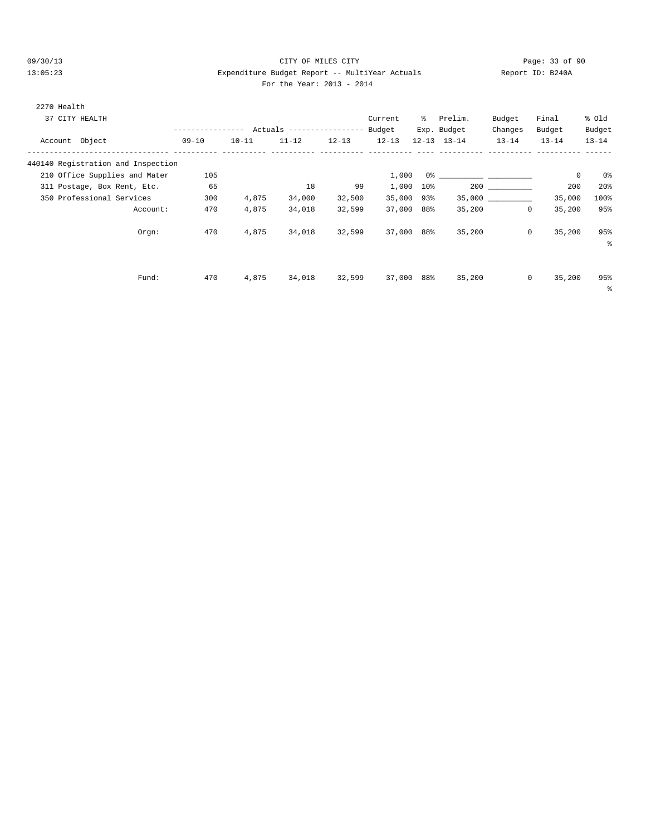#### 09/30/13 Page: 33 of 90 13:05:23 Expenditure Budget Report -- MultiYear Actuals Report ID: B240A For the Year: 2013 - 2014

| 2270 Health    |                                    |                  |           |                            |           |           |        |                     |           |           |           |
|----------------|------------------------------------|------------------|-----------|----------------------------|-----------|-----------|--------|---------------------|-----------|-----------|-----------|
|                | 37 CITY HEALTH                     |                  |           |                            |           | Current   | ိ      | Prelim.             | Budget    | Final     | % old     |
|                |                                    | ---------------- |           | Actuals ------------------ |           | Budget    |        | Exp. Budget         | Changes   | Budget    | Budget    |
| Account Object |                                    | $09 - 10$        | $10 - 11$ | $11 - 12$                  | $12 - 13$ | $12 - 13$ |        | $12 - 13$ $13 - 14$ | $13 - 14$ | $13 - 14$ | $13 - 14$ |
|                | 440140 Registration and Inspection |                  |           |                            |           |           |        |                     |           |           |           |
|                | 210 Office Supplies and Mater      | 105              |           |                            |           | 1,000     |        |                     |           | 0         | 0%        |
|                | 311 Postage, Box Rent, Etc.        | 65               |           | 18                         | 99        | 1,000     | $10\%$ |                     | 200       | 200       | 20%       |
|                | 350 Professional Services          | 300              | 4,875     | 34,000                     | 32,500    | 35,000    | 93%    |                     | 35,000    | 35,000    | 100%      |
|                | Account:                           | 470              | 4,875     | 34,018                     | 32,599    | 37,000    | 88%    | 35,200              | 0         | 35,200    | 95%       |
|                | Orgn:                              | 470              | 4,875     | 34,018                     | 32,599    | 37,000    | 88%    | 35,200              | $\Omega$  | 35,200    | 95%       |
|                |                                    |                  |           |                            |           |           |        |                     |           |           | ៖         |
|                |                                    |                  |           |                            |           |           |        |                     |           |           |           |
|                | Fund:                              | 470              | 4,875     | 34,018                     | 32,599    | 37,000    | 88%    | 35,200              | $\circ$   | 35,200    | 95%       |

%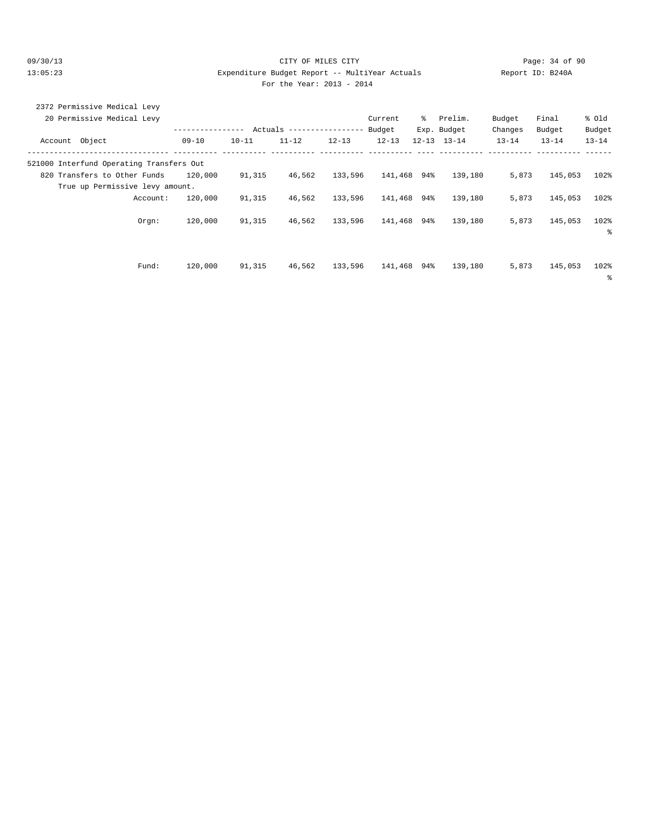#### 09/30/13 Page: 34 of 90 13:05:23 Expenditure Budget Report -- MultiYear Actuals Report ID: B240A For the Year: 2013 - 2014

| For the Year: 2013 - 201 |  |  |
|--------------------------|--|--|
|--------------------------|--|--|

|                | 2372 Permissive Medical Levy             |           |           |                           |           |             |   |                     |           |           |           |  |
|----------------|------------------------------------------|-----------|-----------|---------------------------|-----------|-------------|---|---------------------|-----------|-----------|-----------|--|
|                | 20 Permissive Medical Levy               |           |           |                           |           | Current     | ိ | Prelim.             | Budget    | Final     | % old     |  |
|                |                                          |           | -------   | Actuals ----------------- |           | Budget      |   | Exp. Budget         | Changes   | Budget    | Budget    |  |
| Account Object |                                          | $09 - 10$ | $10 - 11$ | $11 - 12$                 | $12 - 13$ | $12 - 13$   |   | $12 - 13$ $13 - 14$ | $13 - 14$ | $13 - 14$ | $13 - 14$ |  |
|                | 521000 Interfund Operating Transfers Out |           |           |                           |           |             |   |                     |           |           |           |  |
|                | 820 Transfers to Other Funds             | 120,000   | 91,315    | 46,562                    | 133,596   | 141,468 94% |   | 139,180             | 5,873     | 145,053   | 102%      |  |
|                | True up Permissive levy amount.          |           |           |                           |           |             |   |                     |           |           |           |  |
|                | Account:                                 | 120,000   | 91,315    | 46,562                    | 133,596   | 141,468 94% |   | 139,180             | 5,873     | 145,053   | 102%      |  |
|                | Orem:                                    | 120,000   | 91,315    | 46,562                    | 133,596   | 141,468 94% |   | 139,180             | 5,873     | 145,053   | 102%      |  |
|                |                                          |           |           |                           |           |             |   |                     |           |           | နွ        |  |
|                |                                          |           |           |                           |           |             |   |                     |           |           |           |  |
|                | Fund:                                    | 120,000   | 91,315    | 46,562                    | 133,596   | 141,468 94% |   | 139,180             | 5,873     | 145,053   | 102%      |  |
|                |                                          |           |           |                           |           |             |   |                     |           |           | ႜ         |  |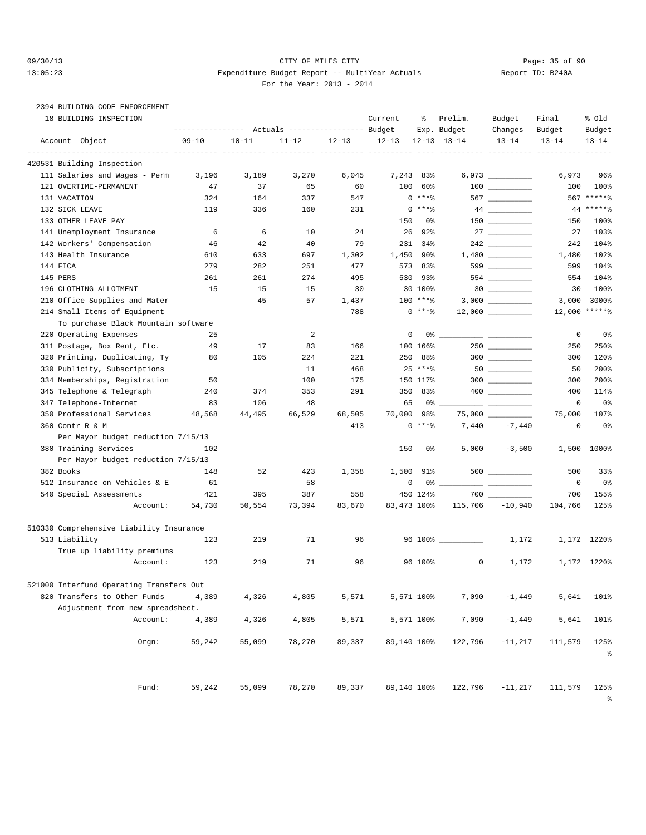# 2394 BUILDING CODE ENFORCEMENT

|              | 18 BUILDING INSPECTION                   | ---------------- |           | Actuals ----------------- Budget |           | Current     | ႜ           | Prelim.<br>Exp. Budget | Budget<br>Changes                                                   | Final<br>Budget | % old<br>Budget |
|--------------|------------------------------------------|------------------|-----------|----------------------------------|-----------|-------------|-------------|------------------------|---------------------------------------------------------------------|-----------------|-----------------|
|              | Account Object                           | $09 - 10$        | $10 - 11$ | $11 - 12$                        | $12 - 13$ | $12 - 13$   |             | $12 - 13$ $13 - 14$    | $13 - 14$                                                           | $13 - 14$       | $13 - 14$       |
|              | 420531 Building Inspection               |                  |           |                                  |           | ----- ----- |             |                        |                                                                     |                 |                 |
|              | 111 Salaries and Wages - Perm            | 3,196            | 3,189     | 3,270                            | 6,045     | 7,243       | 83%         |                        |                                                                     | 6,973           | 96%             |
|              | 121 OVERTIME-PERMANENT                   | 47               | 37        | 65                               | 60        | 100         | 60%         |                        |                                                                     | 100             | 100%            |
| 131 VACATION |                                          | 324              | 164       | 337                              | 547       |             | $0***8$     |                        | 567                                                                 |                 | 567 ******      |
|              | 132 SICK LEAVE                           | 119              | 336       | 160                              | 231       |             | $0***8$     |                        |                                                                     |                 | $44****$        |
|              | 133 OTHER LEAVE PAY                      |                  |           |                                  |           | 150         | 0%          |                        | 150 70                                                              | 150             | 100%            |
|              | 141 Unemployment Insurance               | 6                | 6         | 10                               | 24        | 26          | 92%         |                        |                                                                     | 27              | 103%            |
|              | 142 Workers' Compensation                | 46               | 42        | 40                               | 79        |             | 231 34%     |                        |                                                                     | 242             | 104%            |
|              | 143 Health Insurance                     | 610              | 633       | 697                              | 1,302     |             | 1,450 90%   |                        |                                                                     | 1,480           | 102%            |
| 144 FICA     |                                          | 279              | 282       | 251                              | 477       |             | 573 83%     |                        | 599                                                                 | 599             | 104%            |
| 145 PERS     |                                          | 261              | 261       | 274                              | 495       |             | 530 93%     |                        |                                                                     | 554             | 104%            |
|              | 196 CLOTHING ALLOTMENT                   | 15               | 15        | 15                               | 30        |             | 30 100%     |                        |                                                                     | 30              | 100%            |
|              | 210 Office Supplies and Mater            |                  | 45        | 57                               | 1,437     |             | 100 ****    |                        |                                                                     | 3,000           | 3000%           |
|              | 214 Small Items of Equipment             |                  |           |                                  | 788       |             | $0***8$     |                        |                                                                     |                 | 12,000 ******   |
|              | To purchase Black Mountain software      |                  |           |                                  |           |             |             |                        |                                                                     |                 |                 |
|              | 220 Operating Expenses                   | 25               |           | $\overline{a}$                   |           |             | 0           | 0 %                    | $\overline{\phantom{a}}$ . The contract of $\overline{\phantom{a}}$ | 0               | 0%              |
|              | 311 Postage, Box Rent, Etc.              | 49               | 17        | 83                               | 166       |             | 100 166%    |                        |                                                                     | 250             | 250%            |
|              | 320 Printing, Duplicating, Ty            | 80               | 105       | 224                              | 221       | 250         | 88%         |                        | $300$                                                               | 300             | 120%            |
|              | 330 Publicity, Subscriptions             |                  |           | 11                               | 468       |             | $25***8$    |                        |                                                                     | 50              | 200%            |
|              | 334 Memberships, Registration            | 50               |           | 100                              | 175       |             | 150 117%    |                        | $300$                                                               | 300             | 200%            |
|              | 345 Telephone & Telegraph                | 240              | 374       | 353                              | 291       |             | 350 83%     |                        |                                                                     | 400             | 114%            |
|              | 347 Telephone-Internet                   | 83               | 106       | 48                               |           | 65          | 0%          |                        |                                                                     | 0               | 0%              |
|              | 350 Professional Services                | 48,568           | 44,495    | 66,529                           | 68,505    | 70,000 98%  |             |                        | 75,000                                                              | 75,000          | 107%            |
|              | 360 Contr R & M                          |                  |           |                                  | 413       |             | $0***8$     | 7,440                  | $-7,440$                                                            | 0               | 0%              |
|              | Per Mayor budget reduction 7/15/13       |                  |           |                                  |           |             |             |                        |                                                                     |                 |                 |
|              | 380 Training Services                    | 102              |           |                                  |           | 150         | 0%          | 5,000                  | $-3,500$                                                            | 1,500           | 1000%           |
|              | Per Mayor budget reduction 7/15/13       |                  |           |                                  |           |             |             |                        |                                                                     |                 |                 |
| 382 Books    |                                          | 148              | 52        | 423                              | 1,358     | 1,500       | 91%         |                        |                                                                     | 500             | 33%             |
|              | 512 Insurance on Vehicles & E            | 61               |           | 58                               |           |             | 0           |                        |                                                                     | 0               | 0%              |
|              | 540 Special Assessments                  | 421              | 395       | 387                              | 558       |             | 450 124%    |                        |                                                                     | 700             | 155%            |
|              | Account:                                 | 54,730           | 50,554    | 73,394                           | 83,670    | 83,473 100% |             | 115,706                | $-10,940$                                                           | 104,766         | 125%            |
|              |                                          |                  |           |                                  |           |             |             |                        |                                                                     |                 |                 |
|              | 510330 Comprehensive Liability Insurance |                  |           |                                  |           |             |             |                        |                                                                     |                 |                 |
|              | 513 Liability                            | 123              | 219       | 71                               | 96        |             |             | 96 100% _________      | 1,172                                                               |                 | 1,172 1220%     |
|              | True up liability premiums               |                  |           |                                  |           |             |             |                        |                                                                     |                 |                 |
|              | Account:                                 | 123              | 219       | 71                               | 96        |             | 96 100%     | 0                      | 1,172                                                               |                 | 1,172 1220%     |
|              | 521000 Interfund Operating Transfers Out |                  |           |                                  |           |             |             |                        |                                                                     |                 |                 |
|              | 820 Transfers to Other Funds             | 4,389            | 4,326     | 4,805                            | 5,571     |             | 5,571 100%  | 7,090                  | $-1,449$                                                            | 5,641           | 101%            |
|              | Adjustment from new spreadsheet.         |                  |           |                                  |           |             |             |                        |                                                                     |                 |                 |
|              | Account:                                 | 4,389            | 4,326     | 4,805                            | 5,571     |             | 5,571 100%  | 7,090                  | $-1,449$                                                            | 5,641           | 101%            |
|              | Orgn:                                    | 59,242           | 55,099    | 78,270                           | 89,337    |             | 89,140 100% | 122,796                | $-11,217$                                                           | 111,579         | 125%<br>နွ      |
|              | Fund:                                    | 59,242           | 55,099    | 78,270                           | 89,337    |             | 89,140 100% | 122,796                | $-11,217$                                                           | 111,579         | 125%            |

%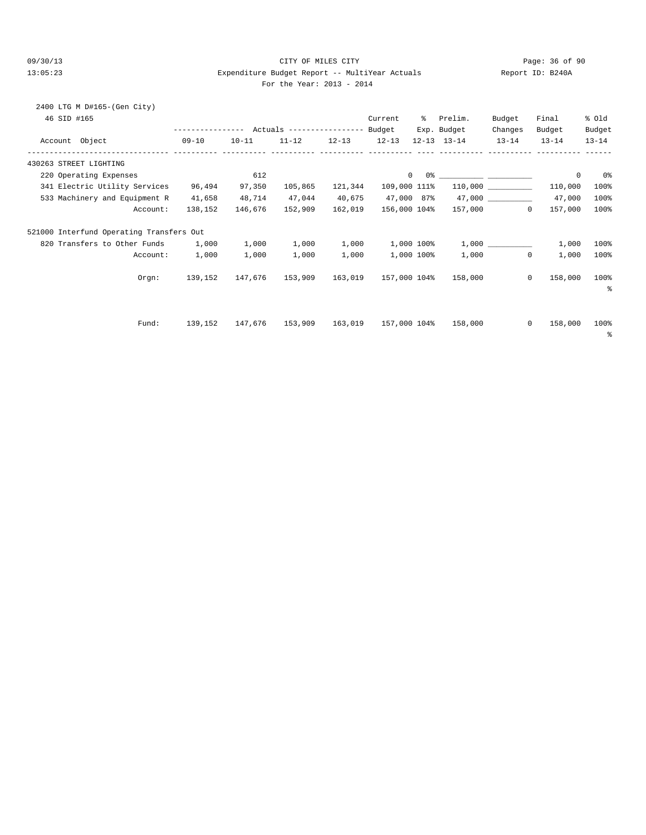# 09/30/13 Page: 36 of 90 13:05:23 Expenditure Budget Report -- MultiYear Actuals Report ID: B240A

| 2400 LTG M D#165-(Gen City)<br>46 SID #165<br>Account Object | ---------------- Actuals -----------------<br>$09 - 10$ | $10 - 11$ | $11 - 12$ | $12 - 13$ | Current<br>Budget<br>$12 - 13$ | % Prelim.<br>Exp. Budget<br>$12 - 13$ $13 - 14$                                                                                                                                                                                                                                                                                                                    | Budget<br>Changes<br>$13 - 14$ | Final<br>Budget<br>$13 - 14$ | % old<br>Budget<br>$13 - 14$ |
|--------------------------------------------------------------|---------------------------------------------------------|-----------|-----------|-----------|--------------------------------|--------------------------------------------------------------------------------------------------------------------------------------------------------------------------------------------------------------------------------------------------------------------------------------------------------------------------------------------------------------------|--------------------------------|------------------------------|------------------------------|
| 430263 STREET LIGHTING                                       | ----------- ----------                                  |           |           |           |                                |                                                                                                                                                                                                                                                                                                                                                                    |                                |                              |                              |
| 220 Operating Expenses                                       |                                                         | 612       |           |           |                                | $\begin{picture}(180,10) \put(0,0){\vector(1,0){100}} \put(15,0){\vector(1,0){100}} \put(15,0){\vector(1,0){100}} \put(15,0){\vector(1,0){100}} \put(15,0){\vector(1,0){100}} \put(15,0){\vector(1,0){100}} \put(15,0){\vector(1,0){100}} \put(15,0){\vector(1,0){100}} \put(15,0){\vector(1,0){100}} \put(15,0){\vector(1,0){100}} \put(15,0){\vector(1,0){100}}$ |                                | $^{\circ}$                   | 0%                           |
| 341 Electric Utility Services                                | 96,494                                                  | 97,350    | 105,865   | 121,344   | 109,000 111%                   |                                                                                                                                                                                                                                                                                                                                                                    |                                | 110,000                      | 100%                         |
| 533 Machinery and Equipment R                                | 41,658                                                  | 48,714    | 47,044    | 40,675    | 47,000 87%                     |                                                                                                                                                                                                                                                                                                                                                                    |                                | 47,000                       | 100%                         |
| Account:                                                     | 138,152                                                 | 146,676   | 152,909   | 162,019   | 156,000 104%                   |                                                                                                                                                                                                                                                                                                                                                                    | 157,000<br>$\Omega$            | 157,000                      | 100%                         |
| 521000 Interfund Operating Transfers Out                     |                                                         |           |           |           |                                |                                                                                                                                                                                                                                                                                                                                                                    |                                |                              |                              |
| 820 Transfers to Other Funds 1,000                           |                                                         | 1,000     | 1,000     | 1,000     | 1,000 100%                     |                                                                                                                                                                                                                                                                                                                                                                    |                                | 1,000                        | 100%                         |
| Account:                                                     | 1,000                                                   | 1,000     | 1,000     | 1,000     | 1,000 100%                     |                                                                                                                                                                                                                                                                                                                                                                    | $1,000$ 0                      | 1,000                        | 100%                         |
| Orem:                                                        | 139,152                                                 | 147.676   | 153,909   | 163,019   | 157,000 104%                   |                                                                                                                                                                                                                                                                                                                                                                    | 158,000 0                      | 158,000                      | 100%<br>ႜ                    |
| Fund:                                                        | 139,152                                                 | 147,676   | 153,909   | 163,019   | 157,000 104%                   | 158,000                                                                                                                                                                                                                                                                                                                                                            | $\mathbf{0}$                   | 158,000                      | 100%<br>နွ                   |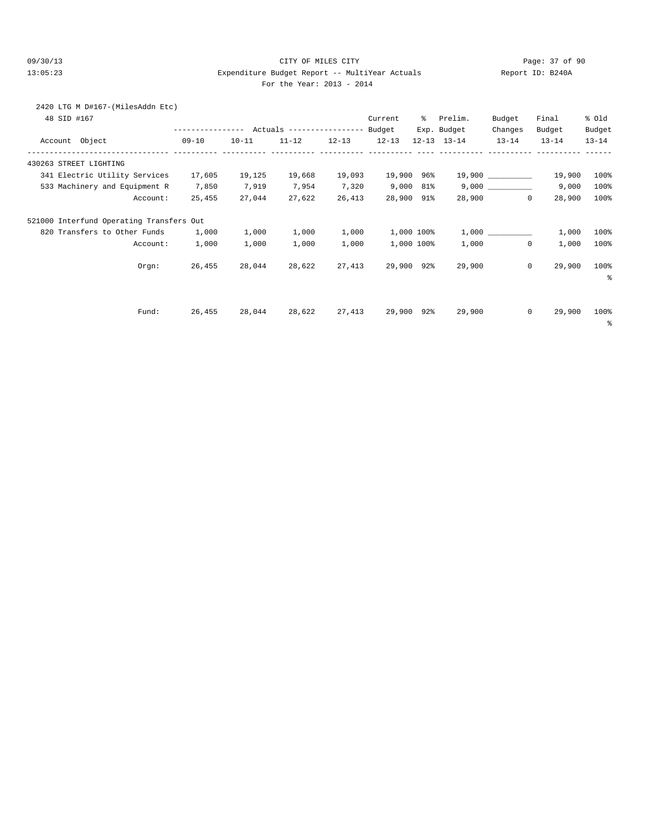#### 09/30/13 CITY OF MILES CITY Page: 37 of 90 13:05:23 Expenditure Budget Report -- MultiYear Actuals Report ID: B240A For the Year: 2013 - 2014

# 2420 LTG M D#167-(MilesAddn Etc)

| 48 SID #167                              |                                            |           |           |           | Current   | ៖          | Prelim.             | Budget    | Final                 | % Old     |
|------------------------------------------|--------------------------------------------|-----------|-----------|-----------|-----------|------------|---------------------|-----------|-----------------------|-----------|
|                                          | ---------------- Actuals ----------------- |           |           |           | Budget    |            | Exp. Budget         | Changes   | Budget                | Budget    |
| Account Object                           | $09 - 10$                                  | $10 - 11$ | $11 - 12$ | $12 - 13$ | $12 - 13$ |            | $12 - 13$ $13 - 14$ | $13 - 14$ | $13 - 14$             | $13 - 14$ |
| 430263 STREET LIGHTING                   |                                            |           |           |           |           |            |                     |           |                       |           |
| 341 Electric Utility Services            | 17,605                                     | 19,125    | 19,668    | 19,093    | 19,900    | 96%        |                     |           | 19,900                | 100%      |
| 533 Machinery and Equipment R            | 7,850                                      | 7,919     | 7,954     | 7,320     | 9,000     | 81%        |                     | 9,000     | 9,000                 | 100%      |
| Account:                                 | 25,455                                     | 27,044    | 27,622    | 26,413    | 28,900    | 91%        | 28,900              |           | 28,900<br>$^{\circ}$  | 100%      |
| 521000 Interfund Operating Transfers Out |                                            |           |           |           |           |            |                     |           |                       |           |
| 820 Transfers to Other Funds             | 1,000                                      | 1,000     | 1,000     | 1,000     |           | 1,000 100% |                     |           | 1,000                 | 100%      |
| Account:                                 | 1,000                                      | 1,000     | 1,000     | 1,000     |           | 1,000 100% | 1,000               |           | $\mathbf{0}$<br>1,000 | 100%      |
| Orem:                                    | 26,455                                     | 28,044    | 28,622    | 27,413    | 29,900    | $92\%$     | 29,900              |           | $\mathbf 0$<br>29,900 | 100%      |
|                                          |                                            |           |           |           |           |            |                     |           |                       | š         |
|                                          |                                            |           |           |           |           |            |                     |           |                       |           |
| Fund:                                    | 26,455                                     | 28,044    | 28,622    | 27,413    | 29,900    | $92\%$     | 29,900              |           | $\circ$<br>29,900     | 100%      |
|                                          |                                            |           |           |           |           |            |                     |           |                       | နွ        |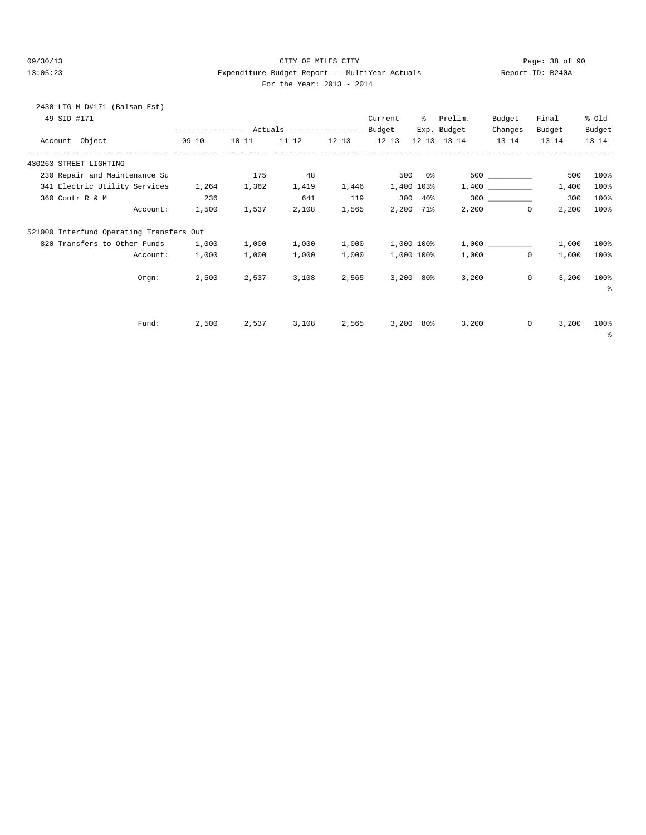### 09/30/13 Page: 38 of 90 13:05:23 Expenditure Budget Report -- MultiYear Actuals Report ID: B240A For the Year: 2013 - 2014

| 2430 LTG M D#171-(Balsam Est)<br>49 SID #171                     |                |       |                                   |             | Current % Prelim.     |             |                               | Budget            | Final                      | % old      |
|------------------------------------------------------------------|----------------|-------|-----------------------------------|-------------|-----------------------|-------------|-------------------------------|-------------------|----------------------------|------------|
|                                                                  |                |       |                                   |             |                       |             | Exp. Budget                   | Changes           | Budget                     | Budget     |
| Account Object 09-10 10-11 11-12 12-13 12-13                     |                |       |                                   |             |                       |             | 12-13 13-14 13-14 13-14 13-14 |                   |                            |            |
| 430263 STREET LIGHTING                                           |                |       |                                   |             |                       |             |                               |                   |                            |            |
| 230 Repair and Maintenance Su                                    |                |       | 175 48                            |             | $500$ 0%              |             |                               | 500 000           | 500                        | 100%       |
| 341 Electric Utility Services 1,264 1,362 1,419 1,446 1,400 103% |                |       |                                   |             |                       |             |                               |                   | 1,400                      | 100%       |
| 360 Contr R & M                                                  | 236            |       | 641                               |             | 119 300 40%           |             |                               |                   | 300                        | 100%       |
|                                                                  | Account: 1,500 | 1,537 |                                   |             | 2,108 1,565 2,200 71% |             |                               | $2,200$ 0         | 2,200                      | 100%       |
| 521000 Interfund Operating Transfers Out                         |                |       |                                   |             |                       |             |                               |                   |                            |            |
| 820 Transfers to Other Funds                                     | 1,000          | 1,000 | 1,000                             | 1,000       | 1,000 100%            |             |                               | 1,000             | 1,000                      | $100\%$    |
| Account:                                                         | 1,000          | 1,000 | 1,000                             | 1,000       | 1,000 100%            |             |                               | 1,000<br>$\Omega$ | 1,000                      | 100%       |
| Orem:                                                            | 2,500          | 2,537 |                                   | 3,108 2,565 |                       | $3,200$ 80% |                               | 3,200             | 3,200<br>$\overline{0}$    | 100%       |
|                                                                  |                |       |                                   |             |                       |             |                               |                   |                            | နွ         |
|                                                                  |                |       |                                   |             |                       |             |                               |                   |                            |            |
| Fund:                                                            |                |       | 2,500 2,537 3,108 2,565 3,200 80% |             |                       |             |                               | 3,200             | $0 \qquad \qquad$<br>3,200 | 100%       |
|                                                                  |                |       |                                   |             |                       |             |                               |                   |                            | $^{\circ}$ |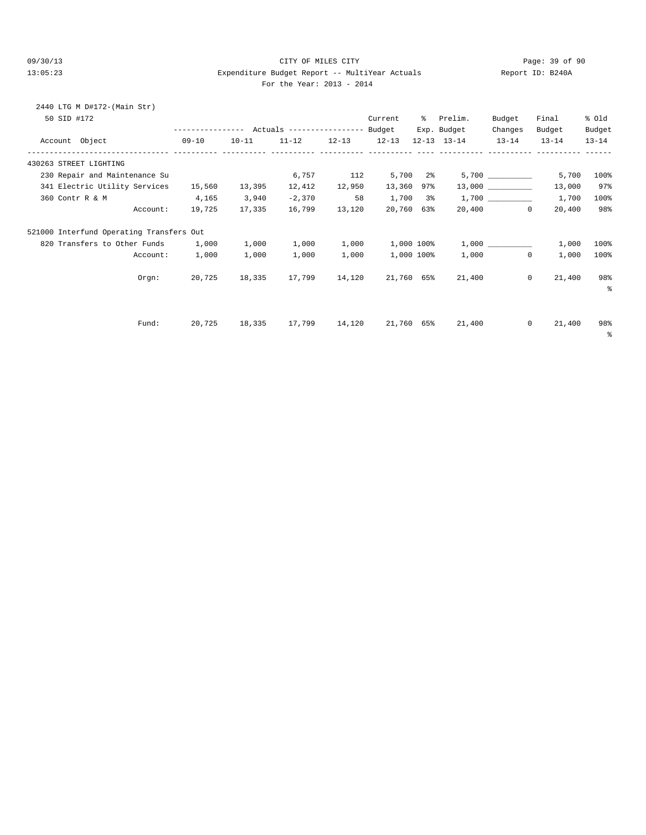#### 09/30/13 CITY OF MILES CITY Page: 39 of 90 13:05:23 Expenditure Budget Report -- MultiYear Actuals Report ID: B240A For the Year: 2013 - 2014

| For the Year: 2013 - 201 |  |  |
|--------------------------|--|--|
|--------------------------|--|--|

| 2440 LTG M D#172-(Main Str)<br>50 SID #172 |          |                 |        |               |               | Current              | % Prelim.                                                                      | Budget    | Final                    | % Old               |
|--------------------------------------------|----------|-----------------|--------|---------------|---------------|----------------------|--------------------------------------------------------------------------------|-----------|--------------------------|---------------------|
| Account Object                             |          | $09 - 10$       |        |               |               |                      | Exp. Budget<br>$10-11$ $11-12$ $12-13$ $12-13$ $12-13$ $13-14$ $13-14$ $13-14$ | Changes   | Budget                   | Budget<br>$13 - 14$ |
|                                            |          |                 |        |               |               |                      |                                                                                |           |                          |                     |
| 430263 STREET LIGHTING                     |          |                 |        |               |               |                      |                                                                                |           |                          |                     |
| 230 Repair and Maintenance Su              |          |                 |        |               |               | $6,757$ 112 5,700 2% |                                                                                |           | $5,700$ 5,700            | 100%                |
| 341 Electric Utility Services              |          | 15,560          | 13,395 |               | 12,412 12,950 | 13,360 97%           |                                                                                |           | 13,000                   | 97%                 |
| 360 Contr R & M                            |          | 4,165           | 3,940  | $-2,370$      | 58            | $1,700$ 3%           |                                                                                |           | 1,700                    | 100%                |
|                                            |          | Account: 19,725 | 17,335 | 16,799 13,120 |               | 20,760 63%           |                                                                                | 20,400 0  | 20,400                   | 98%                 |
| 521000 Interfund Operating Transfers Out   |          |                 |        |               |               |                      |                                                                                |           |                          |                     |
| 820 Transfers to Other Funds 1,000         |          |                 | 1,000  |               | 1,000 1,000   |                      | $1,000$ $100$ <sup>*</sup> $1,000$ $\qquad \qquad$                             |           | 1,000                    | 100%                |
|                                            | Account: | 1,000           | 1,000  | 1,000         | 1,000         | 1,000 100%           |                                                                                | 1,000 100 | $\mathbf{0}$<br>1,000    | 100%                |
|                                            | Orqn:    |                 |        |               |               |                      | 20,725 18,335 17,799 14,120 21,760 65% 21,400                                  |           | 21,400<br>$\circ$        | 98%<br>နွ           |
| Fund:                                      |          |                 |        |               |               |                      | 20,725 18,335 17,799 14,120 21,760 65% 21,400                                  |           | 21,400<br>$\overline{0}$ | 98%<br>$\epsilon$   |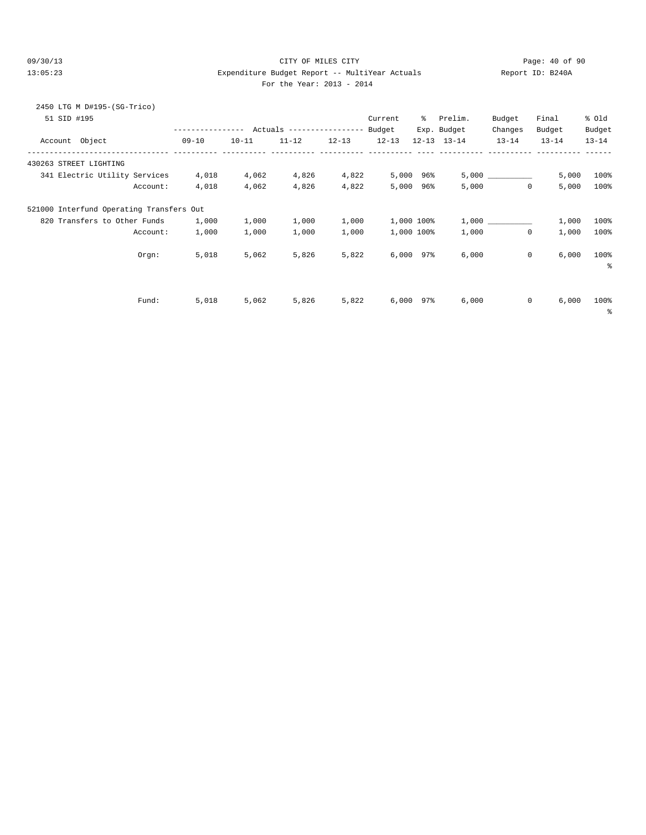### 09/30/13 CITY OF MILES CITY Page: 40 of 90 13:05:23 Expenditure Budget Report -- MultiYear Actuals Report ID: B240A For the Year: 2013 - 2014

|  | For the Year: 2013 - 201 |  |  |
|--|--------------------------|--|--|
|  |                          |  |  |

| 2450 LTG M D#195-(SG-Trico)<br>51 SID #195 |                  |           |                           |           | Current        | ႜႜၟ | Prelim.             | Budget    | Final                | % old     |
|--------------------------------------------|------------------|-----------|---------------------------|-----------|----------------|-----|---------------------|-----------|----------------------|-----------|
|                                            | ---------------- |           | Actuals ----------------- |           | Budget         |     | Exp. Budget         | Changes   | Budget               | Budget    |
| Object<br>Account                          | $09 - 10$        | $10 - 11$ | $11 - 12$                 | $12 - 13$ | $12 - 13$      |     | $12 - 13$ $13 - 14$ | $13 - 14$ | $13 - 14$            | $13 - 14$ |
| 430263 STREET LIGHTING                     |                  |           |                           |           |                |     |                     |           |                      |           |
| 341 Electric Utility Services              | 4,018            | 4,062     | 4,826                     | 4,822     | 5,000          | 96% |                     | 5,000     | 5,000                | 100%      |
| Account:                                   | 4,018            | 4,062     | 4,826                     | 4,822     | 5,000          | 96% | 5,000               |           | $^{\circ}$<br>5,000  | 100%      |
| 521000 Interfund Operating Transfers Out   |                  |           |                           |           |                |     |                     |           |                      |           |
| 820 Transfers to Other Funds               | 1,000            | 1,000     | 1,000                     | 1,000     | 1,000 100%     |     |                     |           | 1,000                | 100%      |
| Account:                                   | 1,000            | 1,000     | 1,000                     | 1,000     | 1,000 100%     |     | 1,000               |           | $^{\circ}$<br>1,000  | 100%      |
| Orgn:                                      | 5,018            | 5,062     | 5,826                     | 5,822     | $6,000$ $97\%$ |     | 6,000               |           | $\circ$<br>6,000     | 100%<br>る |
| Fund:                                      | 5,018            | 5,062     | 5,826                     | 5,822     | 6,000          | 97% | 6,000               |           | $\mathbf 0$<br>6,000 | 100%      |
|                                            |                  |           |                           |           |                |     |                     |           |                      | နွ        |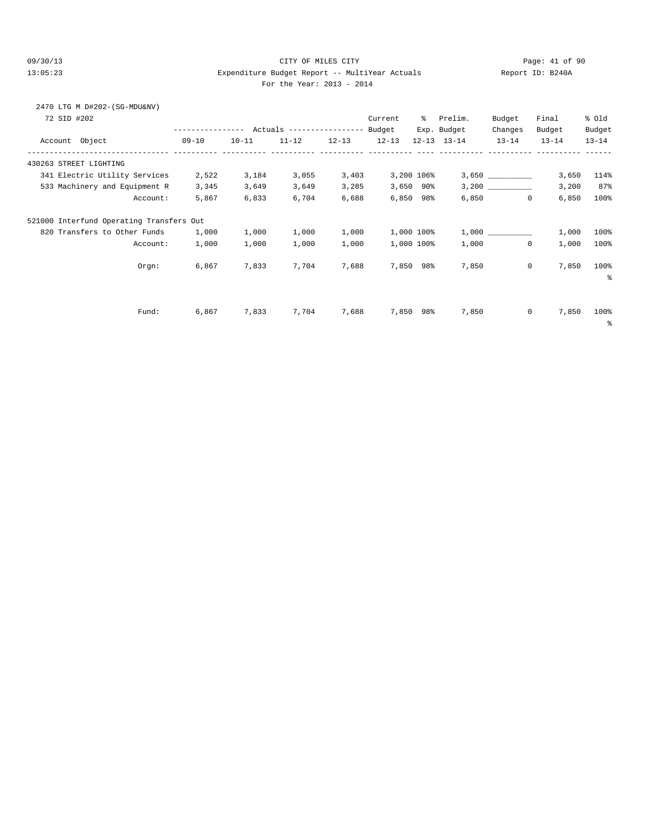2470 LTG M D#202-(SG-MDU&NV)

### 09/30/13 Page: 41 of 90 13:05:23 Expenditure Budget Report -- MultiYear Actuals Report ID: B240A For the Year: 2013 - 2014

| 72 SID #202                              |           |           |                            |           | Current   | ွေ             | Prelim.             | Budget       | Final     | % Old     |
|------------------------------------------|-----------|-----------|----------------------------|-----------|-----------|----------------|---------------------|--------------|-----------|-----------|
|                                          |           |           | Actuals ------------------ |           | Budget    |                | Exp. Budget         | Changes      | Budget    | Budget    |
| Account Object                           | $09 - 10$ | $10 - 11$ | $11 - 12$                  | $12 - 13$ | $12 - 13$ |                | $12 - 13$ $13 - 14$ | $13 - 14$    | $13 - 14$ | $13 - 14$ |
| 430263 STREET LIGHTING                   |           |           |                            |           |           |                |                     |              |           |           |
| 341 Electric Utility Services            | 2,522     | 3,184     | 3,055                      | 3,403     |           | 3,200 106%     |                     |              | 3,650     | 114%      |
| 533 Machinery and Equipment R            | 3,345     | 3,649     | 3,649                      | 3,285     |           | $3,650$ 90%    |                     |              | 3,200     | 87%       |
| Account:                                 | 5,867     | 6,833     | 6,704                      | 6,688     |           | $6,850$ $98\%$ | 6,850               | $\mathbf 0$  | 6,850     | 100%      |
| 521000 Interfund Operating Transfers Out |           |           |                            |           |           |                |                     |              |           |           |
| 820 Transfers to Other Funds             | 1,000     | 1,000     | 1,000                      | 1,000     |           | 1,000 100%     |                     |              | 1,000     | 100%      |
| Account:                                 | 1,000     | 1,000     | 1,000                      | 1,000     |           | 1,000 100%     | 1,000               | $\circ$      | 1,000     | 100%      |
| Orgn:                                    | 6,867     | 7,833     | 7,704                      | 7,688     |           | 7,850 98%      | 7,850               | 0            | 7,850     | 100%      |
|                                          |           |           |                            |           |           |                |                     |              |           | နွ        |
|                                          |           |           |                            |           |           |                |                     |              |           |           |
| Fund:                                    | 6,867     | 7,833     | 7,704                      | 7,688     |           | 7,850 98%      | 7,850               | $\mathbf{0}$ | 7,850     | 100%      |
|                                          |           |           |                            |           |           |                |                     |              |           | နွ        |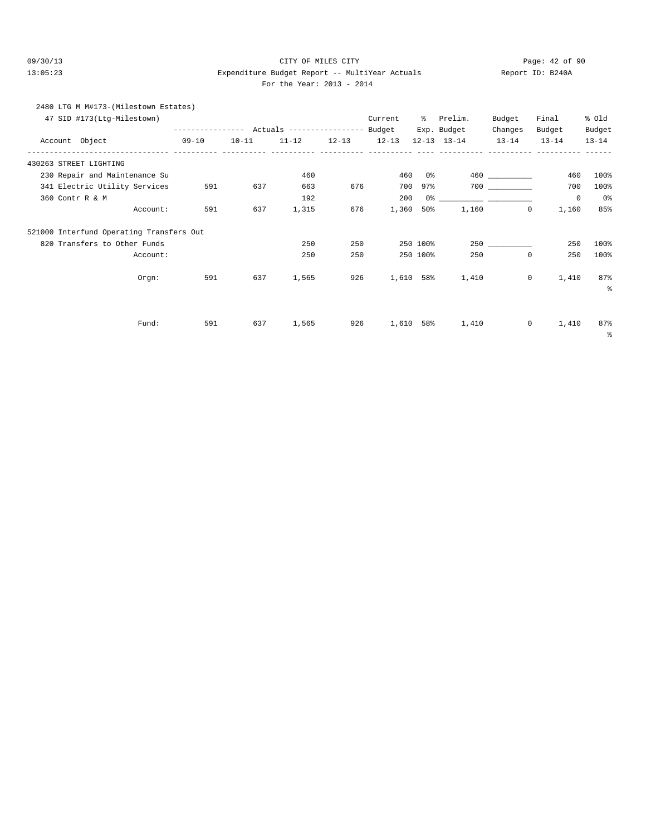#### 09/30/13 Page: 42 of 90 13:05:23 Expenditure Budget Report -- MultiYear Actuals Report ID: B240A For the Year: 2013 - 2014

|         | 2480 LTG M M#173-(Milestown Estates) |                  |           |                            |           |           |             |           |           |           |
|---------|--------------------------------------|------------------|-----------|----------------------------|-----------|-----------|-------------|-----------|-----------|-----------|
|         | 47 SID #173(Ltq-Milestown)           |                  |           |                            |           | Current   | Prelim.     | Budget    | Final     | % old     |
|         |                                      | ---------------- |           | Actuals ------------------ |           | Budget    | Exp. Budget | Changes   | Budget    | Budget    |
| Account | Object                               | $09 - 10$        | $10 - 11$ | $11 - 12$                  | $12 - 13$ | $12 - 13$ | 12-13 13-14 | $13 - 14$ | $13 - 14$ | $13 - 14$ |

| Account Object                           | $09 - 10$ | $10 - 11$ | $11 - 12$ | $12 - 13$ | $12 - 13$ |           | $12 - 13$ $13 - 14$ | $13 - 14$                         | $13 - 14$   | $13 - 14$  |
|------------------------------------------|-----------|-----------|-----------|-----------|-----------|-----------|---------------------|-----------------------------------|-------------|------------|
| 430263 STREET LIGHTING                   |           |           |           |           |           |           |                     |                                   |             |            |
| 230 Repair and Maintenance Su            |           |           | 460       |           | 460       | 0 %       |                     |                                   | 460         | 100%       |
| 341 Electric Utility Services            | 591       | 637       | 663       | 676       | 700       | $97\%$    |                     | 700 000                           | 700         | 100%       |
| 360 Contr R & M                          |           |           | 192       |           | 200       | 0%        |                     | the company of the company of the | $\mathbf 0$ | 0%         |
| Account:                                 | 591       | 637       | 1,315     | 676       | 1,360     | $50\%$    | 1,160               | 0                                 | 1,160       | 85%        |
| 521000 Interfund Operating Transfers Out |           |           |           |           |           |           |                     |                                   |             |            |
| 820 Transfers to Other Funds             |           |           | 250       | 250       |           | 250 100%  |                     | 250                               | 250         | 100%       |
| Account:                                 |           |           | 250       | 250       |           | 250 100%  | 250                 | $\mathbf 0$                       | 250         | 100%       |
| Orgn:                                    | 591       | 637       | 1,565     | 926       |           | 1,610 58% | 1,410               | $\mathbf 0$                       | 1,410       | 87%        |
|                                          |           |           |           |           |           |           |                     |                                   |             | နွ         |
|                                          |           |           |           |           |           |           |                     |                                   |             |            |
| Fund:                                    | 591       | 637       | 1,565     | 926       |           | 1,610 58% | 1,410               | $\mathbf 0$                       | 1,410       | 87%        |
|                                          |           |           |           |           |           |           |                     |                                   |             | $\epsilon$ |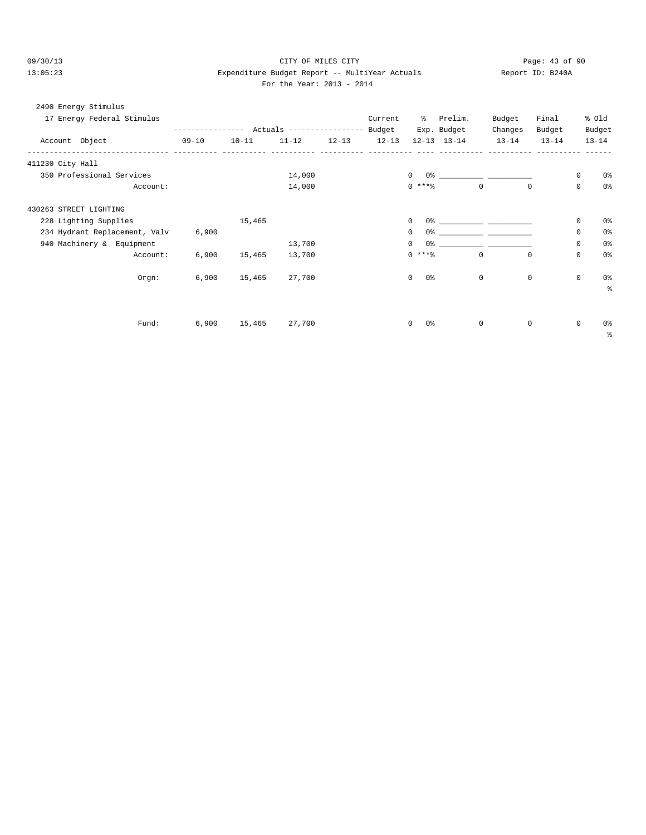### 09/30/13 Page: 43 of 90 13:05:23 Expenditure Budget Report -- MultiYear Actuals Report ID: B240A For the Year: 2013 - 2014

| 2490 Energy Stimulus                              |             |           |           |           |           |                 |                     |                               |             |             |                |
|---------------------------------------------------|-------------|-----------|-----------|-----------|-----------|-----------------|---------------------|-------------------------------|-------------|-------------|----------------|
| 17 Energy Federal Stimulus                        |             |           |           |           | Current   |                 | % Prelim.           | Budget                        | Final       |             | % old          |
|                                                   |             |           |           |           |           |                 | Exp. Budget         | Changes                       | Budget      |             | Budget         |
| Account Object<br>------------------------------- | $09 - 10$   | $10 - 11$ | $11 - 12$ | $12 - 13$ | $12 - 13$ |                 | $12 - 13$ $13 - 14$ | $13 - 14$                     | $13 - 14$   |             | $13 - 14$      |
| 411230 City Hall                                  | ----------- |           |           |           |           |                 |                     |                               |             |             |                |
| 350 Professional Services                         |             |           | 14,000    |           |           | $\Omega$        |                     |                               |             | 0           | 0%             |
| Account:                                          |             |           | 14,000    |           |           | $0***$          |                     | $\Omega$                      | $\Omega$    | $\Omega$    | 0%             |
| 430263 STREET LIGHTING                            |             |           |           |           |           |                 |                     |                               |             |             |                |
| 228 Lighting Supplies                             |             | 15,465    |           |           |           | $\mathbf 0$     |                     | 0.왕 - 대한민국의 대학 대학 대학 대학 대학 대학 |             | $\mathbf 0$ | 0 <sup>8</sup> |
| 234 Hydrant Replacement, Valv                     | 6,900       |           |           |           |           | $\mathbf{0}$    |                     |                               |             | $\mathbf 0$ | 0 <sup>8</sup> |
| 940 Machinery & Equipment                         |             |           | 13,700    |           |           | $\mathbf{0}$    |                     |                               |             | $\mathbf 0$ | 0 <sup>8</sup> |
| Account:                                          | 6.900       | 15,465    | 13,700    |           |           | $0$ ****        |                     | $\Omega$                      | $\Omega$    | $\Omega$    | 0 <sup>8</sup> |
| Orem:                                             | 6,900       | 15,465    | 27,700    |           |           | $\Omega$<br>0 % |                     | $\mathbf{0}$                  | $\mathbf 0$ | $\mathbf 0$ | 0 <sup>8</sup> |
|                                                   |             |           |           |           |           |                 |                     |                               |             |             | る              |
|                                                   |             |           |           |           |           |                 |                     |                               |             |             |                |
| Fund:                                             | 6,900       | 15,465    | 27,700    |           |           | 0 %<br>$\circ$  |                     | 0                             | $\mathbf 0$ | $\mathbf 0$ | 0%             |
|                                                   |             |           |           |           |           |                 |                     |                               |             |             | နွ             |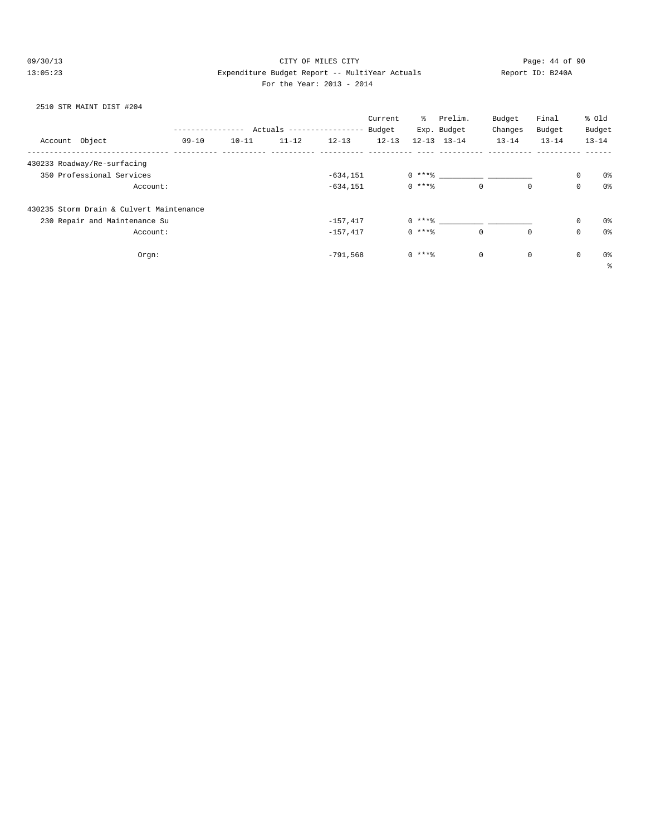### 09/30/13 Page: 44 of 90 13:05:23 Expenditure Budget Report -- MultiYear Actuals Report ID: B240A For the Year: 2013 - 2014

### 2510 STR MAINT DIST #204

|         |                                          |       |           |                           |             | Current   | ွေ       | Prelim.             | Budget    | Final       |             | % Old          |
|---------|------------------------------------------|-------|-----------|---------------------------|-------------|-----------|----------|---------------------|-----------|-------------|-------------|----------------|
|         |                                          |       |           | Actuals ----------------- |             | Budget    |          | Exp. Budget         | Changes   | Budget      |             | Budget         |
| Account | Object                                   | 09-10 | $10 - 11$ | $11 - 12$                 | $12 - 13$   | $12 - 13$ |          | $12 - 13$ $13 - 14$ | $13 - 14$ | $13 - 14$   |             | $13 - 14$      |
|         | 430233 Roadway/Re-surfacing              |       |           |                           |             |           |          |                     |           |             |             |                |
|         | 350 Professional Services                |       |           |                           | $-634, 151$ |           | $0$ **** |                     |           |             | $\mathbf 0$ | 0%             |
|         | Account:                                 |       |           |                           | $-634, 151$ |           | $0***8$  | $\mathbf 0$         |           | $\mathbf 0$ | $\mathbf 0$ | 0 <sup>o</sup> |
|         | 430235 Storm Drain & Culvert Maintenance |       |           |                           |             |           |          |                     |           |             |             |                |
|         | 230 Repair and Maintenance Su            |       |           |                           | $-157,417$  |           |          | $0***8$             |           |             | $\mathbf 0$ | 0%             |
|         | Account:                                 |       |           |                           | $-157,417$  |           | $0***8$  | $\mathbf 0$         |           | $\mathbf 0$ | $\mathbf 0$ | 0%             |
|         | $Orgn$ :                                 |       |           |                           | $-791,568$  |           | $0***8$  | $\mathbf 0$         |           | $\mathsf 0$ | $\mathbf 0$ | 0%             |
|         |                                          |       |           |                           |             |           |          |                     |           |             |             | $\epsilon$     |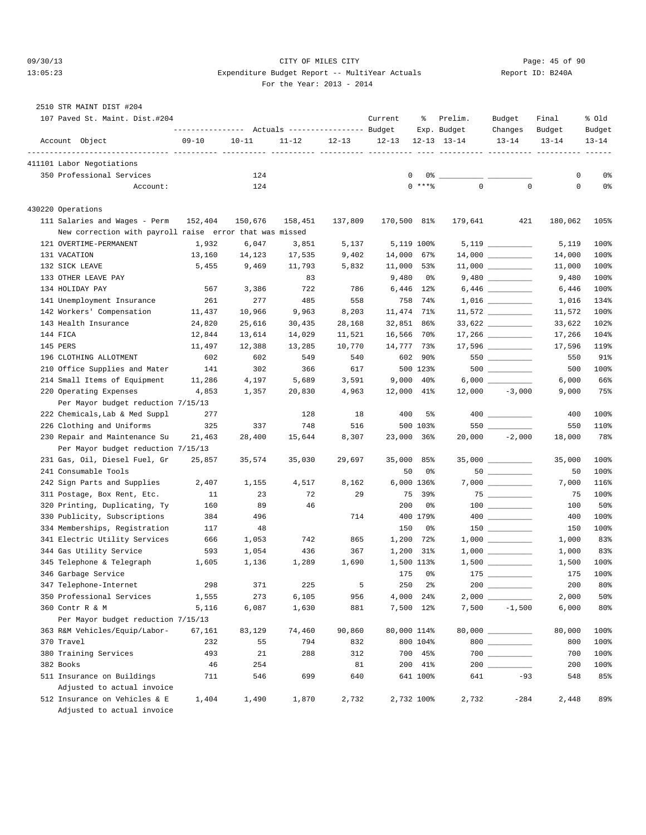### 09/30/13 Page: 45 of 90 13:05:23 Expenditure Budget Report -- MultiYear Actuals Report ID: B240A For the Year: 2013 - 2014

## 2510 STR MAINT DIST #204

| 107 Paved St. Maint. Dist.#204                          |           |           |           |           | Current     | ႜ              | Prelim.<br>Exp. Budget | Budget<br>Changes                      | Final<br>Budget | % old<br>Budget |
|---------------------------------------------------------|-----------|-----------|-----------|-----------|-------------|----------------|------------------------|----------------------------------------|-----------------|-----------------|
| Account Object                                          | $09 - 10$ | $10 - 11$ | $11 - 12$ | $12 - 13$ | $12 - 13$   |                | $12 - 13$ $13 - 14$    | $13 - 14$                              | $13 - 14$       | $13 - 14$       |
| 411101 Labor Negotiations                               |           |           |           |           |             |                |                        |                                        |                 |                 |
| 350 Professional Services                               |           | 124       |           |           | 0           |                |                        |                                        | 0               | 0%              |
| Account:                                                |           | 124       |           |           |             | $0$ ****       | $\overline{0}$         | $\mathbf 0$                            | $\mathbf 0$     | 0%              |
| 430220 Operations                                       |           |           |           |           |             |                |                        |                                        |                 |                 |
| 111 Salaries and Wages - Perm                           | 152,404   | 150,676   | 158,451   | 137,809   | 170,500 81% |                | 179,641                | 421                                    | 180,062         | 105%            |
| New correction with payroll raise error that was missed |           |           |           |           |             |                |                        |                                        |                 |                 |
| 121 OVERTIME-PERMANENT                                  | 1,932     | 6,047     | 3,851     | 5,137     |             | 5,119 100%     |                        | $5,119$ _________                      | 5,119           | 100%            |
| 131 VACATION                                            | 13,160    | 14,123    | 17,535    | 9,402     | 14,000 67%  |                |                        |                                        | 14,000          | 100%            |
| 132 SICK LEAVE                                          | 5,455     | 9,469     | 11,793    | 5,832     | 11,000 53%  |                |                        |                                        | 11,000          | 100%            |
| 133 OTHER LEAVE PAY                                     |           |           | 83        |           | 9,480       | 0%             |                        |                                        | 9,480           | 100%            |
| 134 HOLIDAY PAY                                         | 567       | 3,386     | 722       | 786       |             | 6,446 12%      |                        |                                        | 6,446           | 100%            |
| 141 Unemployment Insurance                              | 261       | 277       | 485       | 558       | 758         | 74%            |                        |                                        | 1,016           | 134%            |
| 142 Workers' Compensation                               | 11,437    | 10,966    | 9,963     | 8,203     | 11,474 71%  |                |                        |                                        | 11,572          | 100%            |
| 143 Health Insurance                                    | 24,820    | 25,616    | 30,435    | 28,168    | 32,851 86%  |                |                        |                                        | 33,622          | 102%            |
| 144 FICA                                                | 12,844    | 13,614    | 14,029    | 11,521    | 16,566      | 70%            |                        |                                        | 17,266          | 104%            |
| 145 PERS                                                | 11,497    | 12,388    | 13,285    | 10,770    | 14,777 73%  |                |                        |                                        | 17,596          | 119%            |
| 196 CLOTHING ALLOTMENT                                  | 602       | 602       | 549       | 540       | 602         | 90%            |                        | 550                                    | 550             | 91%             |
| 210 Office Supplies and Mater                           | 141       | 302       | 366       | 617       |             | 500 123%       |                        |                                        | 500             | 100%            |
| 214 Small Items of Equipment                            | 11,286    | 4,197     | 5,689     | 3,591     |             | $9,000$ 40%    |                        |                                        | 6,000           | 66%             |
| 220 Operating Expenses                                  | 4,853     | 1,357     | 20,830    | 4,963     | 12,000 41%  |                |                        | $12,000 -3,000$                        | 9,000           | 75%             |
| Per Mayor budget reduction 7/15/13                      |           |           |           |           |             |                |                        |                                        |                 |                 |
| 222 Chemicals, Lab & Med Suppl                          | 277       |           | 128       | 18        | 400         | 5%             |                        |                                        | 400             | 100%            |
| 226 Clothing and Uniforms                               | 325       | 337       | 748       | 516       |             | 500 103%       |                        | 550                                    | 550             | 110%            |
| 230 Repair and Maintenance Su                           | 21,463    | 28,400    | 15,644    | 8,307     | 23,000 36%  |                |                        | $20,000 -2,000$                        | 18,000          | 78%             |
| Per Mayor budget reduction 7/15/13                      |           |           |           |           |             |                |                        |                                        |                 |                 |
| 231 Gas, Oil, Diesel Fuel, Gr                           | 25,857    | 35,574    | 35,030    | 29,697    | 35,000      | 85%            |                        |                                        | 35,000          | 100%            |
| 241 Consumable Tools                                    |           |           |           |           | 50          | 0%             |                        |                                        | 50              | 100%            |
| 242 Sign Parts and Supplies                             | 2,407     | 1,155     | 4,517     | 8,162     |             | 6,000 136%     |                        |                                        | 7,000           | 116%            |
| 311 Postage, Box Rent, Etc.                             | 11        | 23        | 72        | 29        |             | 75 39%         |                        | $75$ ____________                      | 75              | 100%            |
| 320 Printing, Duplicating, Ty                           | 160       | 89        | 46        |           | 200         | 0%             |                        | $\begin{tabular}{c} 100 \end{tabular}$ | 100             | 50%             |
| 330 Publicity, Subscriptions                            | 384       | 496       |           | 714       |             | 400 179%       |                        |                                        | 400             | 100%            |
| 334 Memberships, Registration                           | 117       | 48        |           |           | 150         | 0%             |                        |                                        | 150             | 100%            |
| 341 Electric Utility Services                           | 666       | 1,053     | 742       | 865       | 1,200       | 72%            |                        |                                        | 1,000           | 83%             |
| 344 Gas Utility Service                                 | 593       | 1,054     | 436       | 367       |             | 1,200 31%      |                        |                                        | 1,000           | 83%             |
| 345 Telephone & Telegraph                               | 1,605     | 1,136     | 1,289     | 1,690     |             | 1,500 113%     |                        |                                        | 1,500           | 100%            |
| 346 Garbage Service                                     |           |           |           |           | 175         | 0%             |                        |                                        | 175             | 100%            |
| 347 Telephone-Internet                                  | 298       | 371       | 225       | 5         | 250         | 2 <sup>°</sup> | $200$ $\_\_$           |                                        | 200             | 80%             |
| 350 Professional Services                               | 1,555     | 273       | 6,105     | 956       |             | 4,000 24%      |                        | 2,000 ___________                      | 2,000           | 50%             |
| 360 Contr R & M                                         | 5,116     | 6,087     | 1,630     | 881       |             | 7,500 12%      | 7,500                  | $-1,500$                               | 6,000           | 80%             |
| Per Mayor budget reduction 7/15/13                      |           |           |           |           |             |                |                        |                                        |                 |                 |
| 363 R&M Vehicles/Equip/Labor-                           | 67,161    | 83,129    | 74,460    | 90,860    | 80,000 114% |                |                        |                                        | 80,000          | 100%            |
| 370 Travel                                              | 232       | 55        | 794       | 832       |             | 800 104%       |                        | 800                                    | 800             | 100%            |
| 380 Training Services                                   | 493       | 21        | 288       | 312       |             | 700 45%        |                        |                                        | 700             | 100%            |
| 382 Books                                               | 46        | 254       |           | 81        |             | 200 41%        |                        |                                        | 200             | 100%            |
| 511 Insurance on Buildings                              | 711       | 546       | 699       | 640       |             | 641 100%       | 641                    | $-93$                                  | 548             | 85%             |
| Adjusted to actual invoice                              |           |           |           |           |             |                |                        |                                        |                 |                 |
| 512 Insurance on Vehicles & E                           | 1,404     | 1,490     | 1,870     | 2,732     |             | 2,732 100%     | 2,732                  | $-284$                                 | 2,448           | 89%             |
| Adjusted to actual invoice                              |           |           |           |           |             |                |                        |                                        |                 |                 |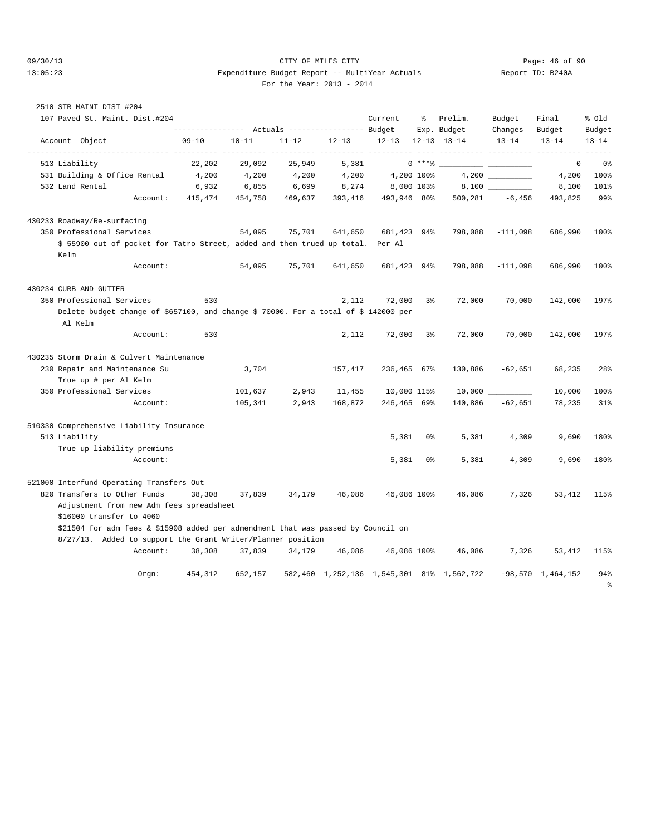2510 STR MAINT DIST #204

#### 09/30/13 CITY OF MILES CITY Page: 46 of 90 13:05:23 Expenditure Budget Report -- MultiYear Actuals Report ID: B240A For the Year: 2013 - 2014

|  |  | For the Year: $2013 - 20$ |  |  |  |
|--|--|---------------------------|--|--|--|
|--|--|---------------------------|--|--|--|

| 107 Paved St. Maint. Dist.#204                                                                 |                |           |                                  |           | Current                       | နွ             | Prelim.                                   | Budget             | Final                     | % old     |
|------------------------------------------------------------------------------------------------|----------------|-----------|----------------------------------|-----------|-------------------------------|----------------|-------------------------------------------|--------------------|---------------------------|-----------|
|                                                                                                | -------------- |           | Actuals ----------------- Budget |           |                               |                | Exp. Budget                               | Changes            | Budget                    | Budget    |
| Account Object                                                                                 | $09 - 10$      | $10 - 11$ | $11 - 12$                        | $12 - 13$ | $12 - 13$<br>----------- ---- |                | 12-13 13-14                               | $13 - 14$          | $13 - 14$                 | $13 - 14$ |
| 513 Liability                                                                                  | 22,202         | 29,092    | 25,949                           | 5,381     |                               | $0$ ****       |                                           |                    | 0                         | 0%        |
| 531 Building & Office Rental                                                                   | 4,200          | 4,200     | 4,200                            | 4,200     |                               | 4,200 100%     |                                           |                    | 4,200                     | 100%      |
| 532 Land Rental                                                                                | 6,932          | 6,855     | 6,699                            | 8,274     | 8,000 103%                    |                |                                           |                    | 8,100                     | 101%      |
| Account:                                                                                       | 415,474        | 454,758   | 469,637                          | 393,416   | 493,946 80%                   |                |                                           | $500, 281 -6, 456$ | 493,825                   | 99%       |
| 430233 Roadway/Re-surfacing                                                                    |                |           |                                  |           |                               |                |                                           |                    |                           |           |
| 350 Professional Services                                                                      |                | 54,095    | 75,701                           | 641,650   | 681,423 94%                   |                | 798,088                                   | $-111,098$         | 686,990                   | 100%      |
| \$ 55900 out of pocket for Tatro Street, added and then trued up total. Per Al<br>Kelm         |                |           |                                  |           |                               |                |                                           |                    |                           |           |
| Account:                                                                                       |                | 54,095    | 75,701                           | 641,650   | 681,423 94%                   |                | 798,088                                   | $-111,098$         | 686,990                   | 100%      |
| 430234 CURB AND GUTTER                                                                         |                |           |                                  |           |                               |                |                                           |                    |                           |           |
| 350 Professional Services                                                                      | 530            |           |                                  | 2,112     | 72,000                        | 3 <sup>°</sup> | 72,000                                    | 70,000             | 142,000                   | 197%      |
| Delete budget change of \$657100, and change \$ 70000. For a total of \$ 142000 per<br>Al Kelm |                |           |                                  |           |                               |                |                                           |                    |                           |           |
| Account:                                                                                       | 530            |           |                                  | 2,112     | 72,000                        | 3%             | 72,000                                    | 70,000             | 142,000                   | 197%      |
| 430235 Storm Drain & Culvert Maintenance                                                       |                |           |                                  |           |                               |                |                                           |                    |                           |           |
| 230 Repair and Maintenance Su                                                                  |                | 3,704     |                                  | 157,417   | 236,465 67%                   |                | 130,886                                   | $-62,651$          | 68,235                    | 28%       |
| True up # per Al Kelm                                                                          |                |           |                                  |           |                               |                |                                           |                    |                           |           |
| 350 Professional Services                                                                      |                | 101,637   | 2,943                            | 11,455    | 10,000 115%                   |                | $10,000$ $\_$                             |                    | 10,000                    | 100%      |
| Account:                                                                                       |                | 105,341   | 2,943                            | 168,872   | 246,465 69%                   |                | 140,886                                   | $-62,651$          | 78,235                    | 31%       |
| 510330 Comprehensive Liability Insurance                                                       |                |           |                                  |           |                               |                |                                           |                    |                           |           |
| 513 Liability                                                                                  |                |           |                                  |           | 5,381                         | 0%             | 5,381                                     | 4,309              | 9,690                     | 180%      |
| True up liability premiums                                                                     |                |           |                                  |           |                               |                |                                           |                    |                           |           |
| Account:                                                                                       |                |           |                                  |           | 5,381                         | 0%             | 5,381                                     | 4,309              | 9,690                     | 180%      |
| 521000 Interfund Operating Transfers Out                                                       |                |           |                                  |           |                               |                |                                           |                    |                           |           |
| 820 Transfers to Other Funds                                                                   | 38,308         | 37,839    | 34,179                           | 46,086    | 46,086 100%                   |                | 46,086                                    | 7,326              | 53,412                    | 115%      |
| Adjustment from new Adm fees spreadsheet<br>\$16000 transfer to 4060                           |                |           |                                  |           |                               |                |                                           |                    |                           |           |
| \$21504 for adm fees & \$15908 added per admendment that was passed by Council on              |                |           |                                  |           |                               |                |                                           |                    |                           |           |
| 8/27/13. Added to support the Grant Writer/Planner position                                    |                |           |                                  |           |                               |                |                                           |                    |                           |           |
| Account:                                                                                       | 38,308         | 37,839    | 34,179                           | 46,086    | 46,086 100%                   |                | 46,086                                    | 7,326              | 53,412                    | 115%      |
| Orgn:                                                                                          | 454,312        | 652,157   |                                  |           |                               |                | 582,460 1,252,136 1,545,301 81% 1,562,722 |                    | $-98,570 \quad 1,464,152$ | 94%       |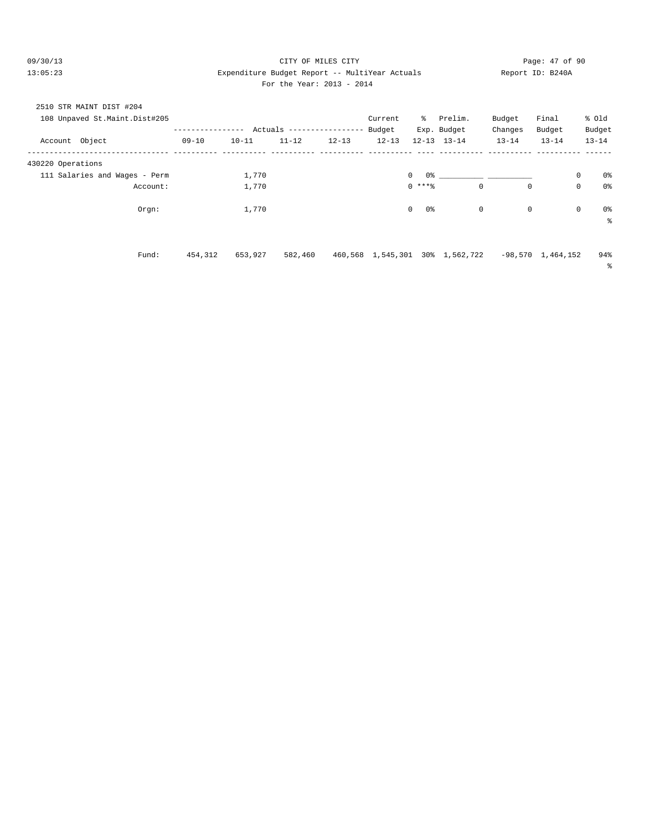#### 09/30/13 Page: 47 of 90 13:05:23 Expenditure Budget Report -- MultiYear Actuals Report ID: B240A For the Year: 2013 - 2014

| For the Year: $2013 - 20$ |  |  |
|---------------------------|--|--|
|---------------------------|--|--|

| 2510 STR MAINT DIST #204      |           |           |                           |           |           |               |                                 |           |                     |                               |  |
|-------------------------------|-----------|-----------|---------------------------|-----------|-----------|---------------|---------------------------------|-----------|---------------------|-------------------------------|--|
| 108 Unpaved St.Maint.Dist#205 |           |           |                           |           | Current   | ိ             | Prelim.                         | Budget    | Final               | % old                         |  |
|                               |           |           | Actuals ----------------- |           | Budget    |               | Exp. Budget                     | Changes   | Budget              | Budget                        |  |
| Account Object                | $09 - 10$ | $10 - 11$ | $11 - 12$                 | $12 - 13$ | $12 - 13$ |               | $12 - 13$ $13 - 14$             | $13 - 14$ | $13 - 14$           | $13 - 14$                     |  |
|                               |           |           |                           |           |           |               |                                 |           |                     |                               |  |
| 430220 Operations             |           |           |                           |           |           |               |                                 |           |                     |                               |  |
| 111 Salaries and Wages - Perm |           | 1,770     |                           |           |           | $\circ$       |                                 |           |                     | $\mathbf 0$<br>0%             |  |
| Account:                      |           | 1,770     |                           |           |           | $0$ ****      | $\mathbf 0$                     | 0         |                     | $\mathbf 0$<br>0 <sup>o</sup> |  |
| Orgn:                         |           | 1,770     |                           |           |           | 0%<br>$\circ$ | 0                               | 0         |                     | $\mathbf 0$<br>0%             |  |
|                               |           |           |                           |           |           |               |                                 |           |                     | နွ                            |  |
|                               |           |           |                           |           |           |               |                                 |           |                     |                               |  |
| Fund:                         | 454,312   | 653,927   | 582,460                   |           |           |               | 460,568 1,545,301 30% 1,562,722 |           | $-98,570$ 1,464,152 | 94%                           |  |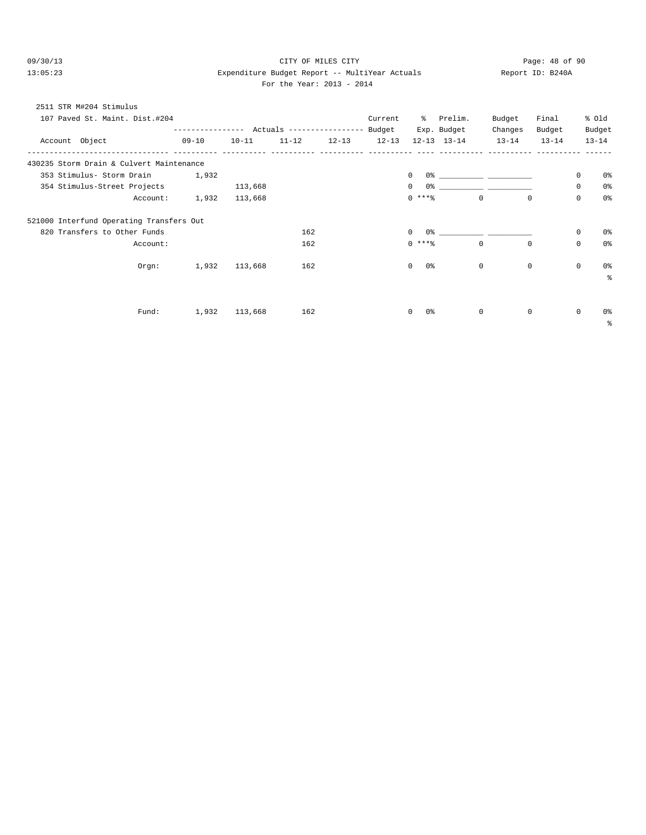# 09/30/13 Page: 48 of 90 13:05:23 Expenditure Budget Report -- MultiYear Actuals Report ID: B240A

For the Year: 2013 - 2014

| 2511 STR M#204 Stimulus<br>107 Paved St. Maint. Dist.#204 |           |           |           |           | Current   |                    | % Prelim.<br>Exp. Budget                       | Budget<br>Changes | Final<br>Budget |          | % old<br>Budget |
|-----------------------------------------------------------|-----------|-----------|-----------|-----------|-----------|--------------------|------------------------------------------------|-------------------|-----------------|----------|-----------------|
| Account Object                                            | $09 - 10$ | $10 - 11$ | $11 - 12$ | $12 - 13$ | $12 - 13$ |                    | $12 - 13$ $13 - 14$                            | $13 - 14$         | $13 - 14$       |          | $13 - 14$       |
| 430235 Storm Drain & Culvert Maintenance                  |           |           |           |           |           |                    |                                                |                   |                 |          |                 |
| 353 Stimulus- Storm Drain                                 | 1,932     |           |           |           |           | $\Omega$           |                                                |                   |                 | 0        | 0 %             |
| 354 Stimulus-Street Projects                              |           | 113,668   |           |           |           | $\mathbf{0}$       |                                                |                   |                 | $\Omega$ | 0%              |
| Account:                                                  | 1,932     | 113,668   |           |           |           | $0***$             | $\Omega$                                       | $\Omega$          |                 | $\Omega$ | 0%              |
| 521000 Interfund Operating Transfers Out                  |           |           |           |           |           |                    |                                                |                   |                 |          |                 |
| 820 Transfers to Other Funds                              |           |           | 162       |           |           | 0%<br>$\mathbf{0}$ | <u>and the state of the state of the state</u> |                   |                 | 0        | 0 %             |
| Account:                                                  |           |           | 162       |           |           | $0$ ****           | $\mathbf{0}$                                   | $\Omega$          |                 | $\Omega$ | 0%              |
| Orgn:                                                     | 1,932     | 113,668   | 162       |           |           | $\Omega$<br>0 %    | $\Omega$                                       | $\Omega$          |                 | $\Omega$ | 0%<br>∻         |
| Fund:                                                     | 1,932     | 113,668   | 162       |           |           | 0 %<br>$\Omega$    | $\Omega$                                       | $\Omega$          |                 | $\Omega$ | 0 %             |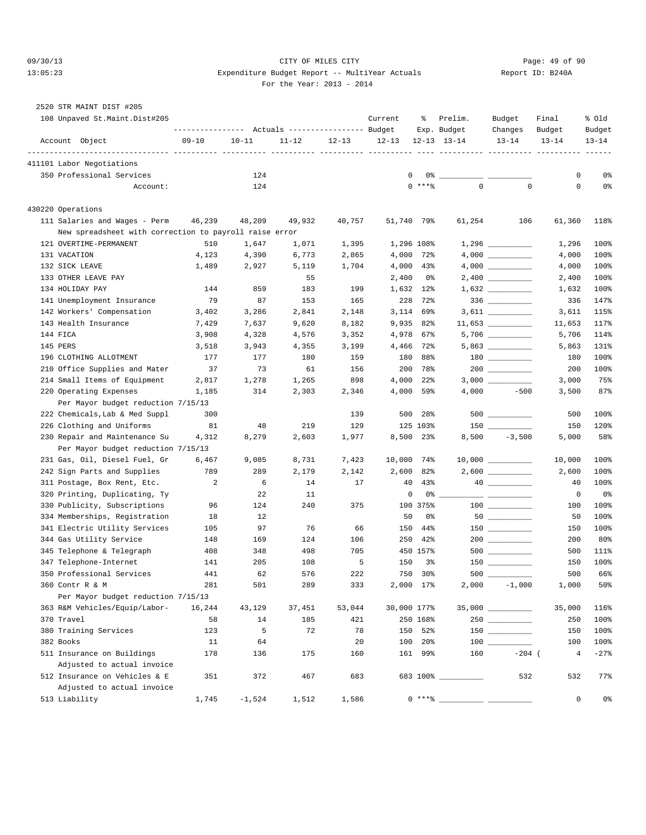#### 09/30/13 CITY OF MILES CITY Page: 49 of 90 13:05:23 Expenditure Budget Report -- MultiYear Actuals Report ID: B240A For the Year: 2013 - 2014

#### 2520 STR MAINT DIST #205

| 108 Unpaved St.Maint.Dist#205                          |           |           | ---------------    Actuals ----------------    Budget |           | Current            | ႜ                 | Prelim.<br>Exp. Budget | Budget<br>Changes                  | Final<br>Budget | % old<br>Budget |
|--------------------------------------------------------|-----------|-----------|-------------------------------------------------------|-----------|--------------------|-------------------|------------------------|------------------------------------|-----------------|-----------------|
| Account Object                                         | $09 - 10$ | $10 - 11$ | $11 - 12$                                             | $12 - 13$ | $12 - 13$          |                   | $12 - 13$ $13 - 14$    | $13 - 14$                          | $13 - 14$       | $13 - 14$       |
| 411101 Labor Negotiations                              |           |           |                                                       |           | ----- ---------- - |                   |                        | ------- ---------- ----            |                 |                 |
| 350 Professional Services                              |           | 124       |                                                       |           | 0                  |                   |                        |                                    | 0               | 0%              |
| Account:                                               |           | 124       |                                                       |           |                    | $0$ ****          | $\mathbf 0$            | $\mathbf 0$                        | 0               | 0%              |
| 430220 Operations                                      |           |           |                                                       |           |                    |                   |                        |                                    |                 |                 |
| 111 Salaries and Wages - Perm                          | 46,239    | 48,209    | 49,932                                                | 40,757    | 51,740 79%         |                   | 61,254                 | 106                                | 61,360          | 118%            |
| New spreadsheet with correction to payroll raise error |           |           |                                                       |           |                    |                   |                        |                                    |                 |                 |
| 121 OVERTIME-PERMANENT                                 | 510       | 1,647     | 1,071                                                 | 1,395     | 1,296 108%         |                   |                        |                                    | 1,296           | 100%            |
| 131 VACATION                                           | 4,123     | 4,390     | 6,773                                                 | 2,865     | 4,000              | 72%               |                        |                                    | 4,000           | 100%            |
| 132 SICK LEAVE                                         | 1,489     | 2,927     | 5,119                                                 | 1,704     | 4,000              | 43%               |                        |                                    | 4,000           | 100%            |
| 133 OTHER LEAVE PAY                                    |           |           | 55                                                    |           | 2,400              | 0%                |                        |                                    | 2,400           | 100%            |
| 134 HOLIDAY PAY                                        | 144       | 859       | 183                                                   | 199       | 1,632              | $12$ $%$          |                        | $1,632$                            | 1,632           | 100%            |
| 141 Unemployment Insurance                             | 79        | 87        | 153                                                   | 165       | 228                | 72%               |                        | $336 \ \ \underline{\hspace{1cm}}$ | 336             | 147%            |
| 142 Workers' Compensation                              | 3,402     | 3,286     | 2,841                                                 | 2,148     | 3,114              | 69%               |                        |                                    | 3,611           | 115%            |
| 143 Health Insurance                                   | 7,429     | 7,637     | 9,620                                                 | 8,182     | 9,935              | 82%               |                        |                                    | 11,653          | 117%            |
| 144 FICA                                               | 3,908     | 4,328     | 4,576                                                 | 3,352     | 4,978              | 67%               |                        |                                    | 5,706           | 114%            |
| 145 PERS                                               | 3,518     | 3,943     | 4,355                                                 | 3,199     | 4,466              | 72%               |                        | $5,863$ ______________             | 5,863           | 131%            |
| 196 CLOTHING ALLOTMENT                                 | 177       | 177       | 180                                                   | 159       | 180                | 88%               |                        |                                    | 180             | 100%            |
| 210 Office Supplies and Mater                          | 37        | 73        | 61                                                    | 156       | 200                | 78%               |                        |                                    | 200             | 100%            |
| 214 Small Items of Equipment                           | 2,817     | 1,278     | 1,265                                                 | 898       | 4,000              | $22$ <sup>8</sup> |                        |                                    | 3,000           | 75%             |
| 220 Operating Expenses                                 | 1,185     | 314       | 2,303                                                 | 2,346     | 4,000              | 59%               | 4,000                  | $-500$                             | 3,500           | 87%             |
| Per Mayor budget reduction 7/15/13                     |           |           |                                                       |           |                    |                   |                        |                                    |                 |                 |
| 222 Chemicals, Lab & Med Suppl                         | 300       |           |                                                       | 139       | 500                | 28%               |                        | 500                                | 500             | 100%            |
| 226 Clothing and Uniforms                              | 81        | 48        | 219                                                   | 129       |                    | 125 103%          |                        | $150$                              | 150             | 120%            |
| 230 Repair and Maintenance Su                          | 4,312     | 8,279     | 2,603                                                 | 1,977     |                    | 8,500 23%         | 8,500                  | $-3,500$                           | 5,000           | 58%             |
| Per Mayor budget reduction 7/15/13                     |           |           |                                                       |           |                    |                   |                        |                                    |                 |                 |
| 231 Gas, Oil, Diesel Fuel, Gr                          | 6,467     | 9,085     | 8,731                                                 | 7,423     | 10,000             | 74%               |                        |                                    | 10,000          | 100%            |
| 242 Sign Parts and Supplies                            | 789       | 289       | 2,179                                                 | 2,142     | 2,600              | 82%               |                        |                                    | 2,600           | 100%            |
| 311 Postage, Box Rent, Etc.                            | 2         | 6         | 14                                                    | 17        | 40                 | 43%               |                        | 40                                 | 40              | 100%            |
| 320 Printing, Duplicating, Ty                          |           | 22        | 11                                                    |           | 0                  | 0%                |                        |                                    | 0               | 0%              |
| 330 Publicity, Subscriptions                           | 96        | 124       | 240                                                   | 375       |                    | 100 375%          |                        |                                    | 100             | 100%            |
| 334 Memberships, Registration                          | 18        | 12        |                                                       |           | 50                 | 0%                |                        | $50$                               | 50              | 100%            |
| 341 Electric Utility Services                          | 105       | 97        | 76                                                    | 66        | 150                | 44%               |                        |                                    | 150             | 100%            |
| 344 Gas Utility Service                                | 148       | 169       | 124                                                   | 106       | 250                | 42%               |                        |                                    | 200             | 80%             |
| 345 Telephone & Telegraph                              | 408       | 348       | 498                                                   | 705       |                    | 450 157%          |                        |                                    | 500             | 111%            |
| 347 Telephone-Internet                                 | 141       | 205       | 108                                                   | 5         | 150                | 3%                |                        |                                    | 150             | 100%            |
| 350 Professional Services                              | 441       | 62        | 576                                                   | 222       | 750                | 30%               |                        |                                    | 500             | 66%             |
| 360 Contr R & M                                        | 281       | $501$     | 289                                                   | 333       | 2,000 17%          |                   | 2,000                  | $-1,000$                           | 1,000           | 50%             |
| Per Mayor budget reduction 7/15/13                     |           |           |                                                       |           |                    |                   |                        |                                    |                 |                 |
| 363 R&M Vehicles/Equip/Labor-                          | 16,244    | 43,129    | 37,451                                                | 53,044    | 30,000 177%        |                   |                        | $35,000$ __________                | 35,000          | 116%            |
| 370 Travel                                             | 58        | 14        | 185                                                   | 421       |                    | 250 168%          |                        |                                    | 250             | 100%            |
| 380 Training Services                                  | 123       | 5         | 72                                                    | 78        |                    | 150 52%           |                        |                                    | 150             | 100%            |
| 382 Books                                              | 11        | 64        |                                                       | 20        |                    | 100 20%           |                        | 100 000                            | 100             | 100%            |
| 511 Insurance on Buildings                             | 178       | 136       | 175                                                   | 160       |                    | 161 99%           | 160                    | $-204$ (                           | 4               | $-27$ %         |
| Adjusted to actual invoice                             |           |           |                                                       |           |                    |                   |                        |                                    |                 |                 |
| 512 Insurance on Vehicles & E                          | 351       | 372       | 467                                                   | 683       |                    |                   | 683 100% ________      | 532                                | 532             | 77%             |
| Adjusted to actual invoice                             |           |           |                                                       |           |                    |                   |                        |                                    |                 |                 |
| 513 Liability                                          | 1,745     | $-1,524$  | 1,512                                                 | 1,586     |                    | $0***8$           |                        |                                    | 0               | 0%              |
|                                                        |           |           |                                                       |           |                    |                   |                        |                                    |                 |                 |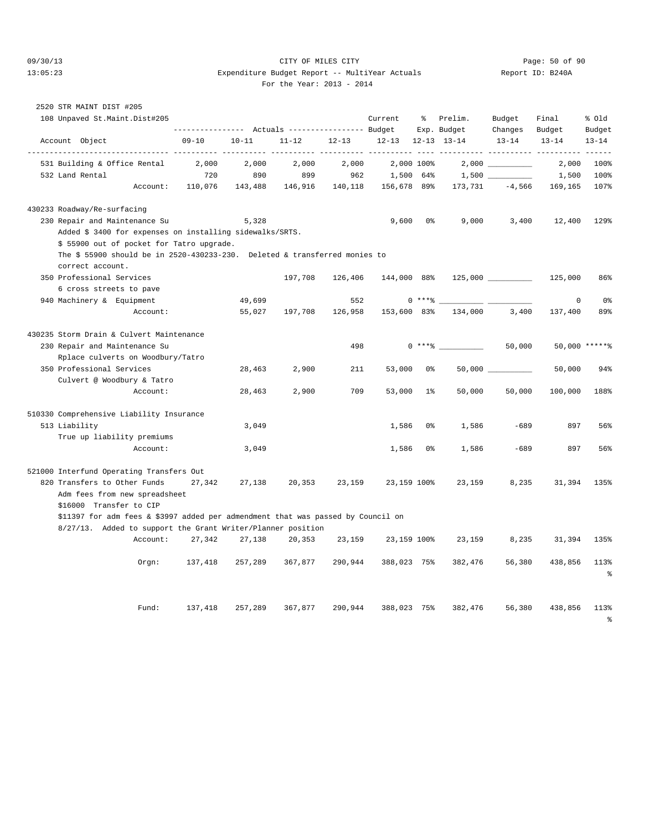#### 09/30/13 CITY OF MILES CITY Page: 50 of 90 13:05:23 Expenditure Budget Report -- MultiYear Actuals Report ID: B240A For the Year: 2013 - 2014

| 2520 STR MAINT DIST #205                 |                                                                                                       |                                                                    |           |           |           |               |                |                                    |                      |                                 |                       |
|------------------------------------------|-------------------------------------------------------------------------------------------------------|--------------------------------------------------------------------|-----------|-----------|-----------|---------------|----------------|------------------------------------|----------------------|---------------------------------|-----------------------|
|                                          | 108 Unpaved St.Maint.Dist#205                                                                         |                                                                    |           |           |           | Current       | ႜ              | Prelim.                            | Budget               | Final                           | % old                 |
| Account Object                           |                                                                                                       | ---------------    Actuals ----------------    Budget<br>$09 - 10$ | $10 - 11$ | $11 - 12$ | $12 - 13$ | $12 - 13$     |                | Exp. Budget<br>$12 - 13$ $13 - 14$ | Changes<br>$13 - 14$ | Budget<br>$13 - 14$             | Budget<br>$13 - 14$   |
| 531 Building & Office Rental             | ------------ ---------- ----------                                                                    | 2,000                                                              | 2,000     | 2,000     | 2,000     | $- - - - - -$ | 2,000 100%     |                                    | 2,000                | ___________ __________<br>2,000 | $- - - - - -$<br>100% |
| 532 Land Rental                          |                                                                                                       | 720                                                                | 890       | 899       | 962       |               | 1,500 64%      |                                    |                      | 1,500                           | 100%                  |
|                                          | Account:                                                                                              | 110,076                                                            | 143,488   | 146,916   | 140,118   | 156,678 89%   |                | 173,731                            | $-4,566$             | 169,165                         | 107%                  |
| 430233 Roadway/Re-surfacing              |                                                                                                       |                                                                    |           |           |           |               |                |                                    |                      |                                 |                       |
|                                          | 230 Repair and Maintenance Su                                                                         |                                                                    | 5,328     |           |           | 9,600         | 0 <sup>8</sup> | 9,000                              | 3,400                | 12,400                          | 129%                  |
|                                          | Added \$ 3400 for expenses on installing sidewalks/SRTS.<br>\$ 55900 out of pocket for Tatro upgrade. |                                                                    |           |           |           |               |                |                                    |                      |                                 |                       |
|                                          | The \$ 55900 should be in $2520-430233-230$ . Deleted & transferred monies to                         |                                                                    |           |           |           |               |                |                                    |                      |                                 |                       |
| correct account.                         |                                                                                                       |                                                                    |           |           |           |               |                |                                    |                      |                                 |                       |
| 350 Professional Services                |                                                                                                       |                                                                    |           | 197,708   | 126,406   | 144,000 88%   |                |                                    |                      | 125,000                         | 86%                   |
|                                          | 6 cross streets to pave                                                                               |                                                                    |           |           |           |               |                |                                    |                      |                                 |                       |
| 940 Machinery & Equipment                |                                                                                                       |                                                                    | 49,699    |           | 552       |               | $0***8$        |                                    |                      | $\mathbf 0$                     | 0 <sup>°</sup>        |
|                                          | Account:                                                                                              |                                                                    | 55,027    | 197,708   | 126,958   | 153,600 83%   |                | 134,000                            | 3,400                | 137,400                         | 89%                   |
| 430235 Storm Drain & Culvert Maintenance |                                                                                                       |                                                                    |           |           |           |               |                |                                    |                      |                                 |                       |
|                                          | 230 Repair and Maintenance Su                                                                         |                                                                    |           |           | 498       |               |                | $0***$                             | 50,000               | 50,000 ******                   |                       |
|                                          | Rplace culverts on Woodbury/Tatro                                                                     |                                                                    |           |           |           |               |                |                                    |                      |                                 |                       |
| 350 Professional Services                |                                                                                                       |                                                                    | 28,463    | 2,900     | 211       | 53,000        | 0%             |                                    |                      | 50,000                          | 94%                   |
|                                          | Culvert @ Woodbury & Tatro                                                                            |                                                                    |           |           |           |               |                |                                    |                      |                                 |                       |
|                                          | Account:                                                                                              |                                                                    | 28,463    | 2,900     | 709       | 53,000        | 1 <sup>°</sup> | 50,000                             | 50,000               | 100,000                         | 188%                  |
| 510330 Comprehensive Liability Insurance |                                                                                                       |                                                                    |           |           |           |               |                |                                    |                      |                                 |                       |
| 513 Liability                            |                                                                                                       |                                                                    | 3,049     |           |           | 1,586         | 0 <sup>8</sup> | 1,586                              | $-689$               | 897                             | 56%                   |
|                                          | True up liability premiums                                                                            |                                                                    |           |           |           |               |                |                                    |                      |                                 |                       |
|                                          | Account:                                                                                              |                                                                    | 3,049     |           |           | 1,586         | 0 <sup>8</sup> | 1,586                              | $-689$               | 897                             | 56%                   |
| 521000 Interfund Operating Transfers Out |                                                                                                       |                                                                    |           |           |           |               |                |                                    |                      |                                 |                       |
| 820 Transfers to Other Funds             | Adm fees from new spreadsheet                                                                         | 27,342                                                             | 27,138    | 20,353    | 23,159    | 23,159 100%   |                | 23,159                             | 8,235                | 31,394                          | 135%                  |
|                                          | \$16000 Transfer to CIP                                                                               |                                                                    |           |           |           |               |                |                                    |                      |                                 |                       |
|                                          | \$11397 for adm fees & \$3997 added per admendment that was passed by Council on                      |                                                                    |           |           |           |               |                |                                    |                      |                                 |                       |
|                                          | 8/27/13. Added to support the Grant Writer/Planner position                                           |                                                                    |           |           |           |               |                |                                    |                      |                                 |                       |
|                                          | Account:                                                                                              | 27,342                                                             | 27,138    | 20,353    | 23,159    | 23,159 100%   |                | 23,159                             | 8,235                | 31,394                          | 135%                  |
|                                          | Orgn:                                                                                                 | 137,418                                                            | 257,289   | 367,877   | 290,944   | 388,023 75%   |                | 382,476                            | 56,380               | 438,856                         | 113%                  |
|                                          |                                                                                                       |                                                                    |           |           |           |               |                |                                    |                      |                                 | န့                    |
|                                          | Fund:                                                                                                 | 137,418                                                            | 257,289   | 367,877   | 290,944   | 388,023 75%   |                | 382,476                            | 56,380               | 438,856                         | 113%                  |
|                                          |                                                                                                       |                                                                    |           |           |           |               |                |                                    |                      |                                 |                       |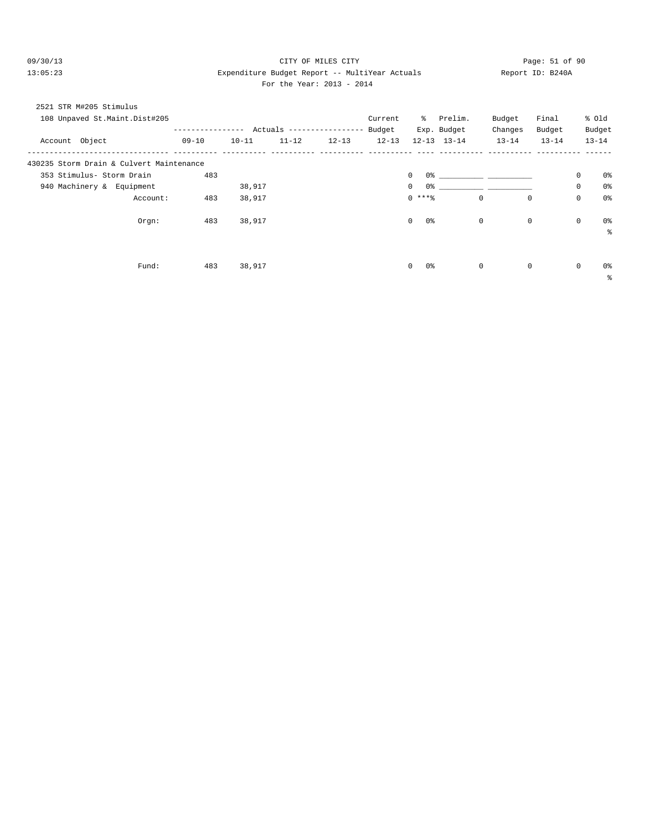#### 09/30/13 Page: 51 of 90 13:05:23 Expenditure Budget Report -- MultiYear Actuals Report ID: B240A For the Year: 2013 - 2014

| For the Year: 2013 - 201 |
|--------------------------|
|--------------------------|

|                | 2521 STR M#205 Stimulus                  |           |           |                          |           |           |                                |                                         |           |             |             |                |
|----------------|------------------------------------------|-----------|-----------|--------------------------|-----------|-----------|--------------------------------|-----------------------------------------|-----------|-------------|-------------|----------------|
|                | 108 Unpaved St.Maint.Dist#205            |           |           |                          |           | Current   | ိ                              | Prelim.                                 | Budget    | Final       |             | % old          |
|                |                                          |           |           | Actuals ---------------- |           | Budget    |                                | Exp. Budget                             | Changes   | Budget      |             | Budget         |
| Account Object |                                          | $09 - 10$ | $10 - 11$ | $11 - 12$                | $12 - 13$ | $12 - 13$ |                                | $12 - 13$ $13 - 14$                     | $13 - 14$ | $13 - 14$   |             | $13 - 14$      |
|                | 430235 Storm Drain & Culvert Maintenance |           |           |                          |           |           |                                |                                         |           |             |             |                |
|                | 353 Stimulus- Storm Drain                | 483       |           |                          |           |           | $\circ$                        | $0$ 왕 아이는 아이들은 아이들이 아이들이 아이들이 아이들이 있었다. |           |             | $\mathbf 0$ | 0%             |
|                | 940 Machinery & Equipment                |           | 38,917    |                          |           |           | 0 <sup>°</sup><br>$\mathbf{0}$ |                                         |           |             | $\mathbf 0$ | 0 <sup>°</sup> |
|                | Account:                                 | 483       | 38,917    |                          |           |           | $0***$                         | $\mathbf 0$                             |           | 0           | $\mathbb O$ | 0%             |
|                | Orgn:                                    | 483       | 38,917    |                          |           |           | $\circ$<br>0%                  | $\mathbf 0$                             |           | $\mathbf 0$ | $\mathbb O$ | 0%             |
|                |                                          |           |           |                          |           |           |                                |                                         |           |             |             | る              |
|                |                                          |           |           |                          |           |           |                                |                                         |           |             |             |                |
|                | Fund:                                    | 483       | 38,917    |                          |           |           | 0 <sup>8</sup><br>$\mathbf{0}$ | $\mathbf 0$                             |           | 0           | $\mathbf 0$ | 0%             |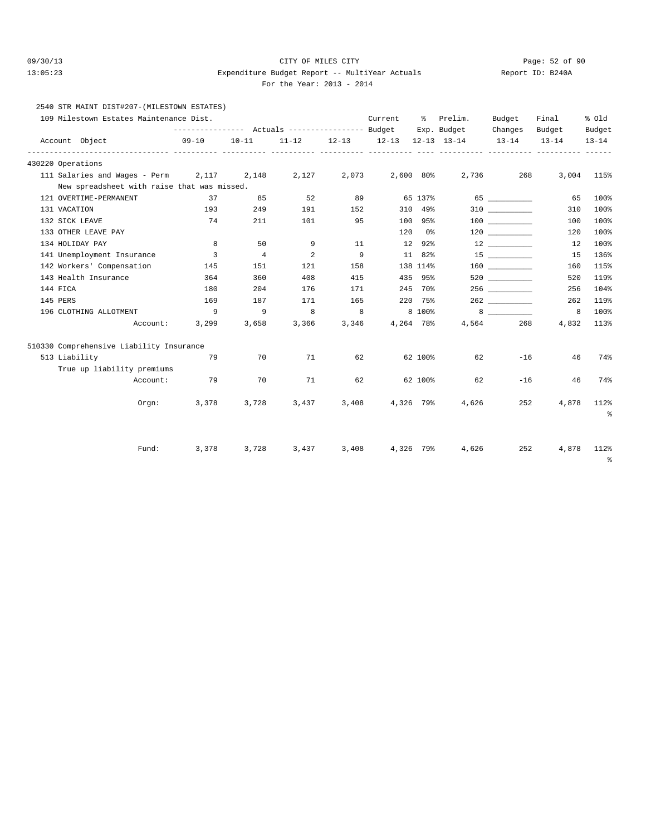#### 09/30/13 CITY OF MILES CITY Page: 52 of 90 13:05:23 Expenditure Budget Report -- MultiYear Actuals Report ID: B240A For the Year: 2013 - 2014

### 2540 STR MAINT DIST#207-(MILESTOWN ESTATES)

| 109 Milestown Estates Maintenance Dist.     |                                                              |                |           |           | Current   | ိ         | Prelim.                            | Budget               | Final               | % Old               |
|---------------------------------------------|--------------------------------------------------------------|----------------|-----------|-----------|-----------|-----------|------------------------------------|----------------------|---------------------|---------------------|
| Account Object                              | --------------- Actuals ---------------- Budget<br>$09 - 10$ | $10 - 11$      | $11 - 12$ | $12 - 13$ | $12 - 13$ |           | Exp. Budget<br>$12 - 13$ $13 - 14$ | Changes<br>$13 - 14$ | Budget<br>$13 - 14$ | Budget<br>$13 - 14$ |
| 430220 Operations                           |                                                              |                |           |           |           |           |                                    |                      |                     |                     |
| 111 Salaries and Wages - Perm               | 2,117                                                        | 2,148          | 2,127     | 2,073     | 2,600 80% |           | 2,736                              | 268                  | 3,004               | 115%                |
| New spreadsheet with raise that was missed. |                                                              |                |           |           |           |           |                                    |                      |                     |                     |
| 121 OVERTIME-PERMANENT                      | 37                                                           | 85             | 52        | 89        |           | 65 137%   |                                    |                      | 65                  | 100%                |
| 131 VACATION                                | 193                                                          | 249            | 191       | 152       |           | 310 49%   |                                    | 310 310              | 310                 | 100%                |
| 132 SICK LEAVE                              | 74                                                           | 211            | 101       | 95        |           | 100 95%   |                                    | 100 000              | 100                 | 100%                |
| 133 OTHER LEAVE PAY                         |                                                              |                |           |           | 120       | 0%        |                                    | 120                  | 120                 | 100%                |
| 134 HOLIDAY PAY                             | 8                                                            | 50             | 9         | 11        |           | 12 92%    |                                    |                      | 12                  | 100%                |
| 141 Unemployment Insurance                  | 3                                                            | $\overline{4}$ | 2         | 9         |           | 11 82%    |                                    | $15$ ___________     | 15                  | 136%                |
| 142 Workers' Compensation                   | 145                                                          | 151            | 121       | 158       |           | 138 114%  |                                    |                      | 160                 | 115%                |
| 143 Health Insurance                        | 364                                                          | 360            | 408       | 415       |           | 435 95%   |                                    | 520 320              | 520                 | 119%                |
| 144 FICA                                    | 180                                                          | 204            | 176       | 171       |           | 245 70%   |                                    | 256 70               | 256                 | 104%                |
| 145 PERS                                    | 169                                                          | 187            | 171       | 165       |           | 220 75%   |                                    |                      | 262                 | 119%                |
| 196 CLOTHING ALLOTMENT                      | 9                                                            | 9              | 8         | 8         |           | 8 100%    |                                    |                      | 8                   | 100%                |
| Account:                                    | 3,299                                                        | 3,658          | 3,366     | 3,346     | 4,264 78% |           |                                    | 4,564<br>268         | 4,832               | 113%                |
| 510330 Comprehensive Liability Insurance    |                                                              |                |           |           |           |           |                                    |                      |                     |                     |
| 513 Liability                               | 79                                                           | 70             | 71        | 62        |           | 62 100%   | 62                                 | $-16$                | 46                  | 74%                 |
| True up liability premiums                  |                                                              |                |           |           |           |           |                                    |                      |                     |                     |
| Account:                                    | 79                                                           | 70             | 71        | 62        |           | 62 100%   | 62                                 | $-16$                | 46                  | 74%                 |
| Orem:                                       | 3,378                                                        | 3,728          | 3,437     | 3,408     | 4,326 79% |           | 4,626                              | 252                  | 4,878               | 112%<br>နွ          |
| Fund:                                       | 3,378                                                        | 3,728          | 3,437     | 3,408     |           | 4,326 79% | 4,626                              | 252                  | 4,878               | 112%<br>್ಠಿ         |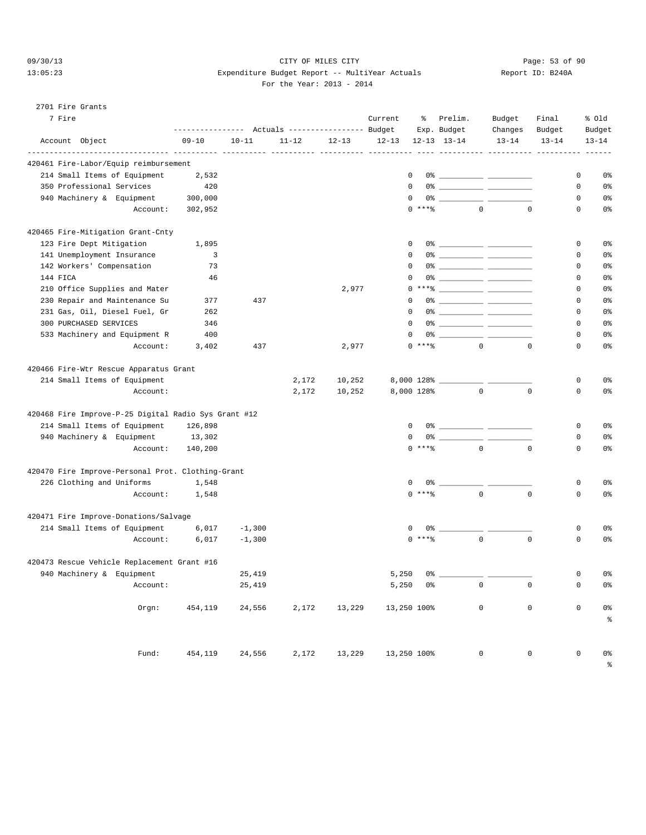### 09/30/13 Page: 53 of 90 13:05:23 Expenditure Budget Report -- MultiYear Actuals Report ID: B240A For the Year: 2013 - 2014

#### 2701 Fire Grants

| 7 Fire                                               | --------------- Actuals ---------------- Budget |           |           |           | Current     |            | % Prelim.<br>Exp. Budget                                                                                                                                                                                                                                                                                               | Budget<br>Changes | Final<br>Budget |             | % old<br>Budget |
|------------------------------------------------------|-------------------------------------------------|-----------|-----------|-----------|-------------|------------|------------------------------------------------------------------------------------------------------------------------------------------------------------------------------------------------------------------------------------------------------------------------------------------------------------------------|-------------------|-----------------|-------------|-----------------|
| Account Object<br>-------------- ---------- ----     | $09 - 10$                                       | $10 - 11$ | $11 - 12$ | $12 - 13$ | $12 - 13$   |            | $12 - 13$ $13 - 14$                                                                                                                                                                                                                                                                                                    | $13 - 14$         | $13 - 14$       |             | $13 - 14$       |
| 420461 Fire-Labor/Equip reimbursement                |                                                 |           |           |           |             |            |                                                                                                                                                                                                                                                                                                                        |                   |                 |             |                 |
| 214 Small Items of Equipment                         | 2,532                                           |           |           |           | 0           |            |                                                                                                                                                                                                                                                                                                                        |                   |                 | 0           | 0%              |
| 350 Professional Services                            | 420                                             |           |           |           | 0           |            |                                                                                                                                                                                                                                                                                                                        |                   |                 | 0           | 0%              |
| 940 Machinery & Equipment                            | 300,000                                         |           |           |           | $\mathbf 0$ |            |                                                                                                                                                                                                                                                                                                                        |                   |                 | 0           | 0%              |
| Account:                                             | 302,952                                         |           |           |           |             | $0$ ****   |                                                                                                                                                                                                                                                                                                                        | $\Omega$          | $\Omega$        | 0           | 0%              |
| 420465 Fire-Mitigation Grant-Cnty                    |                                                 |           |           |           |             |            |                                                                                                                                                                                                                                                                                                                        |                   |                 |             |                 |
| 123 Fire Dept Mitigation                             | 1,895                                           |           |           |           | 0           |            |                                                                                                                                                                                                                                                                                                                        |                   |                 | 0           | 0%              |
| 141 Unemployment Insurance                           | 3                                               |           |           |           | $\Omega$    |            |                                                                                                                                                                                                                                                                                                                        |                   |                 | 0           | 0%              |
| 142 Workers' Compensation                            | 73                                              |           |           |           | 0           |            |                                                                                                                                                                                                                                                                                                                        |                   |                 | 0           | 0%              |
| 144 FICA                                             | 46                                              |           |           |           | 0           |            |                                                                                                                                                                                                                                                                                                                        |                   |                 | $\mathbf 0$ | 0%              |
| 210 Office Supplies and Mater                        |                                                 |           |           | 2,977     |             |            | $0***$ $\frac{1}{2}$                                                                                                                                                                                                                                                                                                   |                   |                 | 0           | 0%              |
| 230 Repair and Maintenance Su                        | 377                                             | 437       |           |           | 0           |            |                                                                                                                                                                                                                                                                                                                        |                   |                 | 0           | 0%              |
| 231 Gas, Oil, Diesel Fuel, Gr                        | 262                                             |           |           |           | 0           |            |                                                                                                                                                                                                                                                                                                                        |                   |                 | 0           | 0%              |
| 300 PURCHASED SERVICES                               | 346                                             |           |           |           | 0           |            |                                                                                                                                                                                                                                                                                                                        |                   |                 | 0           | 0%              |
| 533 Machinery and Equipment R                        | 400                                             |           |           |           | 0           |            |                                                                                                                                                                                                                                                                                                                        |                   |                 | 0           | 0%              |
| Account:                                             | 3,402                                           | 437       |           | 2,977     |             | $0$ ****   |                                                                                                                                                                                                                                                                                                                        | $\overline{0}$    | $\mathbf 0$     | $\mathbf 0$ | 0%              |
| 420466 Fire-Wtr Rescue Apparatus Grant               |                                                 |           |           |           |             |            |                                                                                                                                                                                                                                                                                                                        |                   |                 |             |                 |
| 214 Small Items of Equipment                         |                                                 |           | 2,172     | 10,252    |             |            |                                                                                                                                                                                                                                                                                                                        |                   |                 | 0           | 0%              |
| Account:                                             |                                                 |           | 2,172     | 10,252    |             | 8,000 128% | $\mathbf 0$                                                                                                                                                                                                                                                                                                            |                   | $\mathbf 0$     | $\mathbf 0$ | 0%              |
| 420468 Fire Improve-P-25 Digital Radio Sys Grant #12 |                                                 |           |           |           |             |            |                                                                                                                                                                                                                                                                                                                        |                   |                 |             |                 |
| 214 Small Items of Equipment                         | 126,898                                         |           |           |           | 0           |            |                                                                                                                                                                                                                                                                                                                        |                   |                 | 0           | 0%              |
| 940 Machinery & Equipment                            | 13,302                                          |           |           |           | $\mathbf 0$ |            | $0$ $\frac{1}{2}$ $\frac{1}{2}$ $\frac{1}{2}$ $\frac{1}{2}$ $\frac{1}{2}$ $\frac{1}{2}$ $\frac{1}{2}$ $\frac{1}{2}$ $\frac{1}{2}$ $\frac{1}{2}$ $\frac{1}{2}$ $\frac{1}{2}$ $\frac{1}{2}$ $\frac{1}{2}$ $\frac{1}{2}$ $\frac{1}{2}$ $\frac{1}{2}$ $\frac{1}{2}$ $\frac{1}{2}$ $\frac{1}{2}$ $\frac{1}{2}$ $\frac{1}{2$ |                   |                 | 0           | 0%              |
| Account:                                             | 140,200                                         |           |           |           |             | $0$ ****   | $\overline{0}$                                                                                                                                                                                                                                                                                                         |                   | $\mathbf 0$     | $\mathbf 0$ | 0%              |
| 420470 Fire Improve-Personal Prot. Clothing-Grant    |                                                 |           |           |           |             |            |                                                                                                                                                                                                                                                                                                                        |                   |                 |             |                 |
| 226 Clothing and Uniforms                            | 1,548                                           |           |           |           | 0           |            | 0%                                                                                                                                                                                                                                                                                                                     |                   |                 | 0           | 0%              |
| Account:                                             | 1,548                                           |           |           |           |             | $0$ ****   | $\mathbf 0$                                                                                                                                                                                                                                                                                                            |                   | $\mathbf 0$     | 0           | 0%              |
| 420471 Fire Improve-Donations/Salvage                |                                                 |           |           |           |             |            |                                                                                                                                                                                                                                                                                                                        |                   |                 |             |                 |
| 214 Small Items of Equipment                         | 6,017                                           | $-1,300$  |           |           | 0           |            |                                                                                                                                                                                                                                                                                                                        |                   |                 | 0           | 0%              |
| Account:                                             | 6,017                                           | $-1,300$  |           |           |             | $0$ ****   | $\Omega$                                                                                                                                                                                                                                                                                                               |                   | $\mathbf 0$     | $\mathbf 0$ | 0%              |
| 420473 Rescue Vehicle Replacement Grant #16          |                                                 |           |           |           |             |            |                                                                                                                                                                                                                                                                                                                        |                   |                 |             |                 |
| 940 Machinery & Equipment                            |                                                 | 25,419    |           |           | 5,250       |            | $0$ $\frac{1}{2}$ $\frac{1}{2}$ $\frac{1}{2}$ $\frac{1}{2}$ $\frac{1}{2}$ $\frac{1}{2}$ $\frac{1}{2}$ $\frac{1}{2}$ $\frac{1}{2}$ $\frac{1}{2}$ $\frac{1}{2}$ $\frac{1}{2}$ $\frac{1}{2}$ $\frac{1}{2}$ $\frac{1}{2}$ $\frac{1}{2}$ $\frac{1}{2}$ $\frac{1}{2}$ $\frac{1}{2}$ $\frac{1}{2}$ $\frac{1}{2}$ $\frac{1}{2$ |                   |                 | $\mathsf 0$ | 0 <sup>8</sup>  |
| Account:                                             |                                                 | 25,419    |           |           |             | $5,250$ 0% | $\circ$                                                                                                                                                                                                                                                                                                                |                   | 0               | $\circ$     | 0%              |
| Orgn:                                                | 454,119                                         | 24,556    | 2,172     | 13,229    | 13,250 100% |            | $\mathbf 0$                                                                                                                                                                                                                                                                                                            |                   | $\mathbf 0$     | $\mathbf 0$ | 0 <sup>°</sup>  |
|                                                      |                                                 |           |           |           |             |            |                                                                                                                                                                                                                                                                                                                        |                   |                 |             | $\,$ $\,$ $\,$  |
| Fund:                                                | 454,119                                         | 24,556    | 2,172     | 13,229    | 13,250 100% |            | $\overline{0}$                                                                                                                                                                                                                                                                                                         |                   | $\mathsf 0$     | $\mathbf 0$ | 0 <sup>°</sup>  |
|                                                      |                                                 |           |           |           |             |            |                                                                                                                                                                                                                                                                                                                        |                   |                 |             | $\frac{6}{6}$   |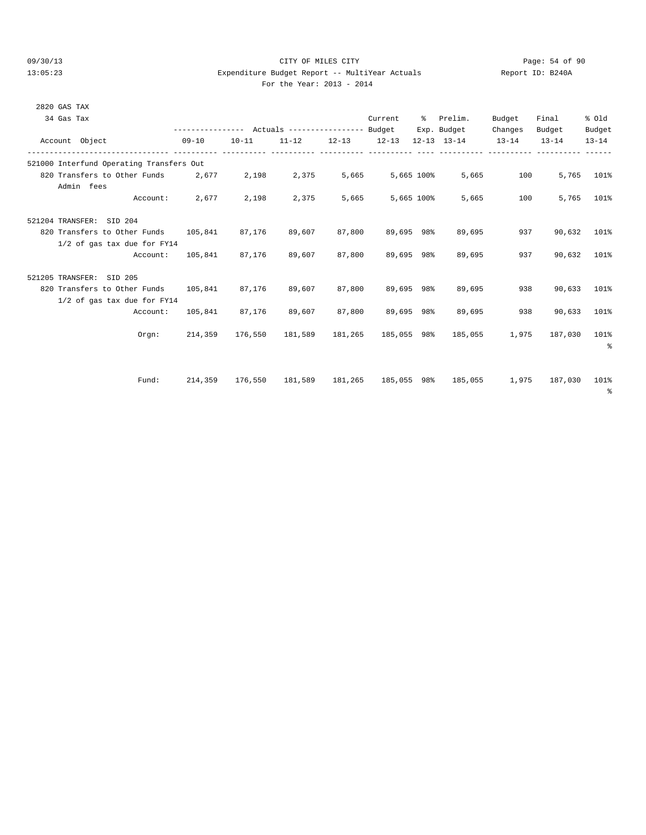# 09/30/13 Page: 54 of 90 13:05:23 Expenditure Budget Report -- MultiYear Actuals Report ID: B240A

| 2820 GAS TAX                                   |                                                             |                |                                             |        |            |            |                                                                 |         |              |            |
|------------------------------------------------|-------------------------------------------------------------|----------------|---------------------------------------------|--------|------------|------------|-----------------------------------------------------------------|---------|--------------|------------|
| 34 Gas Tax                                     |                                                             |                |                                             |        | Current    |            | % Prelim.                                                       | Budget  | Final        | % old      |
|                                                | --------------- Actuals ---------------- Budget Exp. Budget |                |                                             |        |            |            |                                                                 | Changes | Budget       | Budget     |
| Account Object                                 | $09 - 10$                                                   |                |                                             |        |            |            | $10-11$ $11-12$ $12-13$ $12-13$ $12-13$ $13-14$ $13-14$ $13-14$ |         |              | $13 - 14$  |
| 521000 Interfund Operating Transfers Out       |                                                             |                |                                             |        |            |            |                                                                 |         |              |            |
| 820 Transfers to Other Funds 2,677 2,198 2,375 |                                                             |                |                                             | 5,665  | 5,665 100% |            | 5,665                                                           | 100     |              | 5,765 101% |
| Admin fees                                     |                                                             |                |                                             |        |            |            |                                                                 |         |              |            |
| Account:                                       | 2,677                                                       | 2,198          | 2,375                                       | 5,665  |            | 5,665 100% | 5,665                                                           | 100     |              | 5,765 101% |
| 521204 TRANSFER: SID 204                       |                                                             |                |                                             |        |            |            |                                                                 |         |              |            |
| 820 Transfers to Other Funds 105,841           |                                                             | 87,176         | 89,607                                      | 87,800 | 89,695 98% |            | 89,695                                                          | 937     | 90,632       | 101%       |
| 1/2 of gas tax due for FY14                    |                                                             |                |                                             |        |            |            |                                                                 |         |              |            |
| Account:                                       | 105,841 87,176                                              |                | 89,607                                      | 87,800 | 89,695 98% |            | 89,695                                                          | 937     | 90,632       | 101%       |
| 521205 TRANSFER: SID 205                       |                                                             |                |                                             |        |            |            |                                                                 |         |              |            |
| 820 Transfers to Other Funds 105,841           |                                                             | 87,176         | 89,607                                      | 87,800 | 89,695 98% |            | 89,695                                                          | 938     | 90,633       | 101%       |
| 1/2 of gas tax due for FY14                    |                                                             |                |                                             |        |            |            |                                                                 |         |              |            |
| Account:                                       |                                                             | 105,841 87,176 | 89,607                                      | 87,800 | 89,695 98% |            | 89,695                                                          | 938     | 90,633       | 101%       |
| Orgn:                                          |                                                             |                | 214,359 176,550 181,589 181,265 185,055 98% |        |            |            | 185,055                                                         | 1,975   | 187,030      | 101%<br>နွ |
|                                                |                                                             |                |                                             |        |            |            |                                                                 |         |              |            |
| Fund:                                          |                                                             |                |                                             |        |            |            | 214,359 176,550 181,589 181,265 185,055 98% 185,055             | 1,975   | 187,030 101% |            |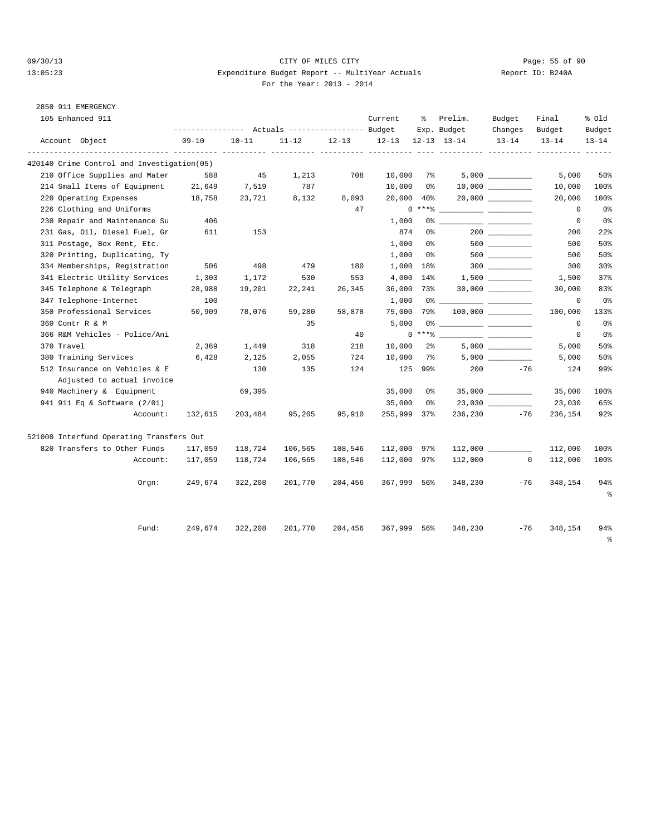2850 911 EMERGENCY

### 09/30/13 Page: 55 of 90 13:05:23 Expenditure Budget Report -- MultiYear Actuals Report ID: B240A For the Year: 2013 - 2014

| 105 Enhanced 911                           |           |           |           |                        | Current     | ႜ              | Prelim.                            | Budget                 | Final               | % old               |
|--------------------------------------------|-----------|-----------|-----------|------------------------|-------------|----------------|------------------------------------|------------------------|---------------------|---------------------|
| Account Object                             | $09 - 10$ | $10 - 11$ | $11 - 12$ | $12 - 13$<br>---- ---- | $12 - 13$   |                | Exp. Budget<br>$12 - 13$ $13 - 14$ | Changes<br>$13 - 14$   | Budget<br>$13 - 14$ | Budget<br>$13 - 14$ |
| 420140 Crime Control and Investigation(05) |           |           |           |                        |             |                |                                    |                        |                     |                     |
| 210 Office Supplies and Mater              | 588       | 45        | 1,213     | 708                    | 10,000      | $7\%$          |                                    |                        | 5,000               | 50%                 |
| 214 Small Items of Equipment               | 21,649    | 7,519     | 787       |                        | 10,000      | 0 %            |                                    |                        | 10,000              | 100%                |
| 220 Operating Expenses                     | 18,758    | 23,721    | 8,132     | 8,093                  | 20,000      | $40\%$         |                                    | $20,000$ ____________  | 20,000              | 100%                |
| 226 Clothing and Uniforms                  |           |           |           | 47                     |             | $0***8$        |                                    |                        | $^{\circ}$          | $0\,$               |
| 230 Repair and Maintenance Su              | 406       |           |           |                        | 1,000       |                |                                    |                        | $\mathbf 0$         | $0\,$               |
| 231 Gas, Oil, Diesel Fuel, Gr              | 611       | 153       |           |                        | 874         | 0%             |                                    | 200                    | 200                 | 22%                 |
| 311 Postage, Box Rent, Etc.                |           |           |           |                        | 1,000       | 0%             |                                    |                        | 500                 | 50%                 |
| 320 Printing, Duplicating, Ty              |           |           |           |                        | 1,000       | 0%             |                                    |                        | 500                 | 50%                 |
| 334 Memberships, Registration              | 506       | 498       | 479       | 180                    | 1,000       | 18%            |                                    |                        | 300                 | 30%                 |
| 341 Electric Utility Services              | 1,303     | 1,172     | 530       | 553                    | 4,000       | 14%            |                                    |                        | 1,500               | 37%                 |
| 345 Telephone & Telegraph                  | 28,988    | 19,201    | 22,241    | 26,345                 | 36,000      | 73%            |                                    | $30,000$ _____________ | 30,000              | 83%                 |
| 347 Telephone-Internet                     | 100       |           |           |                        | 1,000       | 0%             |                                    |                        | $\mathbf 0$         | 0 <sup>8</sup>      |
| 350 Professional Services                  | 50,909    | 78,076    | 59,280    | 58,878                 | 75,000      | 79%            |                                    | 100,000                | 100,000             | 133%                |
| 360 Contr R & M                            |           |           | 35        |                        | 5,000       |                |                                    |                        | $\mathbf 0$         | 0 <sup>8</sup>      |
| 366 R&M Vehicles - Police/Ani              |           |           |           | 40                     |             |                | $0***$ $\frac{1}{2}$               |                        | $\mathbf 0$         | 0%                  |
| 370 Travel                                 | 2,369     | 1,449     | 318       | 218                    | 10,000      | $2\frac{6}{9}$ |                                    |                        | 5,000               | 50%                 |
| 380 Training Services                      | 6,428     | 2,125     | 2,055     | 724                    | 10,000      | 7%             |                                    |                        | 5,000               | 50%                 |
| 512 Insurance on Vehicles & E              |           | 130       | 135       | 124                    | 125         | 99%            | 200                                | $-76$                  | 124                 | 99%                 |
| Adjusted to actual invoice                 |           |           |           |                        |             |                |                                    |                        |                     |                     |
| 940 Machinery & Equipment                  |           | 69,395    |           |                        | 35,000      | 0%             |                                    |                        | 35,000              | 100%                |
| 941 911 Eq & Software (2/01)               |           |           |           |                        | 35,000      | 0%             |                                    |                        | 23,030              | 65%                 |
| Account:                                   | 132,615   | 203,484   | 95,205    | 95,910                 | 255,999 37% |                | 236,230                            | $-76$                  | 236,154             | 92%                 |
| 521000 Interfund Operating Transfers Out   |           |           |           |                        |             |                |                                    |                        |                     |                     |
| 820 Transfers to Other Funds               | 117,059   | 118,724   | 106,565   | 108,546                | 112,000 97% |                |                                    |                        | 112,000             | 100%                |
| Account:                                   | 117,059   | 118,724   | 106,565   | 108,546                | 112,000 97% |                | 112,000                            | $\Omega$               | 112,000             | 100%                |
| Orgn:                                      | 249,674   | 322,208   | 201,770   | 204,456                | 367,999 56% |                | 348,230                            | $-76$                  | 348,154             | 94%<br>$\epsilon$   |
| Fund:                                      | 249,674   | 322,208   | 201,770   | 204,456                | 367,999 56% |                | 348,230                            | $-76$                  | 348,154             | 94%<br>နွ           |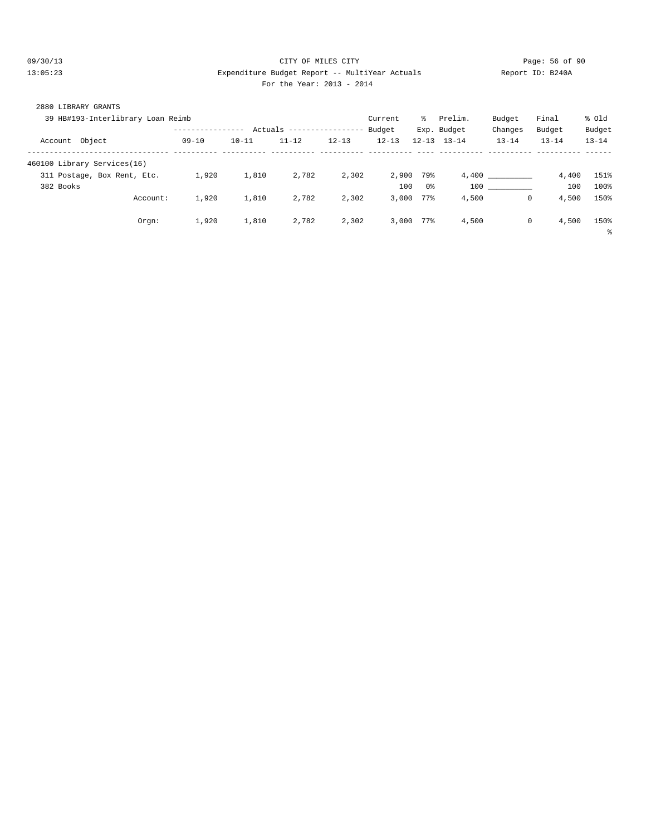### 09/30/13 Page: 56 of 90 13:05:23 Expenditure Budget Report -- MultiYear Actuals Report ID: B240A For the Year: 2013 - 2014

| 2880 LIBRARY GRANTS<br>39 HB#193-Interlibrary Loan Reimb |                  |           |           |                   | Current   | $\approx$ | Prelim.             | Budget    | Final               | % old     |
|----------------------------------------------------------|------------------|-----------|-----------|-------------------|-----------|-----------|---------------------|-----------|---------------------|-----------|
|                                                          | ---------------- | Actuals   |           | ----------------- | Budget    |           | Exp. Budget         | Changes   | Budget              | Budget    |
| Object<br>Account                                        | $09 - 10$        | $10 - 11$ | $11 - 12$ | $12 - 13$         | $12 - 13$ |           | $12 - 13$ $13 - 14$ | $13 - 14$ | $13 - 14$           | $13 - 14$ |
| 460100 Library Services(16)                              |                  |           |           |                   |           |           |                     |           |                     |           |
| 311 Postage, Box Rent, Etc.                              | 1,920            | 1,810     | 2,782     | 2,302             | 2,900     | 79%       |                     | 4,400     | 4,400               | 151%      |
| 382 Books                                                |                  |           |           |                   | 100       | 0%        | 100                 |           | 100                 | 100%      |
| Account:                                                 | 1,920            | 1,810     | 2,782     | 2,302             | 3.000     | 77%       | 4,500               |           | 4,500<br>$^{\circ}$ | 150%      |
| Orgn:                                                    | 1,920            | 1,810     | 2,782     | 2,302             | 3.000     | 77%       | 4,500               |           | 4,500<br>$^{\circ}$ | 150%      |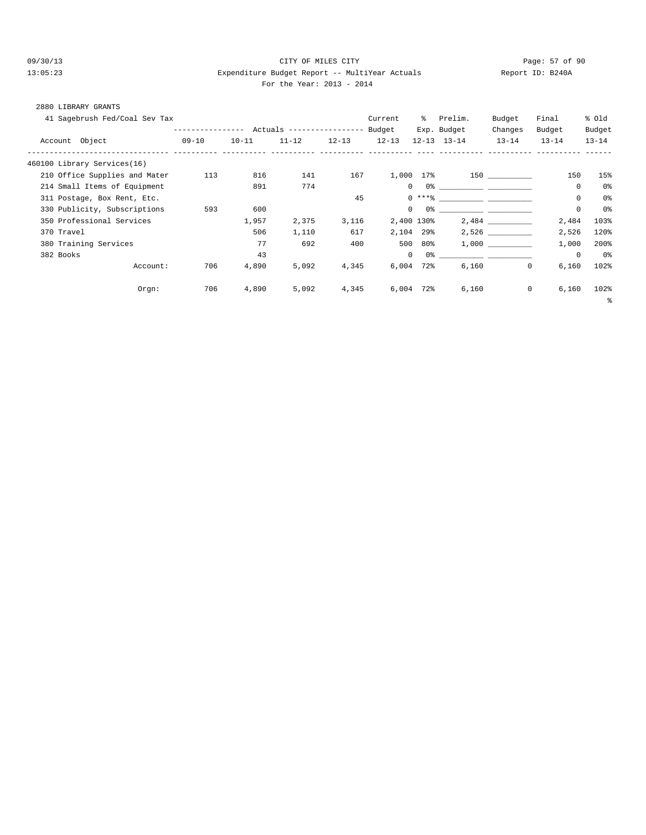#### 09/30/13 CITY OF MILES CITY Page: 57 of 90 13:05:23 Expenditure Budget Report -- MultiYear Actuals Report ID: B240A For the Year: 2013 - 2014

|  | 2880 LIBRARY GRANTS |  |
|--|---------------------|--|
|  |                     |  |

| 41 Sagebrush Fed/Coal Sev Tax |                                                 |           |           |           | Current      | ွေ      | Prelim.             | Budget    | Final                | % old          |
|-------------------------------|-------------------------------------------------|-----------|-----------|-----------|--------------|---------|---------------------|-----------|----------------------|----------------|
|                               | --------------- Actuals ---------------- Budget |           |           |           |              |         | Exp. Budget         | Changes   | Budget               | Budget         |
| Account Object                | $09 - 10$                                       | $10 - 11$ | $11 - 12$ | $12 - 13$ | $12 - 13$    |         | $12 - 13$ $13 - 14$ | $13 - 14$ | $13 - 14$            | $13 - 14$      |
| 460100 Library Services(16)   |                                                 |           |           |           |              |         |                     |           |                      |                |
| 210 Office Supplies and Mater | 113                                             | 816       | 141       | 167       | 1,000 17%    |         |                     | 150 30    | 150                  | 15%            |
| 214 Small Items of Equipment  |                                                 | 891       | 774       |           | $\circ$      |         |                     |           | $\mathbf 0$          | 0%             |
| 311 Postage, Box Rent, Etc.   |                                                 |           |           | 45        |              |         | $0***8$             |           | $\mathbf 0$          | 0 <sup>8</sup> |
| 330 Publicity, Subscriptions  | 593                                             | 600       |           |           | $\mathbf{0}$ |         |                     |           | $\mathbb O$          | 0%             |
| 350 Professional Services     |                                                 | 1,957     | 2,375     | 3,116     | 2,400 130%   |         |                     | 2,484     | 2,484                | 103%           |
| 370 Travel                    |                                                 | 506       | 1,110     | 617       | 2,104 29%    |         |                     | 2,526     | 2,526                | 120%           |
| 380 Training Services         |                                                 | 77        | 692       | 400       |              | 500 80% |                     | 1,000     | 1,000                | 200%           |
| 382 Books                     |                                                 | 43        |           |           | $\circ$      |         |                     |           | $\mathbf 0$          | 0%             |
| Account:                      | 706                                             | 4,890     | 5,092     | 4,345     | $6,004$ 72%  |         | 6,160               | 0         | 6,160                | 102%           |
| Orgn:                         | 706                                             | 4,890     | 5,092     | 4,345     | $6,004$ 72%  |         | 6,160               |           | $\mathbf 0$<br>6,160 | 102%           |
|                               |                                                 |           |           |           |              |         |                     |           |                      | နွ             |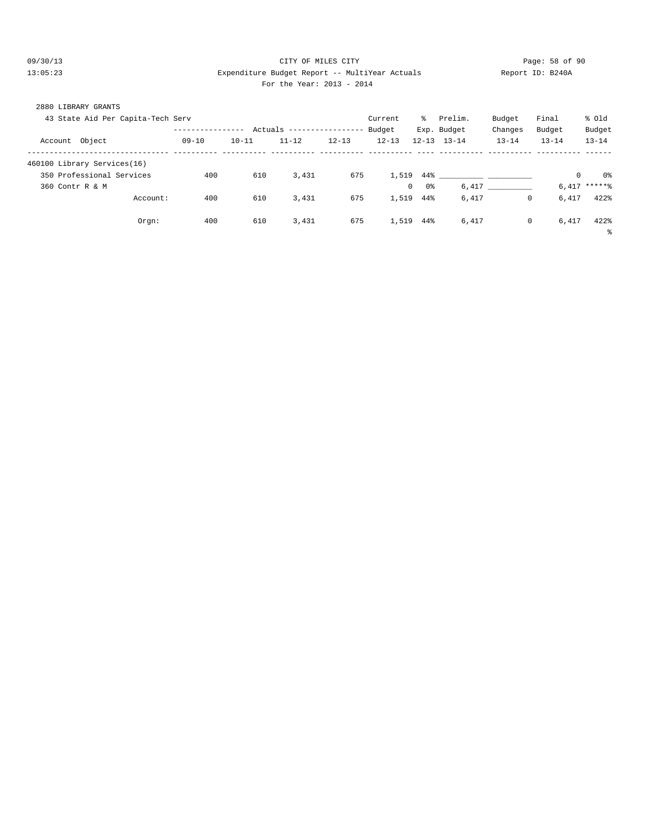### 09/30/13 Page: 58 of 90 13:05:23 Expenditure Budget Report -- MultiYear Actuals Report ID: B240A For the Year: 2013 - 2014

| 2880 LIBRARY GRANTS |                                   |               |           |             |              |           |                    |                                   |           |           |            |
|---------------------|-----------------------------------|---------------|-----------|-------------|--------------|-----------|--------------------|-----------------------------------|-----------|-----------|------------|
|                     | 43 State Aid Per Capita-Tech Serv |               |           |             |              | Current   | -왕                 | Prelim.                           | Budget    | Final     | % old      |
|                     |                                   | ------------- | Actuals   | $- - - - -$ | ------------ | Budget    |                    | Exp. Budget                       | Changes   | Budget    | Budget     |
| Account Object      |                                   | $09 - 10$     | $10 - 11$ | $11 - 12$   | $12 - 13$    | $12 - 13$ | $12 - 13$          | $13 - 14$                         | $13 - 14$ | $13 - 14$ | $13 - 14$  |
|                     | 460100 Library Services(16)       |               |           |             |              |           |                    |                                   |           |           |            |
|                     | 350 Professional Services         | 400           | 610       | 3,431       | 675          | 1,519     | $44\%$             | the company's company's company's |           |           | ი ⊱        |
| 360 Contr R & M     |                                   |               |           |             |              |           | 0%<br>$\mathbf{0}$ | 6,417                             |           |           | $6,417***$ |
|                     | Account:                          | 400           | 610       | 3,431       | 675          | 1,519     | 44%                | 6,417                             | 0         | 6,417     | 422%       |
|                     | Orgn:                             | 400           | 610       | 3,431       | 675          | 1,519     | 44%                | 6,417                             | 0         | 6,417     | 422%       |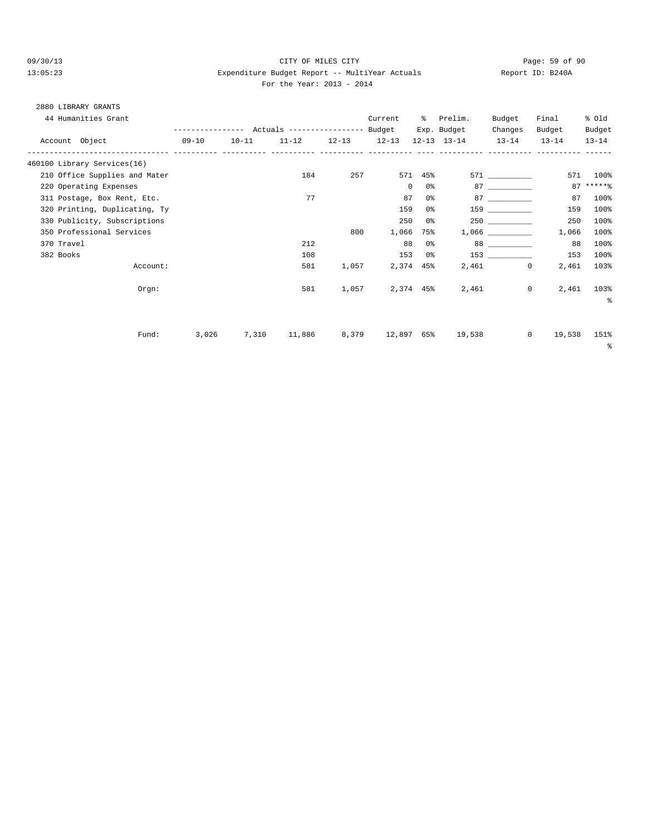#### 09/30/13 CITY OF MILES CITY Page: 59 of 90 13:05:23 Expenditure Budget Report -- MultiYear Actuals Report ID: B240A For the Year: 2013 - 2014

## 2880 LIBRARY GRANTS

| 44 Humanities Grant           |           |                                                 |       | Current   | $\approx$ | Prelim.                 | Budget                                                                                                                                                                                                                          | Final             | % old     |
|-------------------------------|-----------|-------------------------------------------------|-------|-----------|-----------|-------------------------|---------------------------------------------------------------------------------------------------------------------------------------------------------------------------------------------------------------------------------|-------------------|-----------|
|                               |           | --------------- Actuals ---------------- Budget |       |           |           | Exp. Budget             | Changes                                                                                                                                                                                                                         | Budget            | Budget    |
| Account Object                | $09 - 10$ | $10-11$ $11-12$ $12-13$ $12-13$                 |       |           |           | 12-13 13-14 13-14       |                                                                                                                                                                                                                                 | $13 - 14$         | $13 - 14$ |
| 460100 Library Services(16)   |           |                                                 |       |           |           |                         |                                                                                                                                                                                                                                 |                   |           |
| 210 Office Supplies and Mater |           | 184                                             | 257   | 571       |           | 45% 20                  | 571 72                                                                                                                                                                                                                          |                   | 571 100%  |
| 220 Operating Expenses        |           |                                                 |       | $\circ$   | 0 %       |                         | 87 — 100 — 100 — 100 — 100 — 100 — 100 — 100 — 100 — 100 — 100 — 100 — 100 — 100 — 100 — 100 — 100 — 100 — 100 — 100 — 100 — 100 — 100 — 100 — 100 — 100 — 100 — 100 — 100 — 100 — 100 — 100 — 100 — 100 — 100 — 100 — 100 — 10 |                   | $87****$  |
| 311 Postage, Box Rent, Etc.   |           | 77                                              |       | 87        | 0%        |                         |                                                                                                                                                                                                                                 | 87                | 100%      |
| 320 Printing, Duplicating, Ty |           |                                                 |       | 159       | 0 %       |                         | 159 30                                                                                                                                                                                                                          | 159               | 100%      |
| 330 Publicity, Subscriptions  |           |                                                 |       | 250       | 0%        |                         |                                                                                                                                                                                                                                 | 250               | 100%      |
| 350 Professional Services     |           |                                                 | 800   | 1,066     | 75%       |                         | 1,066 700                                                                                                                                                                                                                       | 1,066             | 100%      |
| 370 Travel                    |           | 212                                             |       | 88        | 0%        |                         |                                                                                                                                                                                                                                 | 88                | 100%      |
| 382 Books                     |           | 108                                             |       | 153       | 0 %       |                         | 153                                                                                                                                                                                                                             | 153               | 100%      |
| Account:                      |           | 581                                             | 1,057 | 2,374     |           | 45% 20                  | $\mathbf{0}$<br>2,461                                                                                                                                                                                                           | 2,461             | 103%      |
| Orem:                         |           | 581                                             | 1,057 | 2,374 45% |           |                         | 2,461                                                                                                                                                                                                                           | 2,461<br>$\circ$  | 103%      |
|                               |           |                                                 |       |           |           |                         |                                                                                                                                                                                                                                 |                   | နွ        |
|                               |           |                                                 |       |           |           |                         |                                                                                                                                                                                                                                 |                   |           |
| Fund:                         | 3,026     | 7,310<br>11,886                                 |       |           |           | 8,379 12,897 65% 19,538 |                                                                                                                                                                                                                                 | $\circ$<br>19,538 | 151%      |
|                               |           |                                                 |       |           |           |                         |                                                                                                                                                                                                                                 |                   | နွ        |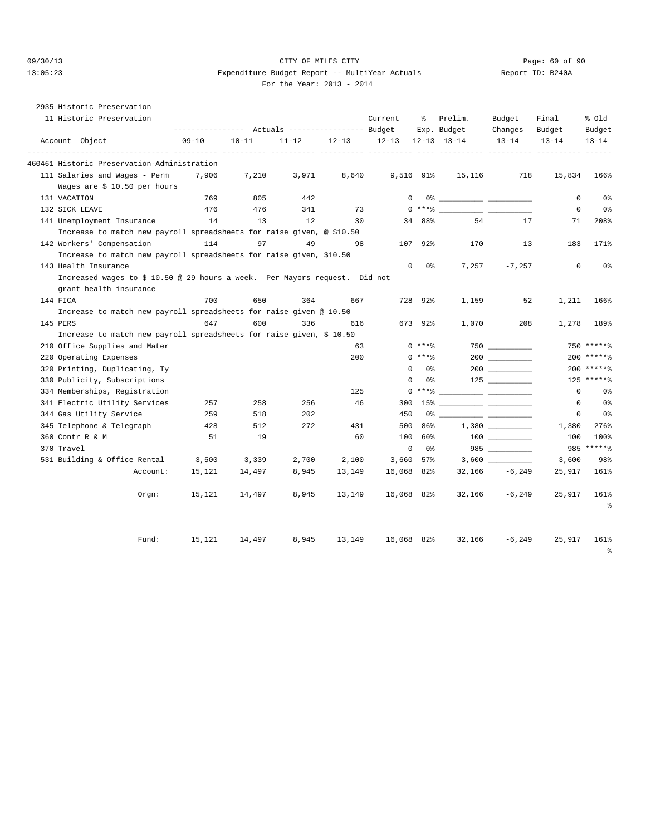### 09/30/13 Page: 60 of 90 13:05:23 Expenditure Budget Report -- MultiYear Actuals Report ID: B240A For the Year: 2013 - 2014

## 2935 Historic Preservation

|              | 11 Historic Preservation                                                   |           |           |           |           | Current     | ႜ         | Prelim.<br>Exp. Budget | Budget<br>Changes                                              | Final<br>Budget | % old<br>Budget |
|--------------|----------------------------------------------------------------------------|-----------|-----------|-----------|-----------|-------------|-----------|------------------------|----------------------------------------------------------------|-----------------|-----------------|
|              | Account Object                                                             | $09 - 10$ | $10 - 11$ | $11 - 12$ | $12 - 13$ | $12 - 13$   |           | $12 - 13$ $13 - 14$    | $13 - 14$                                                      | $13 - 14$       | $13 - 14$       |
|              | 460461 Historic Preservation-Administration                                |           |           |           |           |             |           |                        |                                                                |                 |                 |
|              | 111 Salaries and Wages - Perm                                              | 7,906     | 7,210     | 3,971     | 8,640     | 9,516 91%   |           | 15,116                 | 718                                                            | 15,834          | 166%            |
|              | Wages are \$ 10.50 per hours                                               |           |           |           |           |             |           |                        |                                                                |                 |                 |
| 131 VACATION |                                                                            | 769       | 805       | 442       |           | $\Omega$    |           |                        |                                                                | $\mathbf 0$     | 0%              |
|              | 132 SICK LEAVE                                                             | 476       | 476       | 341       | 73        | $\Omega$    | $***$ $%$ |                        | $\overline{\phantom{a}}$ . The set of $\overline{\phantom{a}}$ | $\mathbf 0$     | 0%              |
|              | 141 Unemployment Insurance                                                 | 14        | 13        | 12        | 30        |             | 34 88%    | 54                     | 17                                                             | 71              | 208%            |
|              | Increase to match new payroll spreadsheets for raise given, @ \$10.50      |           |           |           |           |             |           |                        |                                                                |                 |                 |
|              | 142 Workers' Compensation                                                  | 114       | 97        | 49        | 98        | 107         | 92%       | 170                    | 13                                                             | 183             | 171%            |
|              | Increase to match new payroll spreadsheets for raise given, \$10.50        |           |           |           |           |             |           |                        |                                                                |                 |                 |
|              | 143 Health Insurance                                                       |           |           |           |           | $\mathbf 0$ | 0%        | 7,257                  | $-7,257$                                                       | 0               | 0%              |
|              | Increased wages to \$ 10.50 @ 29 hours a week. Per Mayors request. Did not |           |           |           |           |             |           |                        |                                                                |                 |                 |
|              | grant health insurance                                                     |           |           |           |           |             |           |                        |                                                                |                 |                 |
| 144 FICA     |                                                                            | 700       | 650       | 364       | 667       |             | 728 92%   | 1,159                  | 52                                                             | 1,211           | 166%            |
|              | Increase to match new payroll spreadsheets for raise given @ 10.50         |           |           |           |           |             |           |                        |                                                                |                 |                 |
| 145 PERS     |                                                                            | 647       | 600       | 336       | 616       |             | 673 92%   | 1,070                  | 208                                                            | 1,278           | 189%            |
|              | Increase to match new payroll spreadsheets for raise given, \$ 10.50       |           |           |           |           |             |           |                        |                                                                |                 |                 |
|              | 210 Office Supplies and Mater                                              |           |           |           | 63        |             | $0$ ****  |                        |                                                                |                 | 750 ******      |
|              | 220 Operating Expenses                                                     |           |           |           | 200       |             | $0$ ****  |                        |                                                                |                 | 200 ******      |
|              | 320 Printing, Duplicating, Ty                                              |           |           |           |           | $\Omega$    | 0 %       |                        |                                                                |                 | $200$ ******    |
|              | 330 Publicity, Subscriptions                                               |           |           |           |           | $\mathbf 0$ | 0%        |                        |                                                                |                 | $125$ ******    |
|              | 334 Memberships, Registration                                              |           |           |           | 125       |             | $0$ ****  |                        |                                                                | $\mathbf 0$     | 0 <sup>°</sup>  |
|              | 341 Electric Utility Services                                              | 257       | 258       | 256       | 46        | 300         | 15%       |                        |                                                                | 0               | 0%              |
|              | 344 Gas Utility Service                                                    | 259       | 518       | 202       |           | 450         | 0%        |                        |                                                                | 0               | 0%              |
|              | 345 Telephone & Telegraph                                                  | 428       | 512       | 272       | 431       | 500         | 86%       |                        |                                                                | 1,380           | 276%            |
|              | 360 Contr R & M                                                            | 51        | 19        |           | 60        | 100         | 60%       |                        |                                                                | 100             | 100%            |
| 370 Travel   |                                                                            |           |           |           |           | $\mathbf 0$ | 0 %       |                        | 985                                                            |                 | 985 ******      |
|              | 531 Building & Office Rental                                               | 3,500     | 3,339     | 2,700     | 2,100     | 3,660       | 57%       |                        |                                                                | 3,600           | 98%             |
|              | Account:                                                                   | 15,121    | 14,497    | 8,945     | 13,149    | 16,068 82%  |           | 32,166                 | $-6,249$                                                       | 25,917          | 161%            |
|              | Orem:                                                                      | 15,121    | 14,497    | 8,945     | 13,149    | 16,068 82%  |           | 32,166                 | $-6,249$                                                       | 25,917          | 161%            |
|              |                                                                            |           |           |           |           |             |           |                        |                                                                |                 | န္              |
|              | Fund:                                                                      | 15,121    | 14,497    | 8,945     | 13,149    | 16,068 82%  |           | 32,166                 | $-6, 249$                                                      | 25,917          | 161%            |
|              |                                                                            |           |           |           |           |             |           |                        |                                                                |                 | 昙               |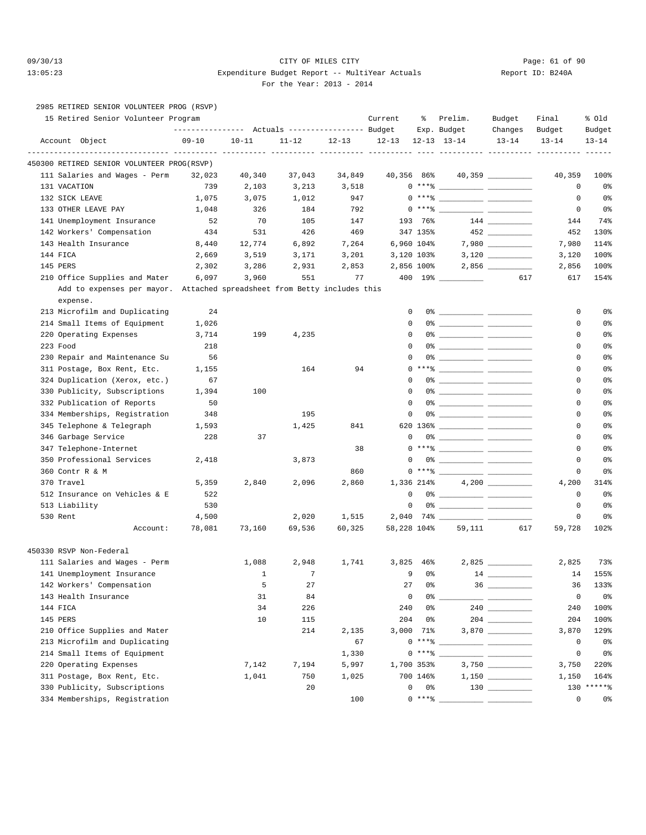### 09/30/13 Page: 61 of 90 13:05:23 Expenditure Budget Report -- MultiYear Actuals Report ID: B240A For the Year: 2013 - 2014

|  | 2985 RETIRED SENIOR VOLUNTEER PROG (RSVP) |  |
|--|-------------------------------------------|--|

| 15 Retired Senior Volunteer Program                                                  |           | ---------------    Actuals ----------------    Budget |            |           | Current      | ႜ          | Prelim.<br>Exp. Budget                                                                                                                                                                                                                                                                                                                                                                                           | Budget<br>Changes              | Final<br>Budget | % old<br>Budget |
|--------------------------------------------------------------------------------------|-----------|-------------------------------------------------------|------------|-----------|--------------|------------|------------------------------------------------------------------------------------------------------------------------------------------------------------------------------------------------------------------------------------------------------------------------------------------------------------------------------------------------------------------------------------------------------------------|--------------------------------|-----------------|-----------------|
| Account Object                                                                       | $09 - 10$ | $10 - 11$                                             | $11 - 12$  | $12 - 13$ | $12 - 13$    |            | $12 - 13$ $13 - 14$                                                                                                                                                                                                                                                                                                                                                                                              | $13 - 14$                      | $13 - 14$       | $13 - 14$       |
| 450300 RETIRED SENIOR VOLUNTEER PROG(RSVP)                                           |           |                                                       | _____ ____ |           |              |            |                                                                                                                                                                                                                                                                                                                                                                                                                  |                                |                 |                 |
| 111 Salaries and Wages - Perm                                                        | 32,023    | 40,340                                                | 37,043     | 34,849    | 40,356 86%   |            |                                                                                                                                                                                                                                                                                                                                                                                                                  | 40,359 __________              | 40,359          | 100%            |
| 131 VACATION                                                                         | 739       | 2,103                                                 | 3,213      | 3,518     |              |            | $0***$ $\frac{20}{100}$                                                                                                                                                                                                                                                                                                                                                                                          |                                | 0               | 0 <sub>8</sub>  |
| 132 SICK LEAVE                                                                       | 1,075     | 3,075                                                 | 1,012      | 947       |              |            | $0***$ $\frac{20}{10}$                                                                                                                                                                                                                                                                                                                                                                                           |                                | 0               | 0 <sub>8</sub>  |
| 133 OTHER LEAVE PAY                                                                  | 1,048     | 326                                                   | 184        | 792       |              |            | $0***$ $****$                                                                                                                                                                                                                                                                                                                                                                                                    |                                | $\mathbf 0$     | 0 <sub>8</sub>  |
| 141 Unemployment Insurance                                                           | 52        | 70                                                    | 105        | 147       |              | 193 76%    |                                                                                                                                                                                                                                                                                                                                                                                                                  |                                | 144             | 74%             |
| 142 Workers' Compensation                                                            | 434       | 531                                                   | 426        | 469       |              | 347 135%   |                                                                                                                                                                                                                                                                                                                                                                                                                  |                                | 452             | 130%            |
| 143 Health Insurance                                                                 | 8,440     | 12,774                                                | 6,892      | 7,264     |              | 6,960 104% |                                                                                                                                                                                                                                                                                                                                                                                                                  |                                | 7,980           | 114%            |
| 144 FICA                                                                             | 2,669     | 3,519                                                 | 3,171      | 3,201     |              | 3,120 103% |                                                                                                                                                                                                                                                                                                                                                                                                                  |                                | 3,120           | 100%            |
| 145 PERS                                                                             | 2,302     | 3,286                                                 | 2,931      | 2,853     |              | 2,856 100% |                                                                                                                                                                                                                                                                                                                                                                                                                  |                                | 2,856           | 100%            |
| 210 Office Supplies and Mater                                                        | 6,097     | 3,960                                                 | 551        | 77        |              |            |                                                                                                                                                                                                                                                                                                                                                                                                                  | 617                            | 617             | 154%            |
| Add to expenses per mayor. Attached spreadsheet from Betty includes this<br>expense. |           |                                                       |            |           |              |            |                                                                                                                                                                                                                                                                                                                                                                                                                  |                                |                 |                 |
| 213 Microfilm and Duplicating                                                        | 24        |                                                       |            |           | $\mathbf 0$  |            | 0% _____________ ___________                                                                                                                                                                                                                                                                                                                                                                                     |                                | 0               | 0 <sub>8</sub>  |
| 214 Small Items of Equipment                                                         | 1,026     |                                                       |            |           | $\mathbf{0}$ |            |                                                                                                                                                                                                                                                                                                                                                                                                                  |                                | 0               | 0 <sub>8</sub>  |
| 220 Operating Expenses                                                               | 3,714     | 199                                                   | 4,235      |           | $\mathbf{0}$ |            |                                                                                                                                                                                                                                                                                                                                                                                                                  |                                | 0               | 0%              |
| 223 Food                                                                             | 218       |                                                       |            |           | $\Omega$     |            |                                                                                                                                                                                                                                                                                                                                                                                                                  |                                | 0               | 0%              |
| 230 Repair and Maintenance Su                                                        | 56        |                                                       |            |           | $\mathbf{0}$ |            |                                                                                                                                                                                                                                                                                                                                                                                                                  |                                | 0               | 0%              |
| 311 Postage, Box Rent, Etc.                                                          | 1,155     |                                                       | 164        | 94        |              |            | $0***$ $\frac{1}{1}$                                                                                                                                                                                                                                                                                                                                                                                             |                                | 0               | 0 <sub>8</sub>  |
| 324 Duplication (Xerox, etc.)                                                        | 67        |                                                       |            |           | 0            |            | 0% $\frac{1}{\sqrt{1-\frac{1}{2}}\sqrt{1-\frac{1}{2}}\sqrt{1-\frac{1}{2}}\sqrt{1-\frac{1}{2}}\sqrt{1-\frac{1}{2}}\sqrt{1-\frac{1}{2}}\sqrt{1-\frac{1}{2}}\sqrt{1-\frac{1}{2}}\sqrt{1-\frac{1}{2}}\sqrt{1-\frac{1}{2}}\sqrt{1-\frac{1}{2}}\sqrt{1-\frac{1}{2}}\sqrt{1-\frac{1}{2}}\sqrt{1-\frac{1}{2}}\sqrt{1-\frac{1}{2}}\sqrt{1-\frac{1}{2}}\sqrt{1-\frac{1}{2}}\sqrt{1-\frac{1}{2}}\sqrt{1-\frac{1}{2}}\sqrt{$ |                                | 0               | 0 <sub>8</sub>  |
| 330 Publicity, Subscriptions                                                         | 1,394     | 100                                                   |            |           | $\Omega$     |            |                                                                                                                                                                                                                                                                                                                                                                                                                  |                                | 0               | 0 <sub>8</sub>  |
| 332 Publication of Reports                                                           | 50        |                                                       |            |           | $\Omega$     |            |                                                                                                                                                                                                                                                                                                                                                                                                                  |                                | 0               | 0%              |
| 334 Memberships, Registration                                                        | 348       |                                                       | 195        |           | 0            |            | 0% ____________ _____________                                                                                                                                                                                                                                                                                                                                                                                    |                                | 0               | 0%              |
| 345 Telephone & Telegraph                                                            | 1,593     |                                                       | 1,425      | 841       |              |            |                                                                                                                                                                                                                                                                                                                                                                                                                  |                                | 0               | 0 <sub>8</sub>  |
| 346 Garbage Service                                                                  | 228       | 37                                                    |            |           | $\mathbf 0$  |            |                                                                                                                                                                                                                                                                                                                                                                                                                  |                                | 0               | 0 <sub>8</sub>  |
| 347 Telephone-Internet                                                               |           |                                                       |            | 38        |              |            | $0***$ $\frac{20}{100}$                                                                                                                                                                                                                                                                                                                                                                                          |                                | 0               | 0 <sub>8</sub>  |
| 350 Professional Services                                                            | 2,418     |                                                       | 3,873      |           |              |            |                                                                                                                                                                                                                                                                                                                                                                                                                  |                                | 0               | 0%              |
| 360 Contr R & M                                                                      |           |                                                       |            | 860       |              |            | $0***$ $\frac{20}{10}$                                                                                                                                                                                                                                                                                                                                                                                           |                                | 0               | 0%              |
| 370 Travel                                                                           | 5,359     | 2,840                                                 | 2,096      | 2,860     |              | 1.336 214% |                                                                                                                                                                                                                                                                                                                                                                                                                  |                                | 4,200           | 314%            |
| 512 Insurance on Vehicles & E                                                        | 522       |                                                       |            |           | $\mathbf 0$  |            |                                                                                                                                                                                                                                                                                                                                                                                                                  |                                | $\mathbf 0$     | 0 <sup>°</sup>  |
| 513 Liability                                                                        | 530       |                                                       |            |           | $\mathbf 0$  |            |                                                                                                                                                                                                                                                                                                                                                                                                                  |                                | $\mathbf 0$     | 0 <sub>8</sub>  |
| 530 Rent                                                                             | 4,500     |                                                       | 2,020      | 1,515     |              |            |                                                                                                                                                                                                                                                                                                                                                                                                                  |                                | 0               | 0 <sub>8</sub>  |
| Account:                                                                             | 78,081    | 73,160                                                | 69,536     | 60,325    | 58,228 104%  |            | 59,111                                                                                                                                                                                                                                                                                                                                                                                                           | 617                            | 59,728          | 102%            |
| 450330 RSVP Non-Federal                                                              |           |                                                       |            |           |              |            |                                                                                                                                                                                                                                                                                                                                                                                                                  |                                |                 |                 |
| 111 Salaries and Wages - Perm                                                        |           | 1,088                                                 | 2,948      | 1,741     | 3,825        | 46%        |                                                                                                                                                                                                                                                                                                                                                                                                                  |                                | 2,825           | 73%             |
| 141 Unemployment Insurance                                                           |           | 1                                                     | 7          |           | 9            | 0%         |                                                                                                                                                                                                                                                                                                                                                                                                                  |                                | 14              | 155%            |
| 142 Workers' Compensation                                                            |           | 5                                                     | 27         |           | 27           | 0%         |                                                                                                                                                                                                                                                                                                                                                                                                                  |                                | 36              | 133%            |
| 143 Health Insurance                                                                 |           | 31                                                    | 84         |           | 0            |            | 0 %                                                                                                                                                                                                                                                                                                                                                                                                              | <u> 1989 - Amerikaan Stone</u> | $\mathsf 0$     | 0 <sub>8</sub>  |
| 144 FICA                                                                             |           | 34                                                    | 226        |           | 240          | 0%         |                                                                                                                                                                                                                                                                                                                                                                                                                  |                                | 240             | 100%            |
| 145 PERS                                                                             |           | 10                                                    | 115        |           | 204          | 0%         |                                                                                                                                                                                                                                                                                                                                                                                                                  |                                | 204             | 100%            |
| 210 Office Supplies and Mater                                                        |           |                                                       | 214        | 2,135     |              | 3,000 71%  |                                                                                                                                                                                                                                                                                                                                                                                                                  |                                | 3,870           | 129%            |
| 213 Microfilm and Duplicating                                                        |           |                                                       |            | 67        |              | $0***8$    |                                                                                                                                                                                                                                                                                                                                                                                                                  |                                | 0               | 0 <sub>8</sub>  |
| 214 Small Items of Equipment                                                         |           |                                                       |            | 1,330     |              | $0***8$    |                                                                                                                                                                                                                                                                                                                                                                                                                  |                                | $\mathsf 0$     | 0 <sup>o</sup>  |
| 220 Operating Expenses                                                               |           | 7,142                                                 | 7,194      | 5,997     |              | 1,700 353% |                                                                                                                                                                                                                                                                                                                                                                                                                  |                                | 3,750           | 220%            |
| 311 Postage, Box Rent, Etc.                                                          |           | 1,041                                                 | 750        | 1,025     |              | 700 146%   |                                                                                                                                                                                                                                                                                                                                                                                                                  | $1,150$                        | 1,150           | 164%            |
| 330 Publicity, Subscriptions                                                         |           |                                                       | 20         |           | 0            | 0%         |                                                                                                                                                                                                                                                                                                                                                                                                                  |                                | 130             | $*****$         |
| 334 Memberships, Registration                                                        |           |                                                       |            | 100       |              | $0***8$    |                                                                                                                                                                                                                                                                                                                                                                                                                  |                                | 0               | 0%              |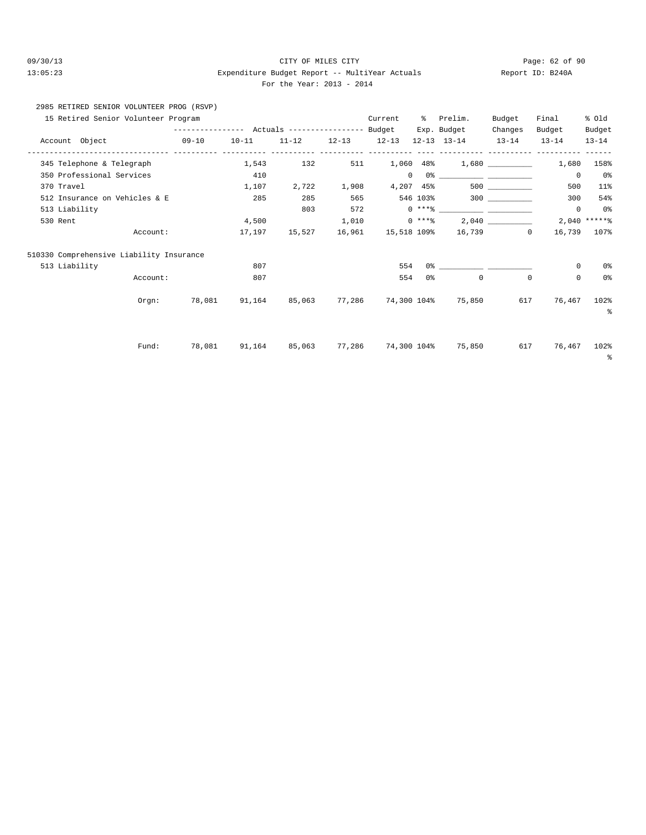### 09/30/13 Page: 62 of 90 13:05:23 Expenditure Budget Report -- MultiYear Actuals Report ID: B240A For the Year: 2013 - 2014

# 2985 RETIRED SENIOR VOLUNTEER PROG (RSVP)

| 15 Retired Senior Volunteer Program      |                             |                                           |           |           |           | Current      | ిక        | Prelim.             | Budget                   | Final       | % old              |
|------------------------------------------|-----------------------------|-------------------------------------------|-----------|-----------|-----------|--------------|-----------|---------------------|--------------------------|-------------|--------------------|
|                                          |                             | --------------- Actuals ----------------- |           |           |           | Budget       |           | Exp. Budget         | Changes                  | Budget      | Budget             |
| Account Object                           | ----------------- --------- | $09 - 10$                                 | $10 - 11$ | $11 - 12$ | $12 - 13$ | $12 - 13$    |           | $12 - 13$ $13 - 14$ | $13 - 14$                | $13 - 14$   | $13 - 14$          |
| 345 Telephone & Telegraph                |                             |                                           | 1,543     | 132       | 511       | 1,060        | $48\%$    |                     |                          | 1,680       | 158%               |
| 350 Professional Services                |                             |                                           | 410       |           |           | $\mathbf{0}$ |           |                     |                          | $^{\circ}$  | 0%                 |
| 370 Travel                               |                             |                                           | 1,107     | 2,722     | 1,908     |              | 4,207 45% |                     | 500 000                  | 500         | 11%                |
| 512 Insurance on Vehicles & E            |                             |                                           | 285       | 285       | 565       |              |           |                     |                          | 300         | 54%                |
| 513 Liability                            |                             |                                           |           | 803       | 572       |              |           |                     |                          | $^{\circ}$  | 0%                 |
| 530 Rent                                 |                             |                                           | 4,500     |           | 1,010     |              | $0***8$   |                     | 2,040                    |             | $2,040$ *****%     |
|                                          | Account:                    |                                           | 17,197    | 15,527    | 16,961    | 15,518 109%  |           |                     | 16,739<br>$\overline{0}$ | 16,739      | 107%               |
| 510330 Comprehensive Liability Insurance |                             |                                           |           |           |           |              |           |                     |                          |             |                    |
| 513 Liability                            |                             |                                           | 807       |           |           | 554          |           |                     |                          | $\mathbf 0$ | 0 <sup>°</sup>     |
|                                          | Account:                    |                                           | 807       |           |           | 554          | 0 %       | 0                   | $\circ$                  | 0           | 0%                 |
|                                          | Orem:                       | 78,081                                    | 91,164    | 85,063    | 77,286    |              |           | 74,300 104% 75,850  | 617                      | 76,467      | 102%<br>್ಠಿ        |
|                                          | Fund:                       | 78,081                                    | 91,164    | 85,063    | 77,286    |              |           | 74,300 104% 75,850  | 617                      | 76,467      | 102%<br>$\epsilon$ |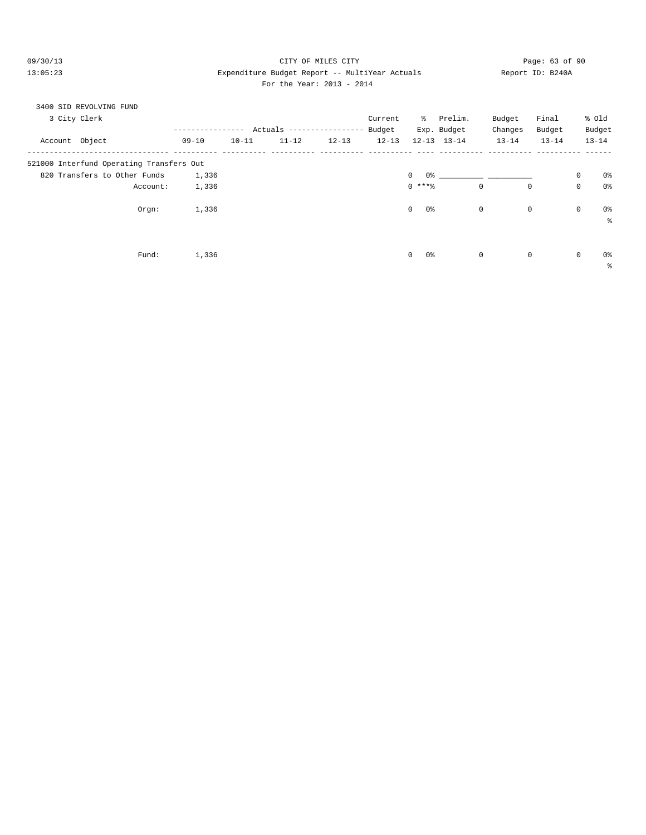09/30/13 CITY OF MILES CITY Page: 63 of 90 13:05:23 Expenditure Budget Report -- MultiYear Actuals Report ID: B240A For the Year: 2013 - 2014

| 3400 SID REVOLVING FUND<br>3 City Clerk  |           | ---------- | Actuals ----------------- |           | Current<br>Budget |                    | % Prelim.<br>Exp. Budget | Budget<br>Changes | Final<br>Budget |             | % old<br>Budget |
|------------------------------------------|-----------|------------|---------------------------|-----------|-------------------|--------------------|--------------------------|-------------------|-----------------|-------------|-----------------|
| Account Object                           | $09 - 10$ | $10 - 11$  | $11 - 12$                 | $12 - 13$ | $12 - 13$         |                    | $12 - 13$ $13 - 14$      | $13 - 14$         | $13 - 14$       |             | $13 - 14$       |
| 521000 Interfund Operating Transfers Out |           |            |                           |           |                   |                    |                          |                   |                 |             |                 |
| 820 Transfers to Other Funds             | 1,336     |            |                           |           |                   | $\circ$            |                          |                   |                 | 0           | 0%              |
| Account:                                 | 1,336     |            |                           |           |                   | $0***$             | $\mathbf 0$              | $\mathbf 0$       |                 | $\mathbf 0$ | 0 <sub>8</sub>  |
| Orgn:                                    | 1,336     |            |                           |           |                   | 0%<br>$\mathbf{0}$ | 0                        | 0                 |                 | $\mathbf 0$ | 0%              |
|                                          |           |            |                           |           |                   |                    |                          |                   |                 |             | る               |
|                                          |           |            |                           |           |                   |                    |                          |                   |                 |             |                 |
| Fund:                                    | 1,336     |            |                           |           |                   | $\circ$<br>0%      | $\circ$                  | $\mathbf 0$       |                 | $\mathbf 0$ | 0%              |
|                                          |           |            |                           |           |                   |                    |                          |                   |                 |             | $\,$ $\,$ $\,$  |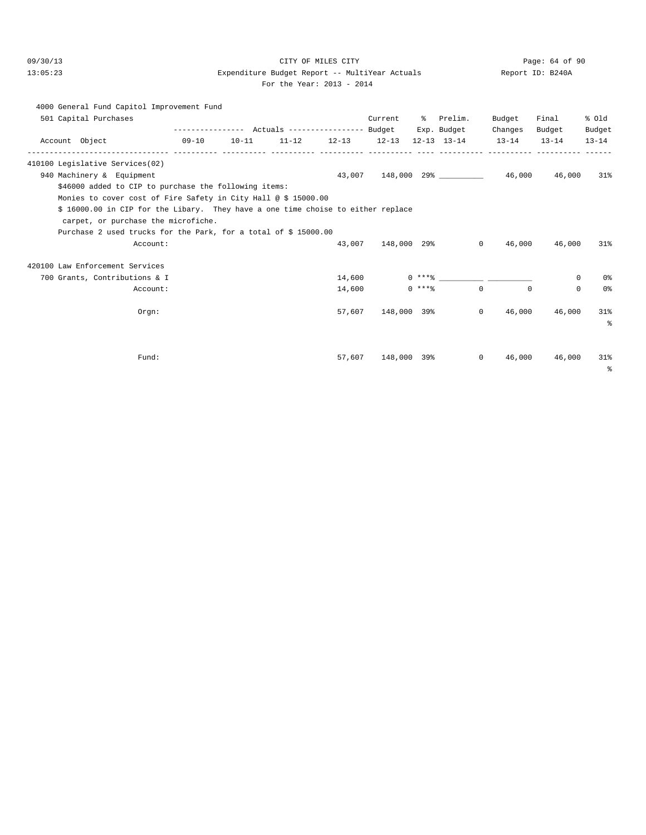# 09/30/13 Page: 64 of 90 13:05:23 Expenditure Budget Report -- MultiYear Actuals Report ID: B240A

For the Year: 2013 - 2014

|                                 | 4000 General Fund Capitol Improvement Fund                                       |       |                                                 |        |                    |          |                       |                                                                 |          |                   |
|---------------------------------|----------------------------------------------------------------------------------|-------|-------------------------------------------------|--------|--------------------|----------|-----------------------|-----------------------------------------------------------------|----------|-------------------|
| 501 Capital Purchases           |                                                                                  |       |                                                 |        | Current            |          | % Prelim.             | Budget                                                          | Final    | % old             |
|                                 |                                                                                  |       | --------------- Actuals ---------------- Budget |        |                    |          | Exp. Budget           | Changes                                                         | Budget   | Budget            |
| Account Object                  |                                                                                  | 09-10 |                                                 |        |                    |          |                       | $10-11$ $11-12$ $12-13$ $12-13$ $12-13$ $13-14$ $13-14$ $13-14$ |          | $13 - 14$         |
| 410100 Legislative Services(02) |                                                                                  |       |                                                 |        |                    |          |                       |                                                                 |          |                   |
| 940 Machinery & Equipment       |                                                                                  |       |                                                 |        |                    |          |                       | $43,007$ $148,000$ $29\%$ $46,000$ $46,000$                     |          | 31%               |
|                                 | \$46000 added to CIP to purchase the following items:                            |       |                                                 |        |                    |          |                       |                                                                 |          |                   |
|                                 | Monies to cover cost of Fire Safety in City Hall @ \$ 15000.00                   |       |                                                 |        |                    |          |                       |                                                                 |          |                   |
|                                 | \$ 16000.00 in CIP for the Libary. They have a one time choise to either replace |       |                                                 |        |                    |          |                       |                                                                 |          |                   |
|                                 | carpet, or purchase the microfiche.                                              |       |                                                 |        |                    |          |                       |                                                                 |          |                   |
|                                 | Purchase 2 used trucks for the Park, for a total of \$15000.00                   |       |                                                 |        |                    |          |                       |                                                                 |          |                   |
|                                 | Account:                                                                         |       |                                                 |        | 43,007 148,000 29% |          |                       | $\Omega$<br>46,000                                              | 46,000   | 31%               |
| 420100 Law Enforcement Services |                                                                                  |       |                                                 |        |                    |          |                       |                                                                 |          |                   |
|                                 | 700 Grants, Contributions & I                                                    |       |                                                 | 14,600 |                    |          | $0$ *** $\frac{6}{3}$ |                                                                 | 0        | 0%                |
|                                 | Account:                                                                         |       |                                                 | 14,600 |                    | $0$ **** |                       | $\Omega$<br>$\Omega$                                            | $\Omega$ | 0%                |
|                                 | Orem:                                                                            |       |                                                 | 57,607 | 148,000 39%        |          |                       | $\circ$<br>46,000                                               | 46,000   | 31%<br>$\approx$  |
|                                 |                                                                                  |       |                                                 |        |                    |          |                       |                                                                 |          |                   |
|                                 | Fund:                                                                            |       |                                                 | 57,607 |                    |          | 148,000 39%           | $\circ$<br>46,000                                               | 46,000   | 31%<br>$\epsilon$ |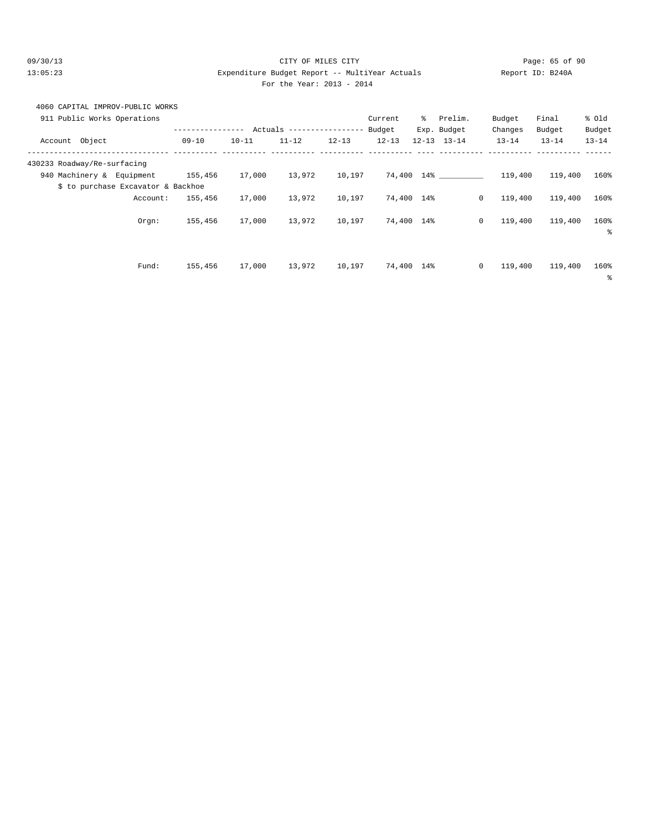### 09/30/13 Page: 65 of 90 13:05:23 Expenditure Budget Report -- MultiYear Actuals Report ID: B240A For the Year: 2013 - 2014

# 4060 CAPITAL IMPROV-PUBLIC WORKS

| 911 Public Works Operations        |                |           |                            |           | Current    | ွေ | Prelim.             | Budget                  | Final     | % old     |
|------------------------------------|----------------|-----------|----------------------------|-----------|------------|----|---------------------|-------------------------|-----------|-----------|
|                                    | -------------- |           | Actuals ------------------ |           | Budget     |    | Exp. Budget         | Changes                 | Budget    | Budget    |
| Account Object                     | $09 - 10$      | $10 - 11$ | $11 - 12$                  | $12 - 13$ | $12 - 13$  |    | $12 - 13$ $13 - 14$ | $13 - 14$               | $13 - 14$ | $13 - 14$ |
| 430233 Roadway/Re-surfacing        |                |           |                            |           |            |    |                     |                         |           |           |
| 940 Machinery & Equipment          | 155,456        | 17,000    | 13,972                     | 10,197    |            |    | 74,400 14%          | 119,400                 | 119,400   | 160%      |
| \$ to purchase Excavator & Backhoe |                |           |                            |           |            |    |                     |                         |           |           |
| Account:                           | 155,456        | 17,000    | 13,972                     | 10,197    | 74,400 14% |    |                     | $\mathbf{0}$<br>119,400 | 119,400   | 160%      |
| Orgn:                              | 155,456        | 17,000    | 13,972                     | 10,197    | 74,400 14% |    |                     | 0<br>119,400            | 119,400   | 160%      |
|                                    |                |           |                            |           |            |    |                     |                         |           | š         |
|                                    |                |           |                            |           |            |    |                     |                         |           |           |
| Fund:                              | 155,456        | 17,000    | 13,972                     | 10,197    | 74,400 14% |    |                     | $\circ$<br>119,400      | 119,400   | 160%      |
|                                    |                |           |                            |           |            |    |                     |                         |           | နွ        |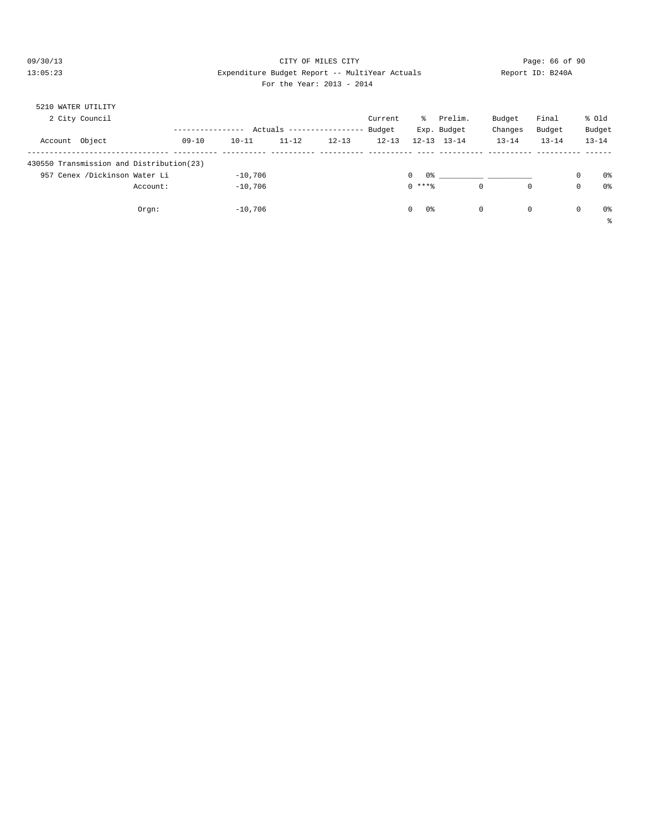### 09/30/13 CITY OF MILES CITY Page: 66 of 90 13:05:23 Expenditure Budget Report -- MultiYear Actuals Report ID: B240A For the Year: 2013 - 2014

| 5210 WATER UTILITY |                                          |          |           |           |           |                   |           |                |                                                                                                     |           |           |             |           |
|--------------------|------------------------------------------|----------|-----------|-----------|-----------|-------------------|-----------|----------------|-----------------------------------------------------------------------------------------------------|-----------|-----------|-------------|-----------|
|                    | 2 City Council                           |          |           |           |           |                   | Current   | ႜႜၟ            | Prelim.                                                                                             | Budget    | Final     |             | % old     |
|                    |                                          |          |           | Actuals   |           | ----------------- | Budget    |                | Exp. Budget                                                                                         | Changes   | Budget    |             | Budget    |
| Account            | Object                                   |          | $09 - 10$ | $10 - 11$ | $11 - 12$ | $12 - 13$         | $12 - 13$ | $12 - 13$      | $13 - 14$                                                                                           | $13 - 14$ | $13 - 14$ |             | $13 - 14$ |
|                    |                                          |          |           |           |           |                   |           |                |                                                                                                     |           |           |             |           |
|                    | 430550 Transmission and Distribution(23) |          |           |           |           |                   |           |                |                                                                                                     |           |           |             |           |
| 957                | Cenex /Dickinson Water Li                |          |           | $-10,706$ |           |                   |           | $\Omega$       | 0.3 - 2010 - 2010 - 2010 - 2010 - 2010 - 2010 - 2010 - 2010 - 2010 - 2010 - 2010 - 2010 - 2010 - 20 |           |           | $\mathbf 0$ | 0%        |
|                    |                                          | Account: |           | $-10,706$ |           |                   |           | $0$ ****       | 0                                                                                                   | 0         |           | 0           | 0%        |
|                    |                                          |          |           |           |           |                   |           |                |                                                                                                     |           |           |             |           |
|                    |                                          | Orgn:    |           | $-10,706$ |           |                   |           | 0%<br>$\Omega$ | $^{\circ}$                                                                                          | 0         |           | 0           | 0%        |
|                    |                                          |          |           |           |           |                   |           |                |                                                                                                     |           |           |             | ႜ         |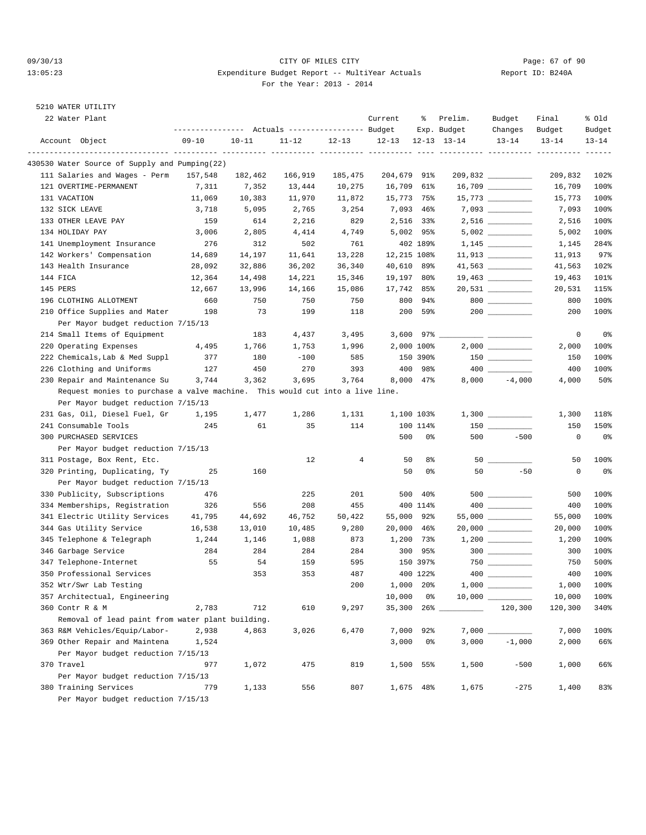### 09/30/13 Page: 67 of 90 13:05:23 Expenditure Budget Report -- MultiYear Actuals Report ID: B240A For the Year: 2013 - 2014

## 5210 WATER UTILITY

| 22 Water Plant                                                               | --------------- Actuals ---------------- Budget |           |           |                | Current               | ႜ              | Prelim.<br>Exp. Budget         | Budget<br>Changes    | Final<br>Budget    | % Old<br>Budget |
|------------------------------------------------------------------------------|-------------------------------------------------|-----------|-----------|----------------|-----------------------|----------------|--------------------------------|----------------------|--------------------|-----------------|
| Account Object                                                               | $09 - 10$                                       | $10 - 11$ | $11 - 12$ | $12 - 13$      | $12 - 13$             |                | $12 - 13$ $13 - 14$            | $13 - 14$            | $13 - 14$          | $13 - 14$       |
| 430530 Water Source of Supply and Pumping(22)                                |                                                 |           |           |                |                       |                | ---------- ---------- -------- |                      |                    |                 |
| 111 Salaries and Wages - Perm                                                | 157,548                                         | 182,462   | 166,919   | 185,475        | 204,679 91%           |                |                                | 209,832              | 209,832            | 102%            |
| 121 OVERTIME-PERMANENT                                                       | 7,311                                           | 7,352     | 13,444    | 10,275         | 16,709 61%            |                |                                |                      | 16,709             | 100%            |
| 131 VACATION                                                                 | 11,069                                          | 10,383    | 11,970    | 11,872         | 15,773 75%            |                |                                | $15,773$ ___________ | 15,773             | 100%            |
| 132 SICK LEAVE                                                               | 3,718                                           | 5,095     | 2,765     | 3,254          | 7,093 46%             |                |                                | $7,093$ ___________  | 7,093              | 100%            |
| 133 OTHER LEAVE PAY                                                          | 159                                             | 614       | 2,216     | 829            | 2,516 33%             |                |                                |                      | 2,516              | 100%            |
| 134 HOLIDAY PAY                                                              | 3,006                                           | 2,805     | 4,414     | 4,749          | 5,002 95%             |                |                                |                      | 5,002              | 100%            |
| 141 Unemployment Insurance                                                   | 276                                             | 312       | 502       | 761            |                       | 402 189%       |                                |                      | 1,145              | 284%            |
| 142 Workers' Compensation                                                    | 14,689                                          | 14,197    | 11,641    | 13,228         | 12,215 108%           |                |                                | $11,913$ __________  | 11,913             | 97%             |
| 143 Health Insurance                                                         | 28,092                                          | 32,886    | 36,202    | 36,340         | 40,610 89%            |                |                                | 41,563 __________    | 41,563             | 102%            |
| 144 FICA                                                                     | 12,364                                          | 14,498    | 14,221    | 15,346         | 19,197 80%            |                |                                |                      | 19,463             | 101%            |
| 145 PERS                                                                     | 12,667                                          | 13,996    | 14,166    | 15,086         | 17,742 85%            |                |                                | $20,531$ _________   | 20,531             | 115%            |
| 196 CLOTHING ALLOTMENT                                                       | 660                                             | 750       | 750       | 750            |                       | 800 94%        |                                | $800$                | 800                | 100%            |
| 210 Office Supplies and Mater                                                | 198                                             | 73        | 199       | 118            |                       | 200 59%        |                                |                      | 200                | 100%            |
| Per Mayor budget reduction 7/15/13                                           |                                                 |           |           |                |                       |                |                                |                      |                    |                 |
| 214 Small Items of Equipment                                                 |                                                 | 183       | 4,437     | 3,495          | $3,600$ $97\%$ $\_\_$ |                |                                |                      | $\mathbf 0$        | 0 <sub>8</sub>  |
| 220 Operating Expenses                                                       | 4,495                                           | 1,766     | 1,753     | 1,996          | 2,000 100%            |                |                                |                      | 2,000              | 100%            |
| 222 Chemicals, Lab & Med Suppl                                               | 377                                             | 180       | $-100$    | 585            |                       | 150 390%       |                                |                      | 150                | 100%            |
| 226 Clothing and Uniforms                                                    | 127                                             | 450       | 270       | 393            |                       | 400 98%        |                                |                      | 400                | 100%            |
| 230 Repair and Maintenance Su                                                | 3,744                                           | 3,362     | 3,695     | 3,764          | 8,000 47%             |                | 8,000                          | $-4,000$             | 4,000              | 50%             |
| Request monies to purchase a valve machine. This would cut into a live line. |                                                 |           |           |                |                       |                |                                |                      |                    |                 |
| Per Mayor budget reduction 7/15/13                                           |                                                 |           |           |                |                       |                |                                |                      |                    |                 |
| 231 Gas, Oil, Diesel Fuel, Gr                                                | 1,195                                           | 1,477     | 1,286     | 1,131          | 1,100 103%            |                |                                |                      | 1,300              | 118%            |
| 241 Consumable Tools                                                         | 245                                             | 61        | 35        | 114            |                       | 100 114%       |                                |                      | 150                | 150%            |
| 300 PURCHASED SERVICES                                                       |                                                 |           |           |                | 500                   | 0%             | 500                            | $-500$               | 0                  | 0%              |
| Per Mayor budget reduction 7/15/13                                           |                                                 |           |           |                |                       |                |                                |                      |                    |                 |
| 311 Postage, Box Rent, Etc.                                                  |                                                 |           | 12        | $\overline{4}$ | 50                    | 8 <sup>°</sup> |                                |                      | 50                 | 100%            |
| 320 Printing, Duplicating, Ty                                                | 25                                              | 160       |           |                | 50                    | 0%             | 50                             | $-50$                | $\mathsf 0$        | 0 <sub>8</sub>  |
| Per Mayor budget reduction 7/15/13                                           |                                                 |           |           |                |                       |                |                                |                      |                    |                 |
| 330 Publicity, Subscriptions                                                 | 476                                             |           | 225       | 201            | 500                   | 40%            |                                | 500 __________       | 500                | 100%            |
| 334 Memberships, Registration                                                | 326                                             | 556       | 208       | 455            |                       | 400 114%       |                                |                      | 400                | 100%            |
| 341 Electric Utility Services                                                | 41,795                                          | 44,692    | 46,752    | 50,422         | 55,000 92%            |                |                                | $55,000$ ________    | 55,000             | 100%            |
| 344 Gas Utility Service                                                      | 16,538                                          | 13,010    | 10,485    | 9,280          | 20,000 46%            |                |                                |                      | 20,000             | 100%            |
| 345 Telephone & Telegraph                                                    | 1,244                                           | 1,146     | 1,088     | 873            | 1,200 73%             |                |                                |                      | 1,200              | 100%            |
| 346 Garbage Service                                                          | 284                                             | 284       | 284       | 284            |                       | 300 95%        |                                | $300$                | 300                | 100%            |
| 347 Telephone-Internet                                                       | 55                                              | 54        | 159       | 595            |                       | 150 397%       |                                |                      | 750                | 500%            |
| 350 Professional Services                                                    |                                                 | 353       | 353       | 487            |                       | 400 122%       |                                |                      | 400                | 100%            |
| 352 Wtr/Swr Lab Testing                                                      |                                                 |           |           | 200            | 1,000 20%             |                |                                |                      | $1\, , \, 0\,0\,0$ | 100%            |
| 357 Architectual, Engineering                                                |                                                 |           |           |                | 10,000                | 0%             |                                |                      | 10,000             | 100%            |
| 360 Contr R & M                                                              | 2,783                                           | 712       | 610       | 9,297          | 35,300                |                |                                | 120,300              | 120,300            | 340%            |
| Removal of lead paint from water plant building.                             |                                                 |           |           |                |                       |                |                                |                      |                    |                 |
| 363 R&M Vehicles/Equip/Labor-                                                | 2,938                                           | 4,863     | 3,026     | 6,470          | 7,000                 | 92%            |                                |                      | 7,000              | 100%            |
| 369 Other Repair and Maintena                                                | 1,524                                           |           |           |                | 3,000                 | 0%             | 3,000                          | $-1,000$             | 2,000              | 66%             |
| Per Mayor budget reduction 7/15/13                                           |                                                 |           |           |                |                       |                |                                |                      |                    |                 |
| 370 Travel                                                                   | 977                                             | 1,072     | 475       | 819            |                       | 1,500 55%      | 1,500                          | $-500$               | 1,000              | 66%             |
| Per Mayor budget reduction 7/15/13                                           |                                                 |           |           |                |                       |                |                                |                      |                    |                 |
| 380 Training Services                                                        | 779                                             | 1,133     | 556       | 807            |                       | 1,675 48%      | 1,675                          | $-275$               | 1,400              | 83%             |
| Per Mayor budget reduction 7/15/13                                           |                                                 |           |           |                |                       |                |                                |                      |                    |                 |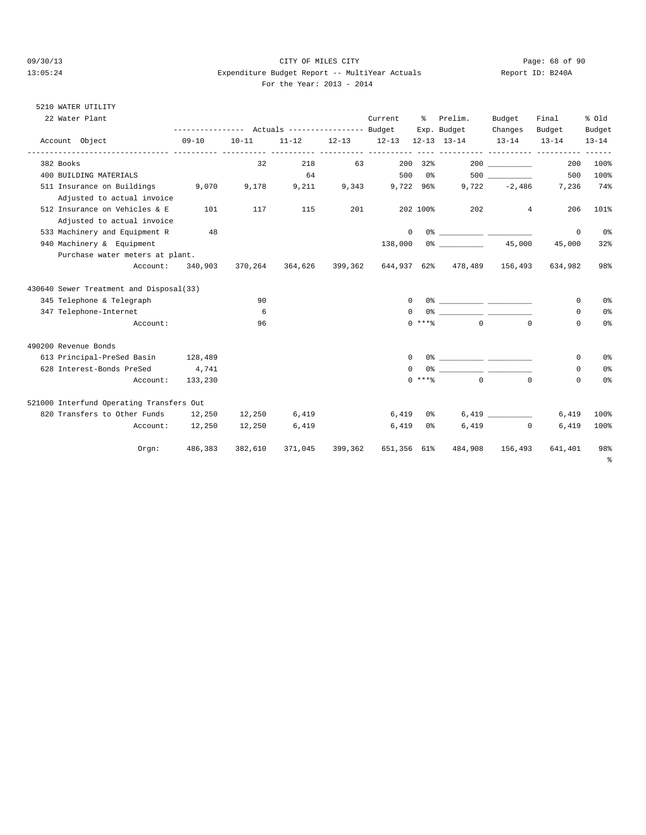#### 09/30/13 CITY OF MILES CITY Page: 68 of 90 13:05:24 Expenditure Budget Report -- MultiYear Actuals Report ID: B240A For the Year: 2013 - 2014

#### 5210 WATER UTILITY

| 22 Water Plant                           |           | --------------- Actuals ---------------- Budget |           |           | Current         | ိ        | Prelim.<br>Exp. Budget                                      | Budget<br>Changes | Final<br>Budget      | % old<br>Budget |
|------------------------------------------|-----------|-------------------------------------------------|-----------|-----------|-----------------|----------|-------------------------------------------------------------|-------------------|----------------------|-----------------|
| Account Object                           | $09 - 10$ | $10 - 11$                                       | $11 - 12$ | $12 - 13$ | $12 - 13$       |          | $12-13$ $13-14$                                             | $13 - 14$         | $13 - 14$            | $13 - 14$       |
| 382 Books                                |           | 32                                              | 218       |           |                 |          | 200 32%                                                     | 200               | 200                  | 100%            |
| 400 BUILDING MATERIALS                   |           |                                                 | 64        |           |                 |          | 500 0% 500                                                  |                   | 500                  | 100%            |
| 511 Insurance on Buildings               | 9,070     | 9,178                                           | 9,211     |           | 9,343 9,722 96% |          |                                                             |                   | $9,722 -2,486$ 7,236 | 74%             |
| Adjusted to actual invoice               |           |                                                 |           |           |                 |          |                                                             |                   |                      |                 |
| 512 Insurance on Vehicles & E            | 101       | 117                                             | 115       | 201       |                 | 202 100% | 202                                                         | $4\overline{ }$   | 206                  | 101%            |
| Adjusted to actual invoice               |           |                                                 |           |           |                 |          |                                                             |                   |                      |                 |
| 533 Machinery and Equipment R            | 48        |                                                 |           |           | $\mathbf{0}$    |          |                                                             |                   | $\mathbf 0$          | 0%              |
| 940 Machinery & Equipment                |           |                                                 |           |           | 138,000         |          | $0\%$ 45,000                                                |                   | 45,000               | 32%             |
| Purchase water meters at plant.          |           |                                                 |           |           |                 |          |                                                             |                   |                      |                 |
| Account: 340,903                         |           |                                                 |           |           |                 |          | 370,264 364,626 399,362 644,937 62% 478,489 156,493 634,982 |                   |                      | 98%             |
| 430640 Sewer Treatment and Disposal(33)  |           |                                                 |           |           |                 |          |                                                             |                   |                      |                 |
| 345 Telephone & Telegraph                |           | 90                                              |           |           | $\Omega$        |          |                                                             |                   | 0                    | 0 <sup>°</sup>  |
| 347 Telephone-Internet                   |           | 6                                               |           |           | $\Omega$        |          |                                                             |                   | 0                    | 0 <sup>°</sup>  |
| Account:                                 |           | 96                                              |           |           |                 | $0$ **** | $\Omega$                                                    | $\Omega$          | $\Omega$             | 0%              |
| 490200 Revenue Bonds                     |           |                                                 |           |           |                 |          |                                                             |                   |                      |                 |
| 613 Principal-PreSed Basin 128,489       |           |                                                 |           |           | $\Omega$        |          |                                                             |                   | 0                    | 0 <sup>°</sup>  |
| 628 Interest-Bonds PreSed                | 4,741     |                                                 |           |           | $\Omega$        |          |                                                             |                   | $\Omega$             | 0 <sup>°</sup>  |
| Account:                                 | 133,230   |                                                 |           |           |                 | $0$ **** | $\Omega$                                                    | $\Omega$          | $\Omega$             | 0 <sup>°</sup>  |
| 521000 Interfund Operating Transfers Out |           |                                                 |           |           |                 |          |                                                             |                   |                      |                 |
| 820 Transfers to Other Funds 12,250      |           | 12,250                                          | 6,419     |           | 6,419           |          | $0\,$ $\,$                                                  | 6,419             | 6,419                | 100%            |
| Account: 12,250                          |           | 12,250                                          | 6,419     |           | 6,419           | 0 %      |                                                             | $6.419$ 0         | 6,419                | 100%            |
| Orgn:                                    | 486,383   | 382,610                                         | 371,045   | 399,362   | 651,356 61%     |          | 484,908                                                     |                   | 156,493 641,401      | 98%<br>ႜ        |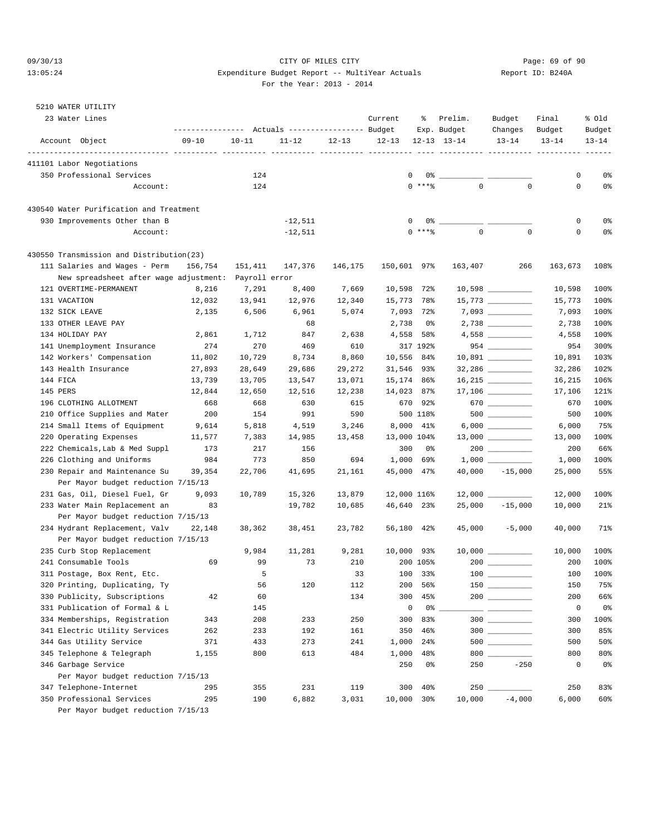### 09/30/13 Page: 69 of 90 13:05:24 Expenditure Budget Report -- MultiYear Actuals Report ID: B240A For the Year: 2013 - 2014

## 5210 WATER UTILITY

| 23 Water Lines                                               | ----------------- |             | Actuals ----------------- Budget |           | Current     | ႜ                   | Prelim.<br>Exp. Budget | Budget<br>Changes    | Final<br>Budget | % old<br>Budget |
|--------------------------------------------------------------|-------------------|-------------|----------------------------------|-----------|-------------|---------------------|------------------------|----------------------|-----------------|-----------------|
| Account Object                                               | $09 - 10$         | $10 - 11$   | $11 - 12$                        | $12 - 13$ | $12 - 13$   |                     | $12 - 13$ $13 - 14$    | $13 - 14$            | $13 - 14$       | $13 - 14$       |
| 411101 Labor Negotiations                                    |                   |             |                                  |           |             |                     |                        |                      |                 |                 |
| 350 Professional Services                                    |                   | 124         |                                  |           | 0           | 0%                  |                        |                      | 0               | 0%              |
| Account:                                                     |                   | 124         |                                  |           |             | $0$ ****            | $\mathbf 0$            | $\mathbf 0$          | $\mathbf 0$     | 0%              |
| 430540 Water Purification and Treatment                      |                   |             |                                  |           |             |                     |                        |                      |                 |                 |
| 930 Improvements Other than B                                |                   |             | $-12,511$                        |           | 0           |                     |                        |                      | $\mathsf 0$     | 0%              |
| Account:                                                     |                   |             | $-12,511$                        |           |             | $0$ ****            | $\mathbf 0$            | $\mathbf 0$          | 0               | 0%              |
| 430550 Transmission and Distribution(23)                     |                   |             |                                  |           |             |                     |                        |                      |                 |                 |
| 111 Salaries and Wages - Perm                                | 156,754           | 151,411     | 147,376                          | 146,175   | 150,601 97% |                     | 163,407                | 266                  | 163,673         | 108%            |
| New spreadsheet after wage adjustment: Payroll error         |                   |             |                                  |           |             |                     |                        |                      |                 |                 |
| 121 OVERTIME-PERMANENT                                       | 8,216             | 7,291       | 8,400                            | 7,669     | 10,598      | $72\%$              |                        | $10,598$ ___________ | 10,598          | 100%            |
| 131 VACATION                                                 | 12,032            | 13,941      | 12,976                           | 12,340    | 15,773 78%  |                     |                        |                      | 15,773          | 100%            |
| 132 SICK LEAVE                                               | 2,135             | 6,506       | 6,961                            | 5,074     | 7,093 72%   |                     |                        | $7,093$              | 7,093           | 100%            |
| 133 OTHER LEAVE PAY                                          |                   |             | 68                               |           | 2,738       | 0%                  |                        |                      | 2,738           | 100%            |
| 134 HOLIDAY PAY                                              | 2,861             | 1,712       | 847                              | 2,638     | 4,558       | 58%                 |                        |                      | 4,558           | 100%            |
| 141 Unemployment Insurance                                   | 274               | 270         | 469                              | 610       |             | 317 192%            |                        |                      | 954             | 300%            |
| 142 Workers' Compensation                                    | 11,802            | 10,729      | 8,734                            | 8,860     | 10,556 84%  |                     |                        | 10,891 _________     | 10,891          | 103%            |
| 143 Health Insurance                                         | 27,893            | 28,649      | 29,686                           | 29,272    | 31,546 93%  |                     |                        |                      | 32,286          | 102%            |
| 144 FICA                                                     | 13,739            | 13,705      | 13,547                           | 13,071    | 15,174 86%  |                     |                        |                      | 16,215          | 106%            |
| 145 PERS                                                     | 12,844            | 12,650      | 12,516                           | 12,238    | 14,023 87%  |                     |                        |                      | 17,106          | 121%            |
| 196 CLOTHING ALLOTMENT                                       | 668               | 668         | 630                              | 615       | 670         | 92%                 |                        | 670                  | 670             | 100%            |
| 210 Office Supplies and Mater                                | 200               | 154         | 991                              | 590       |             | 500 118%            |                        |                      | 500             | 100%            |
| 214 Small Items of Equipment                                 | 9,614             | 5,818       | 4,519                            | 3,246     | 8,000 41%   |                     |                        |                      | 6,000           | 75%             |
| 220 Operating Expenses                                       | 11,577            | 7,383       | 14,985                           | 13,458    | 13,000 104% |                     |                        |                      | 13,000          | 100%            |
| 222 Chemicals, Lab & Med Suppl                               | 173               | 217         | 156                              |           | 300         | 0%                  |                        |                      | 200             | 66%             |
| 226 Clothing and Uniforms                                    | 984               | 773         | 850                              | 694       | 1,000       | 69%                 |                        |                      | 1,000           | 100%            |
| 230 Repair and Maintenance Su                                | 39,354            | 22,706      | 41,695                           | 21,161    | 45,000 47%  |                     |                        | $40,000 -15,000$     | 25,000          | 55%             |
| Per Mayor budget reduction 7/15/13                           |                   |             |                                  |           |             |                     |                        |                      |                 |                 |
| 231 Gas, Oil, Diesel Fuel, Gr                                | 9,093             | 10,789      | 15,326                           | 13,879    | 12,000 116% |                     |                        |                      | 12,000          | 100%            |
| 233 Water Main Replacement an                                | 83                |             | 19,782                           | 10,685    | 46,640 23%  |                     | 25,000                 | $-15,000$            | 10,000          | 21%             |
| Per Mayor budget reduction 7/15/13                           |                   |             |                                  |           |             |                     |                        |                      |                 |                 |
| 234 Hydrant Replacement, Valv                                | 22,148            | 38,362      | 38,451                           | 23,782    | 56,180 42%  |                     |                        | $45,000 -5,000$      | 40,000          | 71%             |
| Per Mayor budget reduction 7/15/13                           |                   |             |                                  |           |             |                     |                        |                      |                 |                 |
| 235 Curb Stop Replacement                                    |                   | 9,984<br>99 | 11,281<br>73                     | 9,281     | 10,000 93%  |                     |                        |                      | 10,000          | 100%            |
| 241 Consumable Tools                                         | 69                | 5           |                                  | 210       |             | 200 105%<br>100 33% |                        |                      | 200<br>100      | 100%<br>100%    |
| 311 Postage, Box Rent, Etc.<br>320 Printing, Duplicating, Ty |                   | 56          | 120                              | 33<br>112 |             | 200 56%             |                        | $150$ _________      | 150             | 75%             |
| 330 Publicity, Subscriptions                                 | 42                | 60          |                                  | 134       | 300         | 45%                 |                        | 200                  | 200             | 66%             |
| 331 Publication of Formal & L                                |                   | 145         |                                  |           | $\mathbb O$ | 0%                  |                        |                      | $\mathsf 0$     | 0 <sub>8</sub>  |
| 334 Memberships, Registration                                | 343               | 208         | 233                              | 250       | 300         | 83%                 |                        |                      | 300             | 100%            |
| 341 Electric Utility Services                                | 262               | 233         | 192                              | 161       | 350         | 46%                 |                        | $300$                | 300             | 85%             |
| 344 Gas Utility Service                                      | 371               | 433         | 273                              | 241       | 1,000       | 24%                 |                        |                      | 500             | 50%             |
| 345 Telephone & Telegraph                                    | 1,155             | 800         | 613                              | 484       | 1,000       | 48%                 |                        | 800                  | 800             | 80%             |
| 346 Garbage Service                                          |                   |             |                                  |           | 250         | 0%                  | 250                    | $-250$               | $\mathsf 0$     | 0%              |
| Per Mayor budget reduction 7/15/13                           |                   |             |                                  |           |             |                     |                        |                      |                 |                 |
| 347 Telephone-Internet                                       | 295               | 355         | 231                              | 119       | 300         | 40%                 | $250$ $=$              |                      | 250             | 83%             |
| 350 Professional Services                                    | 295               | 190         | 6,882                            | 3,031     | 10,000 30%  |                     | 10,000                 | $-4,000$             | 6,000           | 60%             |
|                                                              |                   |             |                                  |           |             |                     |                        |                      |                 |                 |

Per Mayor budget reduction 7/15/13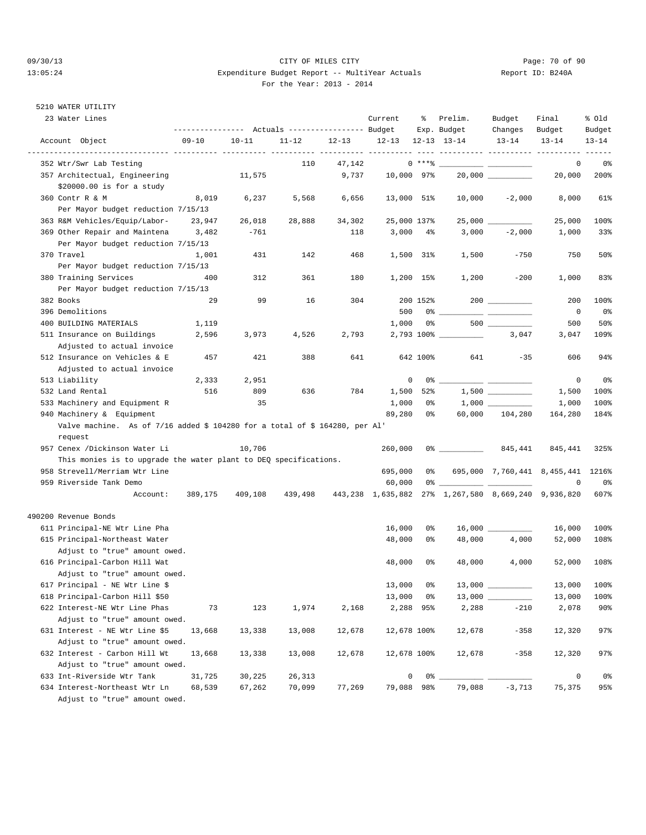#### 09/30/13 CITY OF MILES CITY Page: 70 of 90 13:05:24 Expenditure Budget Report -- MultiYear Actuals Report ID: B240A For the Year: 2013 - 2014

## 5210 WATER UTILITY

| 23 Water Lines                                                              |           |           | ---------------    Actuals ----------------    Budget |           | Current                 | ႜ            | Prelim.<br>Exp. Budget                                                                                                                                                                                                                                                                                                 | Budget<br>Changes   | Final<br>Budget                   | % old<br>Budget |
|-----------------------------------------------------------------------------|-----------|-----------|-------------------------------------------------------|-----------|-------------------------|--------------|------------------------------------------------------------------------------------------------------------------------------------------------------------------------------------------------------------------------------------------------------------------------------------------------------------------------|---------------------|-----------------------------------|-----------------|
| Account Object                                                              | $09 - 10$ | $10 - 11$ | $11 - 12$                                             | $12 - 13$ | $12-13$ $12-13$ $13-14$ |              |                                                                                                                                                                                                                                                                                                                        | $13 - 14$           | $13 - 14$                         | $13 - 14$       |
| 352 Wtr/Swr Lab Testing                                                     |           |           | 110                                                   | 47,142    |                         | 0 ****       |                                                                                                                                                                                                                                                                                                                        |                     | 0                                 | 0%              |
| 357 Architectual, Engineering                                               |           | 11,575    |                                                       | 9,737     | 10,000 97%              |              |                                                                                                                                                                                                                                                                                                                        | $20,000$ __________ | 20,000                            | 200%            |
| \$20000.00 is for a study                                                   |           |           |                                                       |           |                         |              |                                                                                                                                                                                                                                                                                                                        |                     |                                   |                 |
| 360 Contr R & M                                                             | 8,019     | 6,237     | 5,568                                                 | 6,656     | 13,000 51%              |              | 10,000                                                                                                                                                                                                                                                                                                                 | $-2,000$            | 8,000                             | 61%             |
| Per Mayor budget reduction 7/15/13                                          |           |           |                                                       |           |                         |              |                                                                                                                                                                                                                                                                                                                        |                     |                                   |                 |
| 363 R&M Vehicles/Equip/Labor-                                               | 23,947    | 26,018    | 28,888                                                | 34,302    | 25,000 137%             |              |                                                                                                                                                                                                                                                                                                                        |                     | 25,000                            | 100%            |
| 369 Other Repair and Maintena                                               | 3,482     | $-761$    |                                                       | 118       | 3,000                   | $4\%$        | 3,000                                                                                                                                                                                                                                                                                                                  | $-2,000$            | 1,000                             | 33%             |
| Per Mayor budget reduction 7/15/13                                          |           |           |                                                       |           |                         |              |                                                                                                                                                                                                                                                                                                                        |                     |                                   |                 |
| 370 Travel                                                                  | 1,001     | 431       | 142                                                   | 468       |                         | 1,500 31%    | 1,500                                                                                                                                                                                                                                                                                                                  | $-750$              | 750                               | 50%             |
| Per Mayor budget reduction 7/15/13                                          |           |           |                                                       |           |                         |              |                                                                                                                                                                                                                                                                                                                        |                     |                                   |                 |
| 380 Training Services                                                       | 400       | 312       | 361                                                   | 180       |                         | $1,200$ 15%  | 1,200                                                                                                                                                                                                                                                                                                                  | $-200$              | 1,000                             | 83%             |
| Per Mayor budget reduction 7/15/13                                          |           |           |                                                       |           |                         |              |                                                                                                                                                                                                                                                                                                                        |                     |                                   |                 |
| 382 Books                                                                   | 29        | 99        | 16                                                    | 304       |                         | 200 152%     |                                                                                                                                                                                                                                                                                                                        |                     | 200                               | 100%            |
| 396 Demolitions                                                             |           |           |                                                       |           | 500                     | 0%           |                                                                                                                                                                                                                                                                                                                        |                     | 0                                 | 0%              |
| 400 BUILDING MATERIALS                                                      | 1,119     |           |                                                       |           | 1,000                   | 0%           |                                                                                                                                                                                                                                                                                                                        |                     | 500                               | 50%             |
| 511 Insurance on Buildings                                                  | 2,596     | 3,973     | 4,526                                                 | 2,793     |                         | 2,793 100% _ |                                                                                                                                                                                                                                                                                                                        | 3,047               | 3,047                             | 109%            |
| Adjusted to actual invoice                                                  |           |           |                                                       |           |                         |              |                                                                                                                                                                                                                                                                                                                        |                     |                                   |                 |
| 512 Insurance on Vehicles & E                                               | 457       | 421       | 388                                                   | 641       |                         | 642 100%     | 641                                                                                                                                                                                                                                                                                                                    | $-35$               | 606                               | 94%             |
| Adjusted to actual invoice                                                  |           |           |                                                       |           |                         |              |                                                                                                                                                                                                                                                                                                                        |                     |                                   |                 |
| 513 Liability                                                               | 2,333     | 2,951     |                                                       |           | 0                       | 0%           |                                                                                                                                                                                                                                                                                                                        |                     | 0                                 | 0%              |
| 532 Land Rental                                                             | 516       | 809       | 636                                                   | 784       | 1,500                   | 52%          |                                                                                                                                                                                                                                                                                                                        |                     | 1,500                             | 100%            |
| 533 Machinery and Equipment R                                               |           | 35        |                                                       |           | 1,000                   | 0%           |                                                                                                                                                                                                                                                                                                                        | 1,000               | 1,000                             | 100%            |
| 940 Machinery & Equipment                                                   |           |           |                                                       |           | 89,280                  | 0%           | 60,000                                                                                                                                                                                                                                                                                                                 | 104,280             | 164,280                           | 184%            |
| Valve machine. As of 7/16 added \$ 104280 for a total of \$ 164280, per Al' |           |           |                                                       |           |                         |              |                                                                                                                                                                                                                                                                                                                        |                     |                                   |                 |
| request                                                                     |           |           |                                                       |           |                         |              |                                                                                                                                                                                                                                                                                                                        |                     |                                   |                 |
| 957 Cenex /Dickinson Water Li                                               |           | 10,706    |                                                       |           | 260,000                 |              | 0 왕 - 대한민국의 대한민국의 대한민국의 대한민국의 대한민국의 대한민국의 대한민국의 대한민국의 대한민국의 대한민국의 대한민국의 대한민국의 대한민국의 대한민국의 대한민국의 대한민                                                                                                                                                                                                                    | 845,441             | 845,441                           | 325%            |
| This monies is to upgrade the water plant to DEQ specifications.            |           |           |                                                       |           |                         |              |                                                                                                                                                                                                                                                                                                                        |                     |                                   |                 |
| 958 Strevell/Merriam Wtr Line                                               |           |           |                                                       |           | 695,000                 |              | 0 %                                                                                                                                                                                                                                                                                                                    |                     | 695,000 7,760,441 8,455,441 1216% |                 |
| 959 Riverside Tank Demo                                                     |           |           |                                                       |           | 60,000                  |              | $0$ $\frac{1}{2}$ $\frac{1}{2}$ $\frac{1}{2}$ $\frac{1}{2}$ $\frac{1}{2}$ $\frac{1}{2}$ $\frac{1}{2}$ $\frac{1}{2}$ $\frac{1}{2}$ $\frac{1}{2}$ $\frac{1}{2}$ $\frac{1}{2}$ $\frac{1}{2}$ $\frac{1}{2}$ $\frac{1}{2}$ $\frac{1}{2}$ $\frac{1}{2}$ $\frac{1}{2}$ $\frac{1}{2}$ $\frac{1}{2}$ $\frac{1}{2}$ $\frac{1}{2$ |                     | 0                                 | 0%              |
|                                                                             |           |           |                                                       |           |                         |              |                                                                                                                                                                                                                                                                                                                        |                     |                                   | 607%            |
| Account:                                                                    | 389,175   | 409,108   | 439,498                                               |           |                         |              | 443,238 1,635,882 27% 1,267,580 8,669,240 9,936,820                                                                                                                                                                                                                                                                    |                     |                                   |                 |
| 490200 Revenue Bonds                                                        |           |           |                                                       |           |                         |              |                                                                                                                                                                                                                                                                                                                        |                     |                                   |                 |
| 611 Principal-NE Wtr Line Pha                                               |           |           |                                                       |           | 16,000                  | 0%           |                                                                                                                                                                                                                                                                                                                        |                     | 16,000                            | 100%            |
| 615 Principal-Northeast Water                                               |           |           |                                                       |           | 48,000                  | 0%           | 48,000                                                                                                                                                                                                                                                                                                                 | 4,000               | 52,000                            | 108%            |
| Adjust to "true" amount owed.                                               |           |           |                                                       |           |                         |              |                                                                                                                                                                                                                                                                                                                        |                     |                                   |                 |
| 616 Principal-Carbon Hill Wat                                               |           |           |                                                       |           | 48,000                  | 0%           | 48,000                                                                                                                                                                                                                                                                                                                 | 4,000               | 52,000                            | 108%            |
| Adjust to "true" amount owed.                                               |           |           |                                                       |           |                         |              |                                                                                                                                                                                                                                                                                                                        |                     |                                   |                 |
| 617 Principal - NE Wtr Line \$                                              |           |           |                                                       |           | 13,000                  | 0%           | 13,000                                                                                                                                                                                                                                                                                                                 |                     | 13,000                            | 100%            |
| 618 Principal-Carbon Hill \$50                                              |           |           |                                                       |           | 13,000                  | 0%           |                                                                                                                                                                                                                                                                                                                        |                     | 13,000                            | 100%            |
| 622 Interest-NE Wtr Line Phas                                               | 73        | 123       | 1,974                                                 | 2,168     |                         | 2,288 95%    | 2,288                                                                                                                                                                                                                                                                                                                  | $-210$              | 2,078                             | 90%             |
| Adjust to "true" amount owed.                                               |           |           |                                                       |           |                         |              |                                                                                                                                                                                                                                                                                                                        |                     |                                   |                 |
| 631 Interest - NE Wtr Line \$5                                              | 13,668    | 13,338    | 13,008                                                | 12,678    | 12,678 100%             |              | 12,678                                                                                                                                                                                                                                                                                                                 | $-358$              | 12,320                            | 97%             |
| Adjust to "true" amount owed.                                               |           |           |                                                       |           |                         |              |                                                                                                                                                                                                                                                                                                                        |                     |                                   |                 |
| 632 Interest - Carbon Hill Wt                                               | 13,668    | 13,338    | 13,008                                                | 12,678    | 12,678 100%             |              | 12,678                                                                                                                                                                                                                                                                                                                 | $-358$              | 12,320                            | 97%             |
| Adjust to "true" amount owed.                                               |           |           |                                                       |           |                         |              |                                                                                                                                                                                                                                                                                                                        |                     |                                   |                 |
| 633 Int-Riverside Wtr Tank                                                  | 31,725    | 30,225    | 26,313                                                |           | 0                       | 0% _         |                                                                                                                                                                                                                                                                                                                        |                     | 0                                 | 0%              |
| 634 Interest-Northeast Wtr Ln                                               | 68,539    | 67,262    | 70,099                                                | 77,269    | 79,088 98%              |              | 79,088                                                                                                                                                                                                                                                                                                                 | $-3,713$            | 75,375                            | 95%             |
| Adjust to "true" amount owed.                                               |           |           |                                                       |           |                         |              |                                                                                                                                                                                                                                                                                                                        |                     |                                   |                 |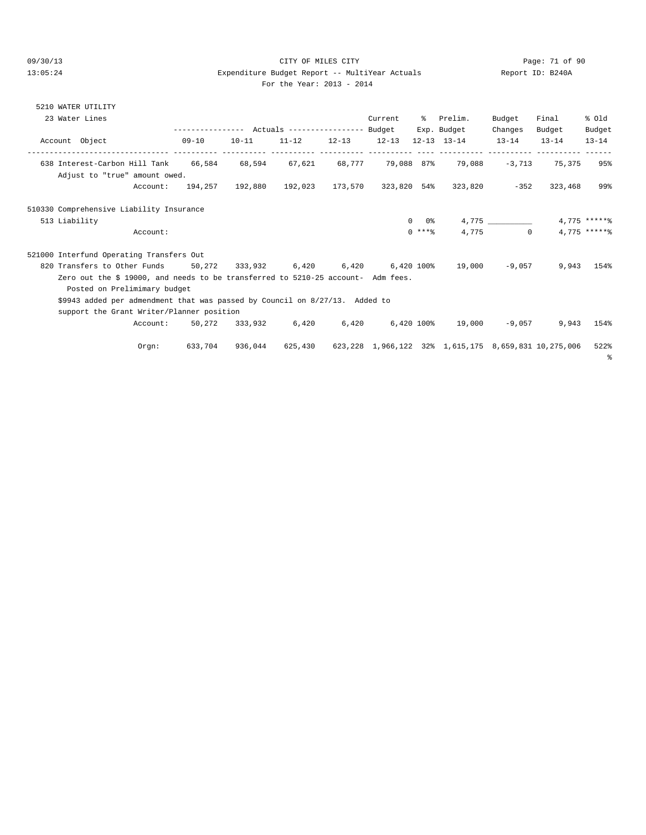# 09/30/13 CITY OF MILES CITY Page: 71 of 90 13:05:24 Expenditure Budget Report -- MultiYear Actuals Report ID: B240A

| For the Year: 2013 - 2014 |  |  |
|---------------------------|--|--|
|                           |  |  |

| 5210 WATER UTILITY |                                                                                  |                  |                |           |                     |                   |          |                                                  |           |           |                 |
|--------------------|----------------------------------------------------------------------------------|------------------|----------------|-----------|---------------------|-------------------|----------|--------------------------------------------------|-----------|-----------|-----------------|
| 23 Water Lines     |                                                                                  |                  |                |           |                     | Current % Prelim. |          |                                                  | Budget    | Final     | % Old           |
|                    |                                                                                  |                  |                |           |                     |                   |          | Exp. Budget                                      | Changes   | Budget    | Budget          |
| Account Object     |                                                                                  | 09-10            | $10 - 11$      | $11 - 12$ | $12 - 13$ $12 - 13$ |                   |          | $12 - 13$ $13 - 14$                              | $13 - 14$ | $13 - 14$ | $13 - 14$       |
|                    | 638 Interest-Carbon Hill Tank 66,584 68,594 67,621 68,777 79,088 87% 79,088      |                  |                |           |                     |                   |          |                                                  | $-3.713$  | 75,375    | 95%             |
|                    | Adjust to "true" amount owed.                                                    |                  |                |           |                     |                   |          |                                                  |           |           |                 |
|                    |                                                                                  | Account: 194,257 | 192,880        |           |                     |                   |          | 192,023 173,570 323,820 54% 323,820 -352 323,468 |           |           | 99%             |
|                    | 510330 Comprehensive Liability Insurance                                         |                  |                |           |                     |                   |          |                                                  |           |           |                 |
| 513 Liability      |                                                                                  |                  |                |           |                     |                   | 0 0%     |                                                  | 4,775     |           | $4.775$ ***** \ |
|                    | Account:                                                                         |                  |                |           |                     |                   | $0$ **** |                                                  | 4.775 0   |           | $4.775$ ***** \ |
|                    | 521000 Interfund Operating Transfers Out                                         |                  |                |           |                     |                   |          |                                                  |           |           |                 |
|                    | 820 Transfers to Other Funds 50,272 333,932 6,420 6,420 6,420 100% 19,000        |                  |                |           |                     |                   |          |                                                  | -9,057    | 9,943     | 154%            |
|                    | Zero out the \$ 19000, and needs to be transferred to 5210-25 account- Adm fees. |                  |                |           |                     |                   |          |                                                  |           |           |                 |
|                    | Posted on Prelimimary budget                                                     |                  |                |           |                     |                   |          |                                                  |           |           |                 |
|                    | \$9943 added per admendment that was passed by Council on 8/27/13. Added to      |                  |                |           |                     |                   |          |                                                  |           |           |                 |
|                    | support the Grant Writer/Planner position                                        |                  |                |           |                     |                   |          |                                                  |           |           |                 |
|                    | Account:                                                                         |                  | 50.272 333.932 | 6,420     |                     | 6,420 6,420 100%  |          | 19,000                                           | -9,057    | 9,943     | 154%            |

%

Orgn: 633,704 936,044 625,430 623,228 1,966,122 32% 1,615,175 8,659,831 10,275,006 522%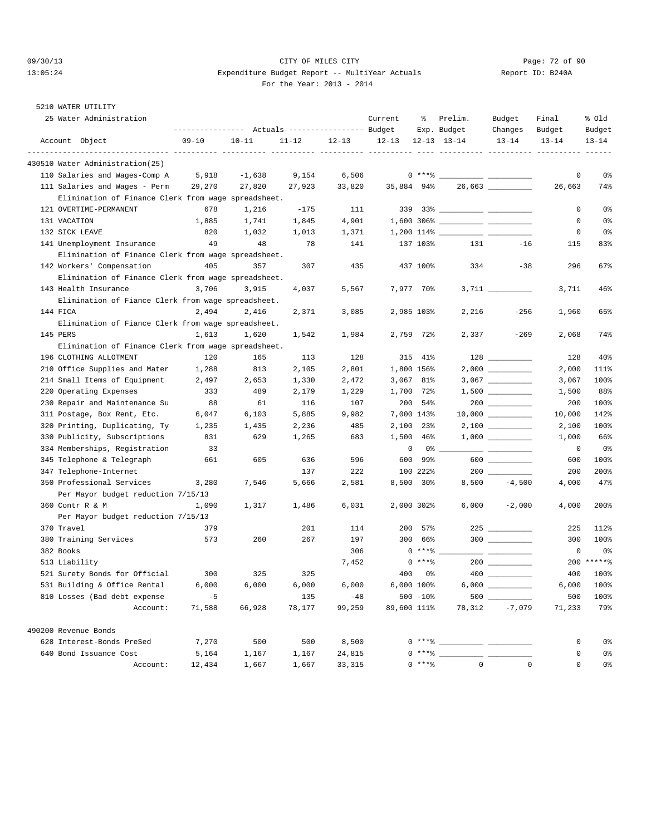#### 09/30/13 CITY OF MILES CITY Page: 72 of 90 13:05:24 Expenditure Budget Report -- MultiYear Actuals Report ID: B240A For the Year: 2013 - 2014

## 5210 WATER UTILITY

| 25 Water Administration                             |           |           | --------------- Actuals ---------------- Budget |           | Current   | ႜ               | Prelim.<br>Exp. Budget         | Budget<br>Changes | Final<br>Budget | % old<br>Budget |
|-----------------------------------------------------|-----------|-----------|-------------------------------------------------|-----------|-----------|-----------------|--------------------------------|-------------------|-----------------|-----------------|
| Account Object                                      | $09 - 10$ | $10 - 11$ | $11 - 12$                                       | $12 - 13$ | $12 - 13$ |                 | $12 - 13$ $13 - 14$            | $13 - 14$         | $13 - 14$       | $13 - 14$       |
| 430510 Water Administration(25)                     |           |           |                                                 |           |           |                 |                                |                   |                 |                 |
| 110 Salaries and Wages-Comp A                       | 5,918     | $-1,638$  | 9,154                                           | 6,506     |           |                 | $0***$ $\frac{20}{10}$         |                   | 0               | 0 <sub>8</sub>  |
| 111 Salaries and Wages - Perm                       | 29,270    | 27,820    | 27,923                                          | 33,820    |           | 35,884 94%      |                                |                   | 26,663          | 74%             |
| Elimination of Finance Clerk from wage spreadsheet. |           |           |                                                 |           |           |                 |                                |                   |                 |                 |
| 121 OVERTIME-PERMANENT                              | 678       | 1,216     | $-175$                                          | 111       |           |                 |                                |                   | 0               | 0%              |
| 131 VACATION                                        | 1,885     | 1,741     | 1,845                                           | 4,901     |           |                 |                                |                   | 0               | 0%              |
| 132 SICK LEAVE                                      | 820       | 1,032     | 1,013                                           | 1,371     |           |                 |                                |                   | 0               | 0%              |
| 141 Unemployment Insurance                          | 49        | 48        | 78                                              | 141       |           | 137 103%        | 131                            | $-16$             | 115             | 83%             |
| Elimination of Finance Clerk from wage spreadsheet. |           |           |                                                 |           |           |                 |                                |                   |                 |                 |
| 142 Workers' Compensation                           | 405       | 357       | 307                                             | 435       |           | 437 100%        | 334                            | $-38$             | 296             | 67%             |
| Elimination of Finance Clerk from wage spreadsheet. |           |           |                                                 |           |           |                 |                                |                   |                 |                 |
| 143 Health Insurance                                | 3,706     | 3,915     | 4,037                                           | 5,567     |           | 7,977 70%       |                                |                   | 3,711           | 46%             |
| Elimination of Fiance Clerk from wage spreadsheet.  |           |           |                                                 |           |           |                 |                                |                   |                 |                 |
| 144 FICA                                            | 2,494     | 2,416     | 2,371                                           | 3,085     |           | 2,985 103%      | 2,216                          | $-256$            | 1,960           | 65%             |
| Elimination of Fiance Clerk from wage spreadsheet.  |           |           |                                                 |           |           |                 |                                |                   |                 |                 |
| 145 PERS                                            | 1,613     | 1,620     | 1,542                                           | 1,984     |           | 2,759 72%       | 2,337                          | $-269$            | 2,068           | 74%             |
| Elimination of Finance Clerk from wage spreadsheet. |           |           |                                                 |           |           |                 |                                |                   |                 |                 |
| 196 CLOTHING ALLOTMENT                              | 120       | 165       | 113                                             | 128       |           | 315 41%         |                                | 128               | 128             | 40%             |
| 210 Office Supplies and Mater                       | 1,288     | 813       | 2,105                                           | 2,801     |           | 1,800 156%      |                                |                   | 2,000           | 111%            |
| 214 Small Items of Equipment                        | 2,497     | 2,653     | 1,330                                           | 2,472     |           | 3,067 81%       |                                |                   | 3,067           | 100%            |
| 220 Operating Expenses                              | 333       | 489       | 2,179                                           | 1,229     |           | 1,700 72%       |                                |                   | 1,500           | 88%             |
| 230 Repair and Maintenance Su                       | 88        | 61        | 116                                             | 107       |           | 200 54%         |                                |                   | 200             | 100%            |
| 311 Postage, Box Rent, Etc.                         | 6,047     | 6,103     | 5,885                                           | 9,982     |           | 7,000 143%      |                                |                   | 10,000          | 142%            |
| 320 Printing, Duplicating, Ty                       | 1,235     | 1,435     | 2,236                                           | 485       |           | 2,100 23%       |                                |                   | 2,100           | 100%            |
| 330 Publicity, Subscriptions                        | 831       | 629       | 1,265                                           | 683       | 1,500     | 46%             |                                |                   | 1,000           | 66%             |
| 334 Memberships, Registration                       | 33        |           |                                                 |           |           | 0<br>0 %        |                                |                   | 0               | 0%              |
| 345 Telephone & Telegraph                           | 661       | 605       | 636                                             | 596       | 600       | 99%             |                                | 600 __________    | 600             | 100%            |
| 347 Telephone-Internet                              |           |           | 137                                             | 222       |           | 100 222%        |                                |                   | 200             | 200%            |
| 350 Professional Services                           | 3,280     | 7,546     | 5,666                                           | 2,581     |           | $8,500$ 30%     | 8,500                          | $-4,500$          | 4,000           | 47%             |
| Per Mayor budget reduction 7/15/13                  |           |           |                                                 |           |           |                 |                                |                   |                 |                 |
| 360 Contr R & M                                     | 1,090     | 1,317     | 1,486                                           | 6,031     |           | 2,000 302%      | 6,000                          | $-2,000$          | 4,000           | 200%            |
| Per Mayor budget reduction 7/15/13                  |           |           |                                                 |           |           |                 |                                |                   |                 |                 |
| 370 Travel                                          | 379       |           | 201                                             | 114       | 200       | 57%             |                                |                   | 225             | 112%            |
| 380 Training Services                               | 573       | 260       | 267                                             | 197       | 300       | 66%             |                                | $300$             | 300             | 100%            |
| 382 Books                                           |           |           |                                                 | 306       |           | $0***$ $*$      |                                |                   | 0               | 0%              |
| 513 Liability                                       |           |           |                                                 | 7,452     |           | $0$ ****        |                                |                   | 200             | $*****$         |
| 521 Surety Bonds for Official                       | 300       | 325       | 325                                             |           | 400       | 0%              |                                |                   | 400             | 100%            |
| 531 Building & Office Rental                        | 6,000     | 6,000     | 6,000                                           | 6,000     |           | $6,000$ $100\%$ |                                |                   | 6,000           | 100%            |
| 810 Losses (Bad debt expense                        | $-5$      |           | 135                                             | $-48$     |           | $500 - 10$ %    |                                |                   | 500             | 100%            |
| Account:                                            | 71,588    | 66,928    | 78,177                                          | 99,259    |           | 89,600 111%     | 78,312                         | $-7.079$          | 71,233          | 79%             |
| 490200 Revenue Bonds                                |           |           |                                                 |           |           |                 |                                |                   |                 |                 |
| 628 Interest-Bonds PreSed                           | 7,270     | 500       | 500                                             | 8,500     |           | 0 ****          | <u> 1999 - John Barn Barns</u> |                   | 0               | 0%              |
| 640 Bond Issuance Cost                              | 5,164     | 1,167     | 1,167                                           | 24,815    |           | 0****           |                                |                   | 0               | 0%              |
| Account:                                            | 12,434    | 1,667     | 1,667                                           | 33,315    |           | $0***8$         | $\mathbf 0$                    | $\mathsf 0$       | $\mathsf 0$     | 0 <sub>8</sub>  |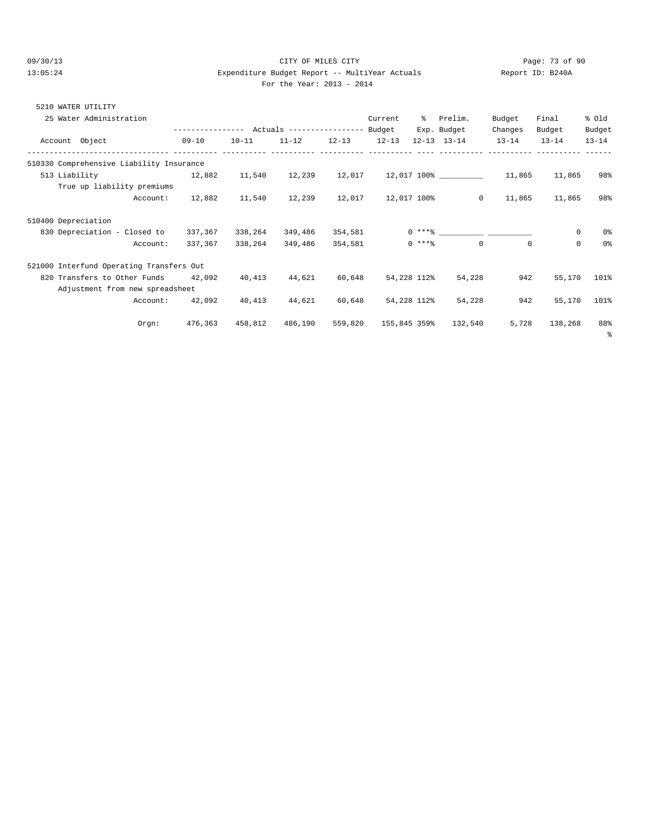#### 09/30/13 Page: 73 of 90 13:05:24 Expenditure Budget Report -- MultiYear Actuals Report ID: B240A For the Year: 2013 - 2014

| WATER UTILITY<br>5210                    |                  |           |                           |           |           |             |                     |           |           |           |
|------------------------------------------|------------------|-----------|---------------------------|-----------|-----------|-------------|---------------------|-----------|-----------|-----------|
| 25 Water Administration                  |                  |           |                           |           | Current   | °≈          | Prelim.             | Budget    | Final     | % old     |
|                                          | ---------------- |           | Actuals ----------------- |           | Budget    |             | Exp. Budget         | Changes   | Budget    | Budget    |
| Account Object                           | $09 - 10$        | $10 - 11$ | $11 - 12$                 | $12 - 13$ | $12 - 13$ |             | $12 - 13$ $13 - 14$ | $13 - 14$ | $13 - 14$ | $13 - 14$ |
|                                          |                  |           |                           |           |           |             |                     |           |           |           |
| 510330 Comprehensive Liability Insurance |                  |           |                           |           |           |             |                     |           |           |           |
| 513 Liability                            | 12,882           | 11,540    | 12,239                    | 12,017    |           | 12,017 100% |                     | 11,865    | 11,865    | 98%       |
|                                          |                  |           |                           |           |           |             |                     |           |           |           |

| True up liability premiums               |         |         |         |         |              |         |         |             |                |
|------------------------------------------|---------|---------|---------|---------|--------------|---------|---------|-------------|----------------|
| Account:                                 | 12,882  | 11,540  | 12,239  | 12,017  | 12,017 100%  | $\circ$ | 11,865  | 11,865      | 98%            |
| 510400 Depreciation                      |         |         |         |         |              |         |         |             |                |
| 830 Depreciation - Closed to             | 337,367 | 338,264 | 349,486 | 354,581 | $0***$ *     |         |         | $\mathbf 0$ | 0 <sup>°</sup> |
| Account:                                 | 337,367 | 338,264 | 349,486 | 354,581 | $0***8$      | 0       | $\circ$ | $\mathbf 0$ | 0 <sup>°</sup> |
| 521000 Interfund Operating Transfers Out |         |         |         |         |              |         |         |             |                |
| 820 Transfers to Other Funds             | 42,092  | 40,413  | 44,621  | 60,648  | 54,228 112%  | 54,228  | 942     | 55,170      | 101%           |
| Adjustment from new spreadsheet          |         |         |         |         |              |         |         |             |                |
| Account:                                 | 42,092  | 40,413  | 44,621  | 60,648  | 54,228 112%  | 54,228  | 942     | 55,170      | 101%           |
| Orgn:                                    | 476,363 | 458,812 | 486,190 | 559,820 | 155,845 359% | 132,540 | 5,728   | 138,268     | 88%            |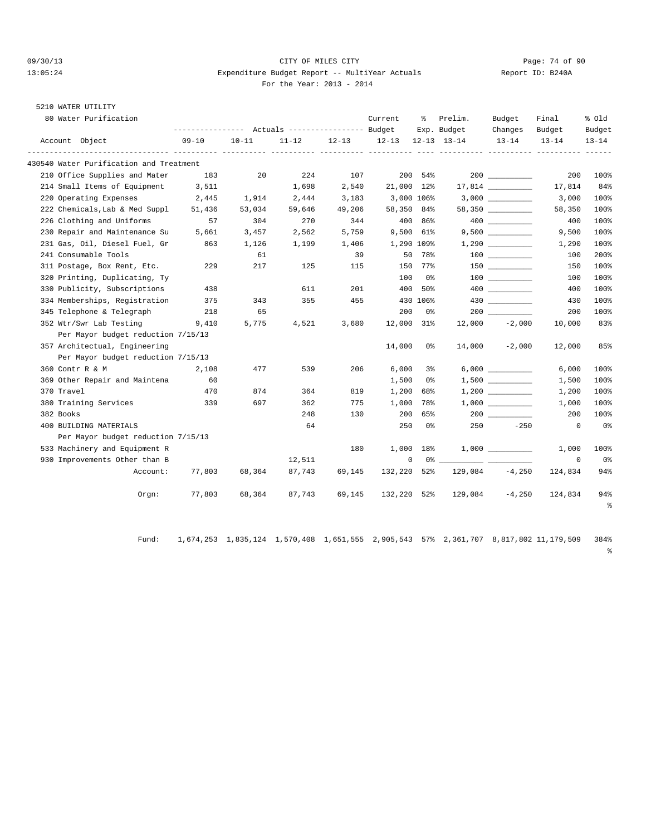#### 09/30/13 Page: 74 of 90 13:05:24 Expenditure Budget Report -- MultiYear Actuals Report ID: B240A For the Year: 2013 - 2014

# 5210 WATER UTILITY

| 80 Water Purification                   | --------------- Actuals ---------------- Budget |           |           |           | Current    | ႜႜၟ        | Prelim.<br>Exp. Budget | Budget<br>Changes      | Final<br>Budget | % old<br>Budget |
|-----------------------------------------|-------------------------------------------------|-----------|-----------|-----------|------------|------------|------------------------|------------------------|-----------------|-----------------|
| Account Object                          | $09 - 10$                                       | $10 - 11$ | $11 - 12$ | $12 - 13$ | $12 - 13$  |            | $12 - 13$ $13 - 14$    | $13 - 14$              | $13 - 14$       | $13 - 14$       |
| 430540 Water Purification and Treatment |                                                 |           |           |           |            |            |                        |                        |                 |                 |
| 210 Office Supplies and Mater           | 183                                             | 20        | 224       | 107       |            | 200 54%    |                        |                        | 200             | 100%            |
| 214 Small Items of Equipment            | 3,511                                           |           | 1,698     | 2,540     | 21,000 12% |            |                        |                        | 17,814          | 84%             |
| 220 Operating Expenses                  | 2,445                                           | 1,914     | 2,444     | 3,183     |            | 3,000 106% |                        |                        | 3,000           | 100%            |
| 222 Chemicals, Lab & Med Suppl          | 51,436                                          | 53,034    | 59,646    | 49,206    | 58,350 84% |            |                        | $58,350$ _____________ | 58,350          | 100%            |
| 226 Clothing and Uniforms               | 57                                              | 304       | 270       | 344       |            | 400 86%    |                        |                        | 400             | 100%            |
| 230 Repair and Maintenance Su           | 5,661                                           | 3,457     | 2,562     | 5,759     |            | 9,500 61%  |                        | 9,500                  | 9,500           | 100%            |
| 231 Gas, Oil, Diesel Fuel, Gr           | 863                                             | 1,126     | 1,199     | 1,406     |            | 1,290 109% |                        |                        | 1,290           | 100%            |
| 241 Consumable Tools                    |                                                 | 61        |           | 39        |            | 50 78%     |                        |                        | 100             | 200%            |
| 311 Postage, Box Rent, Etc.             | 229                                             | 217       | 125       | 115       |            | 150 77%    |                        |                        | 150             | 100%            |
| 320 Printing, Duplicating, Ty           |                                                 |           |           |           | 100        | 0%         |                        |                        | 100             | 100%            |
| 330 Publicity, Subscriptions            | 438                                             |           | 611       | 201       | 400        | 50%        |                        | 400 000                | 400             | 100%            |
| 334 Memberships, Registration           | 375                                             | 343       | 355       | 455       |            | 430 106%   |                        | 430 and $\sim$         | 430             | 100%            |
| 345 Telephone & Telegraph               | 218                                             | 65        |           |           | 200        | 0%         |                        |                        | 200             | 100%            |
| 352 Wtr/Swr Lab Testing                 | 9,410                                           | 5,775     | 4,521     | 3,680     | 12,000 31% |            |                        | $12,000 -2,000$        | 10,000          | 83%             |
| Per Mayor budget reduction 7/15/13      |                                                 |           |           |           |            |            |                        |                        |                 |                 |
| 357 Architectual, Engineering           |                                                 |           |           |           | 14,000     | 0 %        | 14,000                 | $-2,000$               | 12,000          | 85%             |
| Per Mayor budget reduction 7/15/13      |                                                 |           |           |           |            |            |                        |                        |                 |                 |
| 360 Contr R & M                         | 2,108                                           | 477       | 539       | 206       | 6,000      | 3%         |                        |                        | 6,000           | 100%            |
| 369 Other Repair and Maintena           | 60                                              |           |           |           | 1,500      | 0 %        |                        |                        | 1,500           | 100%            |
| 370 Travel                              | 470                                             | 874       | 364       | 819       | 1,200      | 68%        |                        |                        | 1,200           | 100%            |
| 380 Training Services                   | 339                                             | 697       | 362       | 775       | 1,000      | 78%        |                        |                        | 1,000           | 100%            |
| 382 Books                               |                                                 |           | 248       | 130       | 200        | 65%        |                        |                        | 200             | 100%            |
| 400 BUILDING MATERIALS                  |                                                 |           | 64        |           | 250        | 0%         | 250                    | $-250$                 | $^{\circ}$      | 0 <sup>°</sup>  |
| Per Mayor budget reduction 7/15/13      |                                                 |           |           |           |            |            |                        |                        |                 |                 |
| 533 Machinery and Equipment R           |                                                 |           |           | 180       |            | 1,000 18%  |                        | 1,000                  | 1,000           | 100%            |
| 930 Improvements Other than B           |                                                 |           | 12,511    |           | 0          |            | $0\%$ _                |                        | 0               | 0%              |
| Account:                                | 77,803                                          | 68,364    | 87,743    | 69,145    | 132,220    | 52%        |                        | $129,084$ $-4,250$     | 124,834         | 94%             |
| Orem:                                   | 77,803                                          | 68,364    | 87,743    | 69,145    | 132,220    | 52%        | 129,084                | $-4,250$               | 124,834         | 94%<br>နွ       |

Fund: 1,674,253 1,835,124 1,570,408 1,651,555 2,905,543 57% 2,361,707 8,817,802 11,179,509 384%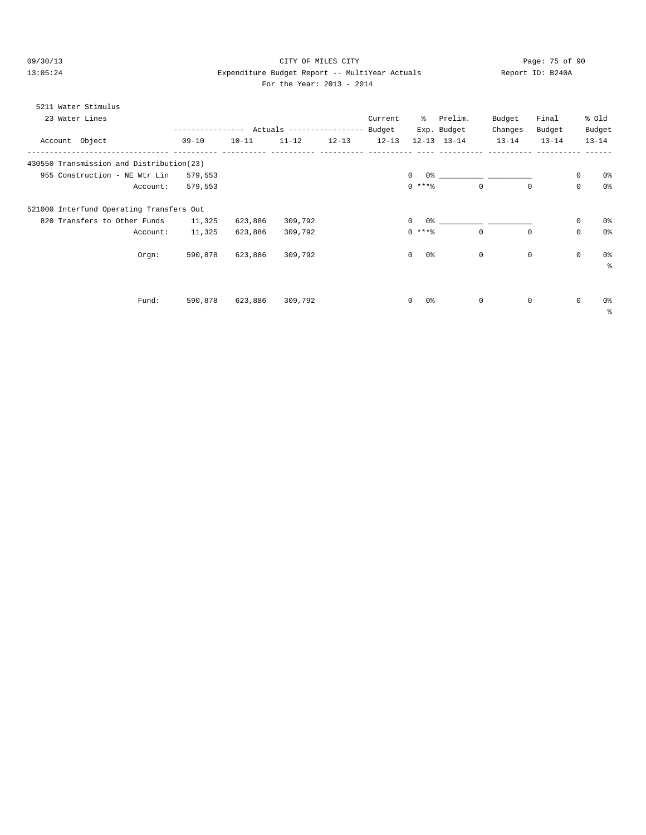09/30/13 Page: 75 of 90 13:05:24 Expenditure Budget Report -- MultiYear Actuals Report ID: B240A For the Year: 2013 - 2014

# 5211 Water Stimulus 23 Water Lines Current % Prelim. Budget Final % Old ---------------- Actuals ---------------- Budget Exp. Budget Changes Budget Budget<br>13-14 13-14 13-14 13-14 13-14 13-14 Account Object 09-10 10-11 11-12 12-13 12-13 12-13 13-14 13-14 13-14 13-14 -------------------------------- ---------- ---------- ---------- ---------- ---------- ---- ---------- ---------- ---------- ------ 430550 Transmission and Distribution(23) 955 Construction - NE Wtr Lin 579,553 0 0% \_\_\_\_\_\_\_\_\_\_ \_\_\_\_\_\_\_\_\_\_ 0 0% Account: 579,553 0 \*\*\*% 0 0 0 0% 521000 Interfund Operating Transfers Out 820 Transfers to Other Funds 11,325 623,886 309,792 0 0% \_\_\_\_\_\_\_\_\_\_ \_\_\_\_\_\_\_\_\_\_ 0 0% Account: 11,325 623,886 309,792 0 \*\*\*% 0 0 0 0% Orgn: 590,878 623,886 309,792 0 0% 0 0 0 0% %  $\text{Fund:} \qquad 590,878 \qquad 623,886 \qquad 309,792 \qquad 0 \qquad 0$   $0$   $0 \qquad 0 \qquad 0$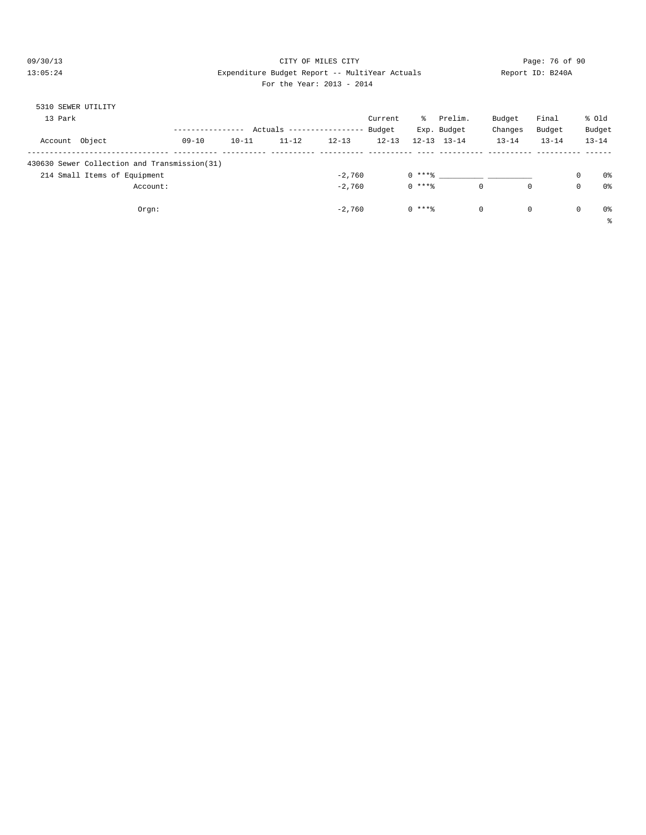#### 09/30/13 Page: 76 of 90 13:05:24 Expenditure Budget Report -- MultiYear Actuals Report ID: B240A For the Year: 2013 - 2014

| 5310 SEWER UTILITY |                                                                              |           |           |           |                    |           |          |                     |             |             |            |                      |
|--------------------|------------------------------------------------------------------------------|-----------|-----------|-----------|--------------------|-----------|----------|---------------------|-------------|-------------|------------|----------------------|
| 13 Park            |                                                                              |           |           |           |                    | Current   | ွေ       | Prelim.             | Budget      | Final       |            | % old                |
|                    |                                                                              |           |           | Actuals   | ------------------ | Budget    |          | Exp. Budget         | Changes     | Budget      |            | Budget               |
| Account Object     |                                                                              | $09 - 10$ | $10 - 11$ | $11 - 12$ | $12 - 13$          | $12 - 13$ |          | $12 - 13$ $13 - 14$ | $13 - 14$   | $13 - 14$   |            | $13 - 14$            |
|                    | 430630 Sewer Collection and Transmission(31)<br>214 Small Items of Equipment |           |           |           | $-2,760$           |           | $0***8$  |                     |             |             | 0          | 0 <sup>°</sup>       |
|                    | Account:                                                                     |           |           |           | $-2.760$           |           | $0$ **** |                     | $\mathbf 0$ | $\mathbf 0$ | 0          | 0 <sup>°</sup>       |
|                    | Orgn:                                                                        |           |           |           | $-2.760$           |           | $0$ **** |                     | $\circ$     | $\circ$     | $^{\circ}$ | 0 <sup>°</sup><br>နွ |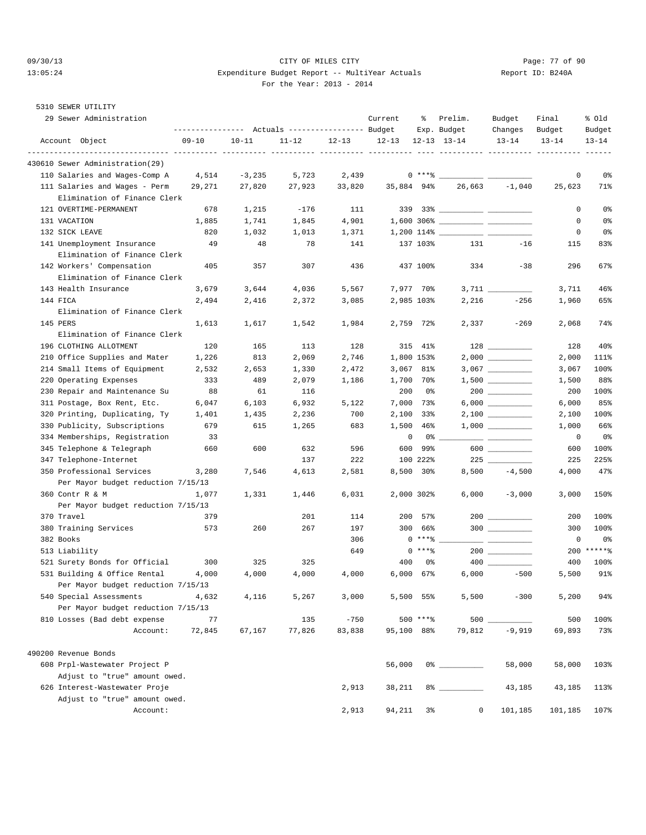5310 SEWER UTILITY

#### 09/30/13 Page: 77 of 90 13:05:24 Expenditure Budget Report -- MultiYear Actuals Report ID: B240A For the Year: 2013 - 2014

| $09 - 10$<br>$10 - 11$<br>Account Object<br>$11 - 12$<br>$12 - 13$<br>$12 - 13$<br>$12 - 13$ $13 - 14$<br>$13 - 14$<br>$13 - 14$<br>430610 Sewer Administration(29)<br>$-3,235$<br>5,723<br>2,439<br>$0***$<br>110 Salaries and Wages-Comp A<br>4,514<br>0<br>26,663<br>$-1,040$<br>111 Salaries and Wages - Perm<br>27,820<br>27,923<br>33,820<br>35,884 94%<br>25,623<br>29,271<br>Elimination of Finance Clerk<br>121 OVERTIME-PERMANENT<br>1,215<br>$-176$<br>111<br>0<br>678<br>$\mathbf 0$<br>131 VACATION<br>1,885<br>1,741<br>1,845<br>4,901<br>132 SICK LEAVE<br>820<br>1,032<br>1,013<br>1,371<br>0<br>49<br>137 103%<br>131<br>$-16$<br>141 Unemployment Insurance<br>48<br>78<br>141<br>115<br>Elimination of Finance Clerk<br>142 Workers' Compensation<br>405<br>357<br>307<br>436<br>437 100%<br>334<br>$-38$<br>296<br>Elimination of Finance Clerk<br>7,977 70%<br>143 Health Insurance<br>3,679<br>3,644<br>4,036<br>5,567<br>3,711<br>$-256$<br>144 FICA<br>2,494<br>2,416<br>2,372<br>3,085<br>2,985 103%<br>2,216<br>1,960<br>Elimination of Finance Clerk<br>145 PERS<br>1,542<br>1,984<br>2,759 72%<br>2,337<br>$-269$<br>2,068<br>1,613<br>1,617<br>Elimination of Finance Clerk<br>196 CLOTHING ALLOTMENT<br>128<br>$128 \begin{tabular}{l} \textbf{---} \end{tabular}$<br>120<br>165<br>113<br>315 41%<br>128<br>210 Office Supplies and Mater<br>1,226<br>813<br>2,069<br>2,746<br>1,800 153%<br>2,000<br>214 Small Items of Equipment<br>2,653<br>1,330<br>2,472<br>3,067 81%<br>2,532<br>3,067<br>333<br>220 Operating Expenses<br>489<br>2,079<br>1,186<br>1,700 70%<br>1,500<br>230 Repair and Maintenance Su<br>88<br>61<br>116<br>200<br>0 %<br>200<br>311 Postage, Box Rent, Etc.<br>6,932<br>7,000<br>$6,000$<br>6,000<br>6,047<br>6,103<br>5,122<br>73%<br>320 Printing, Duplicating, Ty<br>1,401<br>1,435<br>2,236<br>700<br>2,100 33%<br>2,100<br>330 Publicity, Subscriptions<br>679<br>615<br>1,265<br>683<br>1,500<br>46%<br>1,000<br>0<br>334 Memberships, Registration<br>33<br>0%<br>0<br>600 __________<br>345 Telephone & Telegraph<br>600<br>660<br>600<br>632<br>596<br>99%<br>600<br>347 Telephone-Internet<br>222<br>100 222%<br>137<br>225<br>225<br>8,500 30%<br>$-4,500$<br>350 Professional Services<br>3,280<br>7,546<br>4,613<br>2,581<br>8,500<br>4,000<br>Per Mayor budget reduction 7/15/13<br>2,000 302%<br>360 Contr R & M<br>1,077<br>1,446<br>6,031<br>6,000<br>$-3,000$<br>3,000<br>1,331<br>Per Mayor budget reduction 7/15/13<br>370 Travel<br>201<br>200<br>379<br>114<br>57%<br>200<br>$300$<br>260<br>380 Training Services<br>573<br>267<br>197<br>300<br>66%<br>300<br>382 Books<br>$0***$ $*$<br>306<br>0<br>$0***8$<br>649<br>513 Liability<br>200<br>521 Surety Bonds for Official<br>300<br>325<br>325<br>400<br>0 %<br>400<br>531 Building & Office Rental<br>$6,000$ $67\%$<br>$6,000$ $-500$<br>4,000<br>4,000<br>4,000<br>4,000<br>5,500<br>Per Mayor budget reduction 7/15/13<br>540 Special Assessments<br>3,000<br>5,500 55%<br>5,500<br>$-300$<br>4,116<br>5,267<br>5,200<br>4,632<br>Per Mayor budget reduction 7/15/13<br>810 Losses (Bad debt expense<br>$-750$<br>500 ****<br>500<br>500<br>77<br>135<br>72,845<br>77,826<br>83,838<br>95,100 88%<br>79,812<br>$-9,919$<br>69,893<br>Account:<br>67,167<br>490200 Revenue Bonds<br>608 Prpl-Wastewater Project P<br>56,000<br>58,000<br>58,000 | 29 Sewer Administration       | ---------------    Actuals ----------------    Budget |  | Current | ႜ | Prelim.<br>Exp. Budget | Budget<br>Changes | Final<br>Budget | % old<br>Budget |
|---------------------------------------------------------------------------------------------------------------------------------------------------------------------------------------------------------------------------------------------------------------------------------------------------------------------------------------------------------------------------------------------------------------------------------------------------------------------------------------------------------------------------------------------------------------------------------------------------------------------------------------------------------------------------------------------------------------------------------------------------------------------------------------------------------------------------------------------------------------------------------------------------------------------------------------------------------------------------------------------------------------------------------------------------------------------------------------------------------------------------------------------------------------------------------------------------------------------------------------------------------------------------------------------------------------------------------------------------------------------------------------------------------------------------------------------------------------------------------------------------------------------------------------------------------------------------------------------------------------------------------------------------------------------------------------------------------------------------------------------------------------------------------------------------------------------------------------------------------------------------------------------------------------------------------------------------------------------------------------------------------------------------------------------------------------------------------------------------------------------------------------------------------------------------------------------------------------------------------------------------------------------------------------------------------------------------------------------------------------------------------------------------------------------------------------------------------------------------------------------------------------------------------------------------------------------------------------------------------------------------------------------------------------------------------------------------------------------------------------------------------------------------------------------------------------------------------------------------------------------------------------------------------------------------------------------------------------------------------------------------------------------------------------------------------------------------------------------------------------------------------------------------------------------------------------------------------------------------------------------------------------------------------------------------------------------------------------------------------------------------------------|-------------------------------|-------------------------------------------------------|--|---------|---|------------------------|-------------------|-----------------|-----------------|
|                                                                                                                                                                                                                                                                                                                                                                                                                                                                                                                                                                                                                                                                                                                                                                                                                                                                                                                                                                                                                                                                                                                                                                                                                                                                                                                                                                                                                                                                                                                                                                                                                                                                                                                                                                                                                                                                                                                                                                                                                                                                                                                                                                                                                                                                                                                                                                                                                                                                                                                                                                                                                                                                                                                                                                                                                                                                                                                                                                                                                                                                                                                                                                                                                                                                                                                                                                                       |                               |                                                       |  |         |   |                        |                   |                 | $13 - 14$       |
|                                                                                                                                                                                                                                                                                                                                                                                                                                                                                                                                                                                                                                                                                                                                                                                                                                                                                                                                                                                                                                                                                                                                                                                                                                                                                                                                                                                                                                                                                                                                                                                                                                                                                                                                                                                                                                                                                                                                                                                                                                                                                                                                                                                                                                                                                                                                                                                                                                                                                                                                                                                                                                                                                                                                                                                                                                                                                                                                                                                                                                                                                                                                                                                                                                                                                                                                                                                       |                               |                                                       |  |         |   |                        |                   |                 |                 |
|                                                                                                                                                                                                                                                                                                                                                                                                                                                                                                                                                                                                                                                                                                                                                                                                                                                                                                                                                                                                                                                                                                                                                                                                                                                                                                                                                                                                                                                                                                                                                                                                                                                                                                                                                                                                                                                                                                                                                                                                                                                                                                                                                                                                                                                                                                                                                                                                                                                                                                                                                                                                                                                                                                                                                                                                                                                                                                                                                                                                                                                                                                                                                                                                                                                                                                                                                                                       |                               |                                                       |  |         |   |                        |                   |                 |                 |
|                                                                                                                                                                                                                                                                                                                                                                                                                                                                                                                                                                                                                                                                                                                                                                                                                                                                                                                                                                                                                                                                                                                                                                                                                                                                                                                                                                                                                                                                                                                                                                                                                                                                                                                                                                                                                                                                                                                                                                                                                                                                                                                                                                                                                                                                                                                                                                                                                                                                                                                                                                                                                                                                                                                                                                                                                                                                                                                                                                                                                                                                                                                                                                                                                                                                                                                                                                                       |                               |                                                       |  |         |   |                        |                   |                 | 0 <sub>8</sub>  |
|                                                                                                                                                                                                                                                                                                                                                                                                                                                                                                                                                                                                                                                                                                                                                                                                                                                                                                                                                                                                                                                                                                                                                                                                                                                                                                                                                                                                                                                                                                                                                                                                                                                                                                                                                                                                                                                                                                                                                                                                                                                                                                                                                                                                                                                                                                                                                                                                                                                                                                                                                                                                                                                                                                                                                                                                                                                                                                                                                                                                                                                                                                                                                                                                                                                                                                                                                                                       |                               |                                                       |  |         |   |                        |                   |                 | 71%             |
|                                                                                                                                                                                                                                                                                                                                                                                                                                                                                                                                                                                                                                                                                                                                                                                                                                                                                                                                                                                                                                                                                                                                                                                                                                                                                                                                                                                                                                                                                                                                                                                                                                                                                                                                                                                                                                                                                                                                                                                                                                                                                                                                                                                                                                                                                                                                                                                                                                                                                                                                                                                                                                                                                                                                                                                                                                                                                                                                                                                                                                                                                                                                                                                                                                                                                                                                                                                       |                               |                                                       |  |         |   |                        |                   |                 |                 |
|                                                                                                                                                                                                                                                                                                                                                                                                                                                                                                                                                                                                                                                                                                                                                                                                                                                                                                                                                                                                                                                                                                                                                                                                                                                                                                                                                                                                                                                                                                                                                                                                                                                                                                                                                                                                                                                                                                                                                                                                                                                                                                                                                                                                                                                                                                                                                                                                                                                                                                                                                                                                                                                                                                                                                                                                                                                                                                                                                                                                                                                                                                                                                                                                                                                                                                                                                                                       |                               |                                                       |  |         |   |                        |                   |                 | 0%              |
|                                                                                                                                                                                                                                                                                                                                                                                                                                                                                                                                                                                                                                                                                                                                                                                                                                                                                                                                                                                                                                                                                                                                                                                                                                                                                                                                                                                                                                                                                                                                                                                                                                                                                                                                                                                                                                                                                                                                                                                                                                                                                                                                                                                                                                                                                                                                                                                                                                                                                                                                                                                                                                                                                                                                                                                                                                                                                                                                                                                                                                                                                                                                                                                                                                                                                                                                                                                       |                               |                                                       |  |         |   |                        |                   |                 | 0%              |
|                                                                                                                                                                                                                                                                                                                                                                                                                                                                                                                                                                                                                                                                                                                                                                                                                                                                                                                                                                                                                                                                                                                                                                                                                                                                                                                                                                                                                                                                                                                                                                                                                                                                                                                                                                                                                                                                                                                                                                                                                                                                                                                                                                                                                                                                                                                                                                                                                                                                                                                                                                                                                                                                                                                                                                                                                                                                                                                                                                                                                                                                                                                                                                                                                                                                                                                                                                                       |                               |                                                       |  |         |   |                        |                   |                 | 0%              |
|                                                                                                                                                                                                                                                                                                                                                                                                                                                                                                                                                                                                                                                                                                                                                                                                                                                                                                                                                                                                                                                                                                                                                                                                                                                                                                                                                                                                                                                                                                                                                                                                                                                                                                                                                                                                                                                                                                                                                                                                                                                                                                                                                                                                                                                                                                                                                                                                                                                                                                                                                                                                                                                                                                                                                                                                                                                                                                                                                                                                                                                                                                                                                                                                                                                                                                                                                                                       |                               |                                                       |  |         |   |                        |                   |                 | 83%             |
|                                                                                                                                                                                                                                                                                                                                                                                                                                                                                                                                                                                                                                                                                                                                                                                                                                                                                                                                                                                                                                                                                                                                                                                                                                                                                                                                                                                                                                                                                                                                                                                                                                                                                                                                                                                                                                                                                                                                                                                                                                                                                                                                                                                                                                                                                                                                                                                                                                                                                                                                                                                                                                                                                                                                                                                                                                                                                                                                                                                                                                                                                                                                                                                                                                                                                                                                                                                       |                               |                                                       |  |         |   |                        |                   |                 |                 |
|                                                                                                                                                                                                                                                                                                                                                                                                                                                                                                                                                                                                                                                                                                                                                                                                                                                                                                                                                                                                                                                                                                                                                                                                                                                                                                                                                                                                                                                                                                                                                                                                                                                                                                                                                                                                                                                                                                                                                                                                                                                                                                                                                                                                                                                                                                                                                                                                                                                                                                                                                                                                                                                                                                                                                                                                                                                                                                                                                                                                                                                                                                                                                                                                                                                                                                                                                                                       |                               |                                                       |  |         |   |                        |                   |                 | 67%             |
|                                                                                                                                                                                                                                                                                                                                                                                                                                                                                                                                                                                                                                                                                                                                                                                                                                                                                                                                                                                                                                                                                                                                                                                                                                                                                                                                                                                                                                                                                                                                                                                                                                                                                                                                                                                                                                                                                                                                                                                                                                                                                                                                                                                                                                                                                                                                                                                                                                                                                                                                                                                                                                                                                                                                                                                                                                                                                                                                                                                                                                                                                                                                                                                                                                                                                                                                                                                       |                               |                                                       |  |         |   |                        |                   |                 |                 |
|                                                                                                                                                                                                                                                                                                                                                                                                                                                                                                                                                                                                                                                                                                                                                                                                                                                                                                                                                                                                                                                                                                                                                                                                                                                                                                                                                                                                                                                                                                                                                                                                                                                                                                                                                                                                                                                                                                                                                                                                                                                                                                                                                                                                                                                                                                                                                                                                                                                                                                                                                                                                                                                                                                                                                                                                                                                                                                                                                                                                                                                                                                                                                                                                                                                                                                                                                                                       |                               |                                                       |  |         |   |                        |                   |                 | 46%             |
|                                                                                                                                                                                                                                                                                                                                                                                                                                                                                                                                                                                                                                                                                                                                                                                                                                                                                                                                                                                                                                                                                                                                                                                                                                                                                                                                                                                                                                                                                                                                                                                                                                                                                                                                                                                                                                                                                                                                                                                                                                                                                                                                                                                                                                                                                                                                                                                                                                                                                                                                                                                                                                                                                                                                                                                                                                                                                                                                                                                                                                                                                                                                                                                                                                                                                                                                                                                       |                               |                                                       |  |         |   |                        |                   |                 | 65%             |
|                                                                                                                                                                                                                                                                                                                                                                                                                                                                                                                                                                                                                                                                                                                                                                                                                                                                                                                                                                                                                                                                                                                                                                                                                                                                                                                                                                                                                                                                                                                                                                                                                                                                                                                                                                                                                                                                                                                                                                                                                                                                                                                                                                                                                                                                                                                                                                                                                                                                                                                                                                                                                                                                                                                                                                                                                                                                                                                                                                                                                                                                                                                                                                                                                                                                                                                                                                                       |                               |                                                       |  |         |   |                        |                   |                 |                 |
|                                                                                                                                                                                                                                                                                                                                                                                                                                                                                                                                                                                                                                                                                                                                                                                                                                                                                                                                                                                                                                                                                                                                                                                                                                                                                                                                                                                                                                                                                                                                                                                                                                                                                                                                                                                                                                                                                                                                                                                                                                                                                                                                                                                                                                                                                                                                                                                                                                                                                                                                                                                                                                                                                                                                                                                                                                                                                                                                                                                                                                                                                                                                                                                                                                                                                                                                                                                       |                               |                                                       |  |         |   |                        |                   |                 | 74%             |
|                                                                                                                                                                                                                                                                                                                                                                                                                                                                                                                                                                                                                                                                                                                                                                                                                                                                                                                                                                                                                                                                                                                                                                                                                                                                                                                                                                                                                                                                                                                                                                                                                                                                                                                                                                                                                                                                                                                                                                                                                                                                                                                                                                                                                                                                                                                                                                                                                                                                                                                                                                                                                                                                                                                                                                                                                                                                                                                                                                                                                                                                                                                                                                                                                                                                                                                                                                                       |                               |                                                       |  |         |   |                        |                   |                 |                 |
|                                                                                                                                                                                                                                                                                                                                                                                                                                                                                                                                                                                                                                                                                                                                                                                                                                                                                                                                                                                                                                                                                                                                                                                                                                                                                                                                                                                                                                                                                                                                                                                                                                                                                                                                                                                                                                                                                                                                                                                                                                                                                                                                                                                                                                                                                                                                                                                                                                                                                                                                                                                                                                                                                                                                                                                                                                                                                                                                                                                                                                                                                                                                                                                                                                                                                                                                                                                       |                               |                                                       |  |         |   |                        |                   |                 | 40%             |
|                                                                                                                                                                                                                                                                                                                                                                                                                                                                                                                                                                                                                                                                                                                                                                                                                                                                                                                                                                                                                                                                                                                                                                                                                                                                                                                                                                                                                                                                                                                                                                                                                                                                                                                                                                                                                                                                                                                                                                                                                                                                                                                                                                                                                                                                                                                                                                                                                                                                                                                                                                                                                                                                                                                                                                                                                                                                                                                                                                                                                                                                                                                                                                                                                                                                                                                                                                                       |                               |                                                       |  |         |   |                        |                   |                 | 111%            |
|                                                                                                                                                                                                                                                                                                                                                                                                                                                                                                                                                                                                                                                                                                                                                                                                                                                                                                                                                                                                                                                                                                                                                                                                                                                                                                                                                                                                                                                                                                                                                                                                                                                                                                                                                                                                                                                                                                                                                                                                                                                                                                                                                                                                                                                                                                                                                                                                                                                                                                                                                                                                                                                                                                                                                                                                                                                                                                                                                                                                                                                                                                                                                                                                                                                                                                                                                                                       |                               |                                                       |  |         |   |                        |                   |                 | 100%            |
|                                                                                                                                                                                                                                                                                                                                                                                                                                                                                                                                                                                                                                                                                                                                                                                                                                                                                                                                                                                                                                                                                                                                                                                                                                                                                                                                                                                                                                                                                                                                                                                                                                                                                                                                                                                                                                                                                                                                                                                                                                                                                                                                                                                                                                                                                                                                                                                                                                                                                                                                                                                                                                                                                                                                                                                                                                                                                                                                                                                                                                                                                                                                                                                                                                                                                                                                                                                       |                               |                                                       |  |         |   |                        |                   |                 | 88%             |
|                                                                                                                                                                                                                                                                                                                                                                                                                                                                                                                                                                                                                                                                                                                                                                                                                                                                                                                                                                                                                                                                                                                                                                                                                                                                                                                                                                                                                                                                                                                                                                                                                                                                                                                                                                                                                                                                                                                                                                                                                                                                                                                                                                                                                                                                                                                                                                                                                                                                                                                                                                                                                                                                                                                                                                                                                                                                                                                                                                                                                                                                                                                                                                                                                                                                                                                                                                                       |                               |                                                       |  |         |   |                        |                   |                 | 100%            |
|                                                                                                                                                                                                                                                                                                                                                                                                                                                                                                                                                                                                                                                                                                                                                                                                                                                                                                                                                                                                                                                                                                                                                                                                                                                                                                                                                                                                                                                                                                                                                                                                                                                                                                                                                                                                                                                                                                                                                                                                                                                                                                                                                                                                                                                                                                                                                                                                                                                                                                                                                                                                                                                                                                                                                                                                                                                                                                                                                                                                                                                                                                                                                                                                                                                                                                                                                                                       |                               |                                                       |  |         |   |                        |                   |                 | 85%             |
|                                                                                                                                                                                                                                                                                                                                                                                                                                                                                                                                                                                                                                                                                                                                                                                                                                                                                                                                                                                                                                                                                                                                                                                                                                                                                                                                                                                                                                                                                                                                                                                                                                                                                                                                                                                                                                                                                                                                                                                                                                                                                                                                                                                                                                                                                                                                                                                                                                                                                                                                                                                                                                                                                                                                                                                                                                                                                                                                                                                                                                                                                                                                                                                                                                                                                                                                                                                       |                               |                                                       |  |         |   |                        |                   |                 | 100%            |
|                                                                                                                                                                                                                                                                                                                                                                                                                                                                                                                                                                                                                                                                                                                                                                                                                                                                                                                                                                                                                                                                                                                                                                                                                                                                                                                                                                                                                                                                                                                                                                                                                                                                                                                                                                                                                                                                                                                                                                                                                                                                                                                                                                                                                                                                                                                                                                                                                                                                                                                                                                                                                                                                                                                                                                                                                                                                                                                                                                                                                                                                                                                                                                                                                                                                                                                                                                                       |                               |                                                       |  |         |   |                        |                   |                 | 66%             |
|                                                                                                                                                                                                                                                                                                                                                                                                                                                                                                                                                                                                                                                                                                                                                                                                                                                                                                                                                                                                                                                                                                                                                                                                                                                                                                                                                                                                                                                                                                                                                                                                                                                                                                                                                                                                                                                                                                                                                                                                                                                                                                                                                                                                                                                                                                                                                                                                                                                                                                                                                                                                                                                                                                                                                                                                                                                                                                                                                                                                                                                                                                                                                                                                                                                                                                                                                                                       |                               |                                                       |  |         |   |                        |                   |                 | 0%              |
|                                                                                                                                                                                                                                                                                                                                                                                                                                                                                                                                                                                                                                                                                                                                                                                                                                                                                                                                                                                                                                                                                                                                                                                                                                                                                                                                                                                                                                                                                                                                                                                                                                                                                                                                                                                                                                                                                                                                                                                                                                                                                                                                                                                                                                                                                                                                                                                                                                                                                                                                                                                                                                                                                                                                                                                                                                                                                                                                                                                                                                                                                                                                                                                                                                                                                                                                                                                       |                               |                                                       |  |         |   |                        |                   |                 | 100%            |
|                                                                                                                                                                                                                                                                                                                                                                                                                                                                                                                                                                                                                                                                                                                                                                                                                                                                                                                                                                                                                                                                                                                                                                                                                                                                                                                                                                                                                                                                                                                                                                                                                                                                                                                                                                                                                                                                                                                                                                                                                                                                                                                                                                                                                                                                                                                                                                                                                                                                                                                                                                                                                                                                                                                                                                                                                                                                                                                                                                                                                                                                                                                                                                                                                                                                                                                                                                                       |                               |                                                       |  |         |   |                        |                   |                 |                 |
|                                                                                                                                                                                                                                                                                                                                                                                                                                                                                                                                                                                                                                                                                                                                                                                                                                                                                                                                                                                                                                                                                                                                                                                                                                                                                                                                                                                                                                                                                                                                                                                                                                                                                                                                                                                                                                                                                                                                                                                                                                                                                                                                                                                                                                                                                                                                                                                                                                                                                                                                                                                                                                                                                                                                                                                                                                                                                                                                                                                                                                                                                                                                                                                                                                                                                                                                                                                       |                               |                                                       |  |         |   |                        |                   |                 | 225%            |
|                                                                                                                                                                                                                                                                                                                                                                                                                                                                                                                                                                                                                                                                                                                                                                                                                                                                                                                                                                                                                                                                                                                                                                                                                                                                                                                                                                                                                                                                                                                                                                                                                                                                                                                                                                                                                                                                                                                                                                                                                                                                                                                                                                                                                                                                                                                                                                                                                                                                                                                                                                                                                                                                                                                                                                                                                                                                                                                                                                                                                                                                                                                                                                                                                                                                                                                                                                                       |                               |                                                       |  |         |   |                        |                   |                 | 47%             |
|                                                                                                                                                                                                                                                                                                                                                                                                                                                                                                                                                                                                                                                                                                                                                                                                                                                                                                                                                                                                                                                                                                                                                                                                                                                                                                                                                                                                                                                                                                                                                                                                                                                                                                                                                                                                                                                                                                                                                                                                                                                                                                                                                                                                                                                                                                                                                                                                                                                                                                                                                                                                                                                                                                                                                                                                                                                                                                                                                                                                                                                                                                                                                                                                                                                                                                                                                                                       |                               |                                                       |  |         |   |                        |                   |                 |                 |
|                                                                                                                                                                                                                                                                                                                                                                                                                                                                                                                                                                                                                                                                                                                                                                                                                                                                                                                                                                                                                                                                                                                                                                                                                                                                                                                                                                                                                                                                                                                                                                                                                                                                                                                                                                                                                                                                                                                                                                                                                                                                                                                                                                                                                                                                                                                                                                                                                                                                                                                                                                                                                                                                                                                                                                                                                                                                                                                                                                                                                                                                                                                                                                                                                                                                                                                                                                                       |                               |                                                       |  |         |   |                        |                   |                 | 150%            |
|                                                                                                                                                                                                                                                                                                                                                                                                                                                                                                                                                                                                                                                                                                                                                                                                                                                                                                                                                                                                                                                                                                                                                                                                                                                                                                                                                                                                                                                                                                                                                                                                                                                                                                                                                                                                                                                                                                                                                                                                                                                                                                                                                                                                                                                                                                                                                                                                                                                                                                                                                                                                                                                                                                                                                                                                                                                                                                                                                                                                                                                                                                                                                                                                                                                                                                                                                                                       |                               |                                                       |  |         |   |                        |                   |                 |                 |
|                                                                                                                                                                                                                                                                                                                                                                                                                                                                                                                                                                                                                                                                                                                                                                                                                                                                                                                                                                                                                                                                                                                                                                                                                                                                                                                                                                                                                                                                                                                                                                                                                                                                                                                                                                                                                                                                                                                                                                                                                                                                                                                                                                                                                                                                                                                                                                                                                                                                                                                                                                                                                                                                                                                                                                                                                                                                                                                                                                                                                                                                                                                                                                                                                                                                                                                                                                                       |                               |                                                       |  |         |   |                        |                   |                 | 100%            |
|                                                                                                                                                                                                                                                                                                                                                                                                                                                                                                                                                                                                                                                                                                                                                                                                                                                                                                                                                                                                                                                                                                                                                                                                                                                                                                                                                                                                                                                                                                                                                                                                                                                                                                                                                                                                                                                                                                                                                                                                                                                                                                                                                                                                                                                                                                                                                                                                                                                                                                                                                                                                                                                                                                                                                                                                                                                                                                                                                                                                                                                                                                                                                                                                                                                                                                                                                                                       |                               |                                                       |  |         |   |                        |                   |                 | 100%            |
|                                                                                                                                                                                                                                                                                                                                                                                                                                                                                                                                                                                                                                                                                                                                                                                                                                                                                                                                                                                                                                                                                                                                                                                                                                                                                                                                                                                                                                                                                                                                                                                                                                                                                                                                                                                                                                                                                                                                                                                                                                                                                                                                                                                                                                                                                                                                                                                                                                                                                                                                                                                                                                                                                                                                                                                                                                                                                                                                                                                                                                                                                                                                                                                                                                                                                                                                                                                       |                               |                                                       |  |         |   |                        |                   |                 | 0 <sub>8</sub>  |
|                                                                                                                                                                                                                                                                                                                                                                                                                                                                                                                                                                                                                                                                                                                                                                                                                                                                                                                                                                                                                                                                                                                                                                                                                                                                                                                                                                                                                                                                                                                                                                                                                                                                                                                                                                                                                                                                                                                                                                                                                                                                                                                                                                                                                                                                                                                                                                                                                                                                                                                                                                                                                                                                                                                                                                                                                                                                                                                                                                                                                                                                                                                                                                                                                                                                                                                                                                                       |                               |                                                       |  |         |   |                        |                   |                 | $*****$         |
|                                                                                                                                                                                                                                                                                                                                                                                                                                                                                                                                                                                                                                                                                                                                                                                                                                                                                                                                                                                                                                                                                                                                                                                                                                                                                                                                                                                                                                                                                                                                                                                                                                                                                                                                                                                                                                                                                                                                                                                                                                                                                                                                                                                                                                                                                                                                                                                                                                                                                                                                                                                                                                                                                                                                                                                                                                                                                                                                                                                                                                                                                                                                                                                                                                                                                                                                                                                       |                               |                                                       |  |         |   |                        |                   |                 | 100%            |
|                                                                                                                                                                                                                                                                                                                                                                                                                                                                                                                                                                                                                                                                                                                                                                                                                                                                                                                                                                                                                                                                                                                                                                                                                                                                                                                                                                                                                                                                                                                                                                                                                                                                                                                                                                                                                                                                                                                                                                                                                                                                                                                                                                                                                                                                                                                                                                                                                                                                                                                                                                                                                                                                                                                                                                                                                                                                                                                                                                                                                                                                                                                                                                                                                                                                                                                                                                                       |                               |                                                       |  |         |   |                        |                   |                 | 91%             |
|                                                                                                                                                                                                                                                                                                                                                                                                                                                                                                                                                                                                                                                                                                                                                                                                                                                                                                                                                                                                                                                                                                                                                                                                                                                                                                                                                                                                                                                                                                                                                                                                                                                                                                                                                                                                                                                                                                                                                                                                                                                                                                                                                                                                                                                                                                                                                                                                                                                                                                                                                                                                                                                                                                                                                                                                                                                                                                                                                                                                                                                                                                                                                                                                                                                                                                                                                                                       |                               |                                                       |  |         |   |                        |                   |                 |                 |
|                                                                                                                                                                                                                                                                                                                                                                                                                                                                                                                                                                                                                                                                                                                                                                                                                                                                                                                                                                                                                                                                                                                                                                                                                                                                                                                                                                                                                                                                                                                                                                                                                                                                                                                                                                                                                                                                                                                                                                                                                                                                                                                                                                                                                                                                                                                                                                                                                                                                                                                                                                                                                                                                                                                                                                                                                                                                                                                                                                                                                                                                                                                                                                                                                                                                                                                                                                                       |                               |                                                       |  |         |   |                        |                   |                 | 94%             |
|                                                                                                                                                                                                                                                                                                                                                                                                                                                                                                                                                                                                                                                                                                                                                                                                                                                                                                                                                                                                                                                                                                                                                                                                                                                                                                                                                                                                                                                                                                                                                                                                                                                                                                                                                                                                                                                                                                                                                                                                                                                                                                                                                                                                                                                                                                                                                                                                                                                                                                                                                                                                                                                                                                                                                                                                                                                                                                                                                                                                                                                                                                                                                                                                                                                                                                                                                                                       |                               |                                                       |  |         |   |                        |                   |                 |                 |
|                                                                                                                                                                                                                                                                                                                                                                                                                                                                                                                                                                                                                                                                                                                                                                                                                                                                                                                                                                                                                                                                                                                                                                                                                                                                                                                                                                                                                                                                                                                                                                                                                                                                                                                                                                                                                                                                                                                                                                                                                                                                                                                                                                                                                                                                                                                                                                                                                                                                                                                                                                                                                                                                                                                                                                                                                                                                                                                                                                                                                                                                                                                                                                                                                                                                                                                                                                                       |                               |                                                       |  |         |   |                        |                   |                 | 100%            |
|                                                                                                                                                                                                                                                                                                                                                                                                                                                                                                                                                                                                                                                                                                                                                                                                                                                                                                                                                                                                                                                                                                                                                                                                                                                                                                                                                                                                                                                                                                                                                                                                                                                                                                                                                                                                                                                                                                                                                                                                                                                                                                                                                                                                                                                                                                                                                                                                                                                                                                                                                                                                                                                                                                                                                                                                                                                                                                                                                                                                                                                                                                                                                                                                                                                                                                                                                                                       |                               |                                                       |  |         |   |                        |                   |                 | 73%             |
|                                                                                                                                                                                                                                                                                                                                                                                                                                                                                                                                                                                                                                                                                                                                                                                                                                                                                                                                                                                                                                                                                                                                                                                                                                                                                                                                                                                                                                                                                                                                                                                                                                                                                                                                                                                                                                                                                                                                                                                                                                                                                                                                                                                                                                                                                                                                                                                                                                                                                                                                                                                                                                                                                                                                                                                                                                                                                                                                                                                                                                                                                                                                                                                                                                                                                                                                                                                       |                               |                                                       |  |         |   |                        |                   |                 |                 |
|                                                                                                                                                                                                                                                                                                                                                                                                                                                                                                                                                                                                                                                                                                                                                                                                                                                                                                                                                                                                                                                                                                                                                                                                                                                                                                                                                                                                                                                                                                                                                                                                                                                                                                                                                                                                                                                                                                                                                                                                                                                                                                                                                                                                                                                                                                                                                                                                                                                                                                                                                                                                                                                                                                                                                                                                                                                                                                                                                                                                                                                                                                                                                                                                                                                                                                                                                                                       |                               |                                                       |  |         |   |                        |                   |                 | 103%            |
|                                                                                                                                                                                                                                                                                                                                                                                                                                                                                                                                                                                                                                                                                                                                                                                                                                                                                                                                                                                                                                                                                                                                                                                                                                                                                                                                                                                                                                                                                                                                                                                                                                                                                                                                                                                                                                                                                                                                                                                                                                                                                                                                                                                                                                                                                                                                                                                                                                                                                                                                                                                                                                                                                                                                                                                                                                                                                                                                                                                                                                                                                                                                                                                                                                                                                                                                                                                       | Adjust to "true" amount owed. |                                                       |  |         |   |                        |                   |                 |                 |
| 626 Interest-Wastewater Proje<br>2,913<br>38,211<br>43,185<br>43,185                                                                                                                                                                                                                                                                                                                                                                                                                                                                                                                                                                                                                                                                                                                                                                                                                                                                                                                                                                                                                                                                                                                                                                                                                                                                                                                                                                                                                                                                                                                                                                                                                                                                                                                                                                                                                                                                                                                                                                                                                                                                                                                                                                                                                                                                                                                                                                                                                                                                                                                                                                                                                                                                                                                                                                                                                                                                                                                                                                                                                                                                                                                                                                                                                                                                                                                  |                               |                                                       |  |         |   |                        |                   |                 | 113%            |
| Adjust to "true" amount owed.                                                                                                                                                                                                                                                                                                                                                                                                                                                                                                                                                                                                                                                                                                                                                                                                                                                                                                                                                                                                                                                                                                                                                                                                                                                                                                                                                                                                                                                                                                                                                                                                                                                                                                                                                                                                                                                                                                                                                                                                                                                                                                                                                                                                                                                                                                                                                                                                                                                                                                                                                                                                                                                                                                                                                                                                                                                                                                                                                                                                                                                                                                                                                                                                                                                                                                                                                         |                               |                                                       |  |         |   |                        |                   |                 |                 |
| 2,913<br>94,211<br>101,185<br>Account:<br>3%<br>0<br>101,185                                                                                                                                                                                                                                                                                                                                                                                                                                                                                                                                                                                                                                                                                                                                                                                                                                                                                                                                                                                                                                                                                                                                                                                                                                                                                                                                                                                                                                                                                                                                                                                                                                                                                                                                                                                                                                                                                                                                                                                                                                                                                                                                                                                                                                                                                                                                                                                                                                                                                                                                                                                                                                                                                                                                                                                                                                                                                                                                                                                                                                                                                                                                                                                                                                                                                                                          |                               |                                                       |  |         |   |                        |                   |                 | 107%            |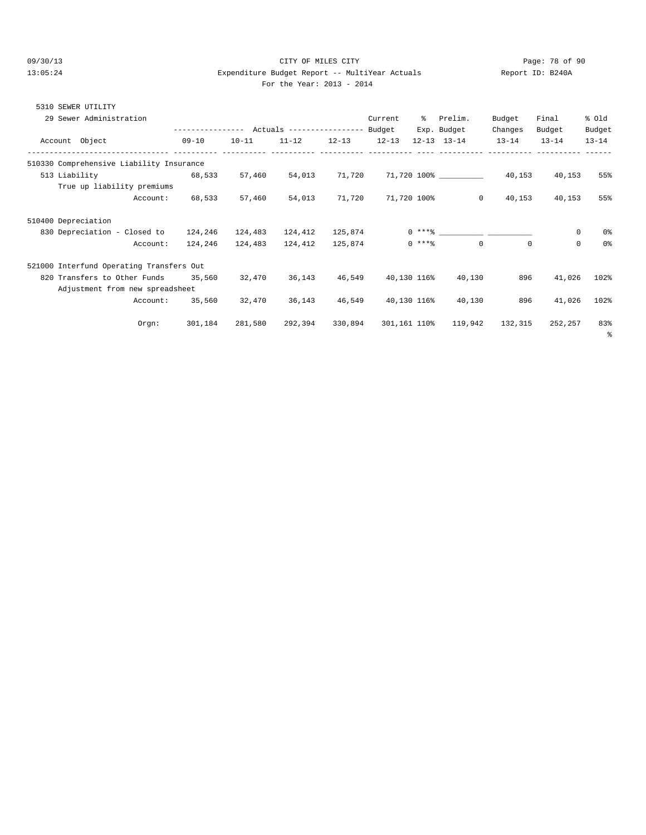5310 SEWER UTILITY

#### 09/30/13 Page: 78 of 90 13:05:24 Expenditure Budget Report -- MultiYear Actuals Report ID: B240A For the Year: 2013 - 2014

|  | 310 SEWER UTILITY       |  |                                      |  |  |
|--|-------------------------|--|--------------------------------------|--|--|
|  | 29 Sewer Administration |  | Current % Prelim. Budget Final % Old |  |  |

|                     | 29 Sewer Administration                  |           |           |           |           | Current   | ้จั          | Prelim.                 | Budget    | Final     | * ∪⊥a          |
|---------------------|------------------------------------------|-----------|-----------|-----------|-----------|-----------|--------------|-------------------------|-----------|-----------|----------------|
|                     |                                          |           |           |           |           |           |              | Exp. Budget             | Changes   | Budget    | Budget         |
|                     | Account Object                           | $09 - 10$ | $10 - 11$ | $11 - 12$ | $12 - 13$ | $12 - 13$ |              | $12 - 13$ $13 - 14$     | $13 - 14$ | $13 - 14$ | $13 - 14$      |
|                     | 510330 Comprehensive Liability Insurance |           |           |           |           |           |              |                         |           |           |                |
| 513 Liability       |                                          | 68,533    | 57,460    | 54,013    | 71,720    |           |              | 71,720 100% ___________ | 40,153    | 40,153    | 55%            |
|                     | True up liability premiums               |           |           |           |           |           |              |                         |           |           |                |
|                     | Account:                                 | 68,533    | 57,460    | 54,013    | 71,720    |           | 71,720 100%  | $\circ$                 | 40,153    | 40,153    | 55%            |
| 510400 Depreciation |                                          |           |           |           |           |           |              |                         |           |           |                |
|                     | 830 Depreciation - Closed to             | 124,246   | 124,483   | 124,412   | 125,874   |           |              |                         |           | 0         | 0 <sup>°</sup> |
|                     | Account:                                 | 124,246   | 124,483   | 124,412   | 125,874   |           | $0***8$      | $\Omega$                | $\Omega$  | $\Omega$  | 0 <sup>°</sup> |
|                     | 521000 Interfund Operating Transfers Out |           |           |           |           |           |              |                         |           |           |                |
|                     | 820 Transfers to Other Funds 35,560      |           | 32,470    | 36,143    | 46,549    |           | 40,130 116%  | 40,130                  | 896       | 41,026    | 102%           |
|                     | Adjustment from new spreadsheet          |           |           |           |           |           |              |                         |           |           |                |
|                     | Account:                                 | 35,560    | 32,470    | 36,143    | 46,549    |           | 40,130 116%  | 40,130                  | 896       | 41,026    | 102%           |
|                     | $0$ rgn:                                 | 301,184   | 281,580   | 292,394   | 330,894   |           | 301,161 110% | 119,942                 | 132,315   | 252,257   | 83%<br>ိ       |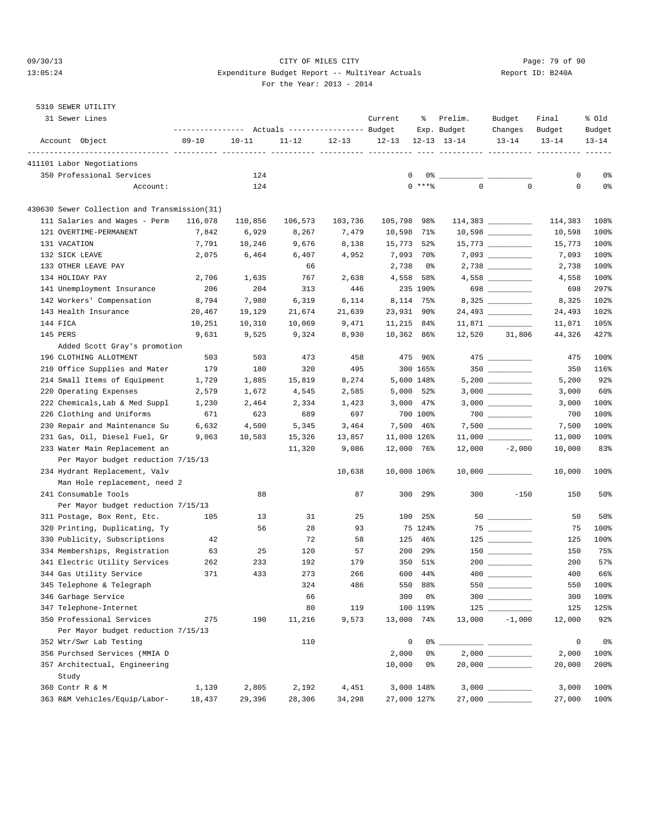#### 09/30/13 Page: 79 of 90 13:05:24 Expenditure Budget Report -- MultiYear Actuals Report ID: B240A For the Year: 2013 - 2014

### 5310 SEWER UTILITY

| 31 Sewer Lines                                                      | ---------------- |           | Actuals ----------------- Budget |           | Current     | ి                  | Prelim.<br>Exp. Budget | Budget<br>Changes                                                                                                                                                                                                                                                                                                                                                                                                                                                                      | Final<br>Budget | % old<br>Budget |
|---------------------------------------------------------------------|------------------|-----------|----------------------------------|-----------|-------------|--------------------|------------------------|----------------------------------------------------------------------------------------------------------------------------------------------------------------------------------------------------------------------------------------------------------------------------------------------------------------------------------------------------------------------------------------------------------------------------------------------------------------------------------------|-----------------|-----------------|
| Account Object                                                      | $09 - 10$        | $10 - 11$ | $11 - 12$                        | $12 - 13$ | $12 - 13$   |                    | $12 - 13$ $13 - 14$    | $13 - 14$                                                                                                                                                                                                                                                                                                                                                                                                                                                                              | $13 - 14$       | $13 - 14$       |
| 411101 Labor Negotiations                                           |                  |           |                                  |           |             |                    |                        |                                                                                                                                                                                                                                                                                                                                                                                                                                                                                        |                 |                 |
| 350 Professional Services                                           |                  | 124       |                                  |           |             | $\mathbf{0}$<br>0% |                        |                                                                                                                                                                                                                                                                                                                                                                                                                                                                                        | 0               | 0%              |
| Account:                                                            |                  | 124       |                                  |           |             | $0$ ****           | $\mathbf{0}$           | $\mathbf 0$                                                                                                                                                                                                                                                                                                                                                                                                                                                                            | 0               | 0%              |
| 430630 Sewer Collection and Transmission(31)                        |                  |           |                                  |           |             |                    |                        |                                                                                                                                                                                                                                                                                                                                                                                                                                                                                        |                 |                 |
| 111 Salaries and Wages - Perm                                       | 116,078          | 110,856   | 106,573                          | 103,736   | 105,798 98% |                    |                        |                                                                                                                                                                                                                                                                                                                                                                                                                                                                                        | 114,383         | 108%            |
| 121 OVERTIME-PERMANENT                                              | 7,842            | 6,929     | 8,267                            | 7,479     | 10,598      | 71%                |                        |                                                                                                                                                                                                                                                                                                                                                                                                                                                                                        | 10,598          | 100%            |
| 131 VACATION                                                        | 7,791            | 10,246    | 9,676                            | 8,138     | 15,773      | 52%                |                        |                                                                                                                                                                                                                                                                                                                                                                                                                                                                                        | 15,773          | 100%            |
| 132 SICK LEAVE                                                      | 2,075            | 6,464     | 6,407                            | 4,952     |             | 7,093 70%          |                        | $7,093$ ___________                                                                                                                                                                                                                                                                                                                                                                                                                                                                    | 7,093           | 100%            |
| 133 OTHER LEAVE PAY                                                 |                  |           | 66                               |           | 2,738       | 0%                 |                        |                                                                                                                                                                                                                                                                                                                                                                                                                                                                                        | 2,738           | 100%            |
| 134 HOLIDAY PAY                                                     | 2,706            | 1,635     | 767                              | 2,638     |             | 4,558 58%          |                        |                                                                                                                                                                                                                                                                                                                                                                                                                                                                                        | 4,558           | 100%            |
| 141 Unemployment Insurance                                          | 206              | 204       | 313                              | 446       |             | 235 190%           |                        | 698                                                                                                                                                                                                                                                                                                                                                                                                                                                                                    | 698             | 297%            |
| 142 Workers' Compensation                                           | 8,794            | 7,980     | 6,319                            | 6,114     |             | 8,114 75%          |                        | 8,325                                                                                                                                                                                                                                                                                                                                                                                                                                                                                  | 8,325           | 102%            |
| 143 Health Insurance                                                | 20,467           | 19,129    | 21,674                           | 21,639    | 23,931      | -90%               |                        | 24,493 __________                                                                                                                                                                                                                                                                                                                                                                                                                                                                      | 24,493          | 102%            |
| 144 FICA                                                            | 10,251           | 10,310    | 10,069                           | 9,471     | 11,215 84%  |                    |                        |                                                                                                                                                                                                                                                                                                                                                                                                                                                                                        | 11,871          | 105%            |
| 145 PERS                                                            | 9,631            | 9,525     | 9,324                            | 8,930     | 10,362 86%  |                    | 12,520                 | 31,806                                                                                                                                                                                                                                                                                                                                                                                                                                                                                 | 44,326          | 427%            |
| Added Scott Gray's promotion                                        |                  |           |                                  |           |             |                    |                        |                                                                                                                                                                                                                                                                                                                                                                                                                                                                                        |                 |                 |
| 196 CLOTHING ALLOTMENT                                              | 503              | 503       | 473                              | 458       |             | 475 96%            |                        |                                                                                                                                                                                                                                                                                                                                                                                                                                                                                        | 475             | 100%            |
| 210 Office Supplies and Mater                                       | 179              | 180       | 320                              | 495       |             | 300 165%           |                        | 350                                                                                                                                                                                                                                                                                                                                                                                                                                                                                    | 350             | 116%            |
| 214 Small Items of Equipment                                        | 1,729            | 1,885     | 15,819                           | 8,274     |             | 5,600 148%         |                        |                                                                                                                                                                                                                                                                                                                                                                                                                                                                                        | 5,200           | 92%             |
| 220 Operating Expenses                                              | 2,579            | 1,672     | 4,545                            | 2,585     |             | 5,000 52%          |                        |                                                                                                                                                                                                                                                                                                                                                                                                                                                                                        | 3,000           | 60%             |
| 222 Chemicals, Lab & Med Suppl                                      | 1,230            | 2,464     | 2,334                            | 1,423     | 3,000       | $47\%$             |                        |                                                                                                                                                                                                                                                                                                                                                                                                                                                                                        | 3,000           | 100%            |
| 226 Clothing and Uniforms                                           | 671              | 623       | 689                              | 697       |             | 700 100%           |                        |                                                                                                                                                                                                                                                                                                                                                                                                                                                                                        | 700             | 100%            |
| 230 Repair and Maintenance Su                                       | 6,632            | 4,500     | 5,345                            | 3,464     |             | 7,500 46%          |                        | $7,500$ ____________                                                                                                                                                                                                                                                                                                                                                                                                                                                                   | 7,500           | 100%            |
| 231 Gas, Oil, Diesel Fuel, Gr                                       | 9,063            | 10,583    | 15,326                           | 13,857    | 11,000 126% |                    |                        |                                                                                                                                                                                                                                                                                                                                                                                                                                                                                        | 11,000          | 100%            |
| 233 Water Main Replacement an<br>Per Mayor budget reduction 7/15/13 |                  |           | 11,320                           | 9,086     | 12,000 76%  |                    |                        | $12,000 -2,000$                                                                                                                                                                                                                                                                                                                                                                                                                                                                        | 10,000          | 83%             |
| 234 Hydrant Replacement, Valv                                       |                  |           |                                  | 10,638    | 10,000 106% |                    |                        | $10,000$ __________                                                                                                                                                                                                                                                                                                                                                                                                                                                                    | 10,000          | 100%            |
| Man Hole replacement, need 2                                        |                  |           |                                  |           |             |                    |                        |                                                                                                                                                                                                                                                                                                                                                                                                                                                                                        |                 |                 |
| 241 Consumable Tools                                                |                  | 88        |                                  | 87        | 300         | 29%                | 300                    | $-150$                                                                                                                                                                                                                                                                                                                                                                                                                                                                                 | 150             | 50%             |
| Per Mayor budget reduction 7/15/13                                  |                  |           |                                  |           |             |                    |                        |                                                                                                                                                                                                                                                                                                                                                                                                                                                                                        |                 |                 |
| 311 Postage, Box Rent, Etc.                                         | 105              | 13        | 31                               | 25        | 100         | 25%                |                        |                                                                                                                                                                                                                                                                                                                                                                                                                                                                                        | 50              | 50%             |
| 320 Printing, Duplicating, Ty                                       |                  | 56        | 28                               | 93        |             | 75 124%            |                        |                                                                                                                                                                                                                                                                                                                                                                                                                                                                                        | 75              | 100%            |
| 330 Publicity, Subscriptions                                        | 42               |           | 72                               | 58        | 125         | 46%                |                        |                                                                                                                                                                                                                                                                                                                                                                                                                                                                                        | 125             | 100%            |
| 334 Memberships, Registration                                       | 63               | 25        | 120                              | 57        | 200         | 29%                |                        |                                                                                                                                                                                                                                                                                                                                                                                                                                                                                        | 150             | 75%             |
| 341 Electric Utility Services                                       | 262              | 233       | 192                              | 179       | 350         | 51%                |                        |                                                                                                                                                                                                                                                                                                                                                                                                                                                                                        | 200             | 57%             |
| 344 Gas Utility Service                                             | 371              | 433       | 273                              | 266       | 600         | 44%                |                        |                                                                                                                                                                                                                                                                                                                                                                                                                                                                                        | 400             | 66%             |
| 345 Telephone & Telegraph                                           |                  |           | 324                              | 486       | 550         | 88%                | 550                    | $\begin{array}{cccccccccc} \multicolumn{3}{c}{} & \multicolumn{3}{c}{} & \multicolumn{3}{c}{} & \multicolumn{3}{c}{} & \multicolumn{3}{c}{} & \multicolumn{3}{c}{} & \multicolumn{3}{c}{} & \multicolumn{3}{c}{} & \multicolumn{3}{c}{} & \multicolumn{3}{c}{} & \multicolumn{3}{c}{} & \multicolumn{3}{c}{} & \multicolumn{3}{c}{} & \multicolumn{3}{c}{} & \multicolumn{3}{c}{} & \multicolumn{3}{c}{} & \multicolumn{3}{c}{} & \multicolumn{3}{c}{} & \multicolumn{3}{c}{} & \mult$ | 550             | 100%            |
| 346 Garbage Service                                                 |                  |           | 66                               |           | 300         | 0%                 |                        | $300$                                                                                                                                                                                                                                                                                                                                                                                                                                                                                  | 300             | 100%            |
| 347 Telephone-Internet                                              |                  |           | 80                               | 119       |             | 100 119%           |                        |                                                                                                                                                                                                                                                                                                                                                                                                                                                                                        | 125             | 125%            |
| 350 Professional Services                                           | 275              | 190       | 11,216                           | 9,573     | 13,000      | 74%                | 13,000                 | $-1,000$                                                                                                                                                                                                                                                                                                                                                                                                                                                                               | 12,000          | 92%             |
| Per Mayor budget reduction 7/15/13                                  |                  |           |                                  |           |             |                    |                        |                                                                                                                                                                                                                                                                                                                                                                                                                                                                                        |                 |                 |
| 352 Wtr/Swr Lab Testing                                             |                  |           | 110                              |           | 0           | 0%                 |                        |                                                                                                                                                                                                                                                                                                                                                                                                                                                                                        | $\mathsf 0$     | 0 <sub>8</sub>  |
| 356 Purchsed Services (MMIA D                                       |                  |           |                                  |           | 2,000       | 0%                 |                        |                                                                                                                                                                                                                                                                                                                                                                                                                                                                                        | 2,000           | 100%            |
| 357 Architectual, Engineering                                       |                  |           |                                  |           | 10,000      | 0%                 |                        |                                                                                                                                                                                                                                                                                                                                                                                                                                                                                        | 20,000          | 200%            |
| Study                                                               |                  |           |                                  |           |             |                    |                        |                                                                                                                                                                                                                                                                                                                                                                                                                                                                                        |                 |                 |
| 360 Contr R & M                                                     | 1,139            | 2,805     | 2,192                            | 4,451     |             | 3,000 148%         |                        |                                                                                                                                                                                                                                                                                                                                                                                                                                                                                        | 3,000           | 100%            |
| 363 R&M Vehicles/Equip/Labor-                                       | 18,437           | 29,396    | 28,306                           | 34,298    |             | 27,000 127%        |                        |                                                                                                                                                                                                                                                                                                                                                                                                                                                                                        | 27,000          | 100%            |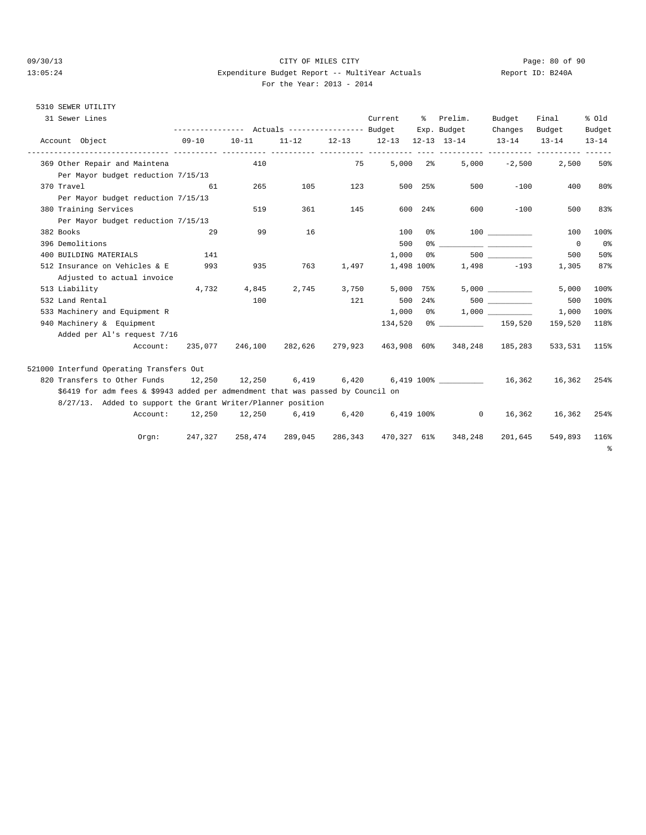#### 09/30/13 Page: 80 of 90 13:05:24 Expenditure Budget Report -- MultiYear Actuals Report ID: B240A For the Year: 2013 - 2014

## 5310 SEWER UTILITY

| 31 Sewer Lines                                                                  |           |                     | --------------- Actuals ---------------- Budget |       | Current | ႜ          | Prelim.<br>Exp. Budget              | Budget<br>Changes | Final<br>Budget | % old<br>Budget |
|---------------------------------------------------------------------------------|-----------|---------------------|-------------------------------------------------|-------|---------|------------|-------------------------------------|-------------------|-----------------|-----------------|
|                                                                                 | $09 - 10$ |                     |                                                 |       |         |            |                                     |                   |                 |                 |
| Account Object                                                                  |           | $10 - 11$           | $11 - 12$                                       |       |         |            | 12-13 12-13 12-13 13-14 13-14       |                   | $13 - 14$       | $13 - 14$       |
| 369 Other Repair and Maintena                                                   |           | 410                 |                                                 | 75    |         | $5,000$ 2% |                                     | $5,000 -2,500$    | 2,500           | 50%             |
| Per Mayor budget reduction 7/15/13                                              |           |                     |                                                 |       |         |            |                                     |                   |                 |                 |
| 370 Travel                                                                      | 61        | 265                 | 105                                             | 123   |         | 500 25%    | 500                                 | $-100$            | 400             | 80%             |
| Per Mayor budget reduction 7/15/13                                              |           |                     |                                                 |       |         |            |                                     |                   |                 |                 |
| 380 Training Services                                                           |           | 519                 | 361                                             | 145   | 600     | 24%        | 600                                 | $-100$            | 500             | 83%             |
| Per Mayor budget reduction 7/15/13                                              |           |                     |                                                 |       |         |            |                                     |                   |                 |                 |
| 382 Books                                                                       | 29        | 99                  | 16                                              |       | 100     |            | $0\%$ 100                           |                   | 100             | 100%            |
| 396 Demolitions                                                                 |           |                     |                                                 |       | 500     |            |                                     |                   | $\overline{0}$  | 0%              |
| 400 BUILDING MATERIALS                                                          | 141       |                     |                                                 |       | 1,000   | 0 %        |                                     | 500 000           | 500             | 50%             |
| 512 Insurance on Vehicles & E                                                   | 993       | 935                 | 763                                             | 1,497 |         |            | 1,498 100% 1,498 -193               |                   | 1,305           | 87%             |
| Adjusted to actual invoice                                                      |           |                     |                                                 |       |         |            |                                     |                   |                 |                 |
| 513 Liability                                                                   | 4,732     | 4,845               | 2,745                                           | 3,750 |         | 5,000 75%  |                                     |                   | 5,000           | 100%            |
| 532 Land Rental                                                                 |           | 100                 |                                                 | 121   |         |            | 500 24%                             | 500 000           | 500             | 100%            |
| 533 Machinery and Equipment R                                                   |           |                     |                                                 |       |         |            | $1,000$ 0% 1,000                    |                   | 1,000           | 100%            |
| 940 Machinery & Equipment                                                       |           |                     |                                                 |       |         |            | 134,520 0% 159,520                  |                   | 159,520         | 118%            |
| Added per Al's request 7/16                                                     |           |                     |                                                 |       |         |            |                                     |                   |                 |                 |
| Account:                                                                        |           | 235,077 246,100     |                                                 |       |         |            | 282,626 279,923 463,908 60% 348,248 | 185,283           | 533,531         | 115%            |
| 521000 Interfund Operating Transfers Out                                        |           |                     |                                                 |       |         |            |                                     |                   |                 |                 |
| 820 Transfers to Other Funds 12,250 12,250 6,419 6,420                          |           |                     |                                                 |       |         |            | 6,419 100% 16,362                   |                   | 16,362          | 254%            |
| \$6419 for adm fees & \$9943 added per admendment that was passed by Council on |           |                     |                                                 |       |         |            |                                     |                   |                 |                 |
| 8/27/13. Added to support the Grant Writer/Planner position                     |           |                     |                                                 |       |         |            |                                     |                   |                 |                 |
|                                                                                 |           |                     |                                                 |       |         |            |                                     |                   |                 |                 |
| Account:                                                                        |           | 12,250 12,250 6,419 |                                                 | 6,420 |         |            | $6,419$ $100\%$<br>$\circ$          | 16,362            | 16,362          | 254%            |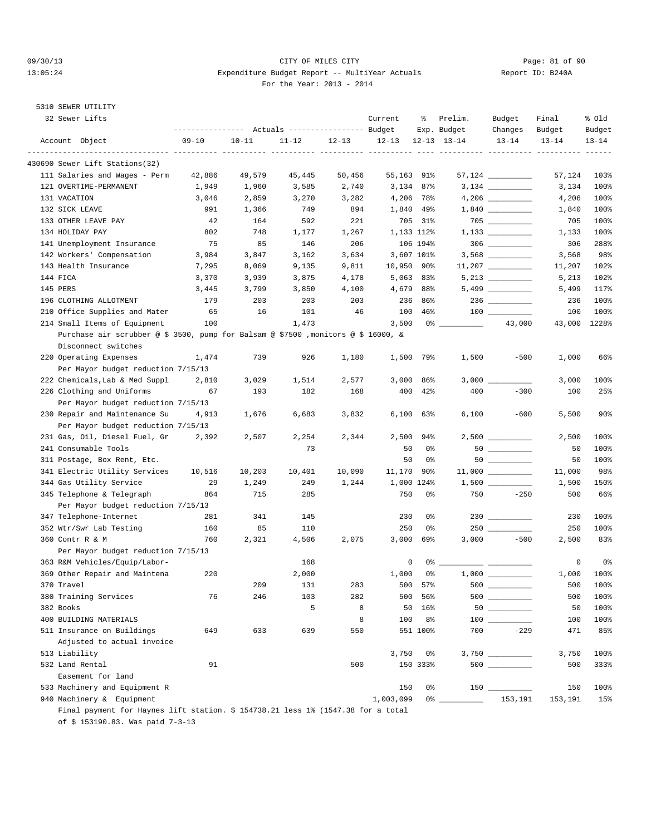#### 09/30/13 Page: 81 of 90 13:05:24 Expenditure Budget Report -- MultiYear Actuals Report ID: B240A For the Year: 2013 - 2014

# 5310 SEWER UTILITY

| 32 Sewer Lifts                                                                    | ---------------- |           | Actuals ----------------- Budget |           | Current    | ွေ             | Prelim.<br>Exp. Budget | Budget<br>Changes  | Final<br>Budget | % old<br>Budget |
|-----------------------------------------------------------------------------------|------------------|-----------|----------------------------------|-----------|------------|----------------|------------------------|--------------------|-----------------|-----------------|
| Account Object                                                                    | $09 - 10$        | $10 - 11$ | $11 - 12$                        | $12 - 13$ | $12 - 13$  |                | $12 - 13$ $13 - 14$    | $13 - 14$          | $13 - 14$       | $13 - 14$       |
| 430690 Sewer Lift Stations(32)                                                    |                  |           |                                  |           |            |                |                        |                    |                 |                 |
| 111 Salaries and Wages - Perm                                                     | 42,886           | 49,579    | 45,445                           | 50,456    | 55,163 91% |                |                        |                    | 57,124          | 103%            |
| 121 OVERTIME-PERMANENT                                                            | 1,949            | 1,960     | 3,585                            | 2,740     |            | 3,134 87%      |                        |                    | 3,134           | 100%            |
| 131 VACATION                                                                      | 3,046            | 2,859     | 3,270                            | 3,282     |            | 4,206 78%      |                        |                    | 4,206           | 100%            |
| 132 SICK LEAVE                                                                    | 991              | 1,366     | 749                              | 894       |            | 1,840 49%      |                        |                    | 1,840           | 100%            |
| 133 OTHER LEAVE PAY                                                               | 42               | 164       | 592                              | 221       |            | 705 31%        |                        | $705$ __________   | 705             | 100%            |
| 134 HOLIDAY PAY                                                                   | 802              | 748       | 1,177                            | 1,267     |            | 1,133 112%     |                        |                    | 1,133           | 100%            |
| 141 Unemployment Insurance                                                        | 75               | 85        | 146                              | 206       |            | 106 194%       |                        |                    | 306             | 288%            |
| 142 Workers' Compensation                                                         | 3,984            | 3,847     | 3,162                            | 3,634     |            | 3,607 101%     |                        |                    | 3,568           | 98%             |
| 143 Health Insurance                                                              | 7,295            | 8,069     | 9,135                            | 9,811     | 10,950 90% |                |                        |                    | 11,207          | 102%            |
| 144 FICA                                                                          | 3,370            | 3,939     | 3,875                            | 4,178     |            | $5,063$ 83%    |                        |                    | 5,213           | 102%            |
| 145 PERS                                                                          | 3,445            | 3,799     | 3,850                            | 4,100     |            | 4,679 88%      |                        |                    | 5,499           | 117%            |
| 196 CLOTHING ALLOTMENT                                                            | 179              | 203       | 203                              | 203       | 236        | 86%            |                        |                    | 236             | 100%            |
| 210 Office Supplies and Mater                                                     | 65               | 16        | 101                              | 46        | 100        | 46%            |                        |                    | 100             | 100%            |
| 214 Small Items of Equipment                                                      | 100              |           | 1,473                            |           | 3,500      |                |                        | 43,000             | 43,000          | 1228%           |
| Purchase air scrubber @ \$ 3500, pump for Balsam @ \$7500 ,monitors @ \$ 16000, & |                  |           |                                  |           |            |                |                        |                    |                 |                 |
| Disconnect switches                                                               |                  |           |                                  |           |            |                |                        |                    |                 |                 |
| 220 Operating Expenses                                                            | 1,474            | 739       | 926                              | 1,180     |            | 1,500 79%      | 1,500                  | $-500$             | 1,000           | 66%             |
| Per Mayor budget reduction 7/15/13                                                |                  |           |                                  |           |            |                |                        |                    |                 |                 |
| 222 Chemicals, Lab & Med Suppl                                                    | 2,810            | 3,029     | 1,514                            | 2,577     | 3,000      | 86%            |                        |                    | 3,000           | 100%            |
| 226 Clothing and Uniforms                                                         | 67               | 193       | 182                              | 168       | 400        | $42\%$         | 400                    | $-300$             | 100             | 25%             |
| Per Mayor budget reduction 7/15/13                                                |                  |           |                                  |           |            |                |                        |                    |                 |                 |
| 230 Repair and Maintenance Su                                                     | 4,913            | 1,676     | 6,683                            | 3,832     |            | $6,100$ $63\%$ | 6,100                  | $-600$             | 5,500           | 90%             |
| Per Mayor budget reduction 7/15/13                                                |                  |           |                                  |           |            |                |                        |                    |                 |                 |
| 231 Gas, Oil, Diesel Fuel, Gr                                                     | 2,392            | 2,507     | 2,254                            | 2,344     | 2,500      | 94%            |                        |                    | 2,500           | 100%            |
| 241 Consumable Tools                                                              |                  |           | 73                               |           | 50         | 0%             |                        |                    | 50              | 100%            |
| 311 Postage, Box Rent, Etc.                                                       |                  |           |                                  |           | 50         | 0%             |                        |                    | 50              | 100%            |
| 341 Electric Utility Services                                                     | 10,516           | 10,203    | 10,401                           | 10,090    | 11,170     | 90%            |                        | $11,000$ _________ | 11,000          | 98%             |
| 344 Gas Utility Service                                                           | 29               | 1,249     | 249                              | 1,244     |            | 1,000 124%     |                        |                    | 1,500           | 150%            |
| 345 Telephone & Telegraph                                                         | 864              | 715       | 285                              |           | 750        | 0%             | 750                    | $-250$             | 500             | 66%             |
| Per Mayor budget reduction 7/15/13                                                |                  |           |                                  |           |            |                |                        |                    |                 |                 |
| 347 Telephone-Internet                                                            | 281              | 341       | 145                              |           | 230        | 0%             |                        | $230$ _________    | 230             | 100%            |
| 352 Wtr/Swr Lab Testing                                                           | 160              | 85        | 110                              |           | 250        | 0%             |                        |                    | 250             | 100%            |
| 360 Contr R & M                                                                   | 760              | 2,321     | 4,506                            | 2,075     | 3,000      | 69%            | 3,000                  | $-500$             | 2,500           | 83%             |
| Per Mayor budget reduction 7/15/13                                                |                  |           |                                  |           |            |                |                        |                    |                 |                 |
| 363 R&M Vehicles/Equip/Labor-                                                     |                  |           | 168                              |           | 0          | 0%             |                        |                    | 0               | 0 <sub>8</sub>  |
| 369 Other Repair and Maintena                                                     | 220              |           | 2,000                            |           | 1,000      | 0%             |                        |                    | 1,000           | 100%            |
| 370 Travel                                                                        |                  | 209       | 131                              | 283       | 500        | 57%            |                        |                    | 500             | 100%            |
| 380 Training Services                                                             | 76               | 246       | 103                              | 282       | 500        | 56%            |                        |                    | 500             | 100%            |
| 382 Books                                                                         |                  |           | 5                                | 8         | 50         | 16%            |                        | $50$               | 50              | 100%            |
| 400 BUILDING MATERIALS                                                            |                  |           |                                  | 8         | 100        | 8%             |                        | 100 000            | 100             | 100%            |
| 511 Insurance on Buildings                                                        | 649              | 633       | 639                              | 550       |            | 551 100%       | 700                    | $-229$             | 471             | 85%             |
| Adjusted to actual invoice                                                        |                  |           |                                  |           |            |                |                        |                    |                 |                 |
|                                                                                   |                  |           |                                  |           |            |                |                        |                    |                 | 100%            |
| 513 Liability<br>532 Land Rental                                                  | 91               |           |                                  | 500       | 3,750      | 0%<br>150 333% |                        | 500 _________      | 3,750<br>500    | 333%            |
| Easement for land                                                                 |                  |           |                                  |           |            |                |                        |                    |                 |                 |
|                                                                                   |                  |           |                                  |           | 150        | 0%             |                        |                    | 150             |                 |
| 533 Machinery and Equipment R<br>940 Machinery & Equipment                        |                  |           |                                  |           | 1,003,099  | $0\%$ $-$      |                        | 153,191            | 153,191         | 100%<br>15%     |
|                                                                                   |                  |           |                                  |           |            |                |                        |                    |                 |                 |

 Final payment for Haynes lift station. \$ 154738.21 less 1% (1547.38 for a total of \$ 153190.83. Was paid 7-3-13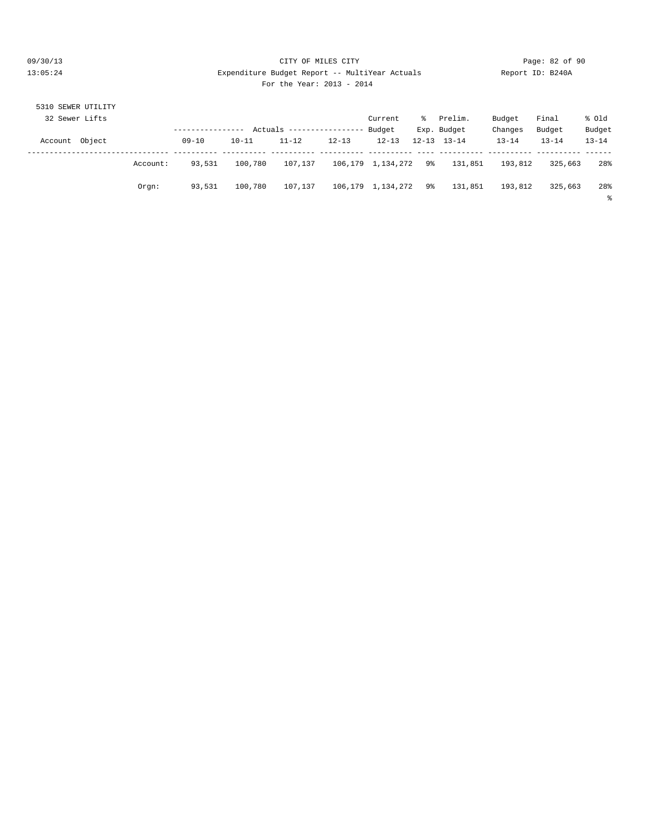#### 09/30/13 Page: 82 of 90 13:05:24 Expenditure Budget Report -- MultiYear Actuals Report ID: B240A For the Year: 2013 - 2014

| 5310 SEWER UTILITY |          |           |           |                            |           |                      |    |                     |           |           |           |
|--------------------|----------|-----------|-----------|----------------------------|-----------|----------------------|----|---------------------|-----------|-----------|-----------|
| 32 Sewer Lifts     |          |           |           |                            |           | Current              | ွေ | Prelim.             | Budget    | Final     | % old     |
|                    |          |           |           | Actuals ------------------ |           | Budget               |    | Exp. Budget         | Changes   | Budget    | Budget    |
| Object<br>Account  |          | $09 - 10$ | $10 - 11$ | $11 - 12$                  | $12 - 13$ | $12 - 13$            |    | $12 - 13$ $13 - 14$ | $13 - 14$ | $13 - 14$ | $13 - 14$ |
|                    | Account: | 93,531    | 100,780   | 107,137                    |           | 106, 179 1, 134, 272 | 9% | 131,851             | 193,812   | 325,663   | 28%       |
|                    | Orem:    | 93,531    | 100,780   | 107,137                    |           | 106, 179 1, 134, 272 | 9% | 131,851             | 193,812   | 325,663   | 28%<br>ま  |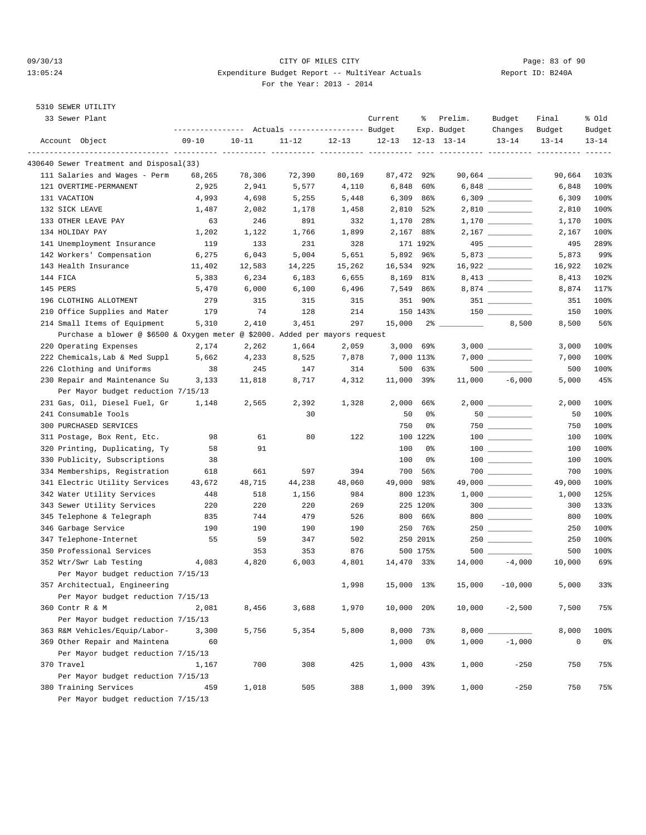#### 09/30/13 CITY OF MILES CITY Page: 83 of 90 13:05:24 Expenditure Budget Report -- MultiYear Actuals Report ID: B240A For the Year: 2013 - 2014

# 5310 SEWER UTILITY

| 33 Sewer Plant                                                               |           |           |           |        | Current    | ႜ              | Prelim.<br>Exp. Budget | Budget<br>Changes                       | Final<br>Budget | % old<br>Budget |
|------------------------------------------------------------------------------|-----------|-----------|-----------|--------|------------|----------------|------------------------|-----------------------------------------|-----------------|-----------------|
| Account Object                                                               | $09 - 10$ | $10 - 11$ | $11 - 12$ | 12-13  | $12 - 13$  |                | $12 - 13$ $13 - 14$    | $13 - 14$                               | $13 - 14$       | $13 - 14$       |
|                                                                              |           |           |           |        |            |                |                        |                                         |                 | $- - - - - -$   |
| 430640 Sewer Treatment and Disposal(33)                                      |           |           |           |        |            |                |                        |                                         |                 |                 |
| 111 Salaries and Wages - Perm                                                | 68,265    | 78,306    | 72,390    | 80,169 | 87,472 92% |                |                        |                                         | 90,664          | 103%            |
| 121 OVERTIME-PERMANENT                                                       | 2,925     | 2,941     | 5,577     | 4,110  | 6,848      | 60%            |                        | $6,848$ _____________                   | 6,848           | 100%            |
| 131 VACATION                                                                 | 4,993     | 4,698     | 5,255     | 5,448  |            | $6,309$ $86\%$ |                        |                                         | 6,309           | 100%            |
| 132 SICK LEAVE                                                               | 1,487     | 2,082     | 1,178     | 1,458  | 2,810      | 52%            |                        |                                         | 2,810           | 100%            |
| 133 OTHER LEAVE PAY                                                          | 63        | 246       | 891       | 332    | 1,170      | 28%            |                        |                                         | 1,170           | 100%            |
| 134 HOLIDAY PAY                                                              | 1,202     | 1,122     | 1,766     | 1,899  |            | 2,167 88%      |                        |                                         | 2,167           | 100%            |
| 141 Unemployment Insurance                                                   | 119       | 133       | 231       | 328    |            | 171 192%       |                        | 495                                     | 495             | 289%            |
| 142 Workers' Compensation                                                    | 6,275     | 6,043     | 5,004     | 5,651  |            | 5,892 96%      |                        | 5,873                                   | 5,873           | 99%             |
| 143 Health Insurance                                                         | 11,402    | 12,583    | 14,225    | 15,262 | 16,534 92% |                |                        |                                         | 16,922          | 102%            |
| 144 FICA                                                                     | 5,383     | 6,234     | 6,183     | 6,655  | 8,169      | 81%            |                        |                                         | 8,413           | 102%            |
| 145 PERS                                                                     | 5,470     | 6,000     | 6,100     | 6,496  |            | 7,549 86%      |                        |                                         | 8,874           | 117%            |
| 196 CLOTHING ALLOTMENT                                                       | 279       | 315       | 315       | 315    |            | 351 90%        |                        | $351$ __________                        | 351             | 100%            |
| 210 Office Supplies and Mater                                                | 179       | 74        | 128       | 214    |            | 150 143%       |                        |                                         | 150             | 100%            |
| 214 Small Items of Equipment                                                 | 5,310     | 2,410     | 3,451     | 297    | 15,000     |                | <b>Communication</b>   | 8,500                                   | 8,500           | 56%             |
| Purchase a blower @ \$6500 & Oxygen meter @ \$2000. Added per mayors request |           |           |           |        |            |                |                        |                                         |                 |                 |
| 220 Operating Expenses                                                       | 2,174     | 2,262     | 1,664     | 2,059  |            | $3,000$ 69%    |                        |                                         | 3,000           | 100%            |
| 222 Chemicals, Lab & Med Suppl                                               | 5,662     | 4,233     | 8,525     | 7,878  |            | 7,000 113%     |                        |                                         | 7,000           | 100%            |
| 226 Clothing and Uniforms                                                    | 38        | 245       | 147       | 314    | 500        | 63%            |                        |                                         | 500             | 100%            |
| 230 Repair and Maintenance Su                                                | 3,133     | 11,818    | 8,717     | 4,312  | 11,000 39% |                | 11,000                 | $-6,000$                                | 5,000           | 45%             |
| Per Mayor budget reduction 7/15/13                                           |           |           |           |        |            |                |                        |                                         |                 |                 |
| 231 Gas, Oil, Diesel Fuel, Gr                                                | 1,148     | 2,565     | 2,392     | 1,328  | 2,000      | 66%            |                        |                                         | 2,000           | 100%            |
| 241 Consumable Tools                                                         |           |           | 30        |        | 50         | 0%             |                        | $50$                                    | 50              | 100%            |
| 300 PURCHASED SERVICES                                                       |           |           |           |        | 750        | 0%             |                        |                                         | 750             | 100%            |
| 311 Postage, Box Rent, Etc.                                                  | 98        | 61        | 80        | 122    |            | 100 122%       |                        |                                         | 100             | 100%            |
| 320 Printing, Duplicating, Ty                                                | 58        | 91        |           |        | 100        | 0%             |                        |                                         | 100             | 100%            |
| 330 Publicity, Subscriptions                                                 | 38        |           |           |        | 100        | 0%             |                        | $\begin{array}{c} 100 \\ - \end{array}$ | 100             | 100%            |
| 334 Memberships, Registration                                                | 618       | 661       | 597       | 394    | 700        | 56%            |                        | $700$ __________                        | 700             | 100%            |
| 341 Electric Utility Services                                                | 43,672    | 48,715    | 44,238    | 48,060 | 49,000     | 98%            |                        |                                         | 49,000          | 100%            |
| 342 Water Utility Services                                                   | 448       | 518       | 1,156     | 984    |            | 800 123%       |                        |                                         | 1,000           | 125%            |
| 343 Sewer Utility Services                                                   | 220       | 220       | 220       | 269    |            | 225 120%       |                        | $300$                                   | 300             | 133%            |
| 345 Telephone & Telegraph                                                    | 835       | 744       | 479       | 526    |            | 800 66%        |                        | 800                                     | 800             | 100%            |
| 346 Garbage Service                                                          | 190       | 190       | 190       | 190    | 250        | 76%            |                        |                                         | 250             | 100%            |
| 347 Telephone-Internet                                                       | 55        | 59        | 347       | 502    |            | 250 201%       |                        |                                         | 250             | 100%            |
| 350 Professional Services                                                    |           | 353       | 353       | 876    |            | 500 175%       |                        |                                         | 500             | 100%            |
| 352 Wtr/Swr Lab Testing                                                      | 4,083     | 4,820     | 6,003     | 4,801  | 14,470 33% |                | 14,000                 | $-4,000$                                | 10,000          | 69%             |
| Per Mayor budget reduction 7/15/13                                           |           |           |           |        |            |                |                        |                                         |                 |                 |
| 357 Architectual, Engineering                                                |           |           |           | 1,998  | 15,000     | $13\%$         | 15,000                 | $-10,000$                               | 5,000           | 33%             |
| Per Mayor budget reduction 7/15/13                                           |           |           |           |        |            |                |                        |                                         |                 |                 |
| 360 Contr R & M                                                              | 2,081     | 8,456     | 3,688     | 1,970  | 10,000     | 20%            | 10,000                 | $-2,500$                                | 7,500           | 75%             |
| Per Mayor budget reduction 7/15/13                                           |           |           |           |        |            |                |                        |                                         |                 |                 |
| 363 R&M Vehicles/Equip/Labor-                                                | 3,300     | 5,756     | 5,354     | 5,800  | 8,000      | 73%            | 8,000                  |                                         | 8,000           | 100%            |
| 369 Other Repair and Maintena                                                | 60        |           |           |        | 1,000      | 0%             | 1,000                  | $-1,000$                                | $\mathsf 0$     | 0%              |
| Per Mayor budget reduction 7/15/13                                           |           |           |           |        |            |                |                        |                                         |                 |                 |
| 370 Travel                                                                   | 1,167     | 700       | 308       | 425    | 1,000      | 43%            | 1,000                  | $-250$                                  | 750             | 75%             |
| Per Mayor budget reduction 7/15/13                                           |           |           |           |        |            |                |                        |                                         |                 |                 |
| 380 Training Services                                                        | 459       | 1,018     | 505       | 388    |            | 1,000 39%      | 1,000                  | $-250$                                  | 750             | 75%             |
| Per Mayor budget reduction 7/15/13                                           |           |           |           |        |            |                |                        |                                         |                 |                 |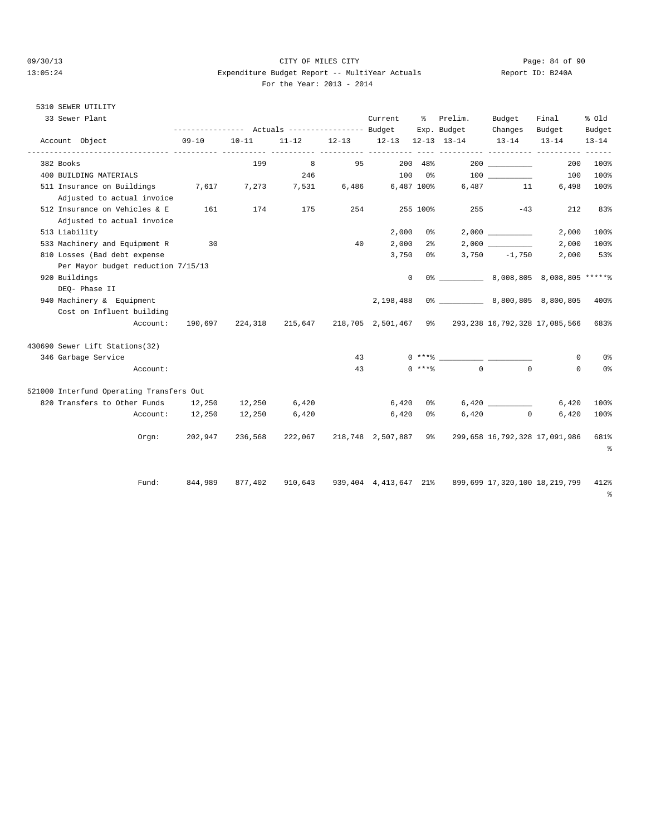#### 09/30/13 Page: 84 of 90 13:05:24 Expenditure Budget Report -- MultiYear Actuals Report ID: B240A For the Year: 2013 - 2014

### 5310 SEWER UTILITY

| 33 Sewer Plant                                                 |                 |           | --------------- Actuals ---------------- Budget |     | Current                 | ိ              | Prelim.<br>Exp. Budget                                                                                                                                                                                                                                                                                           | Budget<br>Changes | Final<br>Budget | % old<br>Budget |
|----------------------------------------------------------------|-----------------|-----------|-------------------------------------------------|-----|-------------------------|----------------|------------------------------------------------------------------------------------------------------------------------------------------------------------------------------------------------------------------------------------------------------------------------------------------------------------------|-------------------|-----------------|-----------------|
| Account Object                                                 | $09 - 10$       | $10 - 11$ | $11 - 12$                                       |     | 12-13 12-13 12-13 13-14 |                |                                                                                                                                                                                                                                                                                                                  | $13 - 14$         | $13 - 14$       | $13 - 14$       |
| 382 Books                                                      |                 | 199       | 8                                               | 95  | ----------- ----------  | 200 48%        |                                                                                                                                                                                                                                                                                                                  | 200               | 200             | 100%            |
| 400 BUILDING MATERIALS                                         |                 |           | 246                                             |     | $100$ 0%                |                |                                                                                                                                                                                                                                                                                                                  | 100 000           | 100             | 100%            |
| 511 Insurance on Buildings 7,617<br>Adjusted to actual invoice |                 | 7,273     | 7,531                                           |     | 6,486 6,487 100%        |                |                                                                                                                                                                                                                                                                                                                  | 6,487 11          | 6,498           | 100%            |
| 512 Insurance on Vehicles & E<br>Adjusted to actual invoice    | 161             | 174       | 175                                             | 254 |                         | 255 100%       |                                                                                                                                                                                                                                                                                                                  | 255 7<br>$-43$    | 212             | 83%             |
| 513 Liability                                                  |                 |           |                                                 |     | 2,000                   | 0 %            |                                                                                                                                                                                                                                                                                                                  | 2,000             | 2,000           | 100%            |
| 533 Machinery and Equipment R                                  | 30              |           |                                                 | 40  | 2,000                   | 2 <sup>°</sup> |                                                                                                                                                                                                                                                                                                                  |                   | 2,000           | 100%            |
| 810 Losses (Bad debt expense                                   |                 |           |                                                 |     |                         | $3,750$ 0%     |                                                                                                                                                                                                                                                                                                                  | $3,750 -1,750$    | 2,000           | 53%             |
| Per Mayor budget reduction 7/15/13                             |                 |           |                                                 |     |                         |                |                                                                                                                                                                                                                                                                                                                  |                   |                 |                 |
| 920 Buildings                                                  |                 |           |                                                 |     | 0                       |                | 0% 8,008,805 8,008,805 ******                                                                                                                                                                                                                                                                                    |                   |                 |                 |
| DEO- Phase II                                                  |                 |           |                                                 |     |                         |                |                                                                                                                                                                                                                                                                                                                  |                   |                 |                 |
| 940 Machinery & Equipment<br>Cost on Influent building         |                 |           |                                                 |     | 2,198,488               |                |                                                                                                                                                                                                                                                                                                                  |                   |                 | 400%            |
| Account:                                                       |                 |           |                                                 |     |                         |                | 190,697 224,318 215,647 218,705 2,501,467 9% 293,238 16,792,328 17,085,566                                                                                                                                                                                                                                       |                   |                 | 683%            |
| 430690 Sewer Lift Stations(32)                                 |                 |           |                                                 |     |                         |                |                                                                                                                                                                                                                                                                                                                  |                   |                 |                 |
| 346 Garbage Service                                            |                 |           |                                                 | 43  |                         |                | $0***$ $\frac{20}{10}$ $\frac{1}{20}$ $\frac{1}{20}$ $\frac{1}{20}$ $\frac{1}{20}$ $\frac{1}{20}$ $\frac{1}{20}$ $\frac{1}{20}$ $\frac{1}{20}$ $\frac{1}{20}$ $\frac{1}{20}$ $\frac{1}{20}$ $\frac{1}{20}$ $\frac{1}{20}$ $\frac{1}{20}$ $\frac{1}{20}$ $\frac{1}{20}$ $\frac{1}{20}$ $\frac{1}{20}$ $\frac{1}{$ |                   | $^{\circ}$      | 0 <sup>8</sup>  |
| Account:                                                       |                 |           |                                                 | 43  |                         | $0$ ****       | $\overline{0}$                                                                                                                                                                                                                                                                                                   | $\Omega$          | $\Omega$        | 0%              |
| 521000 Interfund Operating Transfers Out                       |                 |           |                                                 |     |                         |                |                                                                                                                                                                                                                                                                                                                  |                   |                 |                 |
| 820 Transfers to Other Funds 12,250                            |                 | 12,250    | 6,420                                           |     | 6,420                   |                | 0 왕 10 개                                                                                                                                                                                                                                                                                                         |                   | 6,420           | 100%            |
|                                                                | Account: 12,250 | 12,250    | 6,420                                           |     | 6,420                   | 0 %            | 6,420                                                                                                                                                                                                                                                                                                            | $\sim$ 0 $\sim$   | 6,420           | 100%            |
| Orem:                                                          | 202,947         | 236,568   |                                                 |     |                         |                | 222,067 218,748 2,507,887 9% 299,658 16,792,328 17,091,986                                                                                                                                                                                                                                                       |                   |                 | 681%<br>နွ      |
| Fund:                                                          | 844,989         | 877,402   |                                                 |     |                         |                | 910,643 939,404 4,413,647 21% 899,699 17,320,100 18,219,799 412%                                                                                                                                                                                                                                                 |                   |                 | န္              |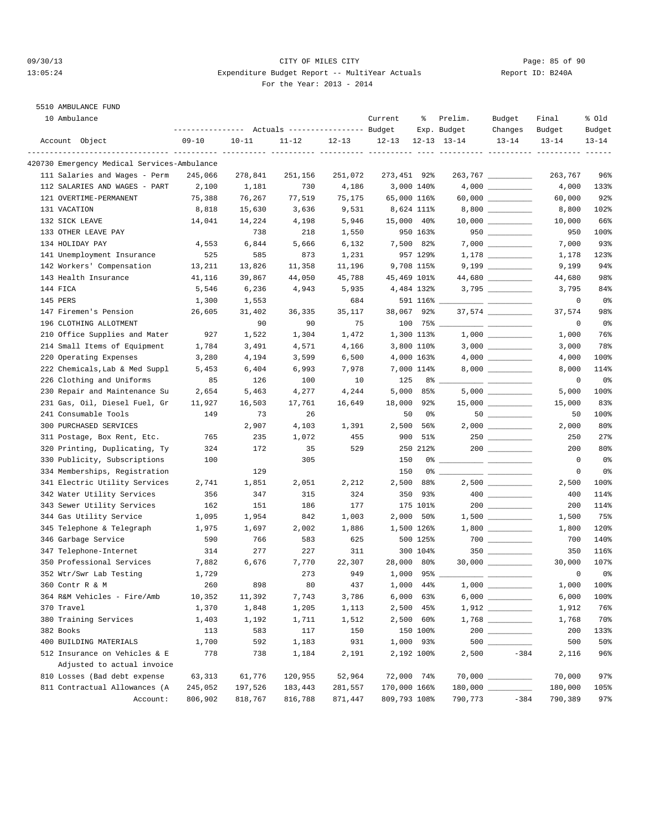#### 09/30/13 Page: 85 of 90 13:05:24 Expenditure Budget Report -- MultiYear Actuals Report ID: B240A For the Year: 2013 - 2014

### 5510 AMBULANCE FUND

| 10 Ambulance                                |           |           | --------------- Actuals ---------------- Budget |           | Current      | ႜ                | Prelim.<br>Exp. Budget      | Budget<br>Changes                                                                                                                                                                                                                                                                                                                                                                                                                                                          | Final<br>Budget | % old<br>Budget |
|---------------------------------------------|-----------|-----------|-------------------------------------------------|-----------|--------------|------------------|-----------------------------|----------------------------------------------------------------------------------------------------------------------------------------------------------------------------------------------------------------------------------------------------------------------------------------------------------------------------------------------------------------------------------------------------------------------------------------------------------------------------|-----------------|-----------------|
| Account Object                              | $09 - 10$ | $10 - 11$ | $11 - 12$                                       | $12 - 13$ | $12 - 13$    |                  | $12 - 13$ $13 - 14$         | $13 - 14$                                                                                                                                                                                                                                                                                                                                                                                                                                                                  | $13 - 14$       | $13 - 14$       |
| 420730 Emergency Medical Services-Ambulance |           |           |                                                 |           |              |                  | ---------- ---------- ----- |                                                                                                                                                                                                                                                                                                                                                                                                                                                                            |                 |                 |
| 111 Salaries and Wages - Perm               | 245,066   | 278,841   | 251,156                                         | 251,072   | 273,451 92%  |                  |                             | $263,767$ ___________                                                                                                                                                                                                                                                                                                                                                                                                                                                      | 263,767         | 96%             |
| 112 SALARIES AND WAGES - PART               | 2,100     | 1,181     | 730                                             | 4,186     |              | 3,000 140%       |                             |                                                                                                                                                                                                                                                                                                                                                                                                                                                                            | 4,000           | 133%            |
| 121 OVERTIME-PERMANENT                      | 75,388    | 76,267    | 77,519                                          | 75,175    | 65,000 116%  |                  |                             |                                                                                                                                                                                                                                                                                                                                                                                                                                                                            | 60,000          | 92%             |
| 131 VACATION                                | 8,818     | 15,630    | 3,636                                           | 9,531     |              | 8,624 111%       |                             | 8,800 _________                                                                                                                                                                                                                                                                                                                                                                                                                                                            | 8,800           | 102%            |
| 132 SICK LEAVE                              | 14,041    | 14,224    | 4,198                                           | 5,946     | 15,000 40%   |                  |                             |                                                                                                                                                                                                                                                                                                                                                                                                                                                                            | 10,000          | 66%             |
| 133 OTHER LEAVE PAY                         |           | 738       | 218                                             | 1,550     |              | 950 163%         |                             |                                                                                                                                                                                                                                                                                                                                                                                                                                                                            | 950             | 100%            |
| 134 HOLIDAY PAY                             | 4,553     | 6,844     | 5,666                                           | 6,132     |              | 7,500 82%        |                             |                                                                                                                                                                                                                                                                                                                                                                                                                                                                            | 7,000           | 93%             |
| 141 Unemployment Insurance                  | 525       | 585       | 873                                             | 1,231     |              | 957 129%         |                             |                                                                                                                                                                                                                                                                                                                                                                                                                                                                            | 1,178           | 123%            |
| 142 Workers' Compensation                   | 13,211    | 13,826    | 11,358                                          | 11,196    |              | 9,708 115%       |                             | $9,199$ ___________                                                                                                                                                                                                                                                                                                                                                                                                                                                        | 9,199           | 94%             |
| 143 Health Insurance                        | 41,116    | 39,867    | 44,050                                          | 45,788    | 45,469 101%  |                  |                             |                                                                                                                                                                                                                                                                                                                                                                                                                                                                            | 44,680          | 98%             |
| 144 FICA                                    | 5,546     | 6,236     | 4,943                                           | 5,935     |              | 4,484 132%       |                             | $3,795$ __________                                                                                                                                                                                                                                                                                                                                                                                                                                                         | 3,795           | 84%             |
| 145 PERS                                    | 1,300     | 1,553     |                                                 | 684       |              | $591\ 116$ $\_$  |                             |                                                                                                                                                                                                                                                                                                                                                                                                                                                                            | 0               | 0%              |
| 147 Firemen's Pension                       | 26,605    | 31,402    | 36,335                                          | 35,117    | 38,067 92%   |                  |                             |                                                                                                                                                                                                                                                                                                                                                                                                                                                                            | 37,574          | 98%             |
| 196 CLOTHING ALLOTMENT                      |           | 90        | 90                                              | 75        |              | $100$ 75% $\_$   |                             | $\frac{1}{2} \left( \frac{1}{2} \right) \left( \frac{1}{2} \right) \left( \frac{1}{2} \right) \left( \frac{1}{2} \right) \left( \frac{1}{2} \right) \left( \frac{1}{2} \right) \left( \frac{1}{2} \right) \left( \frac{1}{2} \right) \left( \frac{1}{2} \right) \left( \frac{1}{2} \right) \left( \frac{1}{2} \right) \left( \frac{1}{2} \right) \left( \frac{1}{2} \right) \left( \frac{1}{2} \right) \left( \frac{1}{2} \right) \left( \frac{1}{2} \right) \left( \frac$ | 0               | 0%              |
| 210 Office Supplies and Mater               | 927       | 1,522     | 1,304                                           | 1,472     |              | 1,300 113%       |                             |                                                                                                                                                                                                                                                                                                                                                                                                                                                                            | 1,000           | 76%             |
| 214 Small Items of Equipment                | 1,784     | 3,491     | 4,571                                           | 4,166     |              | 3,800 110%       |                             |                                                                                                                                                                                                                                                                                                                                                                                                                                                                            | 3,000           | 78%             |
| 220 Operating Expenses                      | 3,280     | 4,194     | 3,599                                           | 6,500     |              | 4,000 163%       |                             |                                                                                                                                                                                                                                                                                                                                                                                                                                                                            | 4,000           | 100%            |
| 222 Chemicals, Lab & Med Suppl              | 5,453     | 6,404     | 6,993                                           | 7,978     |              | 7,000 114%       |                             |                                                                                                                                                                                                                                                                                                                                                                                                                                                                            | 8,000           | 114%            |
| 226 Clothing and Uniforms                   | 85        | 126       | 100                                             | 10        | 125          |                  | $8\degree$ __               |                                                                                                                                                                                                                                                                                                                                                                                                                                                                            | 0               | 0%              |
| 230 Repair and Maintenance Su               | 2,654     | 5,463     | 4,277                                           | 4,244     | 5,000        | 85%              |                             |                                                                                                                                                                                                                                                                                                                                                                                                                                                                            | 5,000           | 100%            |
| 231 Gas, Oil, Diesel Fuel, Gr               | 11,927    | 16,503    | 17,761                                          | 16,649    | 18,000 92%   |                  |                             | $15,000$ __________                                                                                                                                                                                                                                                                                                                                                                                                                                                        | 15,000          | 83%             |
| 241 Consumable Tools                        | 149       | 73        | 26                                              |           | 50           | 0%               |                             | 50                                                                                                                                                                                                                                                                                                                                                                                                                                                                         | 50              | 100%            |
| 300 PURCHASED SERVICES                      |           | 2,907     | 4,103                                           | 1,391     |              | 2,500 56%        |                             |                                                                                                                                                                                                                                                                                                                                                                                                                                                                            | 2,000           | 80%             |
| 311 Postage, Box Rent, Etc.                 | 765       | 235       | 1,072                                           | 455       | 900          | 51%              |                             |                                                                                                                                                                                                                                                                                                                                                                                                                                                                            | 250             | 27%             |
| 320 Printing, Duplicating, Ty               | 324       | 172       | 35                                              | 529       |              | 250 212%         |                             |                                                                                                                                                                                                                                                                                                                                                                                                                                                                            | 200             | 80%             |
| 330 Publicity, Subscriptions                | 100       |           | 305                                             |           | 150          | 0%               |                             |                                                                                                                                                                                                                                                                                                                                                                                                                                                                            | 0               | 0 <sub>8</sub>  |
| 334 Memberships, Registration               |           | 129       |                                                 |           | 150          |                  |                             |                                                                                                                                                                                                                                                                                                                                                                                                                                                                            | 0               | 0 <sub>8</sub>  |
| 341 Electric Utility Services               | 2,741     | 1,851     | 2,051                                           | 2,212     | 2,500        | 88%              |                             |                                                                                                                                                                                                                                                                                                                                                                                                                                                                            | 2,500           | 100%            |
| 342 Water Utility Services                  | 356       | 347       | 315                                             | 324       | 350          | 93%              |                             |                                                                                                                                                                                                                                                                                                                                                                                                                                                                            | 400             | 114%            |
| 343 Sewer Utility Services                  | 162       | 151       | 186                                             | 177       |              | 175 101%         |                             |                                                                                                                                                                                                                                                                                                                                                                                                                                                                            | 200             | 114%            |
| 344 Gas Utility Service                     | 1,095     | 1,954     | 842                                             | 1,003     |              | $2,000$ 50%      |                             |                                                                                                                                                                                                                                                                                                                                                                                                                                                                            | 1,500           | 75%             |
| 345 Telephone & Telegraph                   | 1,975     | 1,697     | 2,002                                           | 1,886     |              | 1,500 126%       |                             |                                                                                                                                                                                                                                                                                                                                                                                                                                                                            | 1,800           | 120%            |
| 346 Garbage Service                         | 590       | 766       | 583                                             | 625       |              | 500 125%         |                             | $700$                                                                                                                                                                                                                                                                                                                                                                                                                                                                      | 700             | 140%            |
| 347 Telephone-Internet                      | 314       | 277       | 227                                             | 311       |              | 300 104%         |                             | 350                                                                                                                                                                                                                                                                                                                                                                                                                                                                        | 350             | 116%            |
| 350 Professional Services                   | 7,882     | 6,676     | 7,770                                           | 22,307    | 28,000 80%   |                  |                             | $30,000$ ___________                                                                                                                                                                                                                                                                                                                                                                                                                                                       | 30,000          | 107%            |
| 352 Wtr/Swr Lab Testing                     | 1,729     |           | 273                                             | 949       |              | $1,000$ 95% $\_$ |                             | $ -$                                                                                                                                                                                                                                                                                                                                                                                                                                                                       | $\mathbf 0$     | 0 <sub>8</sub>  |
| 360 Contr R & M                             | 260       | 898       | 80                                              | 437       | 1,000 44%    |                  | $1,000$ $\_$                |                                                                                                                                                                                                                                                                                                                                                                                                                                                                            | 1,000           | 100%            |
| 364 R&M Vehicles - Fire/Amb                 | 10,352    | 11,392    | 7,743                                           | 3,786     |              | $6,000$ $63\%$   |                             |                                                                                                                                                                                                                                                                                                                                                                                                                                                                            | 6,000           | 100%            |
| 370 Travel                                  | 1,370     | 1,848     | 1,205                                           | 1,113     |              | 2,500 45%        |                             |                                                                                                                                                                                                                                                                                                                                                                                                                                                                            | 1,912           | 76%             |
| 380 Training Services                       | 1,403     | 1,192     | 1,711                                           | 1,512     |              | 2,500 60%        |                             |                                                                                                                                                                                                                                                                                                                                                                                                                                                                            | 1,768           | 70%             |
| 382 Books                                   | 113       | 583       | 117                                             | 150       |              | 150 100%         |                             |                                                                                                                                                                                                                                                                                                                                                                                                                                                                            | 200             | 133%            |
| 400 BUILDING MATERIALS                      | 1,700     | 592       | 1,183                                           | 931       |              | 1,000 93%        |                             |                                                                                                                                                                                                                                                                                                                                                                                                                                                                            | 500             | 50%             |
| 512 Insurance on Vehicles & E               | 778       | 738       | 1,184                                           | 2,191     |              | 2,192 100%       | 2,500                       | $-384$                                                                                                                                                                                                                                                                                                                                                                                                                                                                     | 2,116           | 96%             |
| Adjusted to actual invoice                  |           |           |                                                 |           |              |                  |                             |                                                                                                                                                                                                                                                                                                                                                                                                                                                                            |                 |                 |
| 810 Losses (Bad debt expense                | 63,313    | 61,776    | 120,955                                         | 52,964    | 72,000 74%   |                  |                             |                                                                                                                                                                                                                                                                                                                                                                                                                                                                            | 70,000          | 97%             |
| 811 Contractual Allowances (A               | 245,052   | 197,526   | 183,443                                         | 281,557   | 170,000 166% |                  |                             |                                                                                                                                                                                                                                                                                                                                                                                                                                                                            | 180,000         | 105%            |
| Account:                                    | 806,902   | 818,767   | 816,788                                         | 871,447   | 809,793 108% |                  | 790,773                     | $-384$                                                                                                                                                                                                                                                                                                                                                                                                                                                                     | 790,389         | 97%             |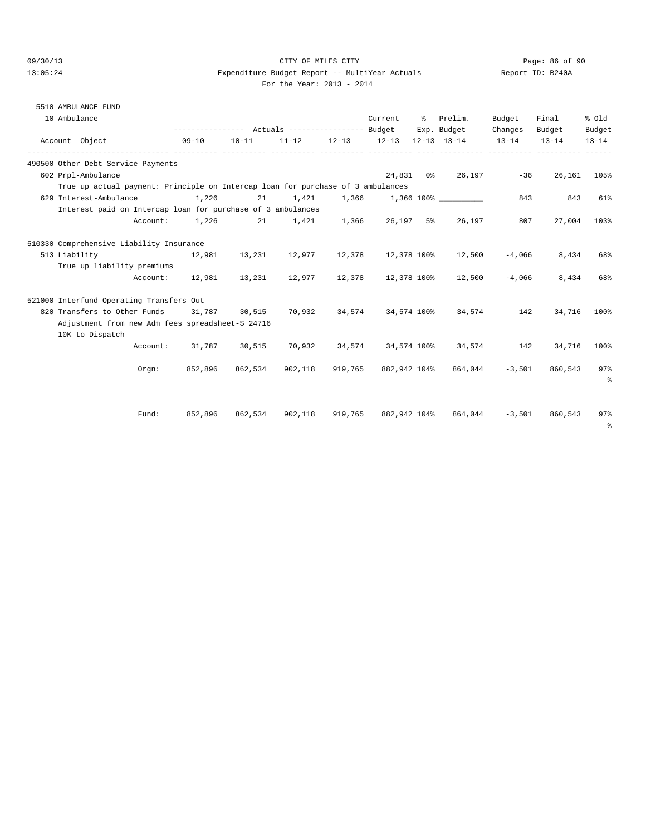#### 09/30/13 Page: 86 of 90<br>
Expenditure Budget Report -- MultiYear Actuals Report TD: B240A 13:05:24 Expenditure Budget Report -- MultiYear Actuals For the Year: 2013 - 2014

| 10001020 | <b>.</b> |
|----------|----------|
|          |          |
|          |          |
|          |          |

# 5510 AMBULANCE FUND

| 10 Ambulance                                                                    |          |           |                                    |                         | Current      | % Prelim.                                                   | Budget   | Final            | % old        |
|---------------------------------------------------------------------------------|----------|-----------|------------------------------------|-------------------------|--------------|-------------------------------------------------------------|----------|------------------|--------------|
|                                                                                 |          |           |                                    |                         |              | --------------- Actuals ---------------- Budget Exp. Budget | Changes  | Budget           | Budget       |
| Account Object                                                                  |          | $09 - 10$ | $10 - 11$                          |                         |              | $11-12$ $12-13$ $12-13$ $12-13$ $13-14$ $13-14$             |          | $13 - 14$        | $13 - 14$    |
| 490500 Other Debt Service Payments                                              |          |           |                                    |                         |              |                                                             |          |                  |              |
| 602 Prpl-Ambulance                                                              |          |           |                                    |                         |              | 24,831 0% 26,197 -36                                        |          |                  | 26, 161 105% |
| True up actual payment: Principle on Intercap loan for purchase of 3 ambulances |          |           |                                    |                         |              |                                                             |          |                  |              |
| 629 Interest-Ambulance                                                          |          | 1,226     |                                    |                         |              | 21 1,421 1,366 1,366 100%                                   | 843      | 843              | 61%          |
| Interest paid on Intercap loan for purchase of 3 ambulances                     |          |           |                                    |                         |              |                                                             |          |                  |              |
|                                                                                 | Account: |           | $1,226$ 21 $1,421$ 1,366 26,197 5% |                         |              | 26,197                                                      | 807      | 27,004           | 103%         |
| 510330 Comprehensive Liability Insurance                                        |          |           |                                    |                         |              |                                                             |          |                  |              |
| 513 Liability 12,981 13,231 12,977 12,378 12,378 100% 12,500                    |          |           |                                    |                         |              |                                                             | $-4,066$ | 8,434            | 68%          |
| True up liability premiums                                                      |          |           |                                    |                         |              |                                                             |          |                  |              |
|                                                                                 | Account: |           |                                    |                         |              | 12,981  13,231  12,977  12,378  12,378  100%  12,500        | $-4.066$ | 8,434            | 68%          |
| 521000 Interfund Operating Transfers Out                                        |          |           |                                    |                         |              |                                                             |          |                  |              |
| 820 Transfers to Other Funds 31,787 30,515 70,932                               |          |           |                                    |                         |              | 34,574 34,574 100% 34,574                                   | 142      | 34,716           | 100%         |
| Adjustment from new Adm fees spreadsheet-\$ 24716                               |          |           |                                    |                         |              |                                                             |          |                  |              |
| 10K to Dispatch                                                                 |          |           |                                    |                         |              |                                                             |          |                  |              |
|                                                                                 |          |           |                                    |                         |              | Account: 31,787 30,515 70,932 34,574 34,574 100% 34,574 142 |          | 34,716           | 100%         |
|                                                                                 | Orem:    | 852,896   | 862,534 902,118 919,765            |                         |              | 882,942 104% 864,044 -3,501                                 |          | 860,543          | 97%          |
|                                                                                 |          |           |                                    |                         |              |                                                             |          |                  | နွ           |
|                                                                                 |          |           |                                    |                         |              |                                                             |          |                  |              |
|                                                                                 | Fund:    | 852,896   |                                    | 862,534 902,118 919,765 | 882,942 104% | 864,044                                                     |          | $-3,501$ 860,543 | 97%          |
|                                                                                 |          |           |                                    |                         |              |                                                             |          |                  | နွ           |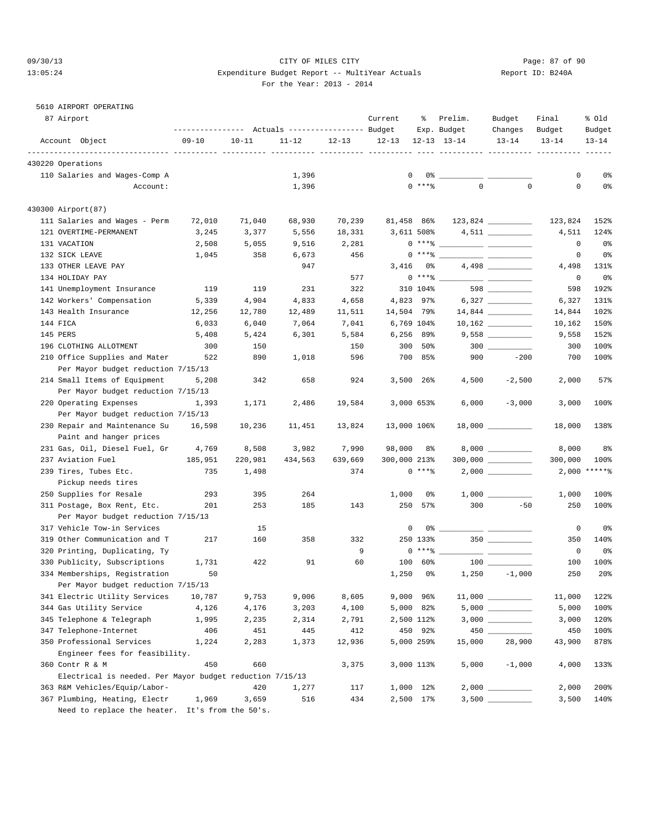#### 09/30/13 Page: 87 of 90 13:05:24 Expenditure Budget Report -- MultiYear Actuals Report ID: B240A For the Year: 2013 - 2014

#### 5610 AIRPORT OPERATING

| 87 Airport                                               | --------------- Actuals ---------------- Budget |           |           |           | Current        | ႜ          | Prelim.<br>Exp. Budget                                                                                                                                                                                                                                                                                                   | Budget<br>Changes | Final<br>Budget | % old<br>Budget |
|----------------------------------------------------------|-------------------------------------------------|-----------|-----------|-----------|----------------|------------|--------------------------------------------------------------------------------------------------------------------------------------------------------------------------------------------------------------------------------------------------------------------------------------------------------------------------|-------------------|-----------------|-----------------|
| Account Object                                           | $09 - 10$                                       | $10 - 11$ | $11 - 12$ | $12 - 13$ | $12 - 13$      |            | $12 - 13$ $13 - 14$                                                                                                                                                                                                                                                                                                      | $13 - 14$         | $13 - 14$       | $13 - 14$       |
|                                                          |                                                 |           |           |           |                |            |                                                                                                                                                                                                                                                                                                                          |                   |                 |                 |
| 430220 Operations                                        |                                                 |           |           |           |                |            |                                                                                                                                                                                                                                                                                                                          |                   |                 |                 |
| 110 Salaries and Wages-Comp A                            |                                                 |           | 1,396     |           | $\mathbf{0}$   |            |                                                                                                                                                                                                                                                                                                                          |                   | 0               | 0 <sub>8</sub>  |
| Account:                                                 |                                                 |           | 1,396     |           |                | $0$ ****   | $\Omega$                                                                                                                                                                                                                                                                                                                 | $\mathbf 0$       | $\mathbf 0$     | 0%              |
| 430300 Airport(87)                                       |                                                 |           |           |           |                |            |                                                                                                                                                                                                                                                                                                                          |                   |                 |                 |
| 111 Salaries and Wages - Perm                            | 72,010                                          | 71,040    | 68,930    | 70,239    | 81,458 86%     |            |                                                                                                                                                                                                                                                                                                                          |                   | 123,824         | 152%            |
| 121 OVERTIME-PERMANENT                                   | 3,245                                           | 3,377     | 5,556     | 18,331    | 3,611 508%     |            |                                                                                                                                                                                                                                                                                                                          |                   | 4,511           | 124%            |
| 131 VACATION                                             | 2,508                                           | 5,055     | 9,516     | 2,281     |                |            | $0***$ $\frac{20}{10}$                                                                                                                                                                                                                                                                                                   |                   | $\mathbf 0$     | 0%              |
| 132 SICK LEAVE                                           | 1,045                                           | 358       | 6,673     | 456       |                |            | $0***$ $\frac{1}{2}$ $\frac{1}{2}$ $\frac{1}{2}$ $\frac{1}{2}$ $\frac{1}{2}$ $\frac{1}{2}$ $\frac{1}{2}$ $\frac{1}{2}$ $\frac{1}{2}$ $\frac{1}{2}$ $\frac{1}{2}$ $\frac{1}{2}$ $\frac{1}{2}$ $\frac{1}{2}$ $\frac{1}{2}$ $\frac{1}{2}$ $\frac{1}{2}$ $\frac{1}{2}$ $\frac{1}{2}$ $\frac{1}{2}$ $\frac{1}{2}$ $\frac{1}{$ |                   | 0               | 0%              |
| 133 OTHER LEAVE PAY                                      |                                                 |           | 947       |           | 3,416          | 0%         |                                                                                                                                                                                                                                                                                                                          |                   | 4,498           | 131%            |
| 134 HOLIDAY PAY                                          |                                                 |           |           | 577       |                | $0***8$    |                                                                                                                                                                                                                                                                                                                          |                   | 0               | 0%              |
| 141 Unemployment Insurance                               | 119                                             | 119       | 231       | 322       |                | 310 104%   |                                                                                                                                                                                                                                                                                                                          | 598               | 598             | 192%            |
| 142 Workers' Compensation                                | 5,339                                           | 4,904     | 4,833     | 4,658     | 4,823 97%      |            |                                                                                                                                                                                                                                                                                                                          |                   | 6,327           | 131%            |
| 143 Health Insurance                                     | 12,256                                          | 12,780    | 12,489    | 11,511    | 14,504 79%     |            |                                                                                                                                                                                                                                                                                                                          |                   | 14,844          | 102%            |
| 144 FICA                                                 | 6,033                                           | 6,040     | 7,064     | 7,041     | 6,769 104%     |            |                                                                                                                                                                                                                                                                                                                          |                   | 10,162          | 150%            |
| 145 PERS                                                 | 5,408                                           | 5,424     | 6,301     | 5,584     | $6,256$ 89%    |            |                                                                                                                                                                                                                                                                                                                          |                   | 9,558           | 152%            |
| 196 CLOTHING ALLOTMENT                                   | 300                                             | 150       |           | 150       |                | 300 50%    |                                                                                                                                                                                                                                                                                                                          | $300$             | 300             | 100%            |
| 210 Office Supplies and Mater                            | 522                                             | 890       | 1,018     | 596       |                | 700 85%    | 900                                                                                                                                                                                                                                                                                                                      | $-200$            | 700             | 100%            |
| Per Mayor budget reduction 7/15/13                       |                                                 |           |           |           |                |            |                                                                                                                                                                                                                                                                                                                          |                   |                 |                 |
| 214 Small Items of Equipment                             | 5,208                                           | 342       | 658       | 924       | $3,500$ 26%    |            | 4,500                                                                                                                                                                                                                                                                                                                    | $-2,500$          | 2,000           | 57%             |
| Per Mayor budget reduction 7/15/13                       |                                                 |           |           |           |                |            |                                                                                                                                                                                                                                                                                                                          |                   |                 |                 |
| 220 Operating Expenses                                   | 1,393                                           | 1,171     | 2,486     | 19,584    | 3,000 653%     |            | 6,000                                                                                                                                                                                                                                                                                                                    | $-3,000$          | 3,000           | 100%            |
| Per Mayor budget reduction 7/15/13                       |                                                 |           |           |           |                |            |                                                                                                                                                                                                                                                                                                                          |                   |                 |                 |
| 230 Repair and Maintenance Su                            | 16,598                                          | 10,236    | 11,451    | 13,824    | 13,000 106%    |            |                                                                                                                                                                                                                                                                                                                          |                   | 18,000          | 138%            |
| Paint and hanger prices                                  |                                                 |           |           |           |                |            |                                                                                                                                                                                                                                                                                                                          |                   |                 |                 |
| 231 Gas, Oil, Diesel Fuel, Gr                            | 4,769                                           | 8,508     | 3,982     | 7,990     | 98,000         | 8%         |                                                                                                                                                                                                                                                                                                                          |                   | 8,000           | 8%              |
| 237 Aviation Fuel                                        | 185,951                                         | 220,981   | 434,563   | 639,669   | 300,000 213%   |            |                                                                                                                                                                                                                                                                                                                          |                   | 300,000         | 100%            |
| 239 Tires, Tubes Etc.                                    | 735                                             | 1,498     |           | 374       |                | $0***8$    |                                                                                                                                                                                                                                                                                                                          |                   |                 | $2,000$ *****%  |
| Pickup needs tires                                       |                                                 |           |           |           |                |            |                                                                                                                                                                                                                                                                                                                          |                   |                 |                 |
| 250 Supplies for Resale                                  | 293                                             | 395       | 264       |           | 1,000          | 0%         |                                                                                                                                                                                                                                                                                                                          |                   | 1,000           | 100%            |
| 311 Postage, Box Rent, Etc.                              | 201                                             | 253       | 185       | 143       |                | 250 57%    | 300                                                                                                                                                                                                                                                                                                                      | $-50$             | 250             | 100%            |
| Per Mayor budget reduction 7/15/13                       |                                                 |           |           |           |                |            |                                                                                                                                                                                                                                                                                                                          |                   |                 |                 |
| 317 Vehicle Tow-in Services                              |                                                 | 15        |           |           | 0              |            |                                                                                                                                                                                                                                                                                                                          |                   | 0               | 0%              |
| 319 Other Communication and T                            | 217                                             | 160       | 358       | 332       |                | 250 133%   |                                                                                                                                                                                                                                                                                                                          | $350$ __________  | 350             | 140%            |
| 320 Printing, Duplicating, Ty                            |                                                 |           |           | 9         |                | $0***$ $*$ |                                                                                                                                                                                                                                                                                                                          |                   | 0               | 0%              |
| 330 Publicity, Subscriptions                             | 1,731                                           | 422       | 91        | 60        | 100            | 60%        |                                                                                                                                                                                                                                                                                                                          |                   | 100             | 100%            |
| 334 Memberships, Registration                            | 50                                              |           |           |           | 1,250          | 0 %        |                                                                                                                                                                                                                                                                                                                          | $1,250 -1,000$    | 250             | 20%             |
| Per Mayor budget reduction 7/15/13                       |                                                 |           |           |           |                |            |                                                                                                                                                                                                                                                                                                                          |                   |                 |                 |
| 341 Electric Utility Services                            | 10,787                                          | 9,753     | 9,006     | 8,605     | $9,000$ $96\%$ |            |                                                                                                                                                                                                                                                                                                                          |                   | 11,000          | 122%            |
| 344 Gas Utility Service                                  | 4,126                                           | 4,176     | 3,203     | 4,100     | 5,000 82%      |            |                                                                                                                                                                                                                                                                                                                          |                   | 5,000           | 100%            |
| 345 Telephone & Telegraph                                | 1,995                                           | 2,235     | 2,314     | 2,791     | 2,500 112%     |            |                                                                                                                                                                                                                                                                                                                          |                   | 3,000           | 120%            |
| 347 Telephone-Internet                                   | 406                                             | 451       | 445       | 412       |                | 450 92%    |                                                                                                                                                                                                                                                                                                                          |                   | 450             | 100%            |
| 350 Professional Services                                | 1,224                                           | 2,283     | 1,373     | 12,936    | 5,000 259%     |            | 15,000                                                                                                                                                                                                                                                                                                                   | 28,900            | 43,900          | 878%            |
| Engineer fees for feasibility.                           |                                                 |           |           |           |                |            |                                                                                                                                                                                                                                                                                                                          |                   |                 |                 |
| 360 Contr R & M                                          | 450                                             | 660       |           | 3,375     | 3,000 113%     |            | 5,000                                                                                                                                                                                                                                                                                                                    | $-1,000$          | 4,000           | 133%            |
| Electrical is needed. Per Mayor budget reduction 7/15/13 |                                                 |           |           |           |                |            |                                                                                                                                                                                                                                                                                                                          |                   |                 |                 |
| 363 R&M Vehicles/Equip/Labor-                            |                                                 | 420       | 1,277     | 117       | 1,000 12%      |            |                                                                                                                                                                                                                                                                                                                          |                   | 2,000           | 200%            |
| 367 Plumbing, Heating, Electr                            | 1,969                                           | 3,659     | 516       | 434       | 2,500 17%      |            |                                                                                                                                                                                                                                                                                                                          |                   | 3,500           | 140%            |
|                                                          |                                                 |           |           |           |                |            |                                                                                                                                                                                                                                                                                                                          |                   |                 |                 |

Need to replace the heater. It's from the 50's.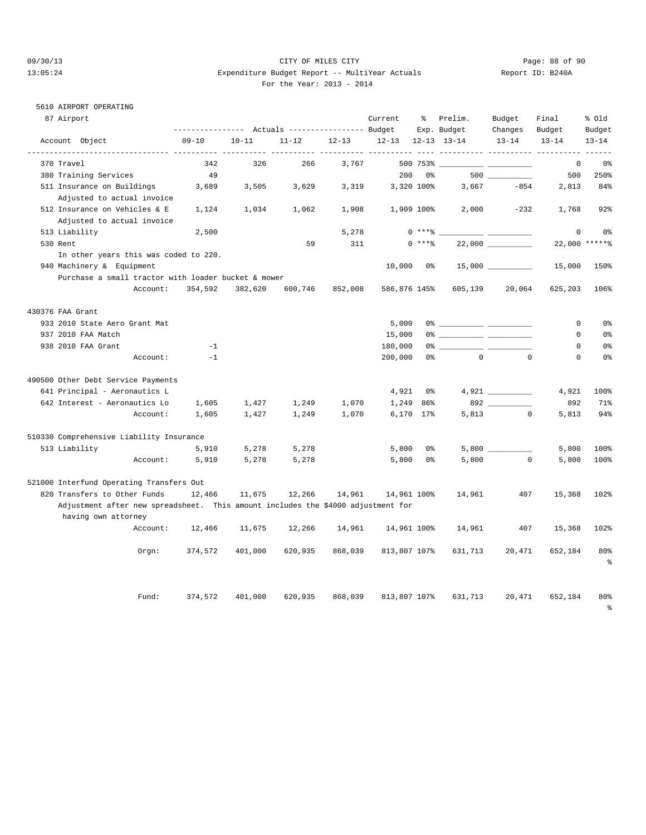#### 09/30/13 Page: 88 of 90 13:05:24 Expenditure Budget Report -- MultiYear Actuals Report ID: B240A For the Year: 2013 - 2014

#### 5610 AIRPORT OPERATING

| 87 Airport                                                                       | ---------------- |           | Actuals ----------------- Budget |           | Current      | နွ             | Prelim.<br>Exp. Budget                                                                                                                                                                                                                                                                                                 | Budget<br>Changes | Final<br>Budget | % old<br>Budget                 |
|----------------------------------------------------------------------------------|------------------|-----------|----------------------------------|-----------|--------------|----------------|------------------------------------------------------------------------------------------------------------------------------------------------------------------------------------------------------------------------------------------------------------------------------------------------------------------------|-------------------|-----------------|---------------------------------|
| Account Object                                                                   | $09 - 10$        | $10 - 11$ | $11 - 12$                        | $12 - 13$ | $12 - 13$    |                | $12 - 13$ $13 - 14$                                                                                                                                                                                                                                                                                                    | $13 - 14$         | $13 - 14$       | $13 - 14$                       |
| -------------- ----------                                                        |                  |           |                                  |           |              |                |                                                                                                                                                                                                                                                                                                                        |                   |                 |                                 |
| 370 Travel                                                                       | 342              | 326       | 266                              | 3,767     |              | 500 753%       |                                                                                                                                                                                                                                                                                                                        |                   | 0               | 0 <sup>°</sup>                  |
| 380 Training Services                                                            | 49               |           |                                  |           | 200          | 0 <sup>°</sup> |                                                                                                                                                                                                                                                                                                                        |                   | 500             | 250%                            |
| 511 Insurance on Buildings<br>Adjusted to actual invoice                         | 3,689            | 3,505     | 3,629                            | 3,319     |              | 3,320 100%     | 3,667                                                                                                                                                                                                                                                                                                                  | $-854$            | 2,813           | 84%                             |
| 512 Insurance on Vehicles & E<br>Adjusted to actual invoice                      | 1,124            | 1,034     | 1,062                            | 1,908     | 1,909 100%   |                | 2,000                                                                                                                                                                                                                                                                                                                  | $-232$            | 1,768           | 92%                             |
| 513 Liability                                                                    | 2,500            |           |                                  | 5,278     |              | $0$ *** $%$    |                                                                                                                                                                                                                                                                                                                        |                   | $\mathbf 0$     | 0 <sup>°</sup>                  |
| 530 Rent                                                                         |                  |           | 59                               | 311       |              | $0***8$        |                                                                                                                                                                                                                                                                                                                        |                   |                 | 22,000 ******                   |
| In other years this was coded to 220.                                            |                  |           |                                  |           |              |                |                                                                                                                                                                                                                                                                                                                        |                   |                 |                                 |
| 940 Machinery & Equipment                                                        |                  |           |                                  |           | 10,000       | $0\,$ s        |                                                                                                                                                                                                                                                                                                                        |                   | 15,000          | 150%                            |
| Purchase a small tractor with loader bucket & mower                              |                  |           |                                  |           |              |                |                                                                                                                                                                                                                                                                                                                        |                   |                 |                                 |
| Account:                                                                         | 354,592          | 382,620   | 600,746                          | 852,008   | 586,876 145% |                | 605,139                                                                                                                                                                                                                                                                                                                | 20,064            | 625,203         | 106%                            |
| 430376 FAA Grant                                                                 |                  |           |                                  |           |              |                |                                                                                                                                                                                                                                                                                                                        |                   |                 |                                 |
| 933 2010 State Aero Grant Mat                                                    |                  |           |                                  |           | 5,000        |                | $0$ $\frac{1}{2}$ $\frac{1}{2}$ $\frac{1}{2}$ $\frac{1}{2}$ $\frac{1}{2}$ $\frac{1}{2}$ $\frac{1}{2}$ $\frac{1}{2}$ $\frac{1}{2}$ $\frac{1}{2}$ $\frac{1}{2}$ $\frac{1}{2}$ $\frac{1}{2}$ $\frac{1}{2}$ $\frac{1}{2}$ $\frac{1}{2}$ $\frac{1}{2}$ $\frac{1}{2}$ $\frac{1}{2}$ $\frac{1}{2}$ $\frac{1}{2}$ $\frac{1}{2$ |                   | $\mathbf 0$     | 0 <sup>°</sup>                  |
| 937 2010 FAA Match                                                               |                  |           |                                  |           | 15,000       |                |                                                                                                                                                                                                                                                                                                                        |                   | $\mathbf 0$     | 0%                              |
| 938 2010 FAA Grant                                                               | $-1$             |           |                                  |           | 180,000      |                |                                                                                                                                                                                                                                                                                                                        |                   | $\Omega$        | 0 <sup>°</sup>                  |
| Account:                                                                         | $-1$             |           |                                  |           | 200,000      | 0 <sup>8</sup> | $\overline{0}$                                                                                                                                                                                                                                                                                                         | $\Omega$          | 0               | 0%                              |
| 490500 Other Debt Service Payments                                               |                  |           |                                  |           |              |                |                                                                                                                                                                                                                                                                                                                        |                   |                 |                                 |
| 641 Principal - Aeronautics L                                                    |                  |           |                                  |           | 4,921        | 0%             |                                                                                                                                                                                                                                                                                                                        |                   | 4,921           | 100%                            |
| 642 Interest - Aeronautics Lo                                                    | 1,605            | 1,427     | 1,249                            | 1,070     | 1,249        | 86%            |                                                                                                                                                                                                                                                                                                                        |                   | 892             | 71%                             |
| Account:                                                                         | 1,605            | 1,427     | 1,249                            | 1,070     |              | 6,170 17%      |                                                                                                                                                                                                                                                                                                                        | 5,813<br>$\circ$  | 5,813           | 94%                             |
| 510330 Comprehensive Liability Insurance                                         |                  |           |                                  |           |              |                |                                                                                                                                                                                                                                                                                                                        |                   |                 |                                 |
| 513 Liability                                                                    | 5,910            | 5,278     | 5,278                            |           | 5,800        | 0%             |                                                                                                                                                                                                                                                                                                                        |                   | 5,800           | 100%                            |
| Account:                                                                         | 5,910            | 5,278     | 5,278                            |           | 5,800        | 0%             | 5,800                                                                                                                                                                                                                                                                                                                  | $^{\circ}$        | 5,800           | 100%                            |
| 521000 Interfund Operating Transfers Out                                         |                  |           |                                  |           |              |                |                                                                                                                                                                                                                                                                                                                        |                   |                 |                                 |
| 820 Transfers to Other Funds                                                     | 12,466           | 11,675    | 12,266                           | 14,961    | 14,961 100%  |                | 14,961                                                                                                                                                                                                                                                                                                                 | 407               | 15,368          | 102%                            |
| Adjustment after new spreadsheet. This amount includes the \$4000 adjustment for |                  |           |                                  |           |              |                |                                                                                                                                                                                                                                                                                                                        |                   |                 |                                 |
| having own attorney                                                              |                  |           |                                  |           |              |                |                                                                                                                                                                                                                                                                                                                        |                   |                 |                                 |
| Account:                                                                         | 12,466           | 11,675    | 12,266                           | 14,961    | 14,961 100%  |                | 14,961                                                                                                                                                                                                                                                                                                                 | 407               | 15,368          | 102%                            |
| Orgn:                                                                            | 374,572          | 401,000   | 620,935                          | 868,039   | 813,807 107% |                | 631,713                                                                                                                                                                                                                                                                                                                | 20,471            | 652,184         | 80%<br>$\,{}^{\circ}_{\circ}\,$ |
| Fund:                                                                            | 374,572          | 401,000   | 620,935                          | 868,039   | 813,807 107% |                | 631,713                                                                                                                                                                                                                                                                                                                | 20,471            | 652,184         | 80%<br>$\epsilon$               |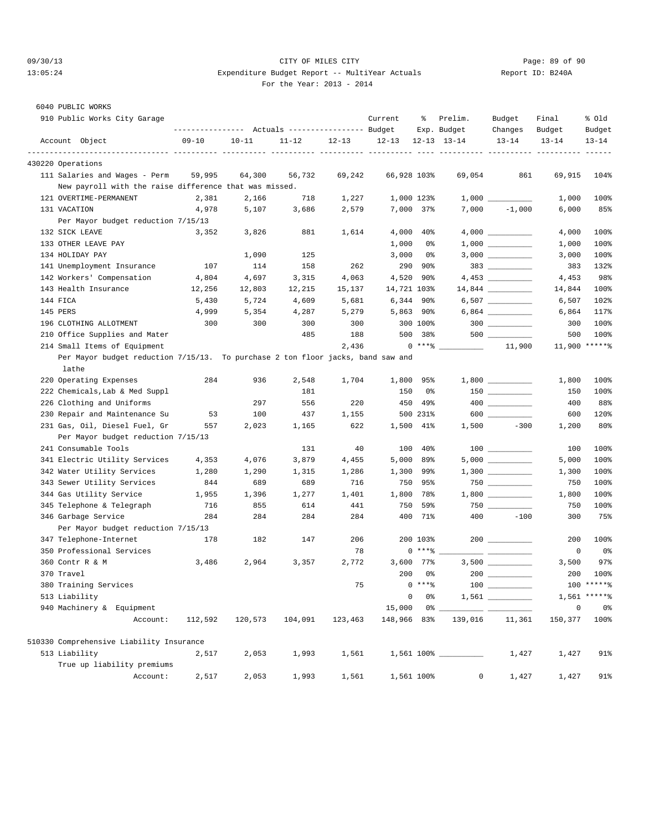#### 09/30/13 Page: 89 of 90 13:05:24 Expenditure Budget Report -- MultiYear Actuals Report ID: B240A For the Year: 2013 - 2014

| - - - |  |
|-------|--|
|       |  |
|       |  |
|       |  |
|       |  |
|       |  |
|       |  |
|       |  |
|       |  |

| 6040 PUBLIC WORKS                                                               |           |           |                                                 |           |             |                |                      |                  |             |                |
|---------------------------------------------------------------------------------|-----------|-----------|-------------------------------------------------|-----------|-------------|----------------|----------------------|------------------|-------------|----------------|
| 910 Public Works City Garage                                                    |           |           |                                                 |           | Current     | ႜွ             | Prelim.              | Budget           | Final       | % old          |
|                                                                                 |           |           | --------------- Actuals ---------------- Budget |           |             |                | Exp. Budget          | Changes          | Budget      | Budget         |
| Account Object                                                                  | $09 - 10$ | $10 - 11$ | $11 - 12$                                       | $12 - 13$ | $12 - 13$   |                | $12 - 13$ $13 - 14$  | $13 - 14$        | $13 - 14$   | $13 - 14$      |
| 430220 Operations                                                               |           |           |                                                 |           |             |                |                      |                  |             |                |
| 111 Salaries and Wages - Perm                                                   | 59,995    | 64,300    | 56,732                                          | 69,242    | 66,928 103% |                | 69,054               | 861              | 69,915      | 104%           |
| New payroll with the raise difference that was missed.                          |           |           |                                                 |           |             |                |                      |                  |             |                |
| 121 OVERTIME-PERMANENT                                                          | 2,381     | 2,166     | 718                                             | 1,227     |             | 1,000 123%     |                      |                  | 1,000       | 100%           |
| 131 VACATION                                                                    | 4,978     | 5,107     | 3,686                                           | 2,579     |             | 7,000 37%      | 7,000                | $-1,000$         | 6,000       | 85%            |
| Per Mayor budget reduction 7/15/13                                              |           |           |                                                 |           |             |                |                      |                  |             |                |
| 132 SICK LEAVE                                                                  | 3,352     | 3,826     | 881                                             | 1,614     |             | $4,000$ $40\%$ |                      |                  | 4,000       | 100%           |
| 133 OTHER LEAVE PAY                                                             |           |           |                                                 |           | 1,000       | 0%             |                      |                  | 1,000       | 100%           |
| 134 HOLIDAY PAY                                                                 |           | 1,090     | 125                                             |           | 3,000       | 0%             |                      |                  | 3,000       | 100%           |
| 141 Unemployment Insurance                                                      | 107       | 114       | 158                                             | 262       |             | 290 90%        |                      | 383              | 383         | 132%           |
| 142 Workers' Compensation                                                       | 4,804     | 4,697     | 3,315                                           | 4,063     | 4,520       | 90%            |                      |                  | 4,453       | 98%            |
| 143 Health Insurance                                                            | 12,256    | 12,803    | 12,215                                          | 15,137    | 14,721 103% |                |                      |                  | 14,844      | 100%           |
| 144 FICA                                                                        | 5,430     | 5,724     | 4,609                                           | 5,681     |             | $6,344$ 90%    |                      |                  | 6,507       | 102%           |
| 145 PERS                                                                        | 4,999     | 5,354     | 4,287                                           | 5,279     |             | $5,863$ 90%    |                      |                  | 6,864       | 117%           |
| 196 CLOTHING ALLOTMENT                                                          | 300       | 300       | 300                                             | 300       |             | 300 100%       |                      | $300$            | 300         | 100%           |
| 210 Office Supplies and Mater                                                   |           |           | 485                                             | 188       |             | 500 38%        |                      |                  | 500         | 100%           |
| 214 Small Items of Equipment                                                    |           |           |                                                 | 2,436     |             | $0***$ $*$     |                      | 11,900           |             | 11,900 ******  |
| Per Mayor budget reduction 7/15/13. To purchase 2 ton floor jacks, band saw and |           |           |                                                 |           |             |                |                      |                  |             |                |
| lathe                                                                           |           |           |                                                 |           |             |                |                      |                  |             |                |
| 220 Operating Expenses                                                          | 284       | 936       | 2,548                                           | 1,704     | 1,800       | 95%            |                      |                  | 1,800       | 100%           |
| 222 Chemicals, Lab & Med Suppl                                                  |           |           | 181                                             |           | 150         | 0%             |                      | $150$ __________ | 150         | 100%           |
| 226 Clothing and Uniforms                                                       |           | 297       | 556                                             | 220       |             | 450 49%        |                      |                  | 400         | 88%            |
| 230 Repair and Maintenance Su                                                   | 53        | 100       | 437                                             | 1,155     |             | 500 231%       |                      | 600              | 600         | 120%           |
| 231 Gas, Oil, Diesel Fuel, Gr                                                   | 557       | 2,023     | 1,165                                           | 622       |             | 1,500 41%      |                      | $1,500 -300$     | 1,200       | 80%            |
| Per Mayor budget reduction 7/15/13                                              |           |           |                                                 |           |             |                |                      |                  |             |                |
| 241 Consumable Tools                                                            |           |           | 131                                             | 40        | 100         | 40%            |                      |                  | 100         | 100%           |
| 341 Electric Utility Services                                                   | 4,353     | 4,076     | 3,879                                           | 4,455     |             | $5,000$ 89%    |                      |                  | 5,000       | 100%           |
| 342 Water Utility Services                                                      | 1,280     | 1,290     | 1,315                                           | 1,286     |             | 1,300 99%      |                      |                  | 1,300       | 100%           |
| 343 Sewer Utility Services                                                      | 844       | 689       | 689                                             | 716       |             | 750 95%        |                      |                  | 750         | 100%           |
| 344 Gas Utility Service                                                         | 1,955     | 1,396     | 1,277                                           | 1,401     |             | 1,800 78%      |                      |                  | 1,800       | 100%           |
| 345 Telephone & Telegraph                                                       | 716       | 855       | 614                                             | 441       | 750         | 59%            |                      | 750              | 750         | 100%           |
| 346 Garbage Service                                                             | 284       | 284       | 284                                             | 284       |             | 400 71%        | 400                  | $-100$           | 300         | 75%            |
| Per Mayor budget reduction 7/15/13                                              |           |           |                                                 |           |             |                |                      |                  |             |                |
| 347 Telephone-Internet                                                          | 178       | 182       | 147                                             | 206       |             | 200 103%       |                      |                  | 200         | 100%           |
| 350 Professional Services                                                       |           |           |                                                 | 78        |             | $0***8$        |                      |                  | 0           | 0 <sub>8</sub> |
| 360 Contr R & M                                                                 | 3,486     | 2,964     | 3,357                                           | 2,772     |             | 3,600 77%      |                      |                  | 3,500       | 97%            |
| 370 Travel                                                                      |           |           |                                                 |           |             | $200$ $0\%$    | $200$ $\qquad$       |                  |             | 200 100%       |
| 380 Training Services                                                           |           |           |                                                 | 75        |             | $0***8$        |                      |                  |             | $100$ *****%   |
| 513 Liability                                                                   |           |           |                                                 |           | 0           | 0%             |                      |                  |             | $1,561$ *****% |
| 940 Machinery & Equipment                                                       |           |           |                                                 |           | 15,000      |                |                      |                  | $\mathsf 0$ | 0%             |
| Account:                                                                        | 112,592   | 120,573   | 104,091                                         | 123,463   | 148,966 83% |                | 139,016              | 11,361           | 150,377     | 100%           |
| 510330 Comprehensive Liability Insurance                                        |           |           |                                                 |           |             |                |                      |                  |             |                |
| 513 Liability                                                                   | 2,517     | 2,053     | 1,993                                           | 1,561     |             |                | 1,561 100% _________ | 1,427            | 1,427       | 91%            |
| True up liability premiums                                                      |           |           |                                                 |           |             |                |                      |                  |             |                |
| Account:                                                                        | 2,517     | 2,053     | 1,993                                           | 1,561     |             | 1,561 100%     | 0                    | 1,427            | 1,427       | 91%            |